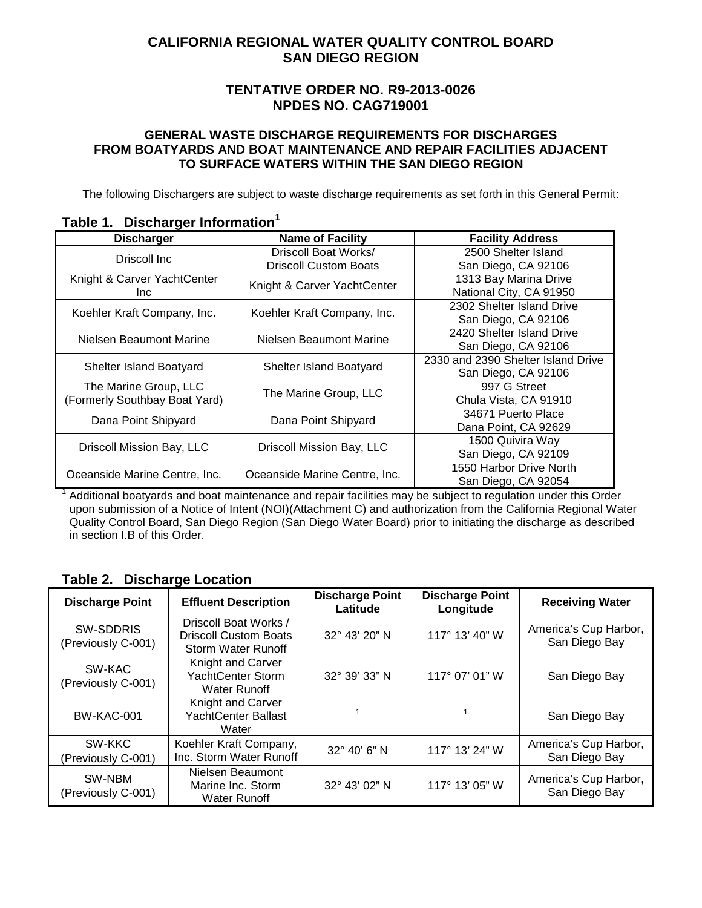## **CALIFORNIA REGIONAL WATER QUALITY CONTROL BOARD SAN DIEGO REGION**

### **TENTATIVE ORDER NO. R9-2013-0026 NPDES NO. CAG719001**

#### **GENERAL WASTE DISCHARGE REQUIREMENTS FOR DISCHARGES FROM BOATYARDS AND BOAT MAINTENANCE AND REPAIR FACILITIES ADJACENT TO SURFACE WATERS WITHIN THE SAN DIEGO REGION**

The following Dischargers are subject to waste discharge requirements as set forth in this General Permit:

| <b>Discharger</b>              | <b>Name of Facility</b>        | <b>Facility Address</b>            |  |  |  |
|--------------------------------|--------------------------------|------------------------------------|--|--|--|
| Driscoll Inc                   | Driscoll Boat Works/           | 2500 Shelter Island                |  |  |  |
|                                | <b>Driscoll Custom Boats</b>   | San Diego, CA 92106                |  |  |  |
| Knight & Carver YachtCenter    |                                | 1313 Bay Marina Drive              |  |  |  |
| Inc.                           | Knight & Carver YachtCenter    | National City, CA 91950            |  |  |  |
|                                |                                | 2302 Shelter Island Drive          |  |  |  |
| Koehler Kraft Company, Inc.    | Koehler Kraft Company, Inc.    | San Diego, CA 92106                |  |  |  |
|                                |                                | 2420 Shelter Island Drive          |  |  |  |
| Nielsen Beaumont Marine        | Nielsen Beaumont Marine        | San Diego, CA 92106                |  |  |  |
|                                |                                | 2330 and 2390 Shelter Island Drive |  |  |  |
| <b>Shelter Island Boatyard</b> | <b>Shelter Island Boatyard</b> | San Diego, CA 92106                |  |  |  |
| The Marine Group, LLC          |                                | 997 G Street                       |  |  |  |
| (Formerly Southbay Boat Yard)  | The Marine Group, LLC          | Chula Vista, CA 91910              |  |  |  |
|                                |                                | 34671 Puerto Place                 |  |  |  |
| Dana Point Shipyard            | Dana Point Shipyard            | Dana Point, CA 92629               |  |  |  |
|                                |                                | 1500 Quivira Way                   |  |  |  |
| Driscoll Mission Bay, LLC      | Driscoll Mission Bay, LLC      | San Diego, CA 92109                |  |  |  |
|                                |                                | 1550 Harbor Drive North            |  |  |  |
| Oceanside Marine Centre, Inc.  | Oceanside Marine Centre, Inc.  | San Diego, CA 92054                |  |  |  |

#### <span id="page-0-0"></span>**Table 1. Discharger Information1**

 $1$  Additional boatyards and boat maintenance and repair facilities may be subject to regulation under this Order upon submission of a Notice of Intent (NOI)(Attachment C) and authorization from the California Regional Water Quality Control Board, San Diego Region (San Diego Water Board) prior to initiating the discharge as described in section I.B of this Order.

### <span id="page-0-1"></span>**Table 2. Discharge Location**

| <b>Discharge Point</b>                 | <b>Effluent Description</b>                                                 | <b>Discharge Point</b><br>Latitude | <b>Discharge Point</b><br>Longitude | <b>Receiving Water</b>                 |
|----------------------------------------|-----------------------------------------------------------------------------|------------------------------------|-------------------------------------|----------------------------------------|
| <b>SW-SDDRIS</b><br>(Previously C-001) | Driscoll Boat Works /<br><b>Driscoll Custom Boats</b><br>Storm Water Runoff | 32° 43' 20" N                      | 117° 13' 40" W                      | America's Cup Harbor,<br>San Diego Bay |
| SW-KAC<br>(Previously C-001)           | Knight and Carver<br><b>YachtCenter Storm</b><br><b>Water Runoff</b>        | 32° 39' 33" N                      | 117° 07' 01" W                      | San Diego Bay                          |
| <b>BW-KAC-001</b>                      | Knight and Carver<br><b>YachtCenter Ballast</b><br>Water                    |                                    |                                     | San Diego Bay                          |
| SW-KKC<br>(Previously C-001)           | Koehler Kraft Company,<br>Inc. Storm Water Runoff                           | $32^{\circ}$ 40' 6" N              | 117° 13' 24" W                      | America's Cup Harbor,<br>San Diego Bay |
| SW-NBM<br>(Previously C-001)           | Nielsen Beaumont<br>Marine Inc. Storm<br><b>Water Runoff</b>                | 32° 43' 02" N                      | 117° 13' 05" W                      | America's Cup Harbor,<br>San Diego Bay |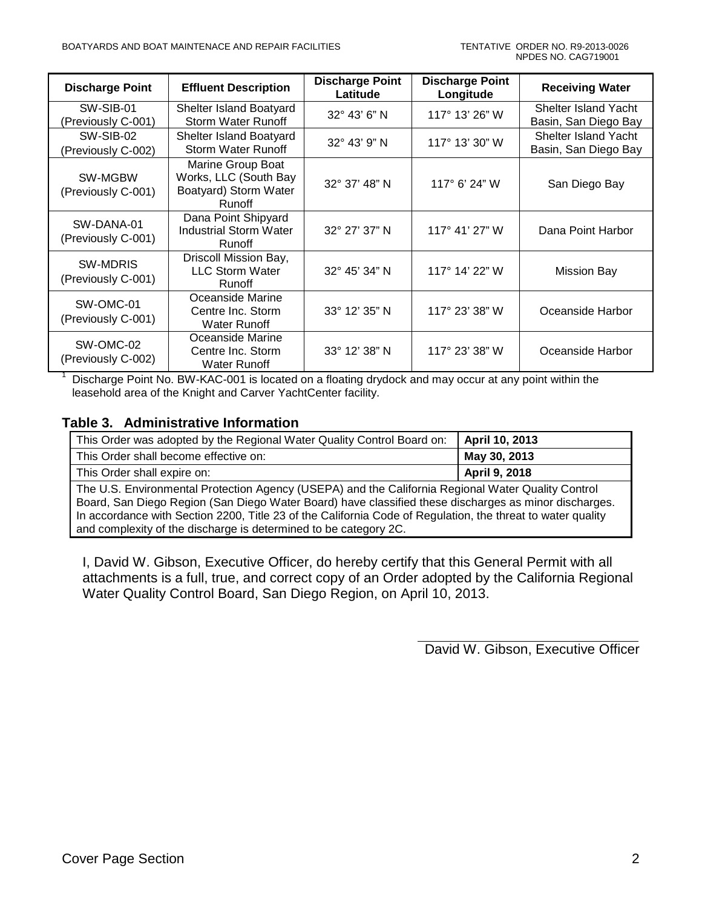| <b>Discharge Point</b><br><b>Effluent Description</b>                                   |                                                                                      | <b>Discharge Point</b><br><b>Discharge Point</b><br>Latitude<br>Longitude |                          | <b>Receiving Water</b>                       |  |
|-----------------------------------------------------------------------------------------|--------------------------------------------------------------------------------------|---------------------------------------------------------------------------|--------------------------|----------------------------------------------|--|
| SW-SIB-01<br>Shelter Island Boatyard<br>Storm Water Runoff<br>(Previously C-001)        |                                                                                      | 32° 43' 6" N                                                              | 117° 13' 26" W           | Shelter Island Yacht<br>Basin, San Diego Bay |  |
| SW-SIB-02<br>Shelter Island Boatyard<br><b>Storm Water Runoff</b><br>(Previously C-002) |                                                                                      | 32° 43' 9" N                                                              | 117° 13' 30" W           | Shelter Island Yacht<br>Basin, San Diego Bay |  |
| SW-MGBW<br>(Previously C-001)                                                           | Marine Group Boat<br>Works, LLC (South Bay<br>Boatyard) Storm Water<br><b>Runoff</b> | 32° 37' 48" N                                                             | 117° 6' 24" W            | San Diego Bay                                |  |
| SW-DANA-01<br>(Previously C-001)                                                        | Dana Point Shipyard<br><b>Industrial Storm Water</b><br>Runoff                       | 32° 27' 37" N                                                             | $117^{\circ}$ 41' 27" W  | Dana Point Harbor                            |  |
| <b>SW-MDRIS</b><br>(Previously C-001)                                                   | Driscoll Mission Bay,<br><b>LLC Storm Water</b><br><b>Runoff</b>                     | 32° 45' 34" N                                                             | 117 $^{\circ}$ 14' 22" W | <b>Mission Bay</b>                           |  |
| SW-OMC-01<br>(Previously C-001)                                                         | Oceanside Marine<br>Centre Inc. Storm<br>Water Runoff                                | 33° 12' 35" N                                                             | $117^{\circ}$ 23' 38" W  | Oceanside Harbor                             |  |
| SW-OMC-02<br>(Previously C-002)                                                         | Oceanside Marine<br>Centre Inc. Storm<br><b>Water Runoff</b>                         | 33° 12' 38" N                                                             | 117° 23' 38" W           | Oceanside Harbor                             |  |

<sup>1</sup> Discharge Point No. BW-KAC-001 is located on a floating drydock and may occur at any point within the leasehold area of the Knight and Carver YachtCenter facility.

### <span id="page-1-0"></span>**Table 3. Administrative Information**

| This Order was adopted by the Regional Water Quality Control Board on: | April 10, 2013 |
|------------------------------------------------------------------------|----------------|
| This Order shall become effective on:                                  | May 30, 2013   |
| This Order shall expire on:                                            | April 9, 2018  |

The U.S. Environmental Protection Agency (USEPA) and the California Regional Water Quality Control Board, San Diego Region (San Diego Water Board) have classified these discharges as minor discharges. In accordance with Section 2200, Title 23 of the California Code of Regulation, the threat to water quality and complexity of the discharge is determined to be category 2C.

I, David W. Gibson, Executive Officer, do hereby certify that this General Permit with all attachments is a full, true, and correct copy of an Order adopted by the California Regional Water Quality Control Board, San Diego Region, on April 10, 2013.

David W. Gibson, Executive Officer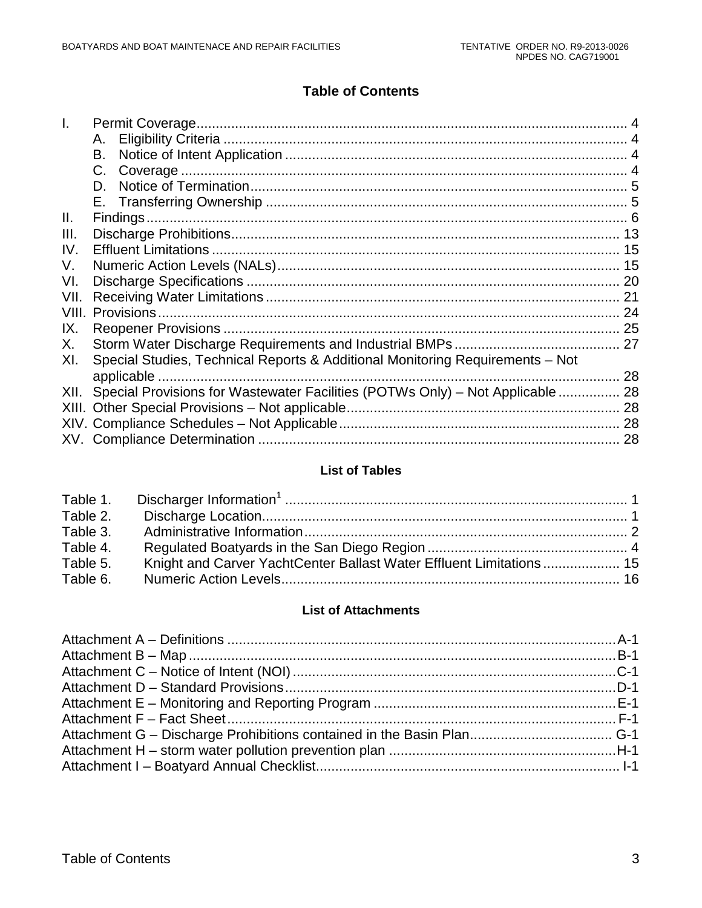# **Table of Contents**

|             | А.                                                                             |  |
|-------------|--------------------------------------------------------------------------------|--|
|             | В.                                                                             |  |
|             |                                                                                |  |
|             | D.                                                                             |  |
|             |                                                                                |  |
| Ш.          |                                                                                |  |
| III.        |                                                                                |  |
| IV.         |                                                                                |  |
| V.          |                                                                                |  |
| VI.         |                                                                                |  |
| VII.        |                                                                                |  |
| <b>VIII</b> |                                                                                |  |
| IX.         |                                                                                |  |
| Х.          |                                                                                |  |
| XI.         | Special Studies, Technical Reports & Additional Monitoring Requirements - Not  |  |
|             |                                                                                |  |
| XII.        | Special Provisions for Wastewater Facilities (POTWs Only) - Not Applicable  28 |  |
|             |                                                                                |  |
|             |                                                                                |  |
|             |                                                                                |  |

#### **List of Tables**

| Table 2. |                                                                     |  |
|----------|---------------------------------------------------------------------|--|
| Table 3. |                                                                     |  |
| Table 4. |                                                                     |  |
| Table 5. | Knight and Carver YachtCenter Ballast Water Effluent Limitations 15 |  |
| Table 6. |                                                                     |  |

### **List of Attachments**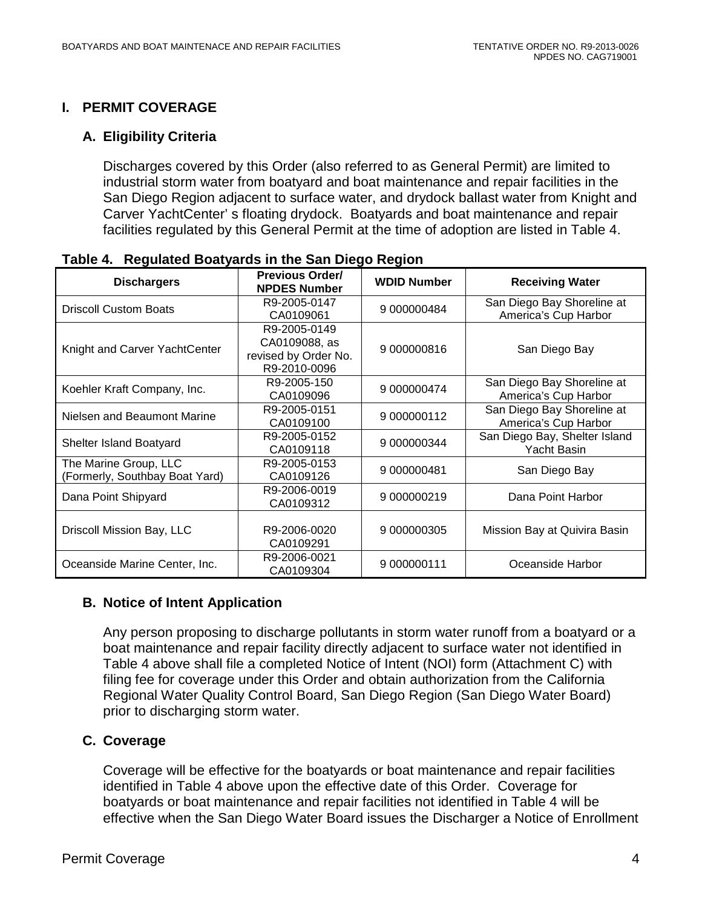## <span id="page-3-0"></span>**I. PERMIT COVERAGE**

### <span id="page-3-1"></span>**A. Eligibility Criteria**

Discharges covered by this Order (also referred to as General Permit) are limited to industrial storm water from boatyard and boat maintenance and repair facilities in the San Diego Region adjacent to surface water, and drydock ballast water from Knight and Carver YachtCenter' s floating drydock. Boatyards and boat maintenance and repair facilities regulated by this General Permit at the time of adoption are listed in Table 4.

| <b>Dischargers</b>                                      | <b>Previous Order/</b><br><b>NPDES Number</b>                         | <b>WDID Number</b> | <b>Receiving Water</b>                             |  |
|---------------------------------------------------------|-----------------------------------------------------------------------|--------------------|----------------------------------------------------|--|
| <b>Driscoll Custom Boats</b>                            | R9-2005-0147<br>CA0109061                                             | 9 000000484        | San Diego Bay Shoreline at<br>America's Cup Harbor |  |
| Knight and Carver YachtCenter                           | R9-2005-0149<br>CA0109088, as<br>revised by Order No.<br>R9-2010-0096 | 9 000000816        | San Diego Bay                                      |  |
| Koehler Kraft Company, Inc.                             | R9-2005-150<br>CA0109096                                              | 9 000000474        | San Diego Bay Shoreline at<br>America's Cup Harbor |  |
| Nielsen and Beaumont Marine                             | R9-2005-0151<br>CA0109100                                             | 9 000000112        | San Diego Bay Shoreline at<br>America's Cup Harbor |  |
| Shelter Island Boatyard                                 | R9-2005-0152<br>CA0109118                                             | 9 000000344        | San Diego Bay, Shelter Island<br>Yacht Basin       |  |
| The Marine Group, LLC<br>(Formerly, Southbay Boat Yard) | R9-2005-0153<br>CA0109126                                             | 9 000000481        | San Diego Bay                                      |  |
| Dana Point Shipyard                                     | R9-2006-0019<br>CA0109312                                             | 9 000000219        | Dana Point Harbor                                  |  |
| Driscoll Mission Bay, LLC                               | R9-2006-0020<br>CA0109291                                             | 9 000000305        | Mission Bay at Quivira Basin                       |  |
| Oceanside Marine Center, Inc.                           | R9-2006-0021<br>CA0109304                                             | 9 000000111        | Oceanside Harbor                                   |  |

<span id="page-3-4"></span>**Table 4. Regulated Boatyards in the San Diego Region**

### <span id="page-3-2"></span>**B. Notice of Intent Application**

Any person proposing to discharge pollutants in storm water runoff from a boatyard or a boat maintenance and repair facility directly adjacent to surface water not identified in Table 4 above shall file a completed Notice of Intent (NOI) form (Attachment C) with filing fee for coverage under this Order and obtain authorization from the California Regional Water Quality Control Board, San Diego Region (San Diego Water Board) prior to discharging storm water.

### <span id="page-3-3"></span>**C. Coverage**

Coverage will be effective for the boatyards or boat maintenance and repair facilities identified in Table 4 above upon the effective date of this Order. Coverage for boatyards or boat maintenance and repair facilities not identified in Table 4 will be effective when the San Diego Water Board issues the Discharger a Notice of Enrollment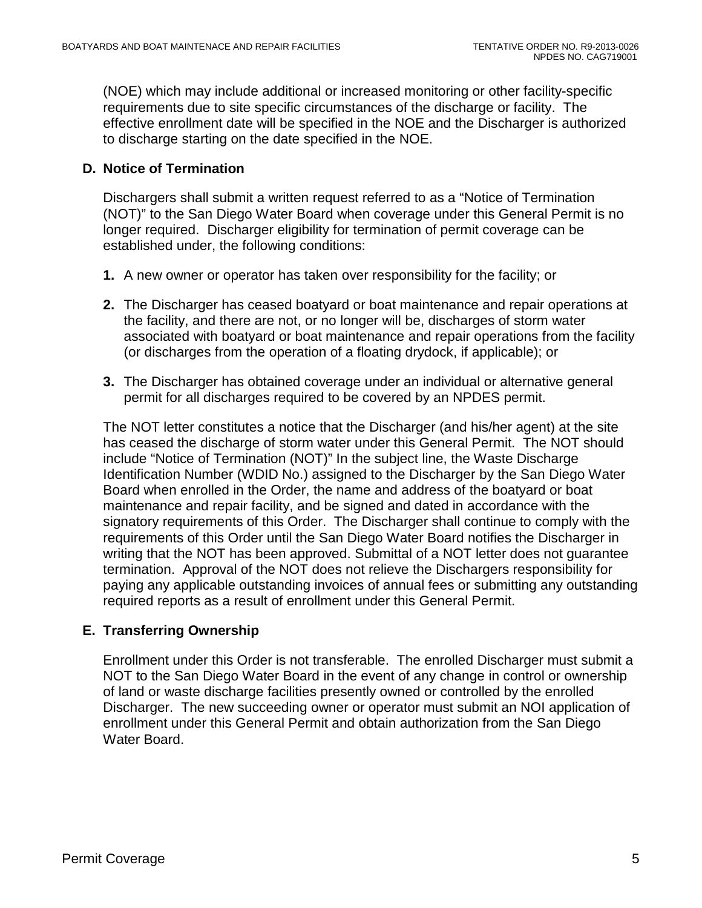(NOE) which may include additional or increased monitoring or other facility-specific requirements due to site specific circumstances of the discharge or facility. The effective enrollment date will be specified in the NOE and the Discharger is authorized to discharge starting on the date specified in the NOE.

## <span id="page-4-0"></span>**D. Notice of Termination**

Dischargers shall submit a written request referred to as a "Notice of Termination (NOT)" to the San Diego Water Board when coverage under this General Permit is no longer required. Discharger eligibility for termination of permit coverage can be established under, the following conditions:

- **1.** A new owner or operator has taken over responsibility for the facility; or
- **2.** The Discharger has ceased boatyard or boat maintenance and repair operations at the facility, and there are not, or no longer will be, discharges of storm water associated with boatyard or boat maintenance and repair operations from the facility (or discharges from the operation of a floating drydock, if applicable); or
- **3.** The Discharger has obtained coverage under an individual or alternative general permit for all discharges required to be covered by an NPDES permit.

The NOT letter constitutes a notice that the Discharger (and his/her agent) at the site has ceased the discharge of storm water under this General Permit. The NOT should include "Notice of Termination (NOT)" In the subject line, the Waste Discharge Identification Number (WDID No.) assigned to the Discharger by the San Diego Water Board when enrolled in the Order, the name and address of the boatyard or boat maintenance and repair facility, and be signed and dated in accordance with the signatory requirements of this Order. The Discharger shall continue to comply with the requirements of this Order until the San Diego Water Board notifies the Discharger in writing that the NOT has been approved. Submittal of a NOT letter does not guarantee termination. Approval of the NOT does not relieve the Dischargers responsibility for paying any applicable outstanding invoices of annual fees or submitting any outstanding required reports as a result of enrollment under this General Permit.

### <span id="page-4-1"></span>**E. Transferring Ownership**

Enrollment under this Order is not transferable. The enrolled Discharger must submit a NOT to the San Diego Water Board in the event of any change in control or ownership of land or waste discharge facilities presently owned or controlled by the enrolled Discharger. The new succeeding owner or operator must submit an NOI application of enrollment under this General Permit and obtain authorization from the San Diego Water Board.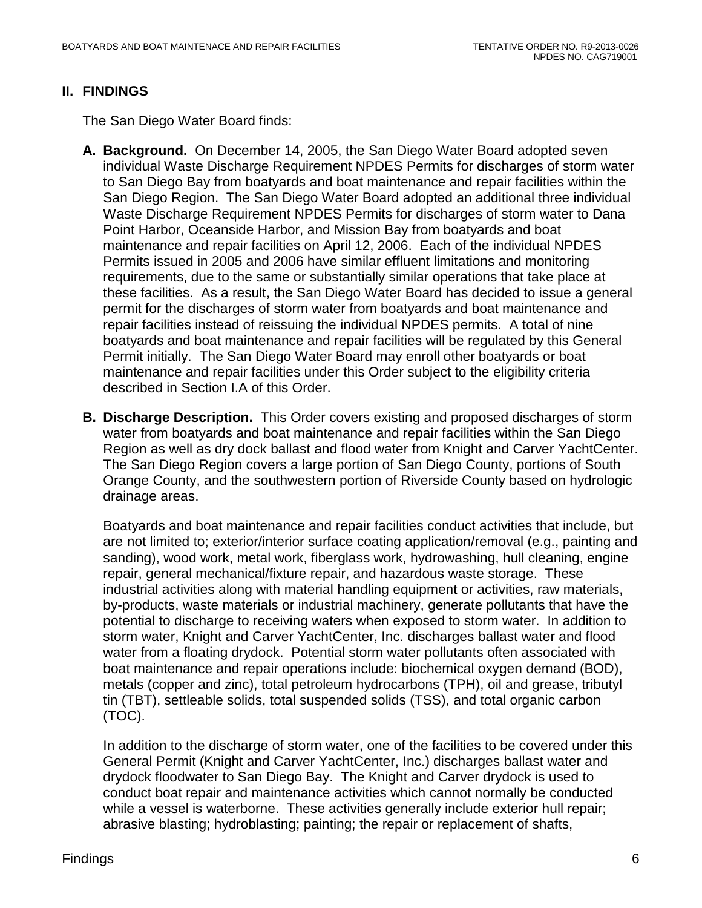#### <span id="page-5-0"></span>**II. FINDINGS**

The San Diego Water Board finds:

- **A. Background.** On December 14, 2005, the San Diego Water Board adopted seven individual Waste Discharge Requirement NPDES Permits for discharges of storm water to San Diego Bay from boatyards and boat maintenance and repair facilities within the San Diego Region. The San Diego Water Board adopted an additional three individual Waste Discharge Requirement NPDES Permits for discharges of storm water to Dana Point Harbor, Oceanside Harbor, and Mission Bay from boatyards and boat maintenance and repair facilities on April 12, 2006. Each of the individual NPDES Permits issued in 2005 and 2006 have similar effluent limitations and monitoring requirements, due to the same or substantially similar operations that take place at these facilities. As a result, the San Diego Water Board has decided to issue a general permit for the discharges of storm water from boatyards and boat maintenance and repair facilities instead of reissuing the individual NPDES permits. A total of nine boatyards and boat maintenance and repair facilities will be regulated by this General Permit initially. The San Diego Water Board may enroll other boatyards or boat maintenance and repair facilities under this Order subject to the eligibility criteria described in Section I.A of this Order.
- **B. Discharge Description.** This Order covers existing and proposed discharges of storm water from boatyards and boat maintenance and repair facilities within the San Diego Region as well as dry dock ballast and flood water from Knight and Carver YachtCenter. The San Diego Region covers a large portion of San Diego County, portions of South Orange County, and the southwestern portion of Riverside County based on hydrologic drainage areas.

Boatyards and boat maintenance and repair facilities conduct activities that include, but are not limited to; exterior/interior surface coating application/removal (e.g., painting and sanding), wood work, metal work, fiberglass work, hydrowashing, hull cleaning, engine repair, general mechanical/fixture repair, and hazardous waste storage. These industrial activities along with material handling equipment or activities, raw materials, by-products, waste materials or industrial machinery, generate pollutants that have the potential to discharge to receiving waters when exposed to storm water. In addition to storm water, Knight and Carver YachtCenter, Inc. discharges ballast water and flood water from a floating drydock. Potential storm water pollutants often associated with boat maintenance and repair operations include: biochemical oxygen demand (BOD), metals (copper and zinc), total petroleum hydrocarbons (TPH), oil and grease, tributyl tin (TBT), settleable solids, total suspended solids (TSS), and total organic carbon (TOC).

In addition to the discharge of storm water, one of the facilities to be covered under this General Permit (Knight and Carver YachtCenter, Inc.) discharges ballast water and drydock floodwater to San Diego Bay. The Knight and Carver drydock is used to conduct boat repair and maintenance activities which cannot normally be conducted while a vessel is waterborne. These activities generally include exterior hull repair; abrasive blasting; hydroblasting; painting; the repair or replacement of shafts,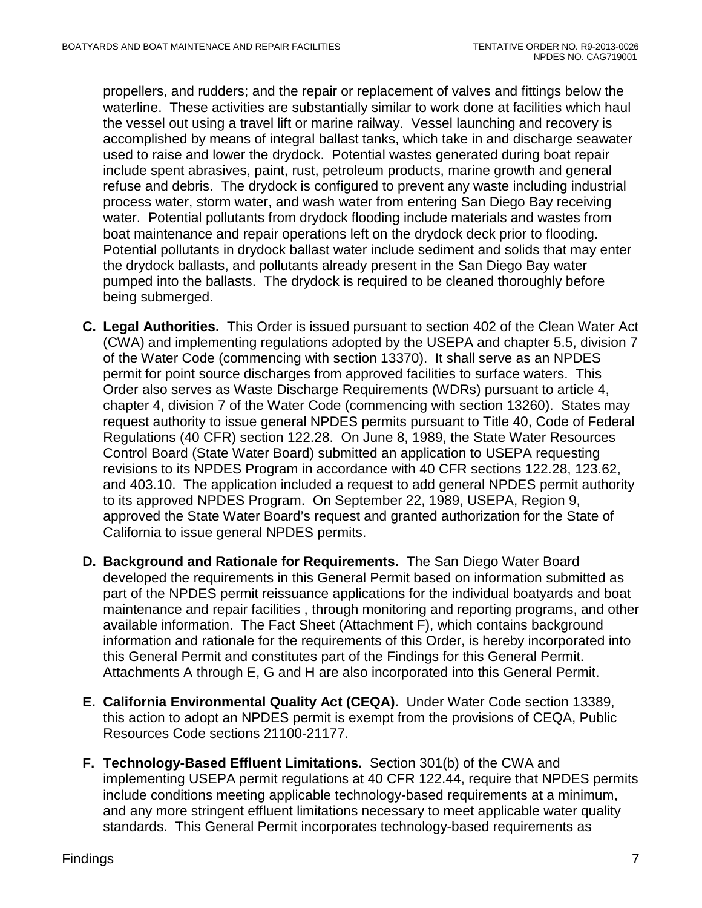propellers, and rudders; and the repair or replacement of valves and fittings below the waterline. These activities are substantially similar to work done at facilities which haul the vessel out using a travel lift or marine railway. Vessel launching and recovery is accomplished by means of integral ballast tanks, which take in and discharge seawater used to raise and lower the drydock. Potential wastes generated during boat repair include spent abrasives, paint, rust, petroleum products, marine growth and general refuse and debris. The drydock is configured to prevent any waste including industrial process water, storm water, and wash water from entering San Diego Bay receiving water. Potential pollutants from drydock flooding include materials and wastes from boat maintenance and repair operations left on the drydock deck prior to flooding. Potential pollutants in drydock ballast water include sediment and solids that may enter the drydock ballasts, and pollutants already present in the San Diego Bay water pumped into the ballasts. The drydock is required to be cleaned thoroughly before being submerged.

- **C. Legal Authorities.** This Order is issued pursuant to section 402 of the Clean Water Act (CWA) and implementing regulations adopted by the USEPA and chapter 5.5, division 7 of the Water Code (commencing with section 13370). It shall serve as an NPDES permit for point source discharges from approved facilities to surface waters. This Order also serves as Waste Discharge Requirements (WDRs) pursuant to article 4, chapter 4, division 7 of the Water Code (commencing with section 13260). States may request authority to issue general NPDES permits pursuant to Title 40, Code of Federal Regulations (40 CFR) section 122.28. On June 8, 1989, the State Water Resources Control Board (State Water Board) submitted an application to USEPA requesting revisions to its NPDES Program in accordance with 40 CFR sections 122.28, 123.62, and 403.10. The application included a request to add general NPDES permit authority to its approved NPDES Program. On September 22, 1989, USEPA, Region 9, approved the State Water Board's request and granted authorization for the State of California to issue general NPDES permits.
- **D. Background and Rationale for Requirements.** The San Diego Water Board developed the requirements in this General Permit based on information submitted as part of the NPDES permit reissuance applications for the individual boatyards and boat maintenance and repair facilities , through monitoring and reporting programs, and other available information. The Fact Sheet (Attachment F), which contains background information and rationale for the requirements of this Order, is hereby incorporated into this General Permit and constitutes part of the Findings for this General Permit. Attachments A through E, G and H are also incorporated into this General Permit.
- **E. California Environmental Quality Act (CEQA).** Under Water Code section 13389, this action to adopt an NPDES permit is exempt from the provisions of CEQA, Public Resources Code sections 21100-21177.
- **F. Technology-Based Effluent Limitations.** Section 301(b) of the CWA and implementing USEPA permit regulations at 40 CFR 122.44, require that NPDES permits include conditions meeting applicable technology-based requirements at a minimum, and any more stringent effluent limitations necessary to meet applicable water quality standards. This General Permit incorporates technology-based requirements as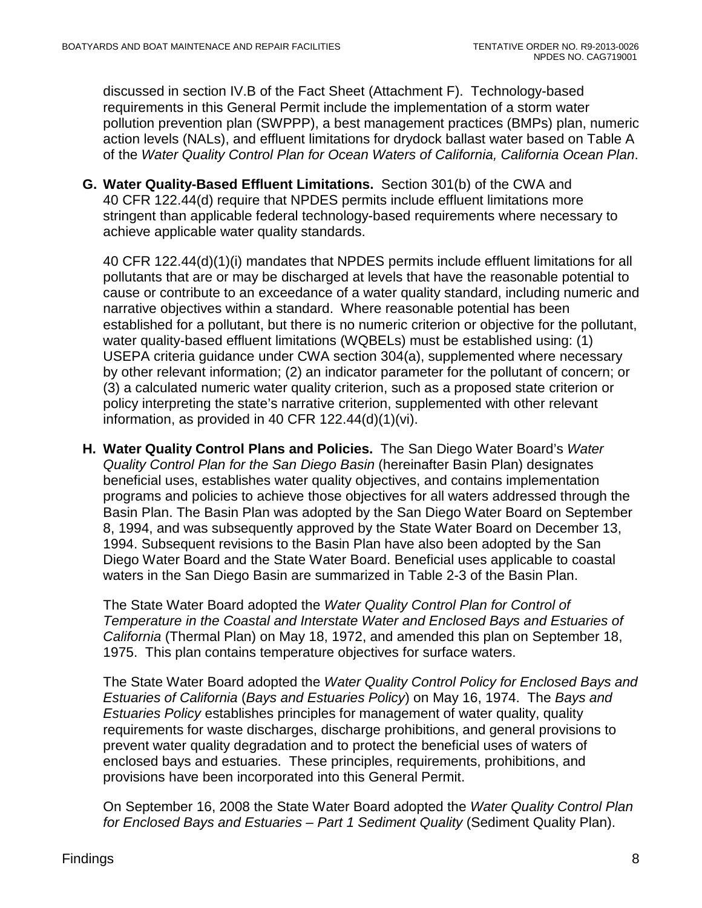discussed in section IV.B of the Fact Sheet (Attachment F). Technology-based requirements in this General Permit include the implementation of a storm water pollution prevention plan (SWPPP), a best management practices (BMPs) plan, numeric action levels (NALs), and effluent limitations for drydock ballast water based on Table A of the *Water Quality Control Plan for Ocean Waters of California, California Ocean Plan*.

**G. Water Quality-Based Effluent Limitations.** Section 301(b) of the CWA and 40 CFR 122.44(d) require that NPDES permits include effluent limitations more stringent than applicable federal technology-based requirements where necessary to achieve applicable water quality standards.

40 CFR 122.44(d)(1)(i) mandates that NPDES permits include effluent limitations for all pollutants that are or may be discharged at levels that have the reasonable potential to cause or contribute to an exceedance of a water quality standard, including numeric and narrative objectives within a standard. Where reasonable potential has been established for a pollutant, but there is no numeric criterion or objective for the pollutant, water quality-based effluent limitations (WQBELs) must be established using: (1) USEPA criteria guidance under CWA section 304(a), supplemented where necessary by other relevant information; (2) an indicator parameter for the pollutant of concern; or (3) a calculated numeric water quality criterion, such as a proposed state criterion or policy interpreting the state's narrative criterion, supplemented with other relevant information, as provided in 40 CFR 122.44(d)(1)(vi).

**H. Water Quality Control Plans and Policies.** The San Diego Water Board's *Water Quality Control Plan for the San Diego Basin* (hereinafter Basin Plan) designates beneficial uses, establishes water quality objectives, and contains implementation programs and policies to achieve those objectives for all waters addressed through the Basin Plan. The Basin Plan was adopted by the San Diego Water Board on September 8, 1994, and was subsequently approved by the State Water Board on December 13, 1994. Subsequent revisions to the Basin Plan have also been adopted by the San Diego Water Board and the State Water Board. Beneficial uses applicable to coastal waters in the San Diego Basin are summarized in Table 2-3 of the Basin Plan.

The State Water Board adopted the *Water Quality Control Plan for Control of Temperature in the Coastal and Interstate Water and Enclosed Bays and Estuaries of California* (Thermal Plan) on May 18, 1972, and amended this plan on September 18, 1975. This plan contains temperature objectives for surface waters.

The State Water Board adopted the *Water Quality Control Policy for Enclosed Bays and Estuaries of California* (*Bays and Estuaries Policy*) on May 16, 1974. The *Bays and Estuaries Policy* establishes principles for management of water quality, quality requirements for waste discharges, discharge prohibitions, and general provisions to prevent water quality degradation and to protect the beneficial uses of waters of enclosed bays and estuaries. These principles, requirements, prohibitions, and provisions have been incorporated into this General Permit.

On September 16, 2008 the State Water Board adopted the *Water Quality Control Plan for Enclosed Bays and Estuaries – Part 1 Sediment Quality* (Sediment Quality Plan).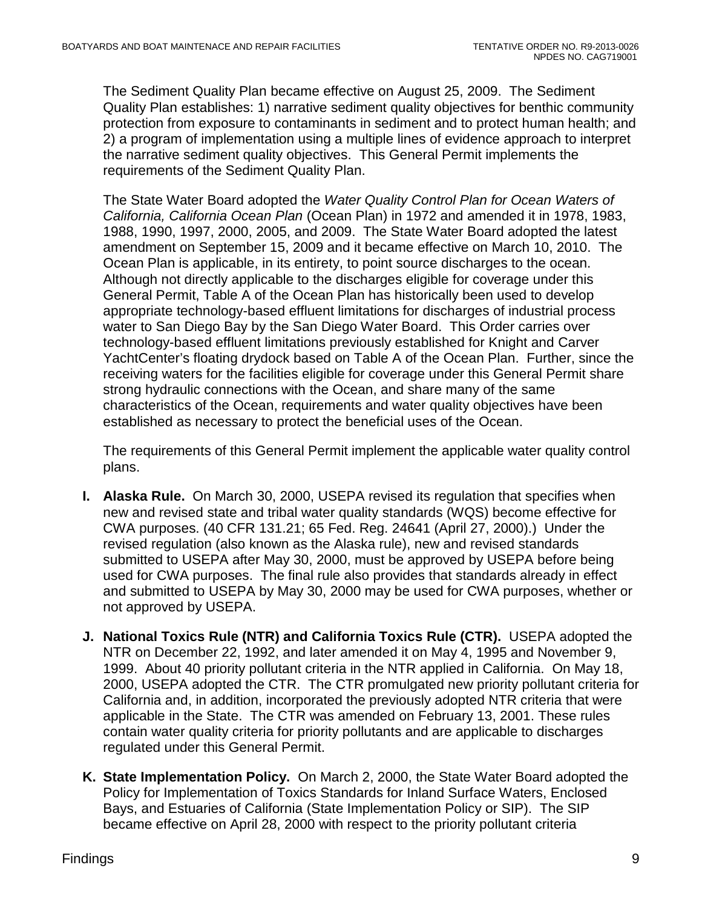The Sediment Quality Plan became effective on August 25, 2009. The Sediment Quality Plan establishes: 1) narrative sediment quality objectives for benthic community protection from exposure to contaminants in sediment and to protect human health; and 2) a program of implementation using a multiple lines of evidence approach to interpret the narrative sediment quality objectives. This General Permit implements the requirements of the Sediment Quality Plan.

The State Water Board adopted the *Water Quality Control Plan for Ocean Waters of California, California Ocean Plan* (Ocean Plan) in 1972 and amended it in 1978, 1983, 1988, 1990, 1997, 2000, 2005, and 2009. The State Water Board adopted the latest amendment on September 15, 2009 and it became effective on March 10, 2010. The Ocean Plan is applicable, in its entirety, to point source discharges to the ocean. Although not directly applicable to the discharges eligible for coverage under this General Permit, Table A of the Ocean Plan has historically been used to develop appropriate technology-based effluent limitations for discharges of industrial process water to San Diego Bay by the San Diego Water Board. This Order carries over technology-based effluent limitations previously established for Knight and Carver YachtCenter's floating drydock based on Table A of the Ocean Plan. Further, since the receiving waters for the facilities eligible for coverage under this General Permit share strong hydraulic connections with the Ocean, and share many of the same characteristics of the Ocean, requirements and water quality objectives have been established as necessary to protect the beneficial uses of the Ocean.

The requirements of this General Permit implement the applicable water quality control plans.

- **I. Alaska Rule.** On March 30, 2000, USEPA revised its regulation that specifies when new and revised state and tribal water quality standards (WQS) become effective for CWA purposes. (40 CFR 131.21; 65 Fed. Reg. 24641 (April 27, 2000).) Under the revised regulation (also known as the Alaska rule), new and revised standards submitted to USEPA after May 30, 2000, must be approved by USEPA before being used for CWA purposes. The final rule also provides that standards already in effect and submitted to USEPA by May 30, 2000 may be used for CWA purposes, whether or not approved by USEPA.
- **J. National Toxics Rule (NTR) and California Toxics Rule (CTR).** USEPA adopted the NTR on December 22, 1992, and later amended it on May 4, 1995 and November 9, 1999. About 40 priority pollutant criteria in the NTR applied in California. On May 18, 2000, USEPA adopted the CTR. The CTR promulgated new priority pollutant criteria for California and, in addition, incorporated the previously adopted NTR criteria that were applicable in the State. The CTR was amended on February 13, 2001. These rules contain water quality criteria for priority pollutants and are applicable to discharges regulated under this General Permit.
- **K. State Implementation Policy.** On March 2, 2000, the State Water Board adopted the Policy for Implementation of Toxics Standards for Inland Surface Waters, Enclosed Bays, and Estuaries of California (State Implementation Policy or SIP). The SIP became effective on April 28, 2000 with respect to the priority pollutant criteria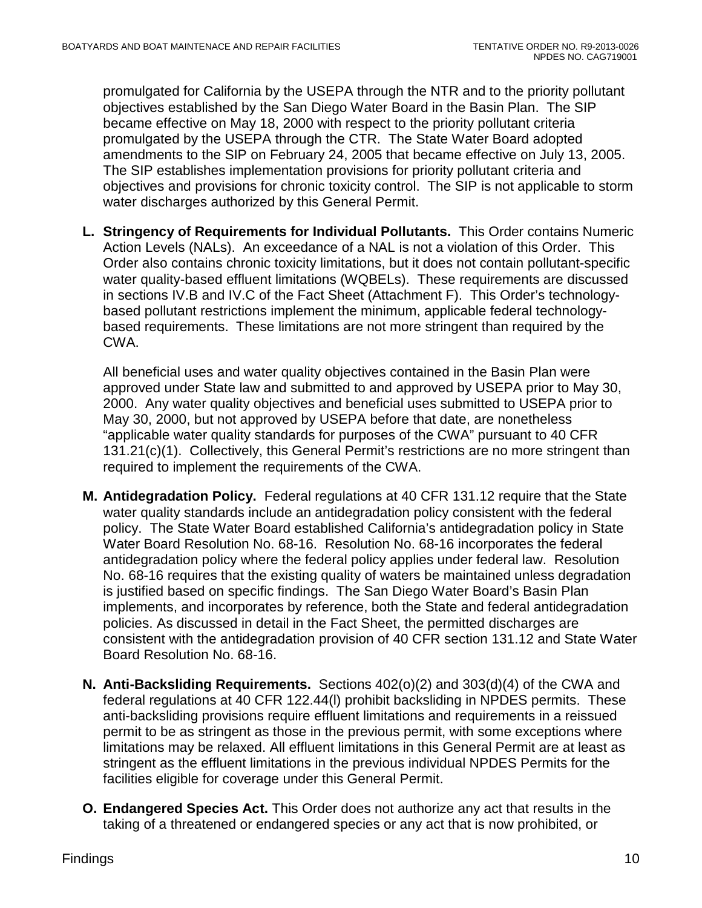promulgated for California by the USEPA through the NTR and to the priority pollutant objectives established by the San Diego Water Board in the Basin Plan. The SIP became effective on May 18, 2000 with respect to the priority pollutant criteria promulgated by the USEPA through the CTR. The State Water Board adopted amendments to the SIP on February 24, 2005 that became effective on July 13, 2005. The SIP establishes implementation provisions for priority pollutant criteria and objectives and provisions for chronic toxicity control. The SIP is not applicable to storm water discharges authorized by this General Permit.

**L. Stringency of Requirements for Individual Pollutants.** This Order contains Numeric Action Levels (NALs). An exceedance of a NAL is not a violation of this Order. This Order also contains chronic toxicity limitations, but it does not contain pollutant-specific water quality-based effluent limitations (WQBELs). These requirements are discussed in sections IV.B and IV.C of the Fact Sheet (Attachment F). This Order's technologybased pollutant restrictions implement the minimum, applicable federal technologybased requirements. These limitations are not more stringent than required by the CWA.

All beneficial uses and water quality objectives contained in the Basin Plan were approved under State law and submitted to and approved by USEPA prior to May 30, 2000. Any water quality objectives and beneficial uses submitted to USEPA prior to May 30, 2000, but not approved by USEPA before that date, are nonetheless "applicable water quality standards for purposes of the CWA" pursuant to 40 CFR 131.21(c)(1). Collectively, this General Permit's restrictions are no more stringent than required to implement the requirements of the CWA.

- **M. Antidegradation Policy.** Federal regulations at 40 CFR 131.12 require that the State water quality standards include an antidegradation policy consistent with the federal policy. The State Water Board established California's antidegradation policy in State Water Board Resolution No. 68-16. Resolution No. 68-16 incorporates the federal antidegradation policy where the federal policy applies under federal law. Resolution No. 68-16 requires that the existing quality of waters be maintained unless degradation is justified based on specific findings. The San Diego Water Board's Basin Plan implements, and incorporates by reference, both the State and federal antidegradation policies. As discussed in detail in the Fact Sheet, the permitted discharges are consistent with the antidegradation provision of 40 CFR section 131.12 and State Water Board Resolution No. 68-16.
- **N. Anti-Backsliding Requirements.** Sections 402(o)(2) and 303(d)(4) of the CWA and federal regulations at 40 CFR 122.44(l) prohibit backsliding in NPDES permits. These anti-backsliding provisions require effluent limitations and requirements in a reissued permit to be as stringent as those in the previous permit, with some exceptions where limitations may be relaxed. All effluent limitations in this General Permit are at least as stringent as the effluent limitations in the previous individual NPDES Permits for the facilities eligible for coverage under this General Permit.
- **O. Endangered Species Act.** This Order does not authorize any act that results in the taking of a threatened or endangered species or any act that is now prohibited, or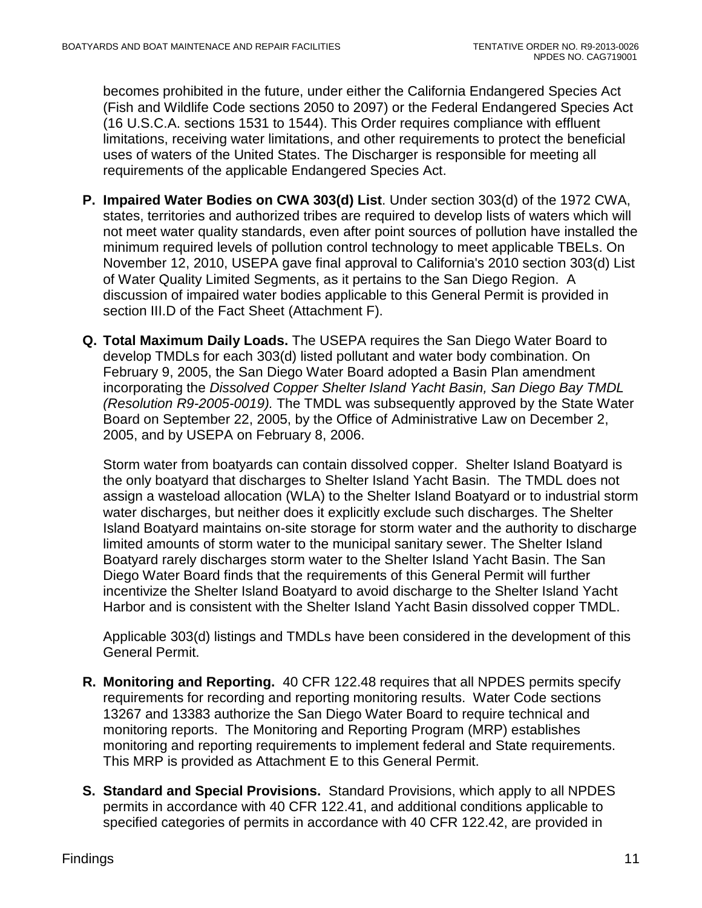becomes prohibited in the future, under either the California Endangered Species Act (Fish and Wildlife Code sections 2050 to 2097) or the Federal Endangered Species Act (16 U.S.C.A. sections 1531 to 1544). This Order requires compliance with effluent limitations, receiving water limitations, and other requirements to protect the beneficial uses of waters of the United States. The Discharger is responsible for meeting all requirements of the applicable Endangered Species Act.

- **P. Impaired Water Bodies on CWA 303(d) List**. Under section 303(d) of the 1972 CWA, states, territories and authorized tribes are required to develop lists of waters which will not meet water quality standards, even after point sources of pollution have installed the minimum required levels of pollution control technology to meet applicable TBELs. On November 12, 2010, USEPA gave final approval to California's 2010 section 303(d) List of Water Quality Limited Segments, as it pertains to the San Diego Region. A discussion of impaired water bodies applicable to this General Permit is provided in section III.D of the Fact Sheet (Attachment F).
- **Q. Total Maximum Daily Loads.** The USEPA requires the San Diego Water Board to develop TMDLs for each 303(d) listed pollutant and water body combination. On February 9, 2005, the San Diego Water Board adopted a Basin Plan amendment incorporating the *Dissolved Copper Shelter Island Yacht Basin, San Diego Bay TMDL (Resolution R9-2005-0019).* The TMDL was subsequently approved by the State Water Board on September 22, 2005, by the Office of Administrative Law on December 2, 2005, and by USEPA on February 8, 2006.

Storm water from boatyards can contain dissolved copper. Shelter Island Boatyard is the only boatyard that discharges to Shelter Island Yacht Basin. The TMDL does not assign a wasteload allocation (WLA) to the Shelter Island Boatyard or to industrial storm water discharges, but neither does it explicitly exclude such discharges. The Shelter Island Boatyard maintains on-site storage for storm water and the authority to discharge limited amounts of storm water to the municipal sanitary sewer. The Shelter Island Boatyard rarely discharges storm water to the Shelter Island Yacht Basin. The San Diego Water Board finds that the requirements of this General Permit will further incentivize the Shelter Island Boatyard to avoid discharge to the Shelter Island Yacht Harbor and is consistent with the Shelter Island Yacht Basin dissolved copper TMDL.

Applicable 303(d) listings and TMDLs have been considered in the development of this General Permit.

- **R. Monitoring and Reporting.** 40 CFR 122.48 requires that all NPDES permits specify requirements for recording and reporting monitoring results. Water Code sections 13267 and 13383 authorize the San Diego Water Board to require technical and monitoring reports. The Monitoring and Reporting Program (MRP) establishes monitoring and reporting requirements to implement federal and State requirements. This MRP is provided as Attachment E to this General Permit.
- **S. Standard and Special Provisions.** Standard Provisions, which apply to all NPDES permits in accordance with 40 CFR 122.41, and additional conditions applicable to specified categories of permits in accordance with 40 CFR 122.42, are provided in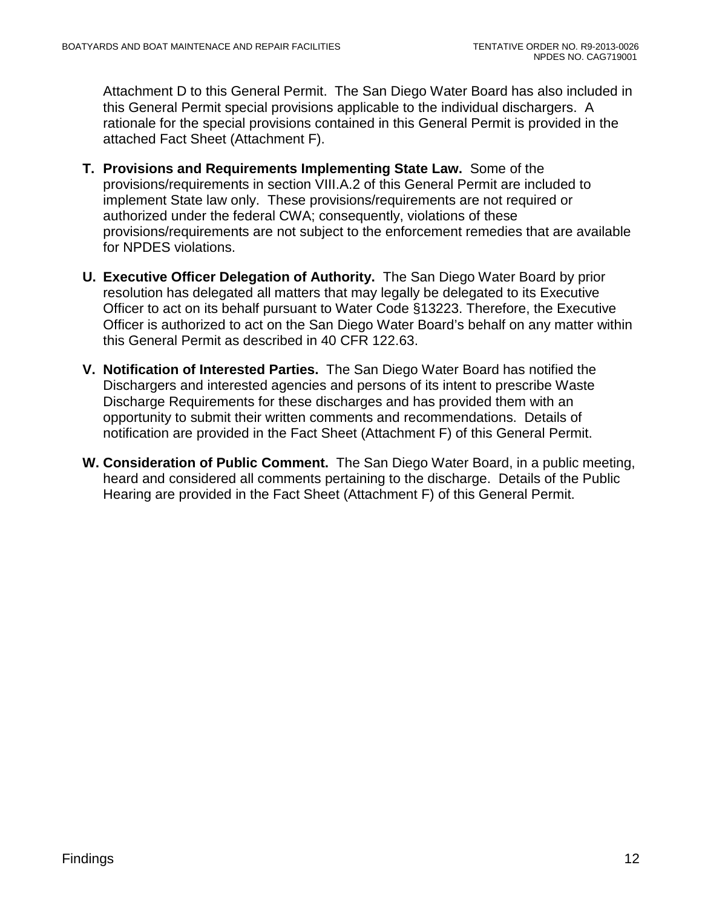Attachment D to this General Permit. The San Diego Water Board has also included in this General Permit special provisions applicable to the individual dischargers. A rationale for the special provisions contained in this General Permit is provided in the attached Fact Sheet (Attachment F).

- **T. Provisions and Requirements Implementing State Law.** Some of the provisions/requirements in section VIII.A.2 of this General Permit are included to implement State law only. These provisions/requirements are not required or authorized under the federal CWA; consequently, violations of these provisions/requirements are not subject to the enforcement remedies that are available for NPDES violations.
- **U. Executive Officer Delegation of Authority.** The San Diego Water Board by prior resolution has delegated all matters that may legally be delegated to its Executive Officer to act on its behalf pursuant to Water Code §13223. Therefore, the Executive Officer is authorized to act on the San Diego Water Board's behalf on any matter within this General Permit as described in 40 CFR 122.63.
- **V. Notification of Interested Parties.** The San Diego Water Board has notified the Dischargers and interested agencies and persons of its intent to prescribe Waste Discharge Requirements for these discharges and has provided them with an opportunity to submit their written comments and recommendations. Details of notification are provided in the Fact Sheet (Attachment F) of this General Permit.
- **W. Consideration of Public Comment.** The San Diego Water Board, in a public meeting, heard and considered all comments pertaining to the discharge. Details of the Public Hearing are provided in the Fact Sheet (Attachment F) of this General Permit.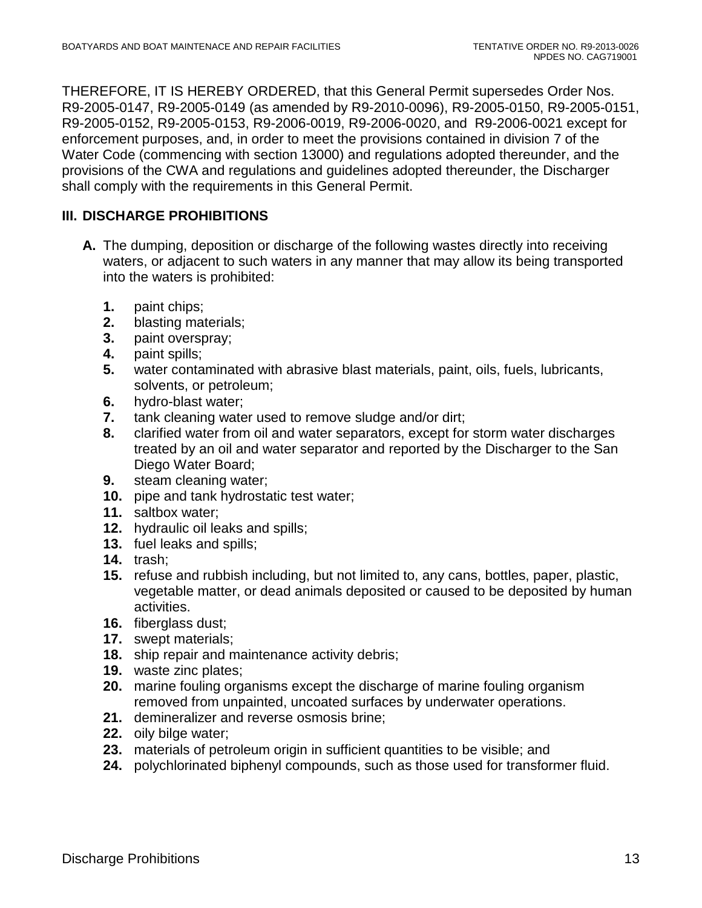THEREFORE, IT IS HEREBY ORDERED, that this General Permit supersedes Order Nos. R9-2005-0147, R9-2005-0149 (as amended by R9-2010-0096), R9-2005-0150, R9-2005-0151, R9-2005-0152, R9-2005-0153, R9-2006-0019, R9-2006-0020, and R9-2006-0021 except for enforcement purposes, and, in order to meet the provisions contained in division 7 of the Water Code (commencing with section 13000) and regulations adopted thereunder, and the provisions of the CWA and regulations and guidelines adopted thereunder, the Discharger shall comply with the requirements in this General Permit.

## <span id="page-12-0"></span>**III. DISCHARGE PROHIBITIONS**

- **A.** The dumping, deposition or discharge of the following wastes directly into receiving waters, or adjacent to such waters in any manner that may allow its being transported into the waters is prohibited:
	- **1.** paint chips;
	- **2.** blasting materials;
	- **3.** paint overspray;
	- **4.** paint spills;
	- **5.** water contaminated with abrasive blast materials, paint, oils, fuels, lubricants, solvents, or petroleum;
	- **6.** hydro-blast water;
	- **7.** tank cleaning water used to remove sludge and/or dirt;
	- **8.** clarified water from oil and water separators, except for storm water discharges treated by an oil and water separator and reported by the Discharger to the San Diego Water Board;
	- **9.** steam cleaning water;
	- **10.** pipe and tank hydrostatic test water;
	- **11.** saltbox water;
	- **12.** hydraulic oil leaks and spills;
	- **13.** fuel leaks and spills;
	- **14.** trash;
	- **15.** refuse and rubbish including, but not limited to, any cans, bottles, paper, plastic, vegetable matter, or dead animals deposited or caused to be deposited by human activities.
	- **16.** fiberglass dust;
	- **17.** swept materials;
	- **18.** ship repair and maintenance activity debris;
	- **19.** waste zinc plates;
	- **20.** marine fouling organisms except the discharge of marine fouling organism removed from unpainted, uncoated surfaces by underwater operations.
	- **21.** demineralizer and reverse osmosis brine;
	- **22.** oily bilge water;
	- **23.** materials of petroleum origin in sufficient quantities to be visible; and
	- **24.** polychlorinated biphenyl compounds, such as those used for transformer fluid.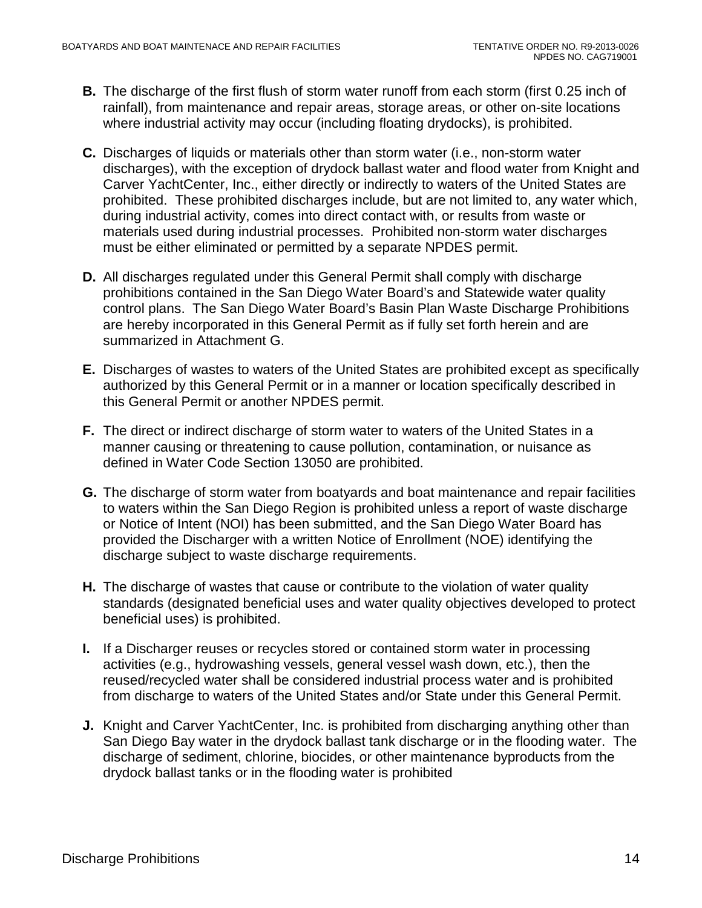- **B.** The discharge of the first flush of storm water runoff from each storm (first 0.25 inch of rainfall), from maintenance and repair areas, storage areas, or other on-site locations where industrial activity may occur (including floating drydocks), is prohibited.
- **C.** Discharges of liquids or materials other than storm water (i.e., non-storm water discharges), with the exception of drydock ballast water and flood water from Knight and Carver YachtCenter, Inc., either directly or indirectly to waters of the United States are prohibited. These prohibited discharges include, but are not limited to, any water which, during industrial activity, comes into direct contact with, or results from waste or materials used during industrial processes. Prohibited non-storm water discharges must be either eliminated or permitted by a separate NPDES permit.
- **D.** All discharges regulated under this General Permit shall comply with discharge prohibitions contained in the San Diego Water Board's and Statewide water quality control plans. The San Diego Water Board's Basin Plan Waste Discharge Prohibitions are hereby incorporated in this General Permit as if fully set forth herein and are summarized in Attachment G.
- **E.** Discharges of wastes to waters of the United States are prohibited except as specifically authorized by this General Permit or in a manner or location specifically described in this General Permit or another NPDES permit.
- **F.** The direct or indirect discharge of storm water to waters of the United States in a manner causing or threatening to cause pollution, contamination, or nuisance as defined in Water Code Section 13050 are prohibited.
- **G.** The discharge of storm water from boatyards and boat maintenance and repair facilities to waters within the San Diego Region is prohibited unless a report of waste discharge or Notice of Intent (NOI) has been submitted, and the San Diego Water Board has provided the Discharger with a written Notice of Enrollment (NOE) identifying the discharge subject to waste discharge requirements.
- **H.** The discharge of wastes that cause or contribute to the violation of water quality standards (designated beneficial uses and water quality objectives developed to protect beneficial uses) is prohibited.
- **I.** If a Discharger reuses or recycles stored or contained storm water in processing activities (e.g., hydrowashing vessels, general vessel wash down, etc.), then the reused/recycled water shall be considered industrial process water and is prohibited from discharge to waters of the United States and/or State under this General Permit.
- **J.** Knight and Carver YachtCenter, Inc. is prohibited from discharging anything other than San Diego Bay water in the drydock ballast tank discharge or in the flooding water. The discharge of sediment, chlorine, biocides, or other maintenance byproducts from the drydock ballast tanks or in the flooding water is prohibited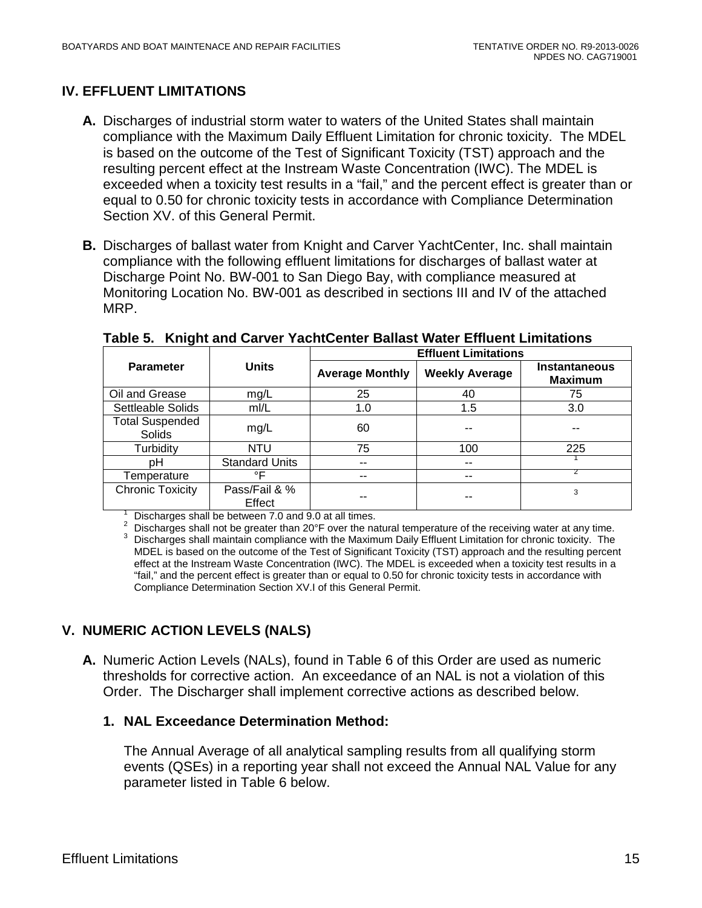## <span id="page-14-0"></span>**IV. EFFLUENT LIMITATIONS**

- **A.** Discharges of industrial storm water to waters of the United States shall maintain compliance with the Maximum Daily Effluent Limitation for chronic toxicity. The MDEL is based on the outcome of the Test of Significant Toxicity (TST) approach and the resulting percent effect at the Instream Waste Concentration (IWC). The MDEL is exceeded when a toxicity test results in a "fail," and the percent effect is greater than or equal to 0.50 for chronic toxicity tests in accordance with Compliance Determination Section XV. of this General Permit.
- **B.** Discharges of ballast water from Knight and Carver YachtCenter, Inc. shall maintain compliance with the following effluent limitations for discharges of ballast water at Discharge Point No. BW-001 to San Diego Bay, with compliance measured at Monitoring Location No. BW-001 as described in sections III and IV of the attached MRP.

|                                  |                         | <b>Effluent Limitations</b> |                       |                                        |  |
|----------------------------------|-------------------------|-----------------------------|-----------------------|----------------------------------------|--|
| <b>Parameter</b>                 | <b>Units</b>            | <b>Average Monthly</b>      | <b>Weekly Average</b> | <b>Instantaneous</b><br><b>Maximum</b> |  |
| Oil and Grease                   | mg/L                    | 25                          | 40                    | 75                                     |  |
| Settleable Solids                | mI/L                    | 1.0                         | 1.5                   | 3.0                                    |  |
| <b>Total Suspended</b><br>Solids | mg/L                    | 60                          |                       |                                        |  |
| Turbidity                        | <b>NTU</b>              | 75                          | 100                   | 225                                    |  |
| рH                               | <b>Standard Units</b>   | $-$                         | --                    |                                        |  |
| Temperature                      | ∘⊏                      | --                          | --                    |                                        |  |
| <b>Chronic Toxicity</b>          | Pass/Fail & %<br>Effect |                             |                       | 3                                      |  |

<span id="page-14-2"></span>**Table 5. Knight and Carver YachtCenter Ballast Water Effluent Limitations**

 $\frac{1}{2}$  Discharges shall be between 7.0 and 9.0 at all times.<br>
<sup>2</sup> Discharges shall not be greater than 20°F over the natural temperature of the receiving water at any time.<br>
<sup>3</sup> Discharges shall maintain compliance wit MDEL is based on the outcome of the Test of Significant Toxicity (TST) approach and the resulting percent effect at the Instream Waste Concentration (IWC). The MDEL is exceeded when a toxicity test results in a "fail," and the percent effect is greater than or equal to 0.50 for chronic toxicity tests in accordance with Compliance Determination Section XV.I of this General Permit.

## <span id="page-14-1"></span>**V. NUMERIC ACTION LEVELS (NALS)**

**A.** Numeric Action Levels (NALs), found in Table 6 of this Order are used as numeric thresholds for corrective action. An exceedance of an NAL is not a violation of this Order. The Discharger shall implement corrective actions as described below.

### **1. NAL Exceedance Determination Method:**

The Annual Average of all analytical sampling results from all qualifying storm events (QSEs) in a reporting year shall not exceed the Annual NAL Value for any parameter listed in Table 6 below.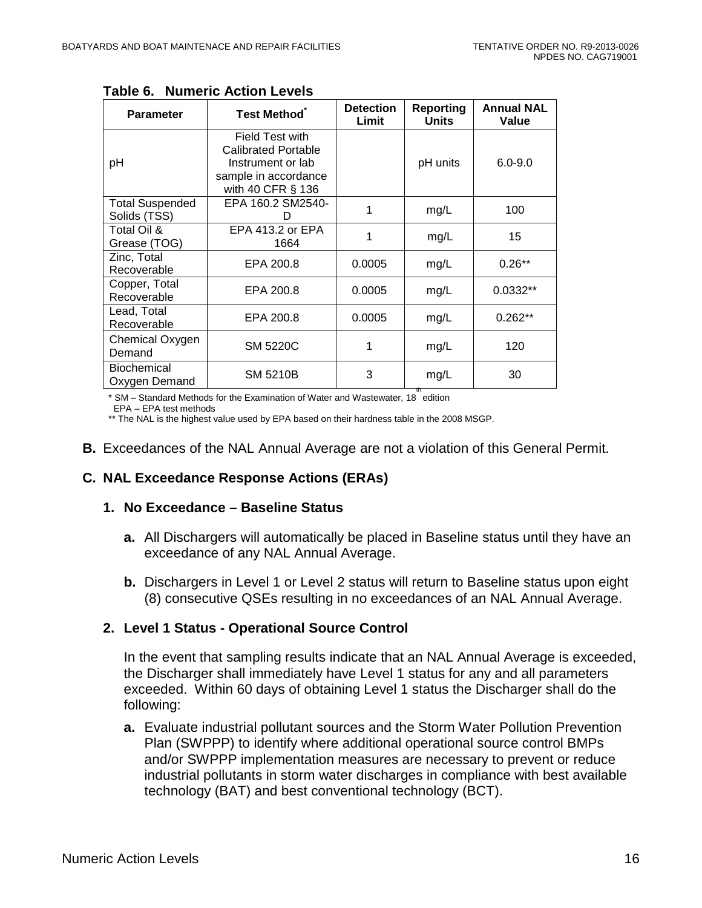| <b>Parameter</b>                       | <b>Test Method</b>                                                                                                     | <b>Detection</b><br>Limit | <b>Reporting</b><br><b>Units</b> | <b>Annual NAL</b><br>Value |
|----------------------------------------|------------------------------------------------------------------------------------------------------------------------|---------------------------|----------------------------------|----------------------------|
| рH                                     | <b>Field Test with</b><br><b>Calibrated Portable</b><br>Instrument or lab<br>sample in accordance<br>with 40 CFR § 136 |                           | pH units                         | $6.0 - 9.0$                |
| <b>Total Suspended</b><br>Solids (TSS) | EPA 160.2 SM2540-                                                                                                      | 1                         | mg/L                             | 100                        |
| Total Oil &<br>Grease (TOG)            | EPA 413.2 or EPA<br>1664                                                                                               | 1                         | mg/L                             | 15                         |
| Zinc, Total<br>Recoverable             | EPA 200.8                                                                                                              | 0.0005                    | mg/L                             | $0.26**$                   |
| Copper, Total<br>Recoverable           | EPA 200.8                                                                                                              | 0.0005                    | mg/L                             | $0.0332**$                 |
| Lead, Total<br>Recoverable             | EPA 200.8                                                                                                              | 0.0005                    | mg/L                             | $0.262**$                  |
| Chemical Oxygen<br>Demand              | <b>SM 5220C</b>                                                                                                        | 1                         | mg/L                             | 120                        |
| Biochemical<br>Oxygen Demand           | SM 5210B                                                                                                               | 3                         | mg/L<br>th                       | 30                         |

<span id="page-15-0"></span>**Table 6. Numeric Action Levels**

\* SM – Standard Methods for the Examination of Water and Wastewater, 18<sup>th</sup> edition

EPA – EPA test methods

\*\* The NAL is the highest value used by EPA based on their hardness table in the 2008 MSGP.

**B.** Exceedances of the NAL Annual Average are not a violation of this General Permit.

## **C. NAL Exceedance Response Actions (ERAs)**

#### **1. No Exceedance – Baseline Status**

- **a.** All Dischargers will automatically be placed in Baseline status until they have an exceedance of any NAL Annual Average.
- **b.** Dischargers in Level 1 or Level 2 status will return to Baseline status upon eight (8) consecutive QSEs resulting in no exceedances of an NAL Annual Average.

### **2. Level 1 Status - Operational Source Control**

In the event that sampling results indicate that an NAL Annual Average is exceeded, the Discharger shall immediately have Level 1 status for any and all parameters exceeded. Within 60 days of obtaining Level 1 status the Discharger shall do the following:

**a.** Evaluate industrial pollutant sources and the Storm Water Pollution Prevention Plan (SWPPP) to identify where additional operational source control BMPs and/or SWPPP implementation measures are necessary to prevent or reduce industrial pollutants in storm water discharges in compliance with best available technology (BAT) and best conventional technology (BCT).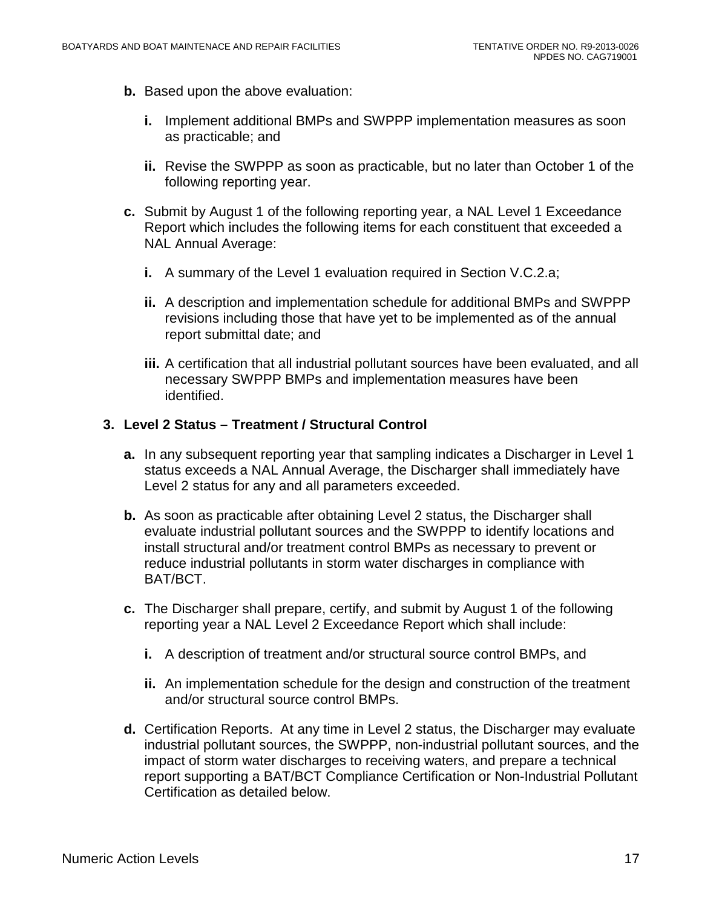- **b.** Based upon the above evaluation:
	- **i.** Implement additional BMPs and SWPPP implementation measures as soon as practicable; and
	- **ii.** Revise the SWPPP as soon as practicable, but no later than October 1 of the following reporting year.
- **c.** Submit by August 1 of the following reporting year, a NAL Level 1 Exceedance Report which includes the following items for each constituent that exceeded a NAL Annual Average:
	- **i.** A summary of the Level 1 evaluation required in Section V.C.2.a;
	- **ii.** A description and implementation schedule for additional BMPs and SWPPP revisions including those that have yet to be implemented as of the annual report submittal date; and
	- **iii.** A certification that all industrial pollutant sources have been evaluated, and all necessary SWPPP BMPs and implementation measures have been identified.

#### **3. Level 2 Status – Treatment / Structural Control**

- **a.** In any subsequent reporting year that sampling indicates a Discharger in Level 1 status exceeds a NAL Annual Average, the Discharger shall immediately have Level 2 status for any and all parameters exceeded.
- **b.** As soon as practicable after obtaining Level 2 status, the Discharger shall evaluate industrial pollutant sources and the SWPPP to identify locations and install structural and/or treatment control BMPs as necessary to prevent or reduce industrial pollutants in storm water discharges in compliance with BAT/BCT.
- **c.** The Discharger shall prepare, certify, and submit by August 1 of the following reporting year a NAL Level 2 Exceedance Report which shall include:
	- **i.** A description of treatment and/or structural source control BMPs, and
	- **ii.** An implementation schedule for the design and construction of the treatment and/or structural source control BMPs.
- **d.** Certification Reports. At any time in Level 2 status, the Discharger may evaluate industrial pollutant sources, the SWPPP, non-industrial pollutant sources, and the impact of storm water discharges to receiving waters, and prepare a technical report supporting a BAT/BCT Compliance Certification or Non-Industrial Pollutant Certification as detailed below.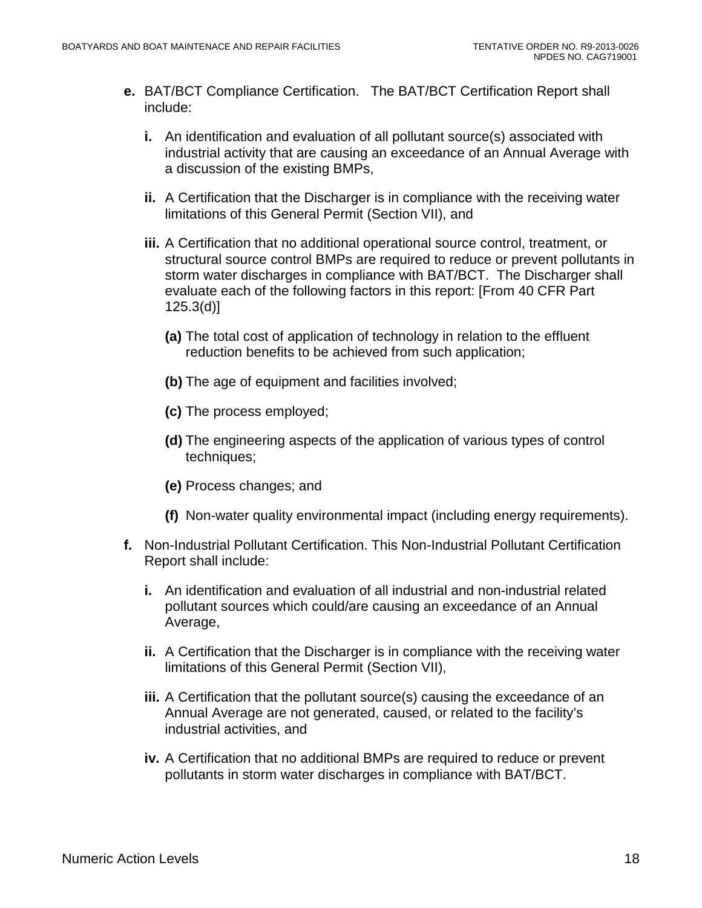- **e.** BAT/BCT Compliance Certification. The BAT/BCT Certification Report shall include:
	- **i.** An identification and evaluation of all pollutant source(s) associated with industrial activity that are causing an exceedance of an Annual Average with a discussion of the existing BMPs,
	- **ii.** A Certification that the Discharger is in compliance with the receiving water limitations of this General Permit (Section VII), and
	- **iii.** A Certification that no additional operational source control, treatment, or structural source control BMPs are required to reduce or prevent pollutants in storm water discharges in compliance with BAT/BCT. The Discharger shall evaluate each of the following factors in this report: [From 40 CFR Part 125.3(d)]
		- **(a)** The total cost of application of technology in relation to the effluent reduction benefits to be achieved from such application;
		- **(b)** The age of equipment and facilities involved;
		- **(c)** The process employed;
		- **(d)** The engineering aspects of the application of various types of control techniques;
		- **(e)** Process changes; and
		- **(f)** Non-water quality environmental impact (including energy requirements).
- **f.** Non-Industrial Pollutant Certification. This Non-Industrial Pollutant Certification Report shall include:
	- **i.** An identification and evaluation of all industrial and non-industrial related pollutant sources which could/are causing an exceedance of an Annual Average,
	- **ii.** A Certification that the Discharger is in compliance with the receiving water limitations of this General Permit (Section VII),
	- **iii.** A Certification that the pollutant source(s) causing the exceedance of an Annual Average are not generated, caused, or related to the facility's industrial activities, and
	- **iv.** A Certification that no additional BMPs are required to reduce or prevent pollutants in storm water discharges in compliance with BAT/BCT.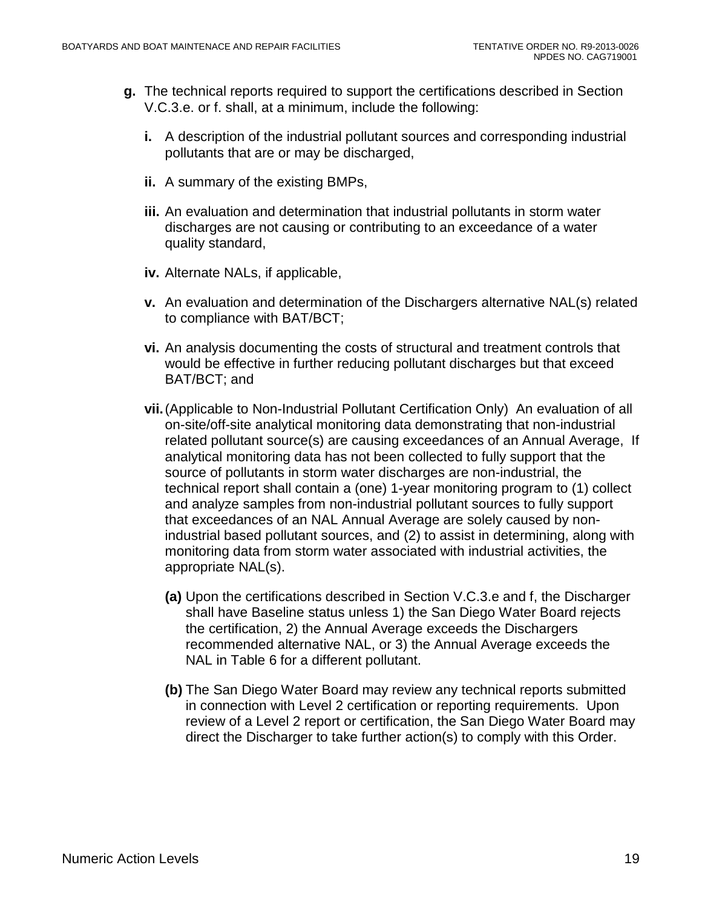- **g.** The technical reports required to support the certifications described in Section V.C.3.e. or f. shall, at a minimum, include the following:
	- **i.** A description of the industrial pollutant sources and corresponding industrial pollutants that are or may be discharged,
	- **ii.** A summary of the existing BMPs,
	- **iii.** An evaluation and determination that industrial pollutants in storm water discharges are not causing or contributing to an exceedance of a water quality standard,
	- **iv.** Alternate NALs, if applicable,
	- **v.** An evaluation and determination of the Dischargers alternative NAL(s) related to compliance with BAT/BCT;
	- **vi.** An analysis documenting the costs of structural and treatment controls that would be effective in further reducing pollutant discharges but that exceed BAT/BCT; and
	- **vii.**(Applicable to Non-Industrial Pollutant Certification Only) An evaluation of all on-site/off-site analytical monitoring data demonstrating that non-industrial related pollutant source(s) are causing exceedances of an Annual Average, If analytical monitoring data has not been collected to fully support that the source of pollutants in storm water discharges are non-industrial, the technical report shall contain a (one) 1-year monitoring program to (1) collect and analyze samples from non-industrial pollutant sources to fully support that exceedances of an NAL Annual Average are solely caused by nonindustrial based pollutant sources, and (2) to assist in determining, along with monitoring data from storm water associated with industrial activities, the appropriate NAL(s).
		- **(a)** Upon the certifications described in Section V.C.3.e and f, the Discharger shall have Baseline status unless 1) the San Diego Water Board rejects the certification, 2) the Annual Average exceeds the Dischargers recommended alternative NAL, or 3) the Annual Average exceeds the NAL in Table 6 for a different pollutant.
		- **(b)** The San Diego Water Board may review any technical reports submitted in connection with Level 2 certification or reporting requirements. Upon review of a Level 2 report or certification, the San Diego Water Board may direct the Discharger to take further action(s) to comply with this Order.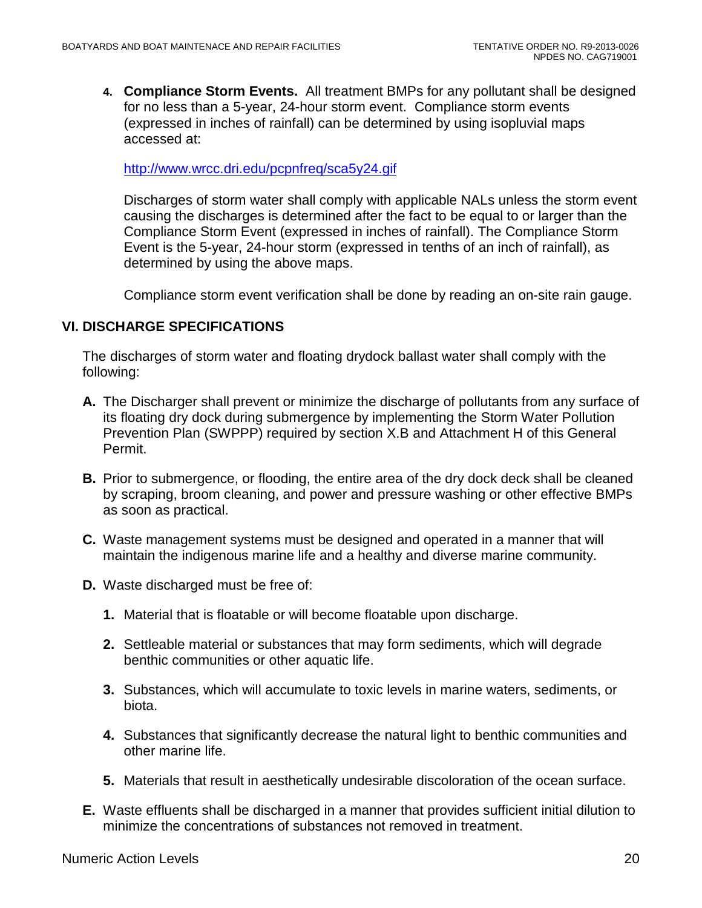**4. Compliance Storm Events.** All treatment BMPs for any pollutant shall be designed for no less than a 5-year, 24-hour storm event. Compliance storm events (expressed in inches of rainfall) can be determined by using isopluvial maps accessed at:

<http://www.wrcc.dri.edu/pcpnfreq/sca5y24.gif>

Discharges of storm water shall comply with applicable NALs unless the storm event causing the discharges is determined after the fact to be equal to or larger than the Compliance Storm Event (expressed in inches of rainfall). The Compliance Storm Event is the 5-year, 24-hour storm (expressed in tenths of an inch of rainfall), as determined by using the above maps.

Compliance storm event verification shall be done by reading an on-site rain gauge.

### <span id="page-19-0"></span>**VI. DISCHARGE SPECIFICATIONS**

The discharges of storm water and floating drydock ballast water shall comply with the following:

- **A.** The Discharger shall prevent or minimize the discharge of pollutants from any surface of its floating dry dock during submergence by implementing the Storm Water Pollution Prevention Plan (SWPPP) required by section X.B and Attachment H of this General Permit.
- **B.** Prior to submergence, or flooding, the entire area of the dry dock deck shall be cleaned by scraping, broom cleaning, and power and pressure washing or other effective BMPs as soon as practical.
- **C.** Waste management systems must be designed and operated in a manner that will maintain the indigenous marine life and a healthy and diverse marine community.
- **D.** Waste discharged must be free of:
	- **1.** Material that is floatable or will become floatable upon discharge.
	- **2.** Settleable material or substances that may form sediments, which will degrade benthic communities or other aquatic life.
	- **3.** Substances, which will accumulate to toxic levels in marine waters, sediments, or biota.
	- **4.** Substances that significantly decrease the natural light to benthic communities and other marine life.
	- **5.** Materials that result in aesthetically undesirable discoloration of the ocean surface.
- **E.** Waste effluents shall be discharged in a manner that provides sufficient initial dilution to minimize the concentrations of substances not removed in treatment.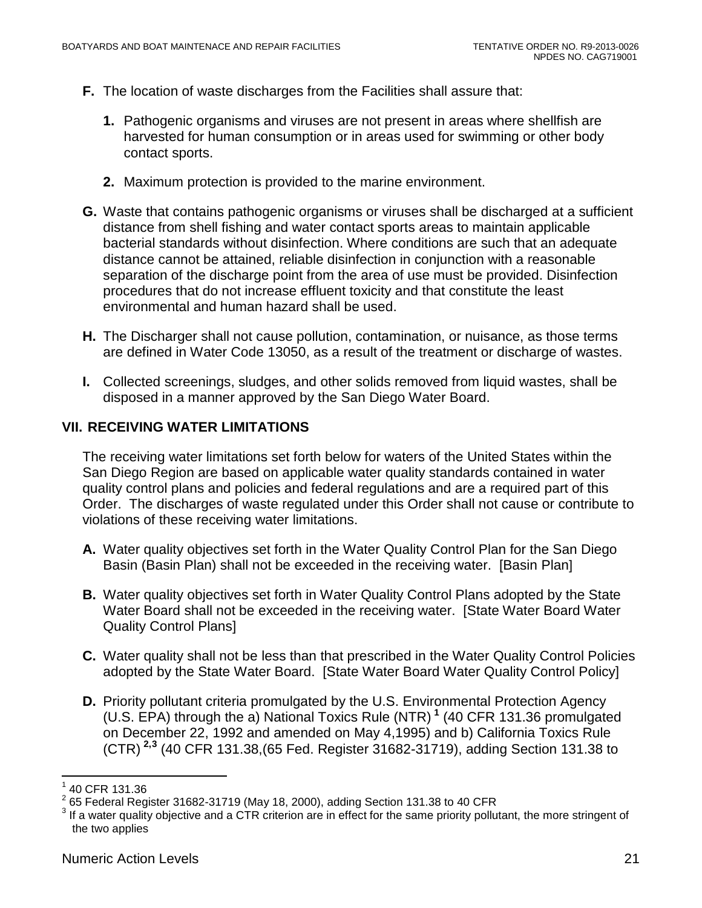- **F.** The location of waste discharges from the Facilities shall assure that:
	- **1.** Pathogenic organisms and viruses are not present in areas where shellfish are harvested for human consumption or in areas used for swimming or other body contact sports.
	- **2.** Maximum protection is provided to the marine environment.
- **G.** Waste that contains pathogenic organisms or viruses shall be discharged at a sufficient distance from shell fishing and water contact sports areas to maintain applicable bacterial standards without disinfection. Where conditions are such that an adequate distance cannot be attained, reliable disinfection in conjunction with a reasonable separation of the discharge point from the area of use must be provided. Disinfection procedures that do not increase effluent toxicity and that constitute the least environmental and human hazard shall be used.
- **H.** The Discharger shall not cause pollution, contamination, or nuisance, as those terms are defined in Water Code 13050, as a result of the treatment or discharge of wastes.
- **I.** Collected screenings, sludges, and other solids removed from liquid wastes, shall be disposed in a manner approved by the San Diego Water Board.

#### <span id="page-20-0"></span>**VII. RECEIVING WATER LIMITATIONS**

The receiving water limitations set forth below for waters of the United States within the San Diego Region are based on applicable water quality standards contained in water quality control plans and policies and federal regulations and are a required part of this Order. The discharges of waste regulated under this Order shall not cause or contribute to violations of these receiving water limitations.

- **A.** Water quality objectives set forth in the Water Quality Control Plan for the San Diego Basin (Basin Plan) shall not be exceeded in the receiving water. [Basin Plan]
- **B.** Water quality objectives set forth in Water Quality Control Plans adopted by the State Water Board shall not be exceeded in the receiving water. [State Water Board Water Quality Control Plans]
- **C.** Water quality shall not be less than that prescribed in the Water Quality Control Policies adopted by the State Water Board. [State Water Board Water Quality Control Policy]
- **D.** Priority pollutant criteria promulgated by the U.S. Environmental Protection Agency (U.S. EPA) through the a) National Toxics Rule (NTR) **[1](#page-20-1)** (40 CFR 131.36 promulgated on December 22, 1992 and amended on May 4,1995) and b) California Toxics Rule (CTR) **[2,](#page-20-2)[3](#page-20-3)** (40 CFR 131.38,(65 Fed. Register 31682-31719), adding Section 131.38 to

<span id="page-20-2"></span>

<span id="page-20-1"></span> $^{\rm 1}$  40 CFR 131.36<br> $^{\rm 2}$  65 Federal Register 31682-31719 (May 18, 2000), adding Section 131.38 to 40 CFR

<span id="page-20-3"></span>If a water quality objective and a CTR criterion are in effect for the same priority pollutant, the more stringent of the two applies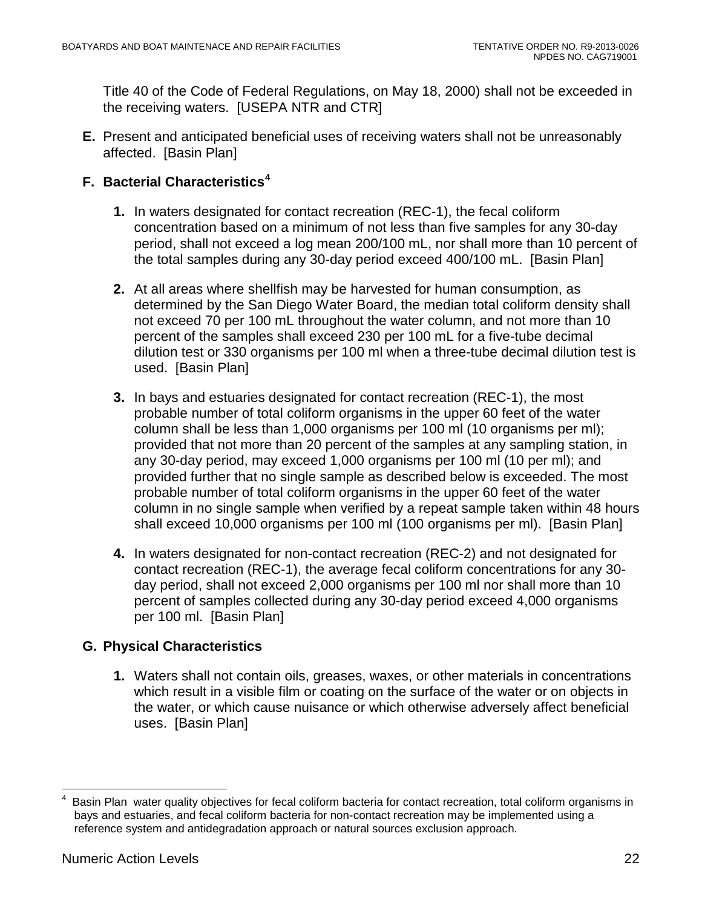Title 40 of the Code of Federal Regulations, on May 18, 2000) shall not be exceeded in the receiving waters. [USEPA NTR and CTR]

**E.** Present and anticipated beneficial uses of receiving waters shall not be unreasonably affected. [Basin Plan]

## **F. Bacterial Characteristics[4](#page-21-0)**

- **1.** In waters designated for contact recreation (REC-1), the fecal coliform concentration based on a minimum of not less than five samples for any 30-day period, shall not exceed a log mean 200/100 mL, nor shall more than 10 percent of the total samples during any 30-day period exceed 400/100 mL. [Basin Plan]
- **2.** At all areas where shellfish may be harvested for human consumption, as determined by the San Diego Water Board, the median total coliform density shall not exceed 70 per 100 mL throughout the water column, and not more than 10 percent of the samples shall exceed 230 per 100 mL for a five-tube decimal dilution test or 330 organisms per 100 ml when a three-tube decimal dilution test is used. [Basin Plan]
- **3.** In bays and estuaries designated for contact recreation (REC-1), the most probable number of total coliform organisms in the upper 60 feet of the water column shall be less than 1,000 organisms per 100 ml (10 organisms per ml); provided that not more than 20 percent of the samples at any sampling station, in any 30-day period, may exceed 1,000 organisms per 100 ml (10 per ml); and provided further that no single sample as described below is exceeded. The most probable number of total coliform organisms in the upper 60 feet of the water column in no single sample when verified by a repeat sample taken within 48 hours shall exceed 10,000 organisms per 100 ml (100 organisms per ml). [Basin Plan]
- **4.** In waters designated for non-contact recreation (REC-2) and not designated for contact recreation (REC-1), the average fecal coliform concentrations for any 30 day period, shall not exceed 2,000 organisms per 100 ml nor shall more than 10 percent of samples collected during any 30-day period exceed 4,000 organisms per 100 ml. [Basin Plan]

## **G. Physical Characteristics**

**1.** Waters shall not contain oils, greases, waxes, or other materials in concentrations which result in a visible film or coating on the surface of the water or on objects in the water, or which cause nuisance or which otherwise adversely affect beneficial uses. [Basin Plan]

<span id="page-21-0"></span> $\frac{1}{4}$  Basin Plan water quality objectives for fecal coliform bacteria for contact recreation, total coliform organisms in bays and estuaries, and fecal coliform bacteria for non-contact recreation may be implemented using a reference system and antidegradation approach or natural sources exclusion approach.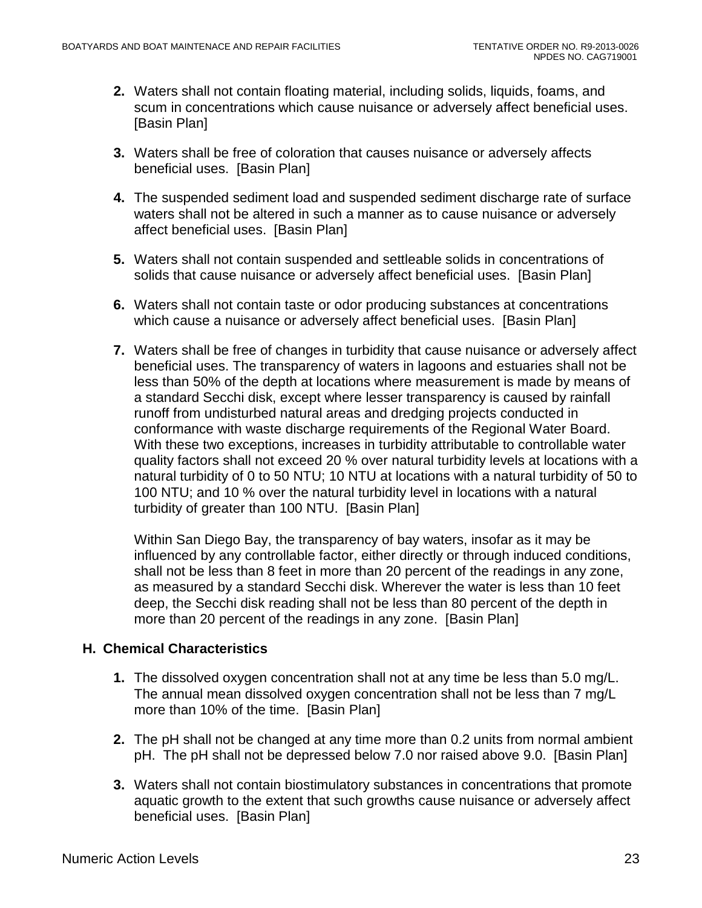- **2.** Waters shall not contain floating material, including solids, liquids, foams, and scum in concentrations which cause nuisance or adversely affect beneficial uses. [Basin Plan]
- **3.** Waters shall be free of coloration that causes nuisance or adversely affects beneficial uses. [Basin Plan]
- **4.** The suspended sediment load and suspended sediment discharge rate of surface waters shall not be altered in such a manner as to cause nuisance or adversely affect beneficial uses. [Basin Plan]
- **5.** Waters shall not contain suspended and settleable solids in concentrations of solids that cause nuisance or adversely affect beneficial uses. [Basin Plan]
- **6.** Waters shall not contain taste or odor producing substances at concentrations which cause a nuisance or adversely affect beneficial uses. [Basin Plan]
- **7.** Waters shall be free of changes in turbidity that cause nuisance or adversely affect beneficial uses. The transparency of waters in lagoons and estuaries shall not be less than 50% of the depth at locations where measurement is made by means of a standard Secchi disk, except where lesser transparency is caused by rainfall runoff from undisturbed natural areas and dredging projects conducted in conformance with waste discharge requirements of the Regional Water Board. With these two exceptions, increases in turbidity attributable to controllable water quality factors shall not exceed 20 % over natural turbidity levels at locations with a natural turbidity of 0 to 50 NTU; 10 NTU at locations with a natural turbidity of 50 to 100 NTU; and 10 % over the natural turbidity level in locations with a natural turbidity of greater than 100 NTU. [Basin Plan]

Within San Diego Bay, the transparency of bay waters, insofar as it may be influenced by any controllable factor, either directly or through induced conditions, shall not be less than 8 feet in more than 20 percent of the readings in any zone, as measured by a standard Secchi disk. Wherever the water is less than 10 feet deep, the Secchi disk reading shall not be less than 80 percent of the depth in more than 20 percent of the readings in any zone. [Basin Plan]

### **H. Chemical Characteristics**

- **1.** The dissolved oxygen concentration shall not at any time be less than 5.0 mg/L. The annual mean dissolved oxygen concentration shall not be less than 7 mg/L more than 10% of the time. [Basin Plan]
- **2.** The pH shall not be changed at any time more than 0.2 units from normal ambient pH. The pH shall not be depressed below 7.0 nor raised above 9.0. [Basin Plan]
- **3.** Waters shall not contain biostimulatory substances in concentrations that promote aquatic growth to the extent that such growths cause nuisance or adversely affect beneficial uses. [Basin Plan]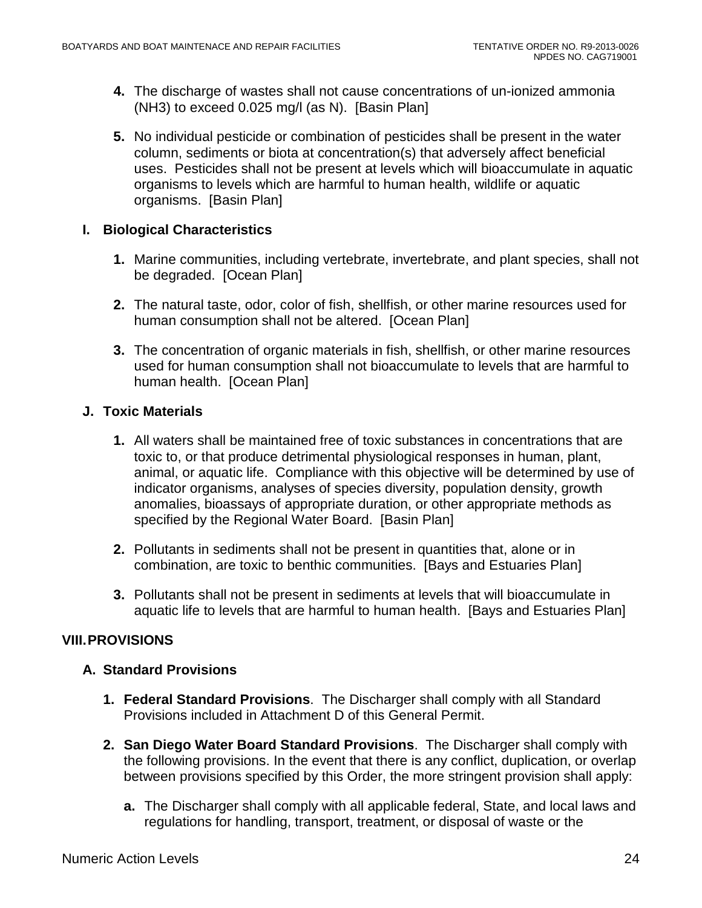- **4.** The discharge of wastes shall not cause concentrations of un-ionized ammonia (NH3) to exceed 0.025 mg/l (as N). [Basin Plan]
- **5.** No individual pesticide or combination of pesticides shall be present in the water column, sediments or biota at concentration(s) that adversely affect beneficial uses. Pesticides shall not be present at levels which will bioaccumulate in aquatic organisms to levels which are harmful to human health, wildlife or aquatic organisms. [Basin Plan]

### **I. Biological Characteristics**

- **1.** Marine communities, including vertebrate, invertebrate, and plant species, shall not be degraded. [Ocean Plan]
- **2.** The natural taste, odor, color of fish, shellfish, or other marine resources used for human consumption shall not be altered. [Ocean Plan]
- **3.** The concentration of organic materials in fish, shellfish, or other marine resources used for human consumption shall not bioaccumulate to levels that are harmful to human health. [Ocean Plan]

## **J. Toxic Materials**

- **1.** All waters shall be maintained free of toxic substances in concentrations that are toxic to, or that produce detrimental physiological responses in human, plant, animal, or aquatic life. Compliance with this objective will be determined by use of indicator organisms, analyses of species diversity, population density, growth anomalies, bioassays of appropriate duration, or other appropriate methods as specified by the Regional Water Board. [Basin Plan]
- **2.** Pollutants in sediments shall not be present in quantities that, alone or in combination, are toxic to benthic communities. [Bays and Estuaries Plan]
- **3.** Pollutants shall not be present in sediments at levels that will bioaccumulate in aquatic life to levels that are harmful to human health. [Bays and Estuaries Plan]

## <span id="page-23-0"></span>**VIII.PROVISIONS**

### **A. Standard Provisions**

- **1. Federal Standard Provisions**. The Discharger shall comply with all Standard Provisions included in Attachment D of this General Permit.
- **2. San Diego Water Board Standard Provisions**. The Discharger shall comply with the following provisions. In the event that there is any conflict, duplication, or overlap between provisions specified by this Order, the more stringent provision shall apply:
	- **a.** The Discharger shall comply with all applicable federal, State, and local laws and regulations for handling, transport, treatment, or disposal of waste or the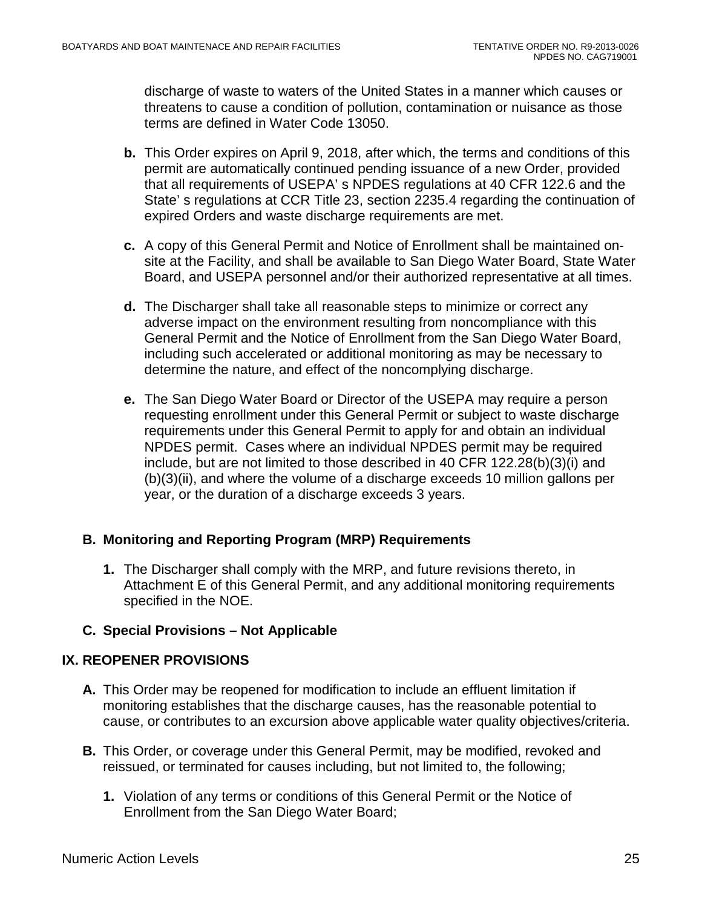discharge of waste to waters of the United States in a manner which causes or threatens to cause a condition of pollution, contamination or nuisance as those terms are defined in Water Code 13050.

- **b.** This Order expires on April 9, 2018, after which, the terms and conditions of this permit are automatically continued pending issuance of a new Order, provided that all requirements of USEPA' s NPDES regulations at 40 CFR 122.6 and the State' s regulations at CCR Title 23, section 2235.4 regarding the continuation of expired Orders and waste discharge requirements are met.
- **c.** A copy of this General Permit and Notice of Enrollment shall be maintained onsite at the Facility, and shall be available to San Diego Water Board, State Water Board, and USEPA personnel and/or their authorized representative at all times.
- **d.** The Discharger shall take all reasonable steps to minimize or correct any adverse impact on the environment resulting from noncompliance with this General Permit and the Notice of Enrollment from the San Diego Water Board, including such accelerated or additional monitoring as may be necessary to determine the nature, and effect of the noncomplying discharge.
- **e.** The San Diego Water Board or Director of the USEPA may require a person requesting enrollment under this General Permit or subject to waste discharge requirements under this General Permit to apply for and obtain an individual NPDES permit. Cases where an individual NPDES permit may be required include, but are not limited to those described in 40 CFR 122.28(b)(3)(i) and (b)(3)(ii), and where the volume of a discharge exceeds 10 million gallons per year, or the duration of a discharge exceeds 3 years.

### **B. Monitoring and Reporting Program (MRP) Requirements**

**1.** The Discharger shall comply with the MRP, and future revisions thereto, in Attachment E of this General Permit, and any additional monitoring requirements specified in the NOE.

### **C. Special Provisions – Not Applicable**

### <span id="page-24-0"></span>**IX. REOPENER PROVISIONS**

- **A.** This Order may be reopened for modification to include an effluent limitation if monitoring establishes that the discharge causes, has the reasonable potential to cause, or contributes to an excursion above applicable water quality objectives/criteria.
- **B.** This Order, or coverage under this General Permit, may be modified, revoked and reissued, or terminated for causes including, but not limited to, the following;
	- **1.** Violation of any terms or conditions of this General Permit or the Notice of Enrollment from the San Diego Water Board;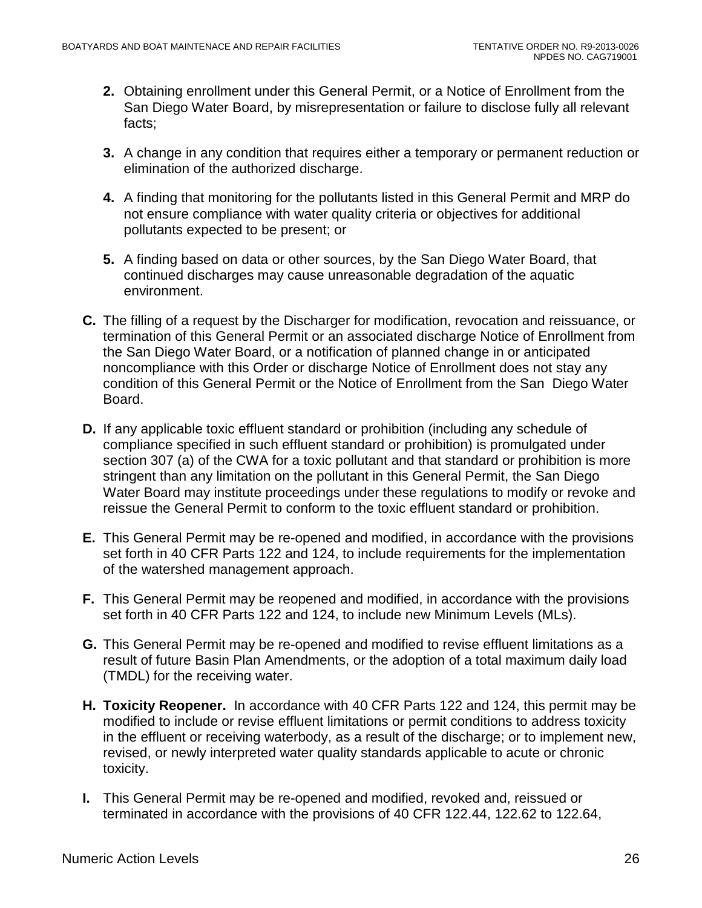- **2.** Obtaining enrollment under this General Permit, or a Notice of Enrollment from the San Diego Water Board, by misrepresentation or failure to disclose fully all relevant facts;
- **3.** A change in any condition that requires either a temporary or permanent reduction or elimination of the authorized discharge.
- **4.** A finding that monitoring for the pollutants listed in this General Permit and MRP do not ensure compliance with water quality criteria or objectives for additional pollutants expected to be present; or
- **5.** A finding based on data or other sources, by the San Diego Water Board, that continued discharges may cause unreasonable degradation of the aquatic environment.
- **C.** The filling of a request by the Discharger for modification, revocation and reissuance, or termination of this General Permit or an associated discharge Notice of Enrollment from the San Diego Water Board, or a notification of planned change in or anticipated noncompliance with this Order or discharge Notice of Enrollment does not stay any condition of this General Permit or the Notice of Enrollment from the San Diego Water Board.
- **D.** If any applicable toxic effluent standard or prohibition (including any schedule of compliance specified in such effluent standard or prohibition) is promulgated under section 307 (a) of the CWA for a toxic pollutant and that standard or prohibition is more stringent than any limitation on the pollutant in this General Permit, the San Diego Water Board may institute proceedings under these regulations to modify or revoke and reissue the General Permit to conform to the toxic effluent standard or prohibition.
- **E.** This General Permit may be re-opened and modified, in accordance with the provisions set forth in 40 CFR Parts 122 and 124, to include requirements for the implementation of the watershed management approach.
- **F.** This General Permit may be reopened and modified, in accordance with the provisions set forth in 40 CFR Parts 122 and 124, to include new Minimum Levels (MLs).
- **G.** This General Permit may be re-opened and modified to revise effluent limitations as a result of future Basin Plan Amendments, or the adoption of a total maximum daily load (TMDL) for the receiving water.
- **H. Toxicity Reopener.** In accordance with 40 CFR Parts 122 and 124, this permit may be modified to include or revise effluent limitations or permit conditions to address toxicity in the effluent or receiving waterbody, as a result of the discharge; or to implement new, revised, or newly interpreted water quality standards applicable to acute or chronic toxicity.
- **I.** This General Permit may be re-opened and modified, revoked and, reissued or terminated in accordance with the provisions of 40 CFR 122.44, 122.62 to 122.64,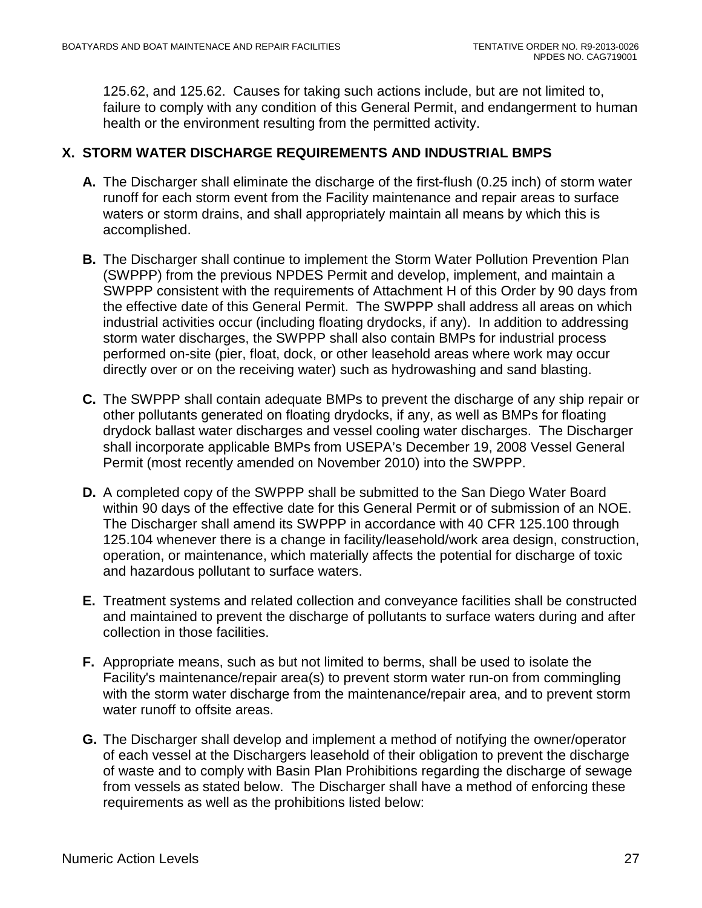125.62, and 125.62. Causes for taking such actions include, but are not limited to, failure to comply with any condition of this General Permit, and endangerment to human health or the environment resulting from the permitted activity.

### <span id="page-26-0"></span>**X. STORM WATER DISCHARGE REQUIREMENTS AND INDUSTRIAL BMPS**

- **A.** The Discharger shall eliminate the discharge of the first-flush (0.25 inch) of storm water runoff for each storm event from the Facility maintenance and repair areas to surface waters or storm drains, and shall appropriately maintain all means by which this is accomplished.
- **B.** The Discharger shall continue to implement the Storm Water Pollution Prevention Plan (SWPPP) from the previous NPDES Permit and develop, implement, and maintain a SWPPP consistent with the requirements of Attachment H of this Order by 90 days from the effective date of this General Permit. The SWPPP shall address all areas on which industrial activities occur (including floating drydocks, if any). In addition to addressing storm water discharges, the SWPPP shall also contain BMPs for industrial process performed on-site (pier, float, dock, or other leasehold areas where work may occur directly over or on the receiving water) such as hydrowashing and sand blasting.
- **C.** The SWPPP shall contain adequate BMPs to prevent the discharge of any ship repair or other pollutants generated on floating drydocks, if any, as well as BMPs for floating drydock ballast water discharges and vessel cooling water discharges. The Discharger shall incorporate applicable BMPs from USEPA's December 19, 2008 Vessel General Permit (most recently amended on November 2010) into the SWPPP.
- **D.** A completed copy of the SWPPP shall be submitted to the San Diego Water Board within 90 days of the effective date for this General Permit or of submission of an NOE. The Discharger shall amend its SWPPP in accordance with 40 CFR 125.100 through 125.104 whenever there is a change in facility/leasehold/work area design, construction, operation, or maintenance, which materially affects the potential for discharge of toxic and hazardous pollutant to surface waters.
- **E.** Treatment systems and related collection and conveyance facilities shall be constructed and maintained to prevent the discharge of pollutants to surface waters during and after collection in those facilities.
- **F.** Appropriate means, such as but not limited to berms, shall be used to isolate the Facility's maintenance/repair area(s) to prevent storm water run-on from commingling with the storm water discharge from the maintenance/repair area, and to prevent storm water runoff to offsite areas.
- **G.** The Discharger shall develop and implement a method of notifying the owner/operator of each vessel at the Dischargers leasehold of their obligation to prevent the discharge of waste and to comply with Basin Plan Prohibitions regarding the discharge of sewage from vessels as stated below. The Discharger shall have a method of enforcing these requirements as well as the prohibitions listed below: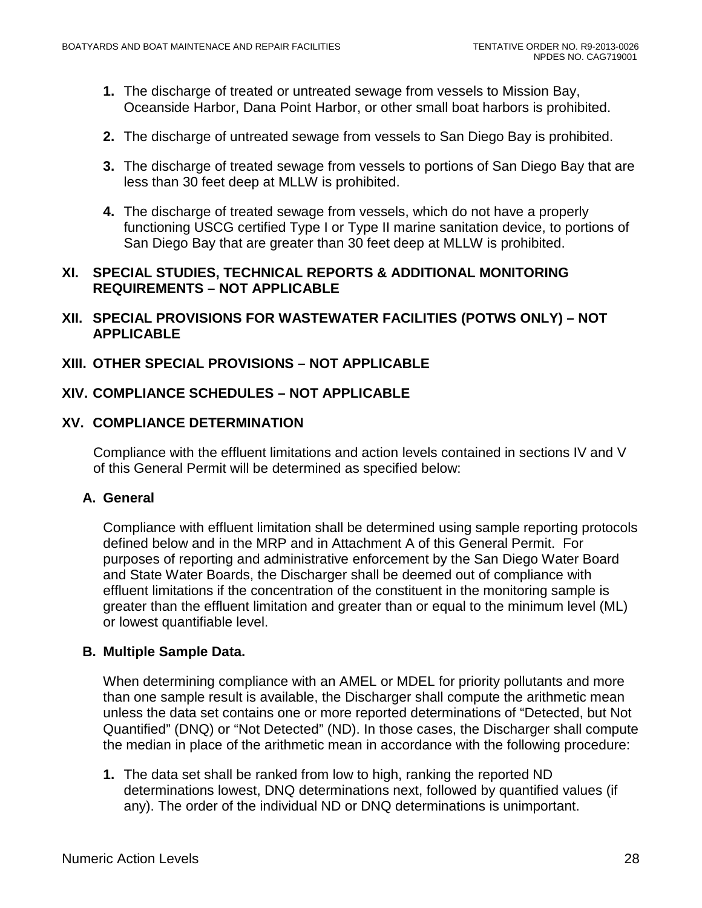- **1.** The discharge of treated or untreated sewage from vessels to Mission Bay, Oceanside Harbor, Dana Point Harbor, or other small boat harbors is prohibited.
- **2.** The discharge of untreated sewage from vessels to San Diego Bay is prohibited.
- **3.** The discharge of treated sewage from vessels to portions of San Diego Bay that are less than 30 feet deep at MLLW is prohibited.
- **4.** The discharge of treated sewage from vessels, which do not have a properly functioning USCG certified Type I or Type II marine sanitation device, to portions of San Diego Bay that are greater than 30 feet deep at MLLW is prohibited.

#### <span id="page-27-0"></span>**XI. SPECIAL STUDIES, TECHNICAL REPORTS & ADDITIONAL MONITORING REQUIREMENTS – NOT APPLICABLE**

<span id="page-27-1"></span>**XII. SPECIAL PROVISIONS FOR WASTEWATER FACILITIES (POTWS ONLY) – NOT APPLICABLE**

### <span id="page-27-2"></span>**XIII. OTHER SPECIAL PROVISIONS – NOT APPLICABLE**

## <span id="page-27-3"></span>**XIV. COMPLIANCE SCHEDULES – NOT APPLICABLE**

#### <span id="page-27-4"></span>**XV. COMPLIANCE DETERMINATION**

Compliance with the effluent limitations and action levels contained in sections IV and V of this General Permit will be determined as specified below:

#### **A. General**

Compliance with effluent limitation shall be determined using sample reporting protocols defined below and in the MRP and in Attachment A of this General Permit. For purposes of reporting and administrative enforcement by the San Diego Water Board and State Water Boards, the Discharger shall be deemed out of compliance with effluent limitations if the concentration of the constituent in the monitoring sample is greater than the effluent limitation and greater than or equal to the minimum level (ML) or lowest quantifiable level.

### **B. Multiple Sample Data.**

When determining compliance with an AMEL or MDEL for priority pollutants and more than one sample result is available, the Discharger shall compute the arithmetic mean unless the data set contains one or more reported determinations of "Detected, but Not Quantified" (DNQ) or "Not Detected" (ND). In those cases, the Discharger shall compute the median in place of the arithmetic mean in accordance with the following procedure:

**1.** The data set shall be ranked from low to high, ranking the reported ND determinations lowest, DNQ determinations next, followed by quantified values (if any). The order of the individual ND or DNQ determinations is unimportant.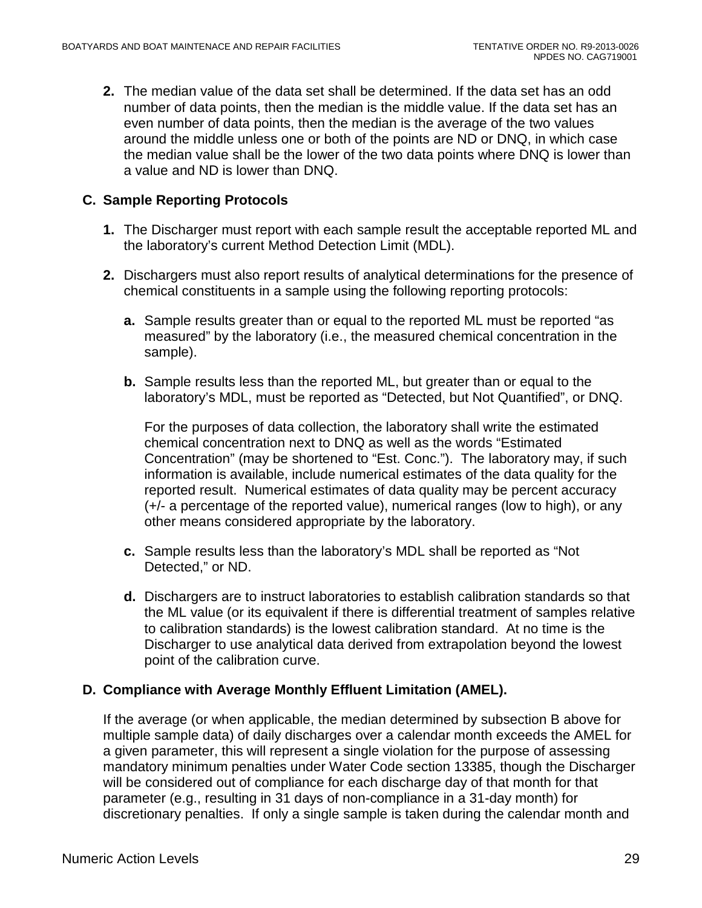**2.** The median value of the data set shall be determined. If the data set has an odd number of data points, then the median is the middle value. If the data set has an even number of data points, then the median is the average of the two values around the middle unless one or both of the points are ND or DNQ, in which case the median value shall be the lower of the two data points where DNQ is lower than a value and ND is lower than DNQ.

## **C. Sample Reporting Protocols**

- **1.** The Discharger must report with each sample result the acceptable reported ML and the laboratory's current Method Detection Limit (MDL).
- **2.** Dischargers must also report results of analytical determinations for the presence of chemical constituents in a sample using the following reporting protocols:
	- **a.** Sample results greater than or equal to the reported ML must be reported "as measured" by the laboratory (i.e., the measured chemical concentration in the sample).
	- **b.** Sample results less than the reported ML, but greater than or equal to the laboratory's MDL, must be reported as "Detected, but Not Quantified", or DNQ.

For the purposes of data collection, the laboratory shall write the estimated chemical concentration next to DNQ as well as the words "Estimated Concentration" (may be shortened to "Est. Conc."). The laboratory may, if such information is available, include numerical estimates of the data quality for the reported result. Numerical estimates of data quality may be percent accuracy (+/- a percentage of the reported value), numerical ranges (low to high), or any other means considered appropriate by the laboratory.

- **c.** Sample results less than the laboratory's MDL shall be reported as "Not Detected," or ND.
- **d.** Dischargers are to instruct laboratories to establish calibration standards so that the ML value (or its equivalent if there is differential treatment of samples relative to calibration standards) is the lowest calibration standard. At no time is the Discharger to use analytical data derived from extrapolation beyond the lowest point of the calibration curve.

### **D. Compliance with Average Monthly Effluent Limitation (AMEL).**

If the average (or when applicable, the median determined by subsection B above for multiple sample data) of daily discharges over a calendar month exceeds the AMEL for a given parameter, this will represent a single violation for the purpose of assessing mandatory minimum penalties under Water Code section 13385, though the Discharger will be considered out of compliance for each discharge day of that month for that parameter (e.g., resulting in 31 days of non-compliance in a 31-day month) for discretionary penalties. If only a single sample is taken during the calendar month and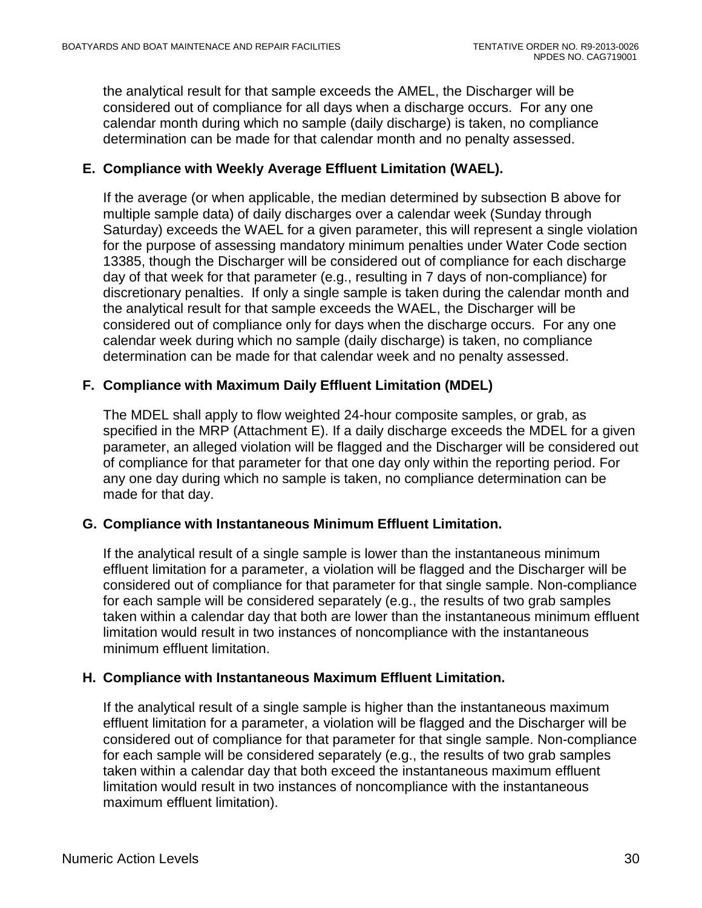the analytical result for that sample exceeds the AMEL, the Discharger will be considered out of compliance for all days when a discharge occurs. For any one calendar month during which no sample (daily discharge) is taken, no compliance determination can be made for that calendar month and no penalty assessed.

### **E. Compliance with Weekly Average Effluent Limitation (WAEL).**

If the average (or when applicable, the median determined by subsection B above for multiple sample data) of daily discharges over a calendar week (Sunday through Saturday) exceeds the WAEL for a given parameter, this will represent a single violation for the purpose of assessing mandatory minimum penalties under Water Code section 13385, though the Discharger will be considered out of compliance for each discharge day of that week for that parameter (e.g., resulting in 7 days of non-compliance) for discretionary penalties. If only a single sample is taken during the calendar month and the analytical result for that sample exceeds the WAEL, the Discharger will be considered out of compliance only for days when the discharge occurs. For any one calendar week during which no sample (daily discharge) is taken, no compliance determination can be made for that calendar week and no penalty assessed.

## **F. Compliance with Maximum Daily Effluent Limitation (MDEL)**

The MDEL shall apply to flow weighted 24-hour composite samples, or grab, as specified in the MRP (Attachment E). If a daily discharge exceeds the MDEL for a given parameter, an alleged violation will be flagged and the Discharger will be considered out of compliance for that parameter for that one day only within the reporting period. For any one day during which no sample is taken, no compliance determination can be made for that day.

### **G. Compliance with Instantaneous Minimum Effluent Limitation.**

If the analytical result of a single sample is lower than the instantaneous minimum effluent limitation for a parameter, a violation will be flagged and the Discharger will be considered out of compliance for that parameter for that single sample. Non-compliance for each sample will be considered separately (e.g., the results of two grab samples taken within a calendar day that both are lower than the instantaneous minimum effluent limitation would result in two instances of noncompliance with the instantaneous minimum effluent limitation.

### **H. Compliance with Instantaneous Maximum Effluent Limitation.**

If the analytical result of a single sample is higher than the instantaneous maximum effluent limitation for a parameter, a violation will be flagged and the Discharger will be considered out of compliance for that parameter for that single sample. Non-compliance for each sample will be considered separately (e.g., the results of two grab samples taken within a calendar day that both exceed the instantaneous maximum effluent limitation would result in two instances of noncompliance with the instantaneous maximum effluent limitation).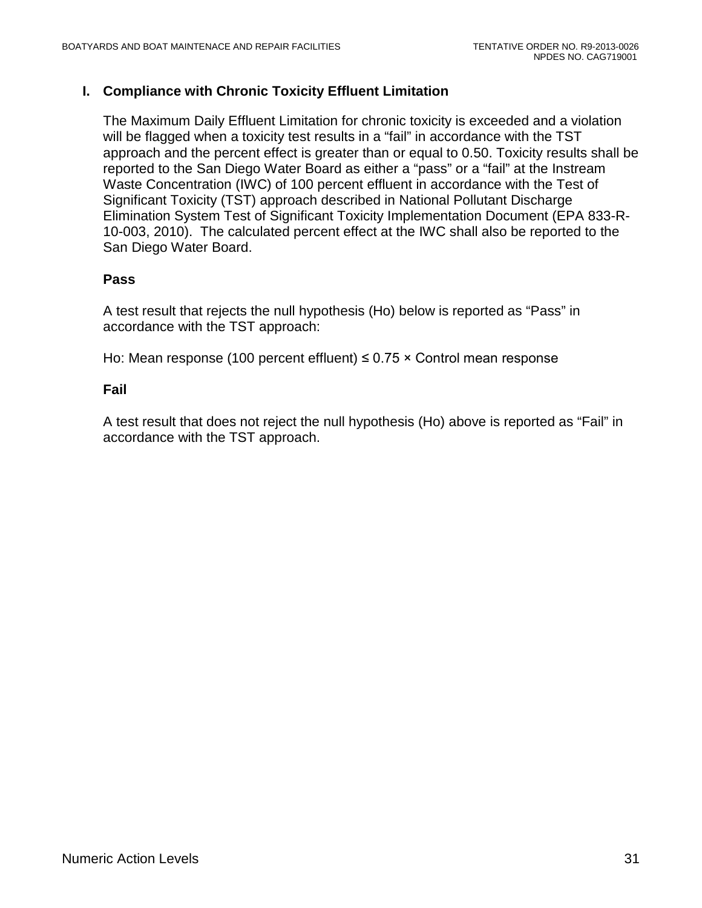### **I. Compliance with Chronic Toxicity Effluent Limitation**

The Maximum Daily Effluent Limitation for chronic toxicity is exceeded and a violation will be flagged when a toxicity test results in a "fail" in accordance with the TST approach and the percent effect is greater than or equal to 0.50. Toxicity results shall be reported to the San Diego Water Board as either a "pass" or a "fail" at the Instream Waste Concentration (IWC) of 100 percent effluent in accordance with the Test of Significant Toxicity (TST) approach described in National Pollutant Discharge Elimination System Test of Significant Toxicity Implementation Document (EPA 833-R-10-003, 2010). The calculated percent effect at the IWC shall also be reported to the San Diego Water Board.

### **Pass**

A test result that rejects the null hypothesis (Ho) below is reported as "Pass" in accordance with the TST approach:

Ho: Mean response (100 percent effluent)  $\leq$  0.75  $\times$  Control mean response

### **Fail**

A test result that does not reject the null hypothesis (Ho) above is reported as "Fail" in accordance with the TST approach.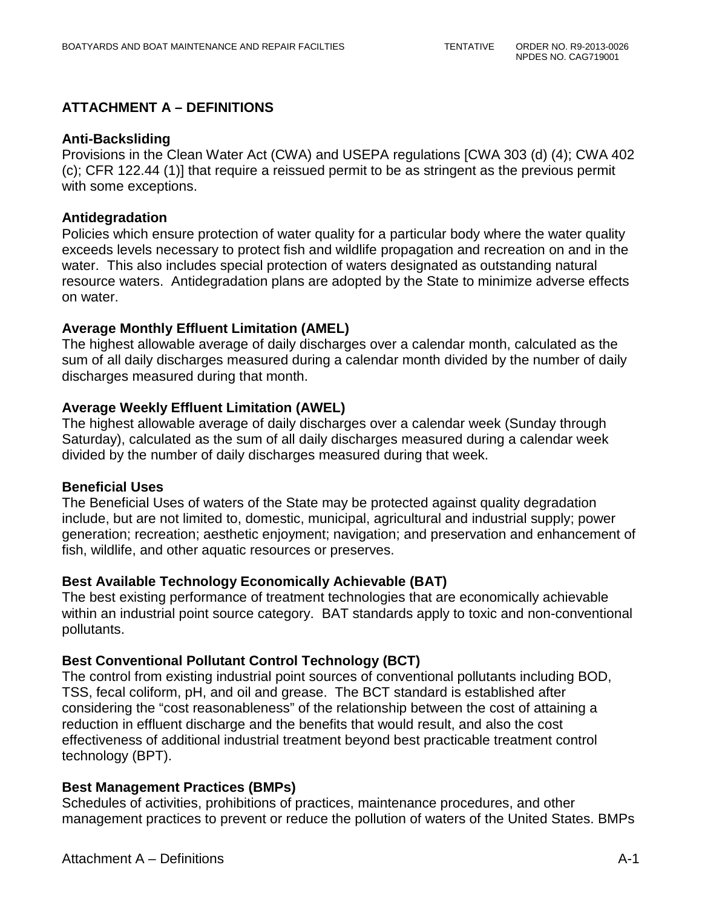## **ATTACHMENT A – DEFINITIONS**

#### **Anti-Backsliding**

Provisions in the Clean Water Act (CWA) and USEPA regulations [CWA 303 (d) (4); CWA 402 (c); CFR 122.44 (1)] that require a reissued permit to be as stringent as the previous permit with some exceptions.

#### **Antidegradation**

Policies which ensure protection of water quality for a particular body where the water quality exceeds levels necessary to protect fish and wildlife propagation and recreation on and in the water. This also includes special protection of waters designated as outstanding natural resource waters. Antidegradation plans are adopted by the State to minimize adverse effects on water.

#### **Average Monthly Effluent Limitation (AMEL)**

The highest allowable average of daily discharges over a calendar month, calculated as the sum of all daily discharges measured during a calendar month divided by the number of daily discharges measured during that month.

#### **Average Weekly Effluent Limitation (AWEL)**

The highest allowable average of daily discharges over a calendar week (Sunday through Saturday), calculated as the sum of all daily discharges measured during a calendar week divided by the number of daily discharges measured during that week.

#### **Beneficial Uses**

The Beneficial Uses of waters of the State may be protected against quality degradation include, but are not limited to, domestic, municipal, agricultural and industrial supply; power generation; recreation; aesthetic enjoyment; navigation; and preservation and enhancement of fish, wildlife, and other aquatic resources or preserves.

### **Best Available Technology Economically Achievable (BAT)**

The best existing performance of treatment technologies that are economically achievable within an industrial point source category. BAT standards apply to toxic and non-conventional pollutants.

### **Best Conventional Pollutant Control Technology (BCT)**

The control from existing industrial point sources of conventional pollutants including BOD, TSS, fecal coliform, pH, and oil and grease. The BCT standard is established after considering the "cost reasonableness" of the relationship between the cost of attaining a reduction in effluent discharge and the benefits that would result, and also the cost effectiveness of additional industrial treatment beyond best practicable treatment control technology (BPT).

### **Best Management Practices (BMPs)**

Schedules of activities, prohibitions of practices, maintenance procedures, and other management practices to prevent or reduce the pollution of waters of the United States. BMPs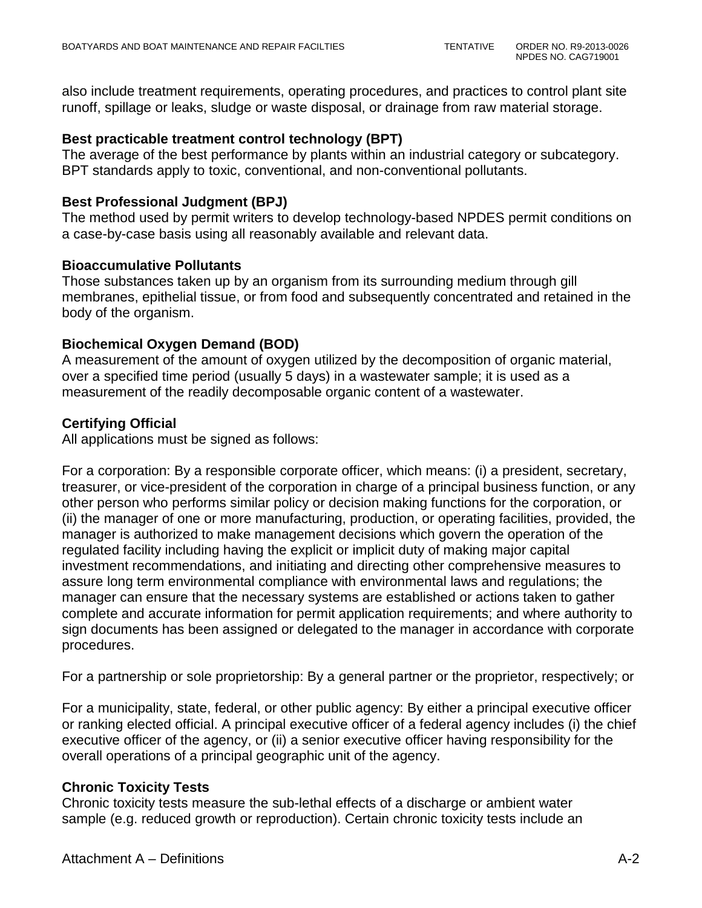also include treatment requirements, operating procedures, and practices to control plant site runoff, spillage or leaks, sludge or waste disposal, or drainage from raw material storage.

#### **Best practicable treatment control technology (BPT)**

The average of the best performance by plants within an industrial category or subcategory. BPT standards apply to toxic, conventional, and non-conventional pollutants.

#### **Best Professional Judgment (BPJ)**

The method used by permit writers to develop technology-based NPDES permit conditions on a case-by-case basis using all reasonably available and relevant data.

#### **Bioaccumulative Pollutants**

Those substances taken up by an organism from its surrounding medium through gill membranes, epithelial tissue, or from food and subsequently concentrated and retained in the body of the organism.

#### **Biochemical Oxygen Demand (BOD)**

A measurement of the amount of oxygen utilized by the decomposition of organic material, over a specified time period (usually 5 days) in a wastewater sample; it is used as a measurement of the readily decomposable organic content of a wastewater.

### **Certifying Official**

All applications must be signed as follows:

For a corporation: By a responsible corporate officer, which means: (i) a president, secretary, treasurer, or vice-president of the corporation in charge of a principal business function, or any other person who performs similar policy or decision making functions for the corporation, or (ii) the manager of one or more manufacturing, production, or operating facilities, provided, the manager is authorized to make management decisions which govern the operation of the regulated facility including having the explicit or implicit duty of making major capital investment recommendations, and initiating and directing other comprehensive measures to assure long term environmental compliance with environmental laws and regulations; the manager can ensure that the necessary systems are established or actions taken to gather complete and accurate information for permit application requirements; and where authority to sign documents has been assigned or delegated to the manager in accordance with corporate procedures.

For a partnership or sole proprietorship: By a general partner or the proprietor, respectively; or

For a municipality, state, federal, or other public agency: By either a principal executive officer or ranking elected official. A principal executive officer of a federal agency includes (i) the chief executive officer of the agency, or (ii) a senior executive officer having responsibility for the overall operations of a principal geographic unit of the agency.

### **Chronic Toxicity Tests**

Chronic toxicity tests measure the sub-lethal effects of a discharge or ambient water sample (e.g. reduced growth or reproduction). Certain chronic toxicity tests include an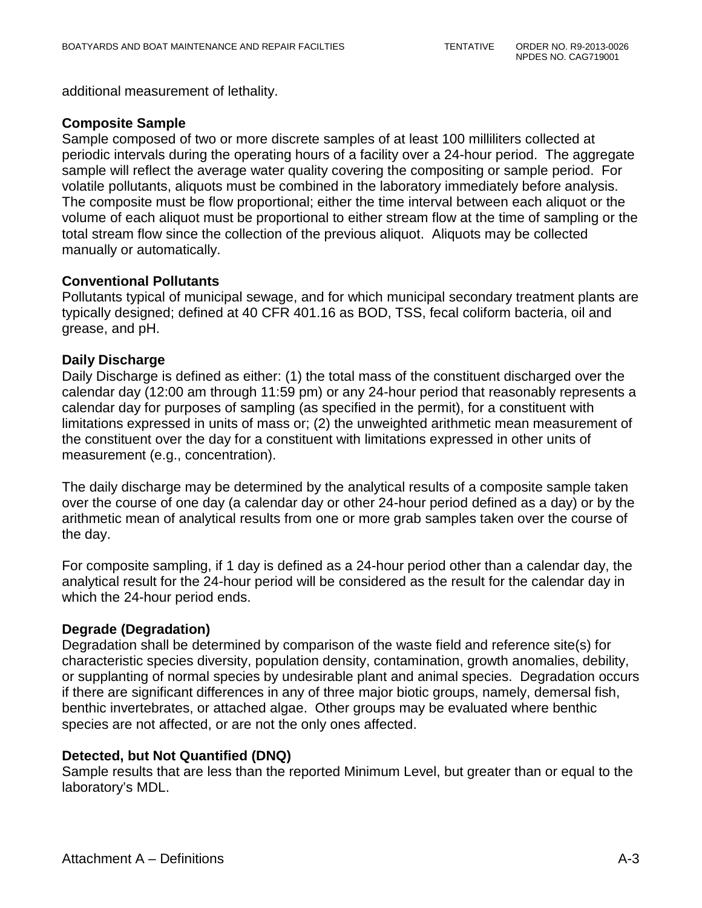additional measurement of lethality.

#### **Composite Sample**

Sample composed of two or more discrete samples of at least 100 milliliters collected at periodic intervals during the operating hours of a facility over a 24-hour period. The aggregate sample will reflect the average water quality covering the compositing or sample period. For volatile pollutants, aliquots must be combined in the laboratory immediately before analysis. The composite must be flow proportional; either the time interval between each aliquot or the volume of each aliquot must be proportional to either stream flow at the time of sampling or the total stream flow since the collection of the previous aliquot. Aliquots may be collected manually or automatically.

#### **Conventional Pollutants**

Pollutants typical of municipal sewage, and for which municipal secondary treatment plants are typically designed; defined at 40 CFR 401.16 as BOD, TSS, fecal coliform bacteria, oil and grease, and pH.

#### **Daily Discharge**

Daily Discharge is defined as either: (1) the total mass of the constituent discharged over the calendar day (12:00 am through 11:59 pm) or any 24-hour period that reasonably represents a calendar day for purposes of sampling (as specified in the permit), for a constituent with limitations expressed in units of mass or; (2) the unweighted arithmetic mean measurement of the constituent over the day for a constituent with limitations expressed in other units of measurement (e.g., concentration).

The daily discharge may be determined by the analytical results of a composite sample taken over the course of one day (a calendar day or other 24-hour period defined as a day) or by the arithmetic mean of analytical results from one or more grab samples taken over the course of the day.

For composite sampling, if 1 day is defined as a 24-hour period other than a calendar day, the analytical result for the 24-hour period will be considered as the result for the calendar day in which the 24-hour period ends.

### **Degrade (Degradation)**

Degradation shall be determined by comparison of the waste field and reference site(s) for characteristic species diversity, population density, contamination, growth anomalies, debility, or supplanting of normal species by undesirable plant and animal species. Degradation occurs if there are significant differences in any of three major biotic groups, namely, demersal fish, benthic invertebrates, or attached algae. Other groups may be evaluated where benthic species are not affected, or are not the only ones affected.

#### **Detected, but Not Quantified (DNQ)**

Sample results that are less than the reported Minimum Level, but greater than or equal to the laboratory's MDL.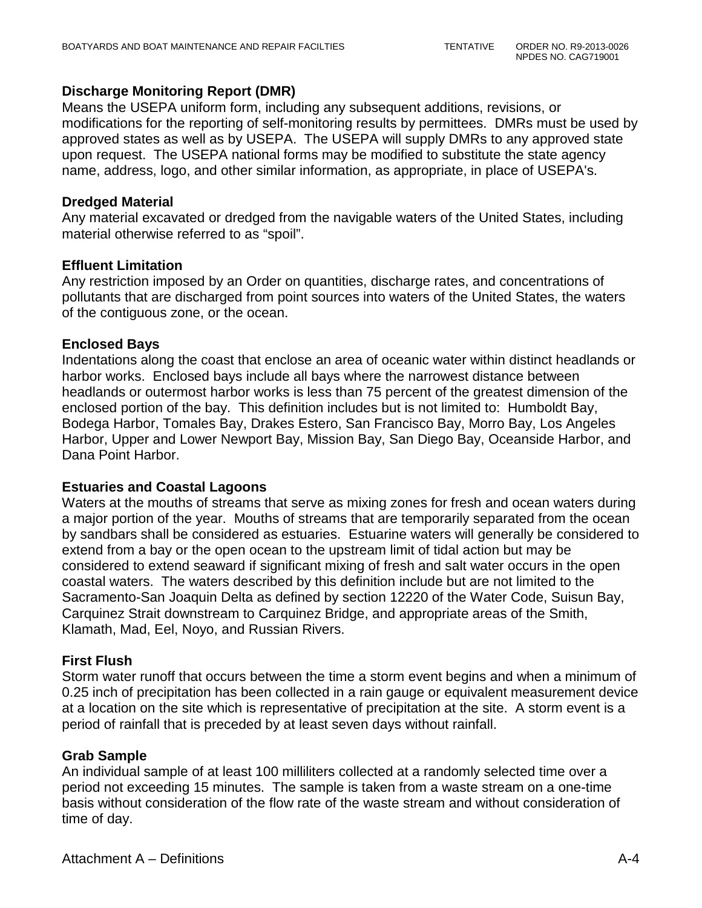#### **Discharge Monitoring Report (DMR)**

Means the USEPA uniform form, including any subsequent additions, revisions, or modifications for the reporting of self-monitoring results by permittees. DMRs must be used by approved states as well as by USEPA. The USEPA will supply DMRs to any approved state upon request. The USEPA national forms may be modified to substitute the state agency name, address, logo, and other similar information, as appropriate, in place of USEPA's.

#### **Dredged Material**

Any material excavated or dredged from the navigable waters of the United States, including material otherwise referred to as "spoil".

#### **Effluent Limitation**

Any restriction imposed by an Order on quantities, discharge rates, and concentrations of pollutants that are discharged from point sources into waters of the United States, the waters of the contiguous zone, or the ocean.

#### **Enclosed Bays**

Indentations along the coast that enclose an area of oceanic water within distinct headlands or harbor works. Enclosed bays include all bays where the narrowest distance between headlands or outermost harbor works is less than 75 percent of the greatest dimension of the enclosed portion of the bay. This definition includes but is not limited to: Humboldt Bay, Bodega Harbor, Tomales Bay, Drakes Estero, San Francisco Bay, Morro Bay, Los Angeles Harbor, Upper and Lower Newport Bay, Mission Bay, San Diego Bay, Oceanside Harbor, and Dana Point Harbor.

#### **Estuaries and Coastal Lagoons**

Waters at the mouths of streams that serve as mixing zones for fresh and ocean waters during a major portion of the year. Mouths of streams that are temporarily separated from the ocean by sandbars shall be considered as estuaries. Estuarine waters will generally be considered to extend from a bay or the open ocean to the upstream limit of tidal action but may be considered to extend seaward if significant mixing of fresh and salt water occurs in the open coastal waters. The waters described by this definition include but are not limited to the Sacramento-San Joaquin Delta as defined by section 12220 of the Water Code, Suisun Bay, Carquinez Strait downstream to Carquinez Bridge, and appropriate areas of the Smith, Klamath, Mad, Eel, Noyo, and Russian Rivers.

#### **First Flush**

Storm water runoff that occurs between the time a storm event begins and when a minimum of 0.25 inch of precipitation has been collected in a rain gauge or equivalent measurement device at a location on the site which is representative of precipitation at the site. A storm event is a period of rainfall that is preceded by at least seven days without rainfall.

#### **Grab Sample**

An individual sample of at least 100 milliliters collected at a randomly selected time over a period not exceeding 15 minutes. The sample is taken from a waste stream on a one-time basis without consideration of the flow rate of the waste stream and without consideration of time of day.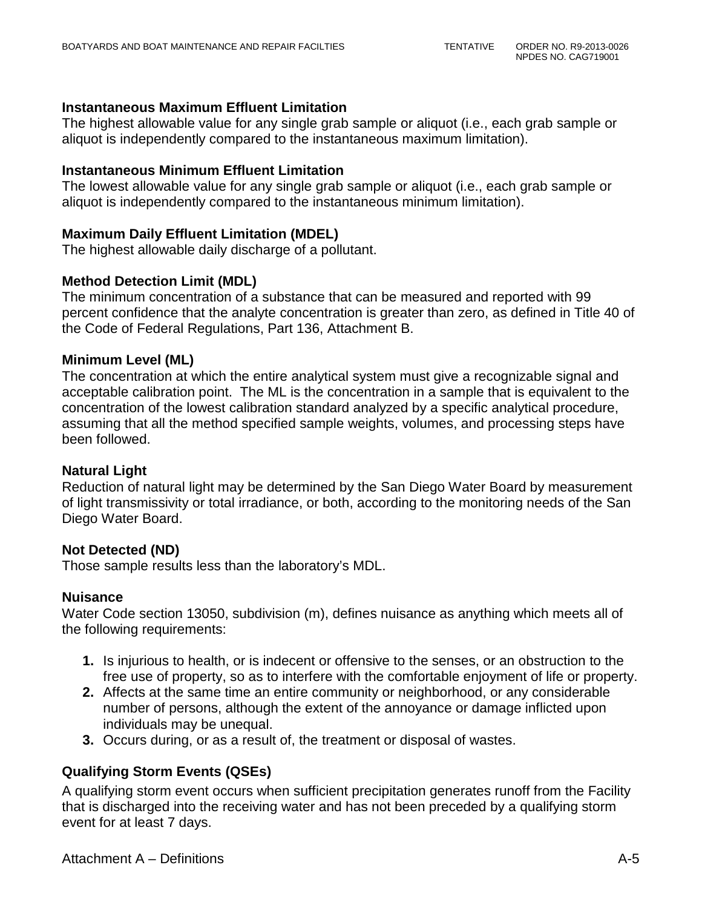#### **Instantaneous Maximum Effluent Limitation**

The highest allowable value for any single grab sample or aliquot (i.e., each grab sample or aliquot is independently compared to the instantaneous maximum limitation).

#### **Instantaneous Minimum Effluent Limitation**

The lowest allowable value for any single grab sample or aliquot (i.e., each grab sample or aliquot is independently compared to the instantaneous minimum limitation).

#### **Maximum Daily Effluent Limitation (MDEL)**

The highest allowable daily discharge of a pollutant.

#### **Method Detection Limit (MDL)**

The minimum concentration of a substance that can be measured and reported with 99 percent confidence that the analyte concentration is greater than zero, as defined in Title 40 of the Code of Federal Regulations, Part 136, Attachment B.

#### **Minimum Level (ML)**

The concentration at which the entire analytical system must give a recognizable signal and acceptable calibration point. The ML is the concentration in a sample that is equivalent to the concentration of the lowest calibration standard analyzed by a specific analytical procedure, assuming that all the method specified sample weights, volumes, and processing steps have been followed.

#### **Natural Light**

Reduction of natural light may be determined by the San Diego Water Board by measurement of light transmissivity or total irradiance, or both, according to the monitoring needs of the San Diego Water Board.

#### **Not Detected (ND)**

Those sample results less than the laboratory's MDL.

#### **Nuisance**

Water Code section 13050, subdivision (m), defines nuisance as anything which meets all of the following requirements:

- **1.** Is injurious to health, or is indecent or offensive to the senses, or an obstruction to the free use of property, so as to interfere with the comfortable enjoyment of life or property.
- **2.** Affects at the same time an entire community or neighborhood, or any considerable number of persons, although the extent of the annoyance or damage inflicted upon individuals may be unequal.
- **3.** Occurs during, or as a result of, the treatment or disposal of wastes.

### **Qualifying Storm Events (QSEs)**

A qualifying storm event occurs when sufficient precipitation generates runoff from the Facility that is discharged into the receiving water and has not been preceded by a qualifying storm event for at least 7 days.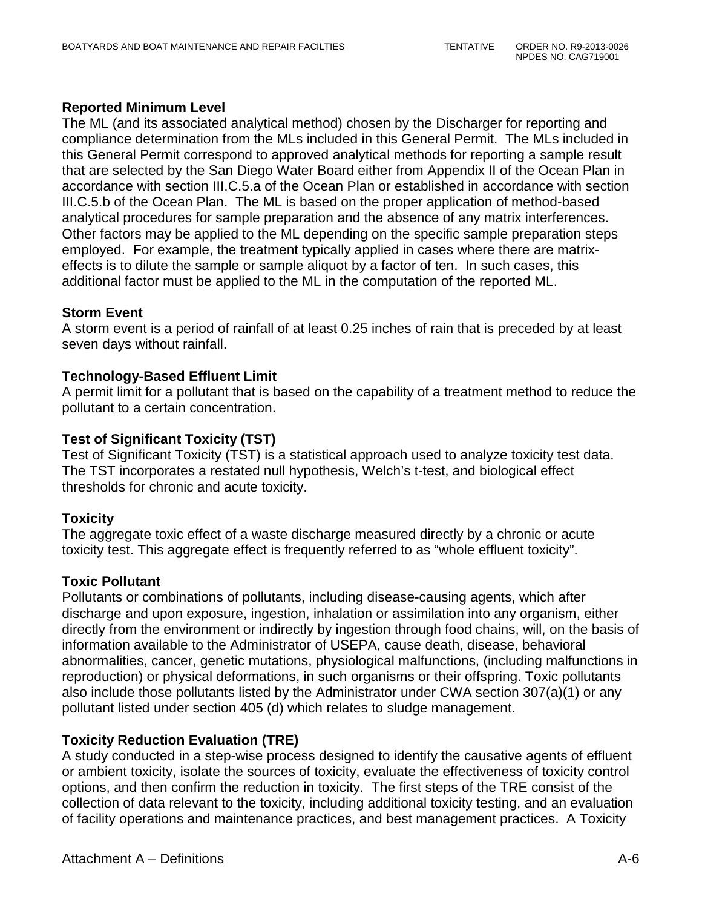### **Reported Minimum Level**

The ML (and its associated analytical method) chosen by the Discharger for reporting and compliance determination from the MLs included in this General Permit. The MLs included in this General Permit correspond to approved analytical methods for reporting a sample result that are selected by the San Diego Water Board either from Appendix II of the Ocean Plan in accordance with section III.C.5.a of the Ocean Plan or established in accordance with section III.C.5.b of the Ocean Plan. The ML is based on the proper application of method-based analytical procedures for sample preparation and the absence of any matrix interferences. Other factors may be applied to the ML depending on the specific sample preparation steps employed. For example, the treatment typically applied in cases where there are matrixeffects is to dilute the sample or sample aliquot by a factor of ten. In such cases, this additional factor must be applied to the ML in the computation of the reported ML.

### **Storm Event**

A storm event is a period of rainfall of at least 0.25 inches of rain that is preceded by at least seven days without rainfall.

### **Technology-Based Effluent Limit**

A permit limit for a pollutant that is based on the capability of a treatment method to reduce the pollutant to a certain concentration.

### **Test of Significant Toxicity (TST)**

Test of Significant Toxicity (TST) is a statistical approach used to analyze toxicity test data. The TST incorporates a restated null hypothesis, Welch's t-test, and biological effect thresholds for chronic and acute toxicity.

### **Toxicity**

The aggregate toxic effect of a waste discharge measured directly by a chronic or acute toxicity test. This aggregate effect is frequently referred to as "whole effluent toxicity".

### **Toxic Pollutant**

Pollutants or combinations of pollutants, including disease-causing agents, which after discharge and upon exposure, ingestion, inhalation or assimilation into any organism, either directly from the environment or indirectly by ingestion through food chains, will, on the basis of information available to the Administrator of USEPA, cause death, disease, behavioral abnormalities, cancer, genetic mutations, physiological malfunctions, (including malfunctions in reproduction) or physical deformations, in such organisms or their offspring. Toxic pollutants also include those pollutants listed by the Administrator under CWA section 307(a)(1) or any pollutant listed under section 405 (d) which relates to sludge management.

### **Toxicity Reduction Evaluation (TRE)**

A study conducted in a step-wise process designed to identify the causative agents of effluent or ambient toxicity, isolate the sources of toxicity, evaluate the effectiveness of toxicity control options, and then confirm the reduction in toxicity. The first steps of the TRE consist of the collection of data relevant to the toxicity, including additional toxicity testing, and an evaluation of facility operations and maintenance practices, and best management practices. A Toxicity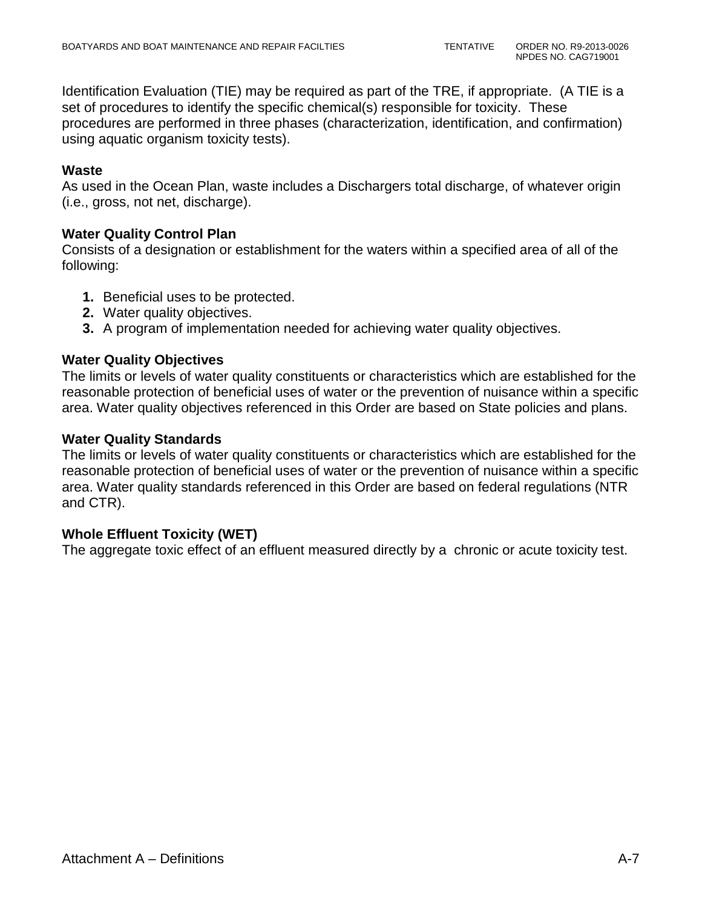Identification Evaluation (TIE) may be required as part of the TRE, if appropriate. (A TIE is a set of procedures to identify the specific chemical(s) responsible for toxicity. These procedures are performed in three phases (characterization, identification, and confirmation) using aquatic organism toxicity tests).

### **Waste**

As used in the Ocean Plan, waste includes a Dischargers total discharge, of whatever origin (i.e., gross, not net, discharge).

### **Water Quality Control Plan**

Consists of a designation or establishment for the waters within a specified area of all of the following:

- **1.** Beneficial uses to be protected.
- **2.** Water quality objectives.
- **3.** A program of implementation needed for achieving water quality objectives.

### **Water Quality Objectives**

The limits or levels of water quality constituents or characteristics which are established for the reasonable protection of beneficial uses of water or the prevention of nuisance within a specific area. Water quality objectives referenced in this Order are based on State policies and plans.

### **Water Quality Standards**

The limits or levels of water quality constituents or characteristics which are established for the reasonable protection of beneficial uses of water or the prevention of nuisance within a specific area. Water quality standards referenced in this Order are based on federal regulations (NTR and CTR).

# **Whole Effluent Toxicity (WET)**

The aggregate toxic effect of an effluent measured directly by a chronic or acute toxicity test.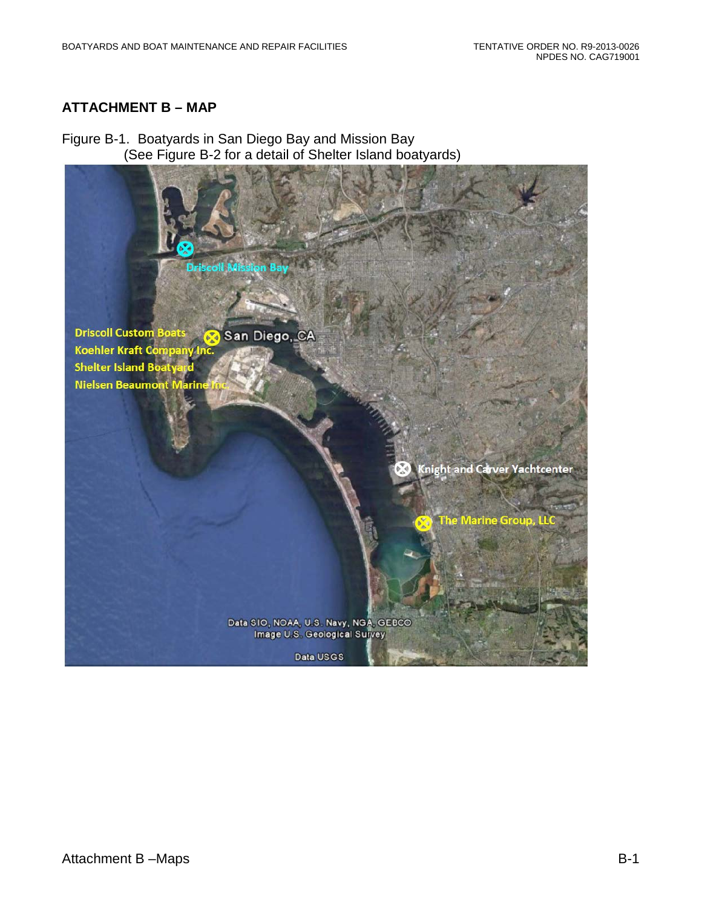# **ATTACHMENT B – MAP**

Figure B-1. Boatyards in San Diego Bay and Mission Bay (See Figure B-2 for a detail of Shelter Island boatyards)

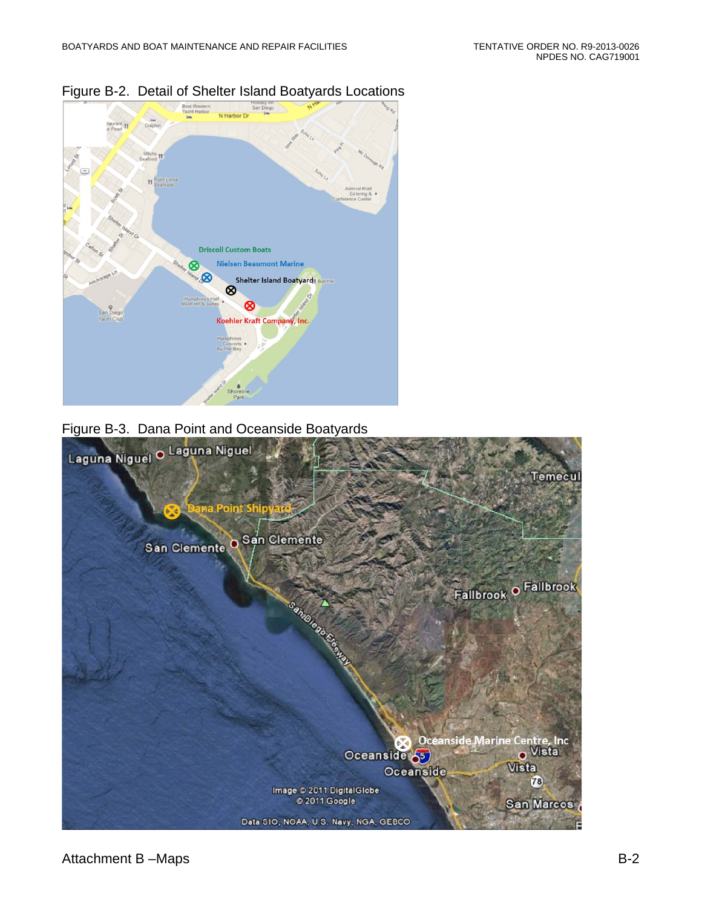

Figure B-2. Detail of Shelter Island Boatyards Locations

### Figure B-3. Dana Point and Oceanside Boatyards

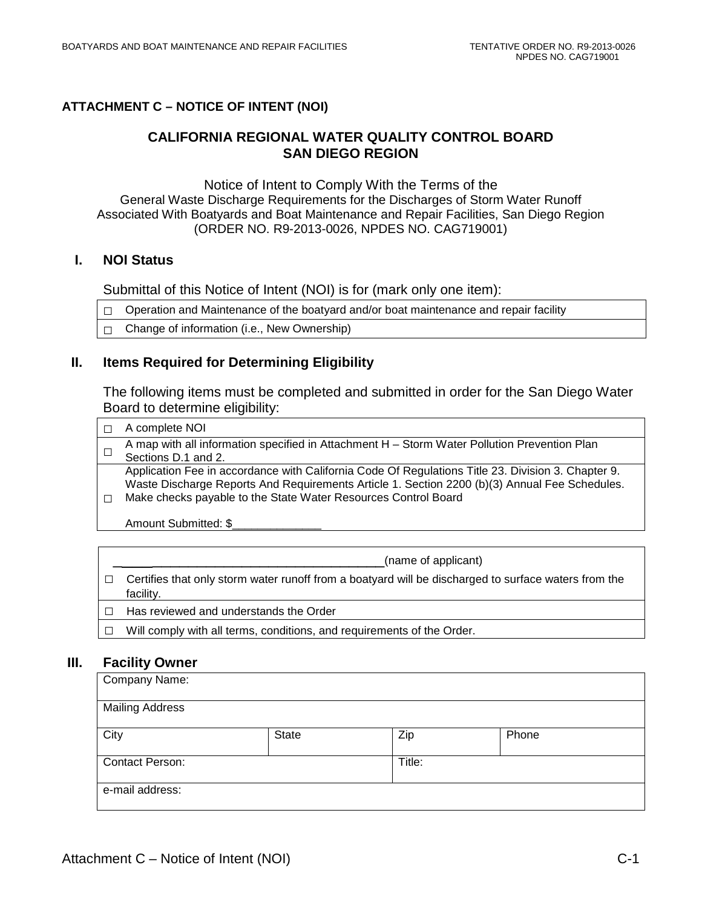#### **ATTACHMENT C – NOTICE OF INTENT (NOI)**

### **CALIFORNIA REGIONAL WATER QUALITY CONTROL BOARD SAN DIEGO REGION**

Notice of Intent to Comply With the Terms of the General Waste Discharge Requirements for the Discharges of Storm Water Runoff Associated With Boatyards and Boat Maintenance and Repair Facilities, San Diego Region (ORDER NO. R9-2013-0026, NPDES NO. CAG719001)

#### **I. NOI Status**

Submittal of this Notice of Intent (NOI) is for (mark only one item):

 $\Box$  Operation and Maintenance of the boatyard and/or boat maintenance and repair facility

 $\Box$  Change of information (i.e., New Ownership)

#### **II. Items Required for Determining Eligibility**

The following items must be completed and submitted in order for the San Diego Water Board to determine eligibility:

| A complete NOI                                                                                                                                                                                                                                                        |
|-----------------------------------------------------------------------------------------------------------------------------------------------------------------------------------------------------------------------------------------------------------------------|
| A map with all information specified in Attachment H - Storm Water Pollution Prevention Plan                                                                                                                                                                          |
| Sections D.1 and 2.                                                                                                                                                                                                                                                   |
| Application Fee in accordance with California Code Of Regulations Title 23. Division 3. Chapter 9.<br>Waste Discharge Reports And Requirements Article 1. Section 2200 (b)(3) Annual Fee Schedules.<br>Make checks payable to the State Water Resources Control Board |
| Amount Submitted: \$                                                                                                                                                                                                                                                  |

| (name of applicant)                                                                                               |
|-------------------------------------------------------------------------------------------------------------------|
| Certifies that only storm water runoff from a boatyard will be discharged to surface waters from the<br>facility. |

- □ Has reviewed and understands the Order
- □ Will comply with all terms, conditions, and requirements of the Order.

#### **III. Facility Owner**

| Company Name:          |       |        |       |  |
|------------------------|-------|--------|-------|--|
| <b>Mailing Address</b> |       |        |       |  |
| City                   | State | Zip    | Phone |  |
| <b>Contact Person:</b> |       | Title: |       |  |
| e-mail address:        |       |        |       |  |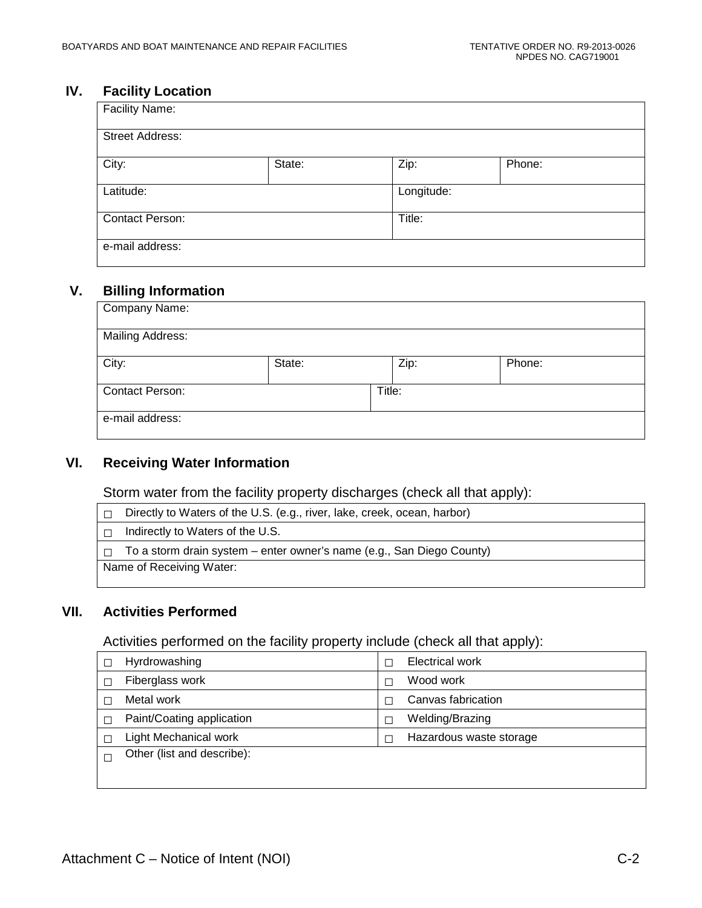# **IV. Facility Location**

| <b>Facility Name:</b>  |        |            |        |  |  |
|------------------------|--------|------------|--------|--|--|
| <b>Street Address:</b> |        |            |        |  |  |
| City:                  | State: | Zip:       | Phone: |  |  |
| Latitude:              |        | Longitude: |        |  |  |
| <b>Contact Person:</b> |        | Title:     |        |  |  |
| e-mail address:        |        |            |        |  |  |

#### **V. Billing Information**

| Company Name:           |        |        |        |  |
|-------------------------|--------|--------|--------|--|
| <b>Mailing Address:</b> |        |        |        |  |
| City:                   | State: | Zip:   | Phone: |  |
| Contact Person:         |        | Title: |        |  |
| e-mail address:         |        |        |        |  |

### **VI. Receiving Water Information**

Storm water from the facility property discharges (check all that apply):

| Directly to Waters of the U.S. (e.g., river, lake, creek, ocean, harbor) |
|--------------------------------------------------------------------------|
| Indirectly to Waters of the U.S.                                         |
| To a storm drain system – enter owner's name (e.g., San Diego County)    |
| Name of Receiving Water:                                                 |
|                                                                          |

#### **VII. Activities Performed**

Activities performed on the facility property include (check all that apply):

| Hyrdrowashing              | <b>Electrical work</b>  |
|----------------------------|-------------------------|
| Fiberglass work            | Wood work               |
| Metal work                 | Canvas fabrication      |
| Paint/Coating application  | Welding/Brazing         |
| Light Mechanical work      | Hazardous waste storage |
| Other (list and describe): |                         |
|                            |                         |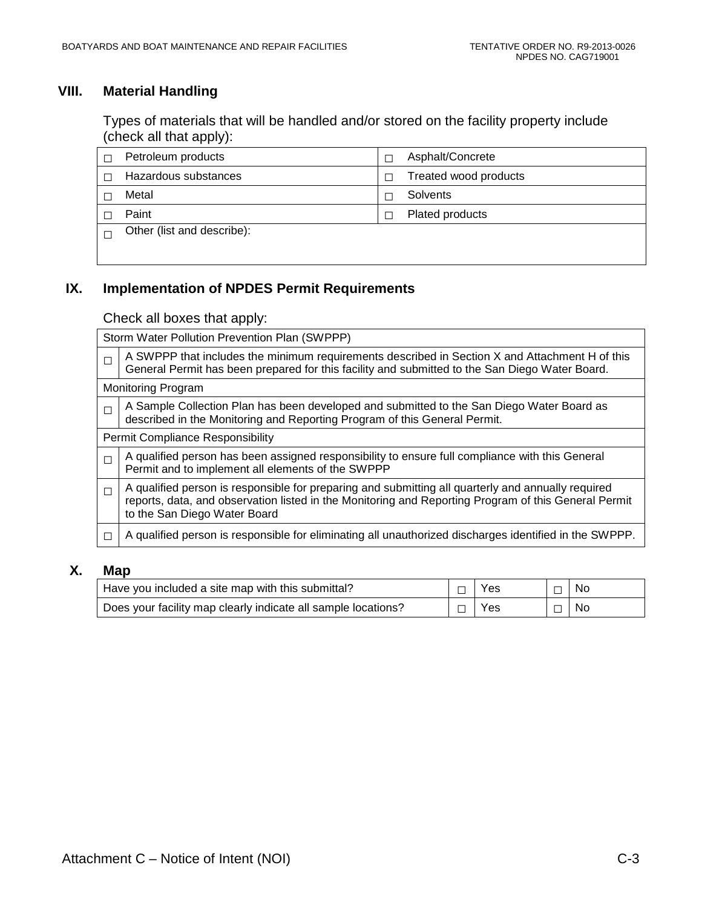# **VIII. Material Handling**

Types of materials that will be handled and/or stored on the facility property include (check all that apply):

| Petroleum products         | Asphalt/Concrete      |
|----------------------------|-----------------------|
| Hazardous substances       | Treated wood products |
| Metal                      | Solvents              |
| Paint                      | Plated products       |
| Other (list and describe): |                       |
|                            |                       |

### **IX. Implementation of NPDES Permit Requirements**

Check all boxes that apply:

|        | Storm Water Pollution Prevention Plan (SWPPP)                                                                                                                                                                                              |
|--------|--------------------------------------------------------------------------------------------------------------------------------------------------------------------------------------------------------------------------------------------|
| $\Box$ | A SWPPP that includes the minimum requirements described in Section X and Attachment H of this<br>General Permit has been prepared for this facility and submitted to the San Diego Water Board.                                           |
|        | <b>Monitoring Program</b>                                                                                                                                                                                                                  |
| $\Box$ | A Sample Collection Plan has been developed and submitted to the San Diego Water Board as<br>described in the Monitoring and Reporting Program of this General Permit.                                                                     |
|        | Permit Compliance Responsibility                                                                                                                                                                                                           |
| $\Box$ | A qualified person has been assigned responsibility to ensure full compliance with this General<br>Permit and to implement all elements of the SWPPP                                                                                       |
| $\Box$ | A qualified person is responsible for preparing and submitting all quarterly and annually required<br>reports, data, and observation listed in the Monitoring and Reporting Program of this General Permit<br>to the San Diego Water Board |
|        | A qualified person is responsible for eliminating all unauthorized discharges identified in the SWPPP.                                                                                                                                     |

### **X. Map**

| Have you included a site map with this submittal?             | Yes        |                          | No |
|---------------------------------------------------------------|------------|--------------------------|----|
| Does your facility map clearly indicate all sample locations? | <b>Yes</b> | $\overline{\phantom{0}}$ | No |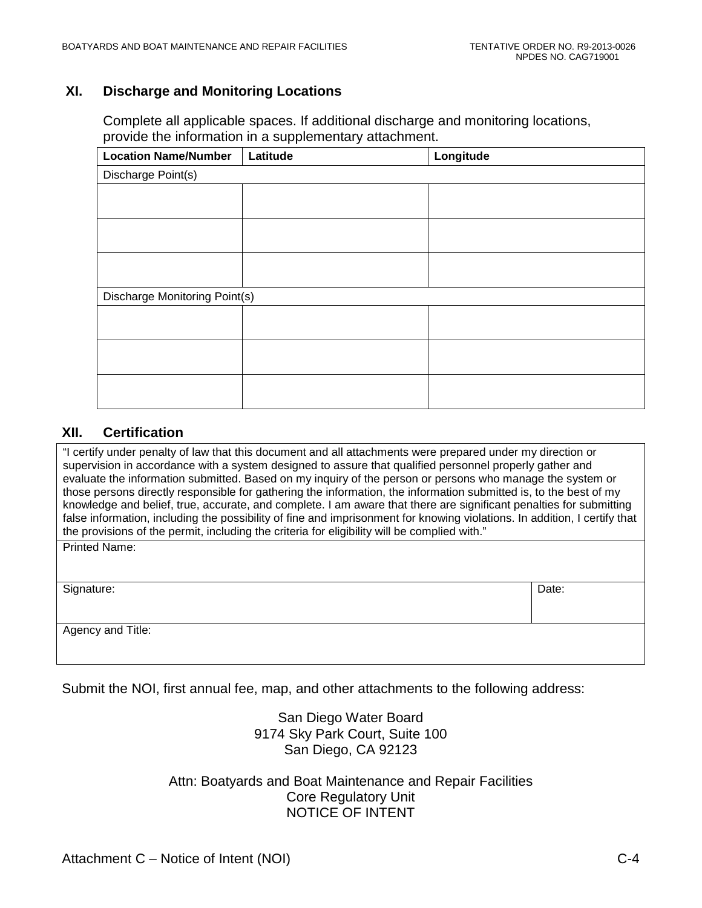#### **XI. Discharge and Monitoring Locations**

Complete all applicable spaces. If additional discharge and monitoring locations, provide the information in a supplementary attachment.

| <b>Location Name/Number</b>   | Latitude | Longitude |  |  |  |
|-------------------------------|----------|-----------|--|--|--|
| Discharge Point(s)            |          |           |  |  |  |
|                               |          |           |  |  |  |
|                               |          |           |  |  |  |
|                               |          |           |  |  |  |
|                               |          |           |  |  |  |
|                               |          |           |  |  |  |
|                               |          |           |  |  |  |
| Discharge Monitoring Point(s) |          |           |  |  |  |
|                               |          |           |  |  |  |
|                               |          |           |  |  |  |
|                               |          |           |  |  |  |
|                               |          |           |  |  |  |
|                               |          |           |  |  |  |
|                               |          |           |  |  |  |

#### **XII. Certification**

"I certify under penalty of law that this document and all attachments were prepared under my direction or supervision in accordance with a system designed to assure that qualified personnel properly gather and evaluate the information submitted. Based on my inquiry of the person or persons who manage the system or those persons directly responsible for gathering the information, the information submitted is, to the best of my knowledge and belief, true, accurate, and complete. I am aware that there are significant penalties for submitting false information, including the possibility of fine and imprisonment for knowing violations. In addition, I certify that the provisions of the permit, including the criteria for eligibility will be complied with." Printed Name:

| Signature:        | Date: |
|-------------------|-------|
| Agency and Title: |       |

Submit the NOI, first annual fee, map, and other attachments to the following address:

San Diego Water Board 9174 Sky Park Court, Suite 100 San Diego, CA 92123

Attn: Boatyards and Boat Maintenance and Repair Facilities Core Regulatory Unit NOTICE OF INTENT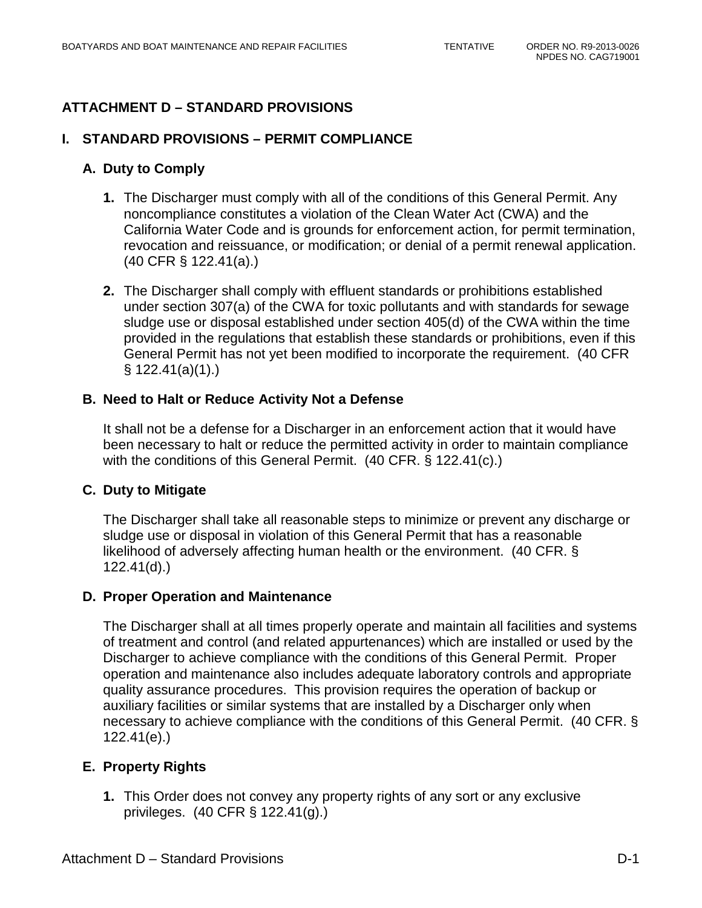# **ATTACHMENT D – STANDARD PROVISIONS**

### **I. STANDARD PROVISIONS – PERMIT COMPLIANCE**

### **A. Duty to Comply**

- **1.** The Discharger must comply with all of the conditions of this General Permit. Any noncompliance constitutes a violation of the Clean Water Act (CWA) and the California Water Code and is grounds for enforcement action, for permit termination, revocation and reissuance, or modification; or denial of a permit renewal application. (40 CFR § 122.41(a).)
- **2.** The Discharger shall comply with effluent standards or prohibitions established under section 307(a) of the CWA for toxic pollutants and with standards for sewage sludge use or disposal established under section 405(d) of the CWA within the time provided in the regulations that establish these standards or prohibitions, even if this General Permit has not yet been modified to incorporate the requirement. (40 CFR § 122.41(a)(1).)

#### **B. Need to Halt or Reduce Activity Not a Defense**

It shall not be a defense for a Discharger in an enforcement action that it would have been necessary to halt or reduce the permitted activity in order to maintain compliance with the conditions of this General Permit. (40 CFR. § 122.41(c).)

### **C. Duty to Mitigate**

The Discharger shall take all reasonable steps to minimize or prevent any discharge or sludge use or disposal in violation of this General Permit that has a reasonable likelihood of adversely affecting human health or the environment. (40 CFR. § 122.41(d).)

#### **D. Proper Operation and Maintenance**

The Discharger shall at all times properly operate and maintain all facilities and systems of treatment and control (and related appurtenances) which are installed or used by the Discharger to achieve compliance with the conditions of this General Permit. Proper operation and maintenance also includes adequate laboratory controls and appropriate quality assurance procedures. This provision requires the operation of backup or auxiliary facilities or similar systems that are installed by a Discharger only when necessary to achieve compliance with the conditions of this General Permit. (40 CFR. § 122.41(e).)

### **E. Property Rights**

**1.** This Order does not convey any property rights of any sort or any exclusive privileges. (40 CFR § 122.41(g).)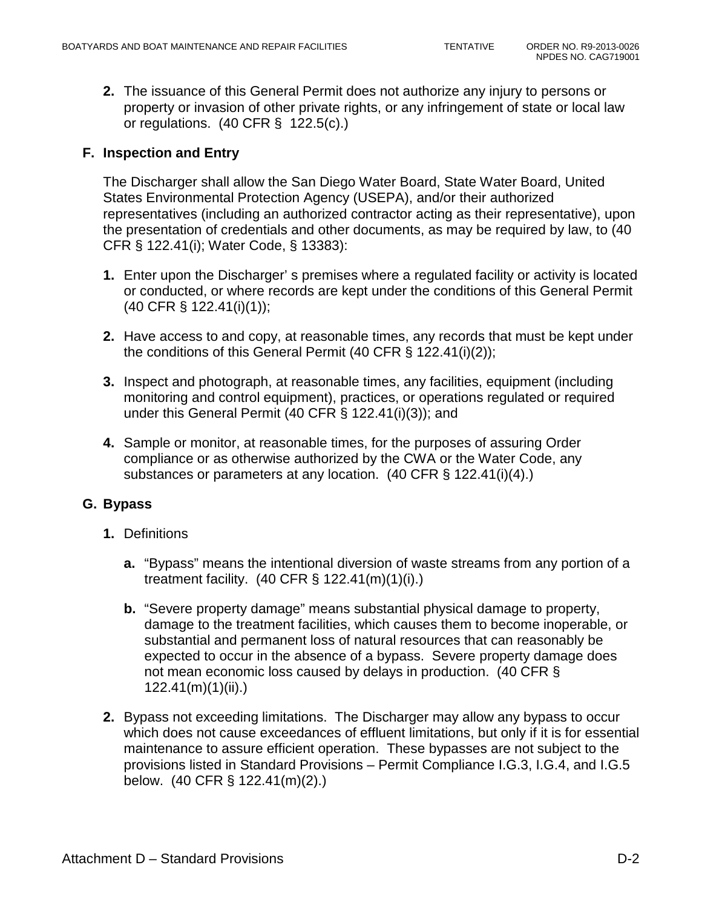**2.** The issuance of this General Permit does not authorize any injury to persons or property or invasion of other private rights, or any infringement of state or local law or regulations. (40 CFR § 122.5(c).)

#### **F. Inspection and Entry**

The Discharger shall allow the San Diego Water Board, State Water Board, United States Environmental Protection Agency (USEPA), and/or their authorized representatives (including an authorized contractor acting as their representative), upon the presentation of credentials and other documents, as may be required by law, to (40 CFR § 122.41(i); Water Code, § 13383):

- **1.** Enter upon the Discharger' s premises where a regulated facility or activity is located or conducted, or where records are kept under the conditions of this General Permit (40 CFR § 122.41(i)(1));
- **2.** Have access to and copy, at reasonable times, any records that must be kept under the conditions of this General Permit (40 CFR § 122.41(i)(2));
- **3.** Inspect and photograph, at reasonable times, any facilities, equipment (including monitoring and control equipment), practices, or operations regulated or required under this General Permit (40 CFR § 122.41(i)(3)); and
- **4.** Sample or monitor, at reasonable times, for the purposes of assuring Order compliance or as otherwise authorized by the CWA or the Water Code, any substances or parameters at any location. (40 CFR § 122.41(i)(4).)

### **G. Bypass**

- **1.** Definitions
	- **a.** "Bypass" means the intentional diversion of waste streams from any portion of a treatment facility. (40 CFR § 122.41(m)(1)(i).)
	- **b.** "Severe property damage" means substantial physical damage to property, damage to the treatment facilities, which causes them to become inoperable, or substantial and permanent loss of natural resources that can reasonably be expected to occur in the absence of a bypass. Severe property damage does not mean economic loss caused by delays in production. (40 CFR § 122.41(m)(1)(ii).)
- **2.** Bypass not exceeding limitations. The Discharger may allow any bypass to occur which does not cause exceedances of effluent limitations, but only if it is for essential maintenance to assure efficient operation. These bypasses are not subject to the provisions listed in Standard Provisions – Permit Compliance I.G.3, I.G.4, and I.G.5 below. (40 CFR § 122.41(m)(2).)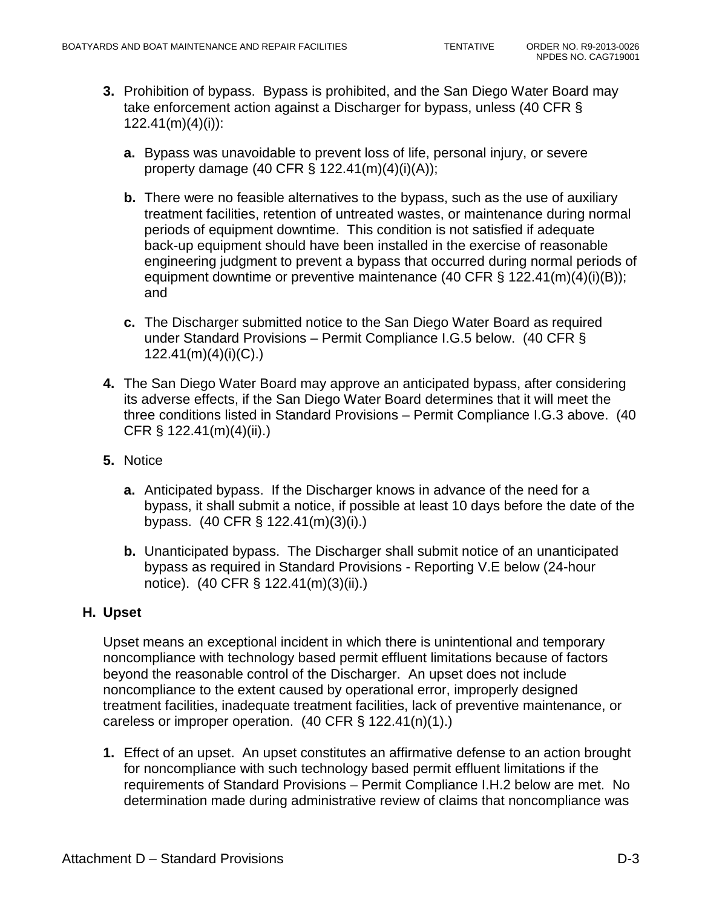- **3.** Prohibition of bypass. Bypass is prohibited, and the San Diego Water Board may take enforcement action against a Discharger for bypass, unless (40 CFR §  $122.41(m)(4)(i)$ :
	- **a.** Bypass was unavoidable to prevent loss of life, personal injury, or severe property damage (40 CFR § 122.41(m)(4)(i)(A));
	- **b.** There were no feasible alternatives to the bypass, such as the use of auxiliary treatment facilities, retention of untreated wastes, or maintenance during normal periods of equipment downtime. This condition is not satisfied if adequate back-up equipment should have been installed in the exercise of reasonable engineering judgment to prevent a bypass that occurred during normal periods of equipment downtime or preventive maintenance (40 CFR § 122.41(m)(4)(i)(B)); and
	- **c.** The Discharger submitted notice to the San Diego Water Board as required under Standard Provisions – Permit Compliance I.G.5 below. (40 CFR § 122.41(m)(4)(i)(C).)
- **4.** The San Diego Water Board may approve an anticipated bypass, after considering its adverse effects, if the San Diego Water Board determines that it will meet the three conditions listed in Standard Provisions – Permit Compliance I.G.3 above. (40 CFR § 122.41(m)(4)(ii).)
- **5.** Notice
	- **a.** Anticipated bypass. If the Discharger knows in advance of the need for a bypass, it shall submit a notice, if possible at least 10 days before the date of the bypass. (40 CFR § 122.41(m)(3)(i).)
	- **b.** Unanticipated bypass. The Discharger shall submit notice of an unanticipated bypass as required in Standard Provisions - Reporting V.E below (24-hour notice). (40 CFR § 122.41(m)(3)(ii).)

### **H. Upset**

Upset means an exceptional incident in which there is unintentional and temporary noncompliance with technology based permit effluent limitations because of factors beyond the reasonable control of the Discharger. An upset does not include noncompliance to the extent caused by operational error, improperly designed treatment facilities, inadequate treatment facilities, lack of preventive maintenance, or careless or improper operation. (40 CFR § 122.41(n)(1).)

**1.** Effect of an upset. An upset constitutes an affirmative defense to an action brought for noncompliance with such technology based permit effluent limitations if the requirements of Standard Provisions – Permit Compliance I.H.2 below are met. No determination made during administrative review of claims that noncompliance was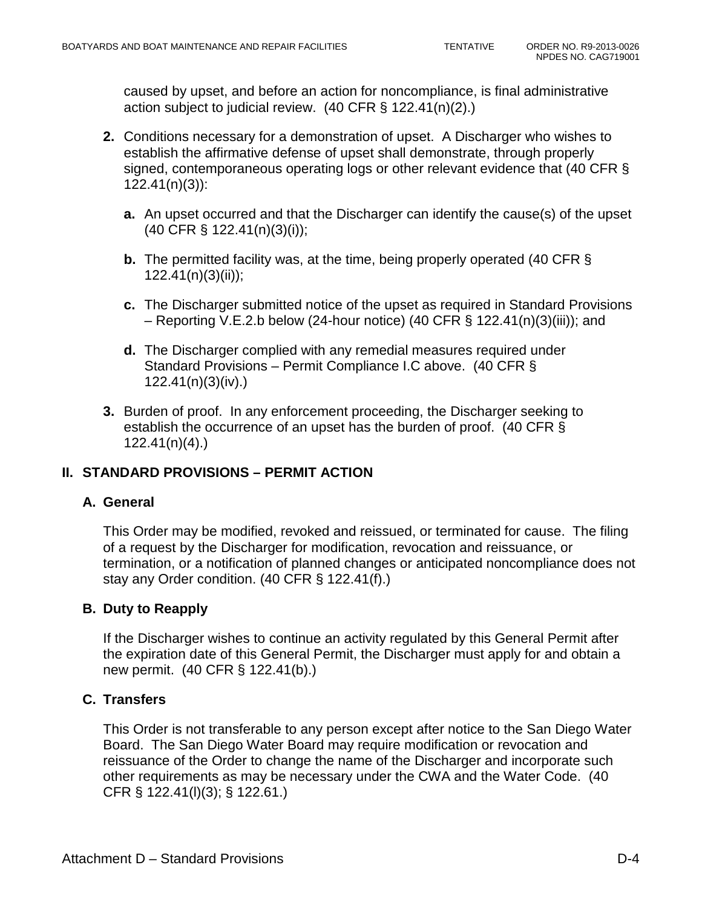caused by upset, and before an action for noncompliance, is final administrative action subject to judicial review. (40 CFR § 122.41(n)(2).)

- **2.** Conditions necessary for a demonstration of upset. A Discharger who wishes to establish the affirmative defense of upset shall demonstrate, through properly signed, contemporaneous operating logs or other relevant evidence that (40 CFR § 122.41(n)(3)):
	- **a.** An upset occurred and that the Discharger can identify the cause(s) of the upset (40 CFR § 122.41(n)(3)(i));
	- **b.** The permitted facility was, at the time, being properly operated (40 CFR § 122.41(n)(3)(ii));
	- **c.** The Discharger submitted notice of the upset as required in Standard Provisions – Reporting V.E.2.b below (24-hour notice) (40 CFR § 122.41(n)(3)(iii)); and
	- **d.** The Discharger complied with any remedial measures required under Standard Provisions – Permit Compliance I.C above. (40 CFR § 122.41(n)(3)(iv).)
- **3.** Burden of proof. In any enforcement proceeding, the Discharger seeking to establish the occurrence of an upset has the burden of proof. (40 CFR § 122.41(n)(4).)

# **II. STANDARD PROVISIONS – PERMIT ACTION**

### **A. General**

This Order may be modified, revoked and reissued, or terminated for cause. The filing of a request by the Discharger for modification, revocation and reissuance, or termination, or a notification of planned changes or anticipated noncompliance does not stay any Order condition. (40 CFR § 122.41(f).)

### **B. Duty to Reapply**

If the Discharger wishes to continue an activity regulated by this General Permit after the expiration date of this General Permit, the Discharger must apply for and obtain a new permit. (40 CFR § 122.41(b).)

### **C. Transfers**

This Order is not transferable to any person except after notice to the San Diego Water Board. The San Diego Water Board may require modification or revocation and reissuance of the Order to change the name of the Discharger and incorporate such other requirements as may be necessary under the CWA and the Water Code. (40 CFR § 122.41(l)(3); § 122.61.)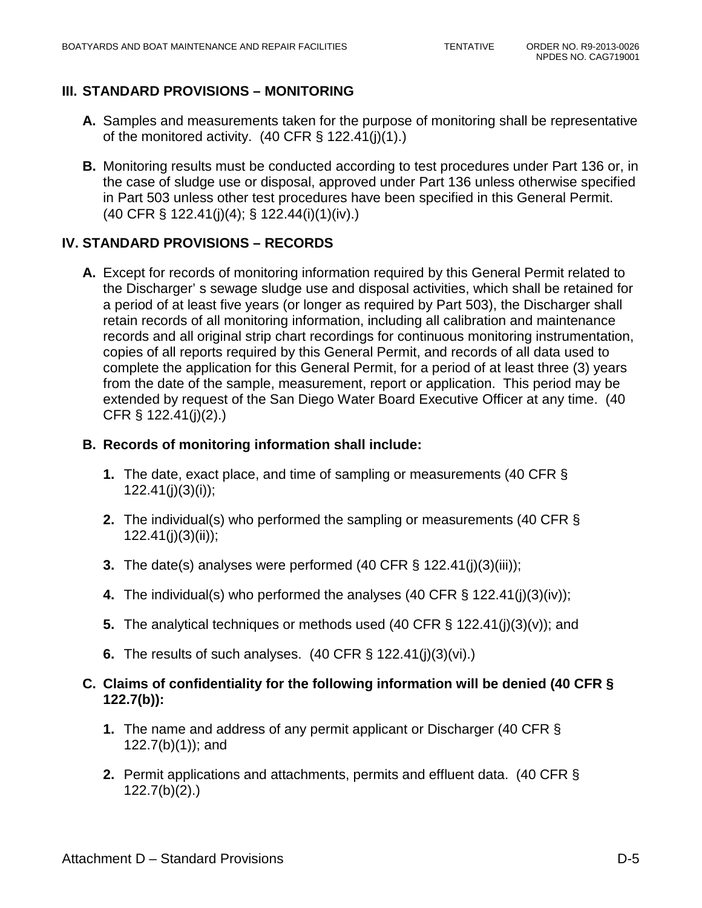# **III. STANDARD PROVISIONS – MONITORING**

- **A.** Samples and measurements taken for the purpose of monitoring shall be representative of the monitored activity.  $(40 \text{ CFR} \text{S} 122.41(j)(1))$
- **B.** Monitoring results must be conducted according to test procedures under Part 136 or, in the case of sludge use or disposal, approved under Part 136 unless otherwise specified in Part 503 unless other test procedures have been specified in this General Permit. (40 CFR § 122.41(j)(4); § 122.44(i)(1)(iv).)

### **IV. STANDARD PROVISIONS – RECORDS**

**A.** Except for records of monitoring information required by this General Permit related to the Discharger' s sewage sludge use and disposal activities, which shall be retained for a period of at least five years (or longer as required by Part 503), the Discharger shall retain records of all monitoring information, including all calibration and maintenance records and all original strip chart recordings for continuous monitoring instrumentation, copies of all reports required by this General Permit, and records of all data used to complete the application for this General Permit, for a period of at least three (3) years from the date of the sample, measurement, report or application. This period may be extended by request of the San Diego Water Board Executive Officer at any time. (40 CFR § 122.41(j)(2).)

#### **B. Records of monitoring information shall include:**

- **1.** The date, exact place, and time of sampling or measurements (40 CFR §  $122.41(j)(3)(i)$ ;
- **2.** The individual(s) who performed the sampling or measurements (40 CFR § 122.41(j)(3)(ii));
- **3.** The date(s) analyses were performed (40 CFR § 122.41(j)(3)(iii));
- **4.** The individual(s) who performed the analyses (40 CFR § 122.41(j)(3)(iv));
- **5.** The analytical techniques or methods used (40 CFR § 122.41(j)(3)(v)); and
- **6.** The results of such analyses. (40 CFR § 122.41(j)(3)(vi).)
- **C. Claims of confidentiality for the following information will be denied (40 CFR § 122.7(b)):**
	- **1.** The name and address of any permit applicant or Discharger (40 CFR § 122.7(b)(1)); and
	- **2.** Permit applications and attachments, permits and effluent data. (40 CFR § 122.7(b)(2).)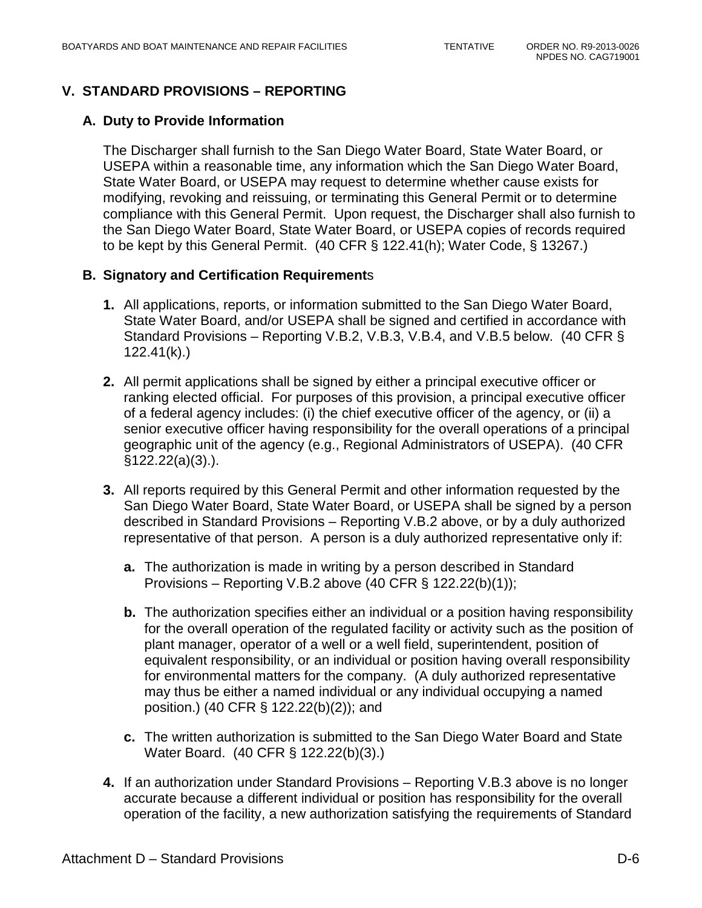# **V. STANDARD PROVISIONS – REPORTING**

### **A. Duty to Provide Information**

The Discharger shall furnish to the San Diego Water Board, State Water Board, or USEPA within a reasonable time, any information which the San Diego Water Board, State Water Board, or USEPA may request to determine whether cause exists for modifying, revoking and reissuing, or terminating this General Permit or to determine compliance with this General Permit. Upon request, the Discharger shall also furnish to the San Diego Water Board, State Water Board, or USEPA copies of records required to be kept by this General Permit. (40 CFR § 122.41(h); Water Code, § 13267.)

### **B. Signatory and Certification Requirement**s

- **1.** All applications, reports, or information submitted to the San Diego Water Board, State Water Board, and/or USEPA shall be signed and certified in accordance with Standard Provisions – Reporting V.B.2, V.B.3, V.B.4, and V.B.5 below. (40 CFR § 122.41(k).)
- **2.** All permit applications shall be signed by either a principal executive officer or ranking elected official. For purposes of this provision, a principal executive officer of a federal agency includes: (i) the chief executive officer of the agency, or (ii) a senior executive officer having responsibility for the overall operations of a principal geographic unit of the agency (e.g., Regional Administrators of USEPA). (40 CFR §122.22(a)(3).).
- **3.** All reports required by this General Permit and other information requested by the San Diego Water Board, State Water Board, or USEPA shall be signed by a person described in Standard Provisions – Reporting V.B.2 above, or by a duly authorized representative of that person. A person is a duly authorized representative only if:
	- **a.** The authorization is made in writing by a person described in Standard Provisions – Reporting V.B.2 above  $(40 \text{ CFR} \text{S} 122.22(b)(1));$
	- **b.** The authorization specifies either an individual or a position having responsibility for the overall operation of the regulated facility or activity such as the position of plant manager, operator of a well or a well field, superintendent, position of equivalent responsibility, or an individual or position having overall responsibility for environmental matters for the company. (A duly authorized representative may thus be either a named individual or any individual occupying a named position.) (40 CFR § 122.22(b)(2)); and
	- **c.** The written authorization is submitted to the San Diego Water Board and State Water Board. (40 CFR § 122.22(b)(3).)
- **4.** If an authorization under Standard Provisions Reporting V.B.3 above is no longer accurate because a different individual or position has responsibility for the overall operation of the facility, a new authorization satisfying the requirements of Standard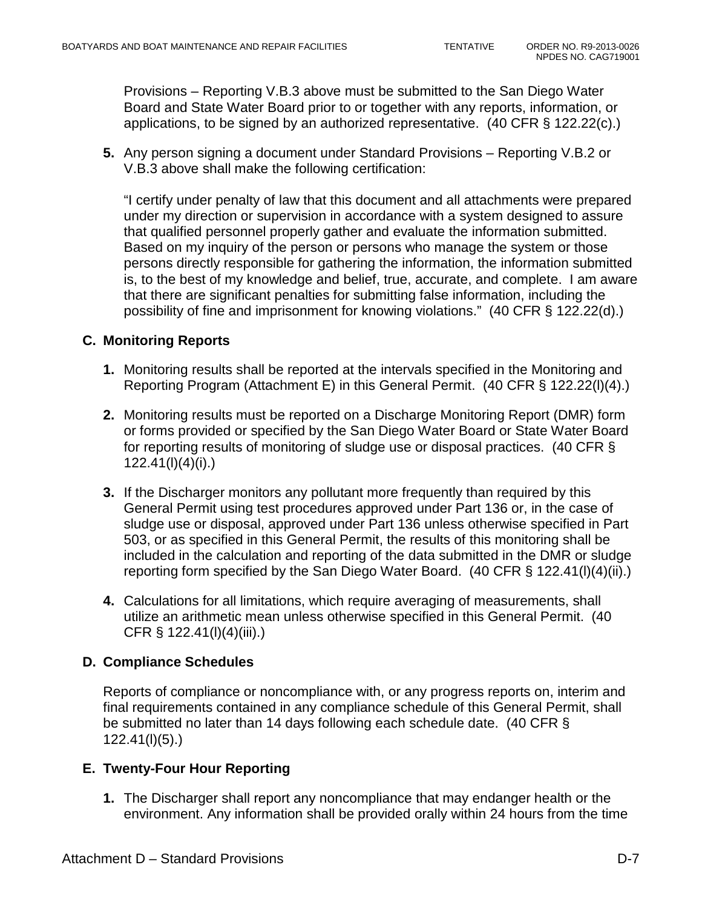Provisions – Reporting V.B.3 above must be submitted to the San Diego Water Board and State Water Board prior to or together with any reports, information, or applications, to be signed by an authorized representative. (40 CFR § 122.22(c).)

**5.** Any person signing a document under Standard Provisions – Reporting V.B.2 or V.B.3 above shall make the following certification:

"I certify under penalty of law that this document and all attachments were prepared under my direction or supervision in accordance with a system designed to assure that qualified personnel properly gather and evaluate the information submitted. Based on my inquiry of the person or persons who manage the system or those persons directly responsible for gathering the information, the information submitted is, to the best of my knowledge and belief, true, accurate, and complete. I am aware that there are significant penalties for submitting false information, including the possibility of fine and imprisonment for knowing violations." (40 CFR § 122.22(d).)

### **C. Monitoring Reports**

- **1.** Monitoring results shall be reported at the intervals specified in the Monitoring and Reporting Program (Attachment E) in this General Permit. (40 CFR § 122.22(l)(4).)
- **2.** Monitoring results must be reported on a Discharge Monitoring Report (DMR) form or forms provided or specified by the San Diego Water Board or State Water Board for reporting results of monitoring of sludge use or disposal practices. (40 CFR § 122.41(l)(4)(i).)
- **3.** If the Discharger monitors any pollutant more frequently than required by this General Permit using test procedures approved under Part 136 or, in the case of sludge use or disposal, approved under Part 136 unless otherwise specified in Part 503, or as specified in this General Permit, the results of this monitoring shall be included in the calculation and reporting of the data submitted in the DMR or sludge reporting form specified by the San Diego Water Board. (40 CFR § 122.41(l)(4)(ii).)
- **4.** Calculations for all limitations, which require averaging of measurements, shall utilize an arithmetic mean unless otherwise specified in this General Permit. (40 CFR § 122.41(l)(4)(iii).)

### **D. Compliance Schedules**

Reports of compliance or noncompliance with, or any progress reports on, interim and final requirements contained in any compliance schedule of this General Permit, shall be submitted no later than 14 days following each schedule date. (40 CFR § 122.41(l)(5).)

### **E. Twenty-Four Hour Reporting**

**1.** The Discharger shall report any noncompliance that may endanger health or the environment. Any information shall be provided orally within 24 hours from the time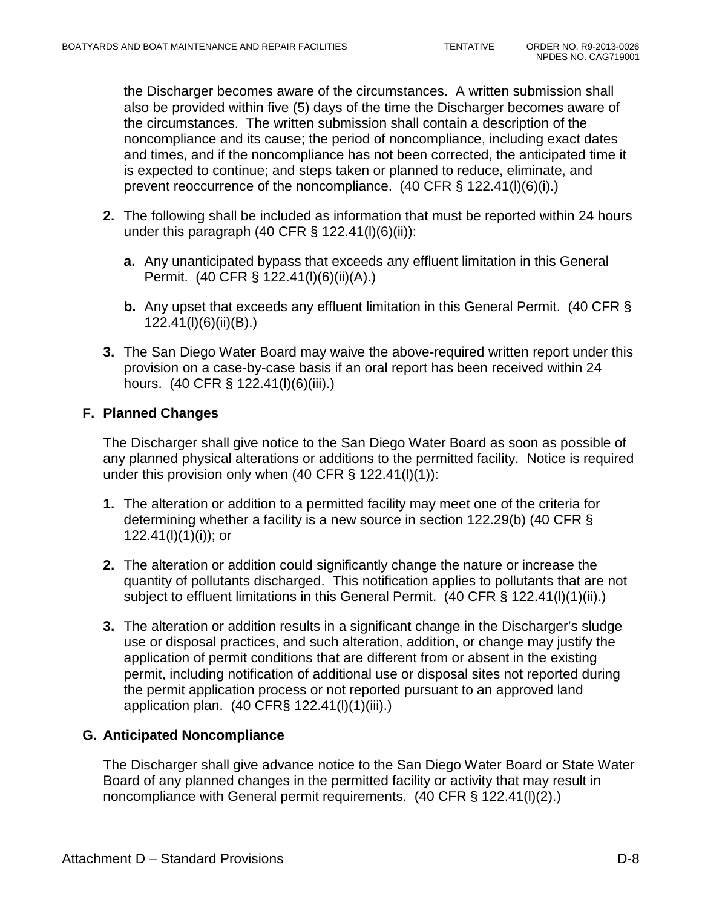the Discharger becomes aware of the circumstances. A written submission shall also be provided within five (5) days of the time the Discharger becomes aware of the circumstances. The written submission shall contain a description of the noncompliance and its cause; the period of noncompliance, including exact dates and times, and if the noncompliance has not been corrected, the anticipated time it is expected to continue; and steps taken or planned to reduce, eliminate, and prevent reoccurrence of the noncompliance. (40 CFR § 122.41(l)(6)(i).)

- **2.** The following shall be included as information that must be reported within 24 hours under this paragraph (40 CFR  $\S$  122.41(l)(6)(ii)):
	- **a.** Any unanticipated bypass that exceeds any effluent limitation in this General Permit. (40 CFR § 122.41(l)(6)(ii)(A).)
	- **b.** Any upset that exceeds any effluent limitation in this General Permit. (40 CFR § 122.41(l)(6)(ii)(B).)
- **3.** The San Diego Water Board may waive the above-required written report under this provision on a case-by-case basis if an oral report has been received within 24 hours. (40 CFR § 122.41(l)(6)(iii).)

### **F. Planned Changes**

The Discharger shall give notice to the San Diego Water Board as soon as possible of any planned physical alterations or additions to the permitted facility. Notice is required under this provision only when (40 CFR § 122.41(l)(1)):

- **1.** The alteration or addition to a permitted facility may meet one of the criteria for determining whether a facility is a new source in section 122.29(b) (40 CFR §  $122.41(l)(1)(i)$ ; or
- **2.** The alteration or addition could significantly change the nature or increase the quantity of pollutants discharged. This notification applies to pollutants that are not subject to effluent limitations in this General Permit. (40 CFR § 122.41(l)(1)(ii).)
- **3.** The alteration or addition results in a significant change in the Discharger's sludge use or disposal practices, and such alteration, addition, or change may justify the application of permit conditions that are different from or absent in the existing permit, including notification of additional use or disposal sites not reported during the permit application process or not reported pursuant to an approved land application plan. (40 CFR§ 122.41(l)(1)(iii).)

# **G. Anticipated Noncompliance**

The Discharger shall give advance notice to the San Diego Water Board or State Water Board of any planned changes in the permitted facility or activity that may result in noncompliance with General permit requirements. (40 CFR § 122.41(l)(2).)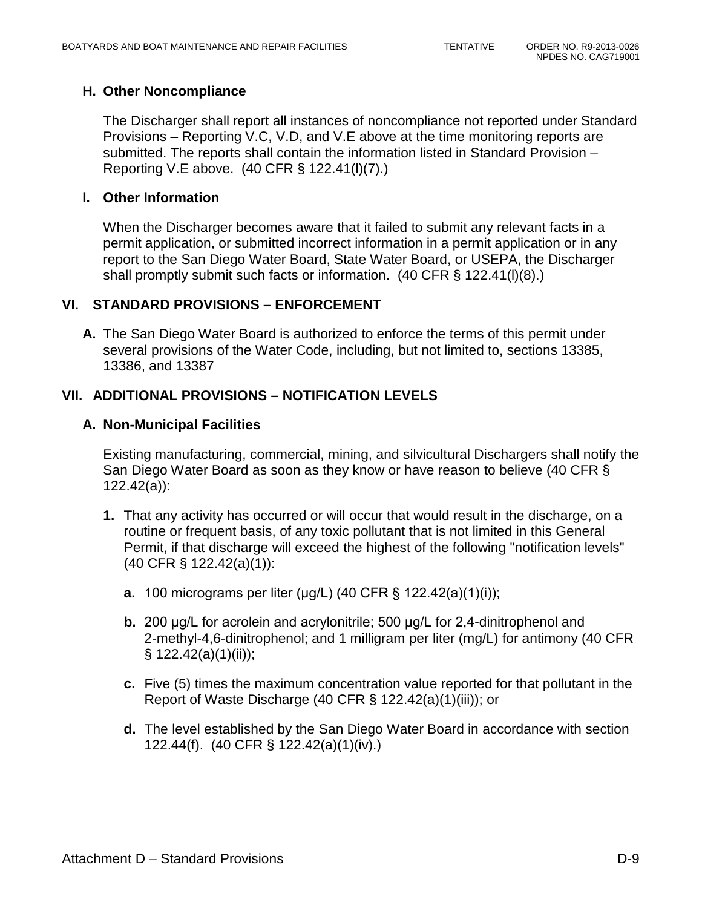### **H. Other Noncompliance**

The Discharger shall report all instances of noncompliance not reported under Standard Provisions – Reporting V.C, V.D, and V.E above at the time monitoring reports are submitted. The reports shall contain the information listed in Standard Provision – Reporting V.E above. (40 CFR § 122.41(l)(7).)

### **I. Other Information**

When the Discharger becomes aware that it failed to submit any relevant facts in a permit application, or submitted incorrect information in a permit application or in any report to the San Diego Water Board, State Water Board, or USEPA, the Discharger shall promptly submit such facts or information. (40 CFR § 122.41(l)(8).)

### **VI. STANDARD PROVISIONS – ENFORCEMENT**

**A.** The San Diego Water Board is authorized to enforce the terms of this permit under several provisions of the Water Code, including, but not limited to, sections 13385, 13386, and 13387

### **VII. ADDITIONAL PROVISIONS – NOTIFICATION LEVELS**

### **A. Non-Municipal Facilities**

Existing manufacturing, commercial, mining, and silvicultural Dischargers shall notify the San Diego Water Board as soon as they know or have reason to believe (40 CFR § 122.42(a)):

- **1.** That any activity has occurred or will occur that would result in the discharge, on a routine or frequent basis, of any toxic pollutant that is not limited in this General Permit, if that discharge will exceed the highest of the following "notification levels" (40 CFR § 122.42(a)(1)):
	- **a.** 100 micrograms per liter (μg/L) (40 CFR § 122.42(a)(1)(i));
	- **b.** 200 μg/L for acrolein and acrylonitrile; 500 μg/L for 2,4-dinitrophenol and 2-methyl-4,6-dinitrophenol; and 1 milligram per liter (mg/L) for antimony (40 CFR § 122.42(a)(1)(ii));
	- **c.** Five (5) times the maximum concentration value reported for that pollutant in the Report of Waste Discharge (40 CFR § 122.42(a)(1)(iii)); or
	- **d.** The level established by the San Diego Water Board in accordance with section 122.44(f). (40 CFR § 122.42(a)(1)(iv).)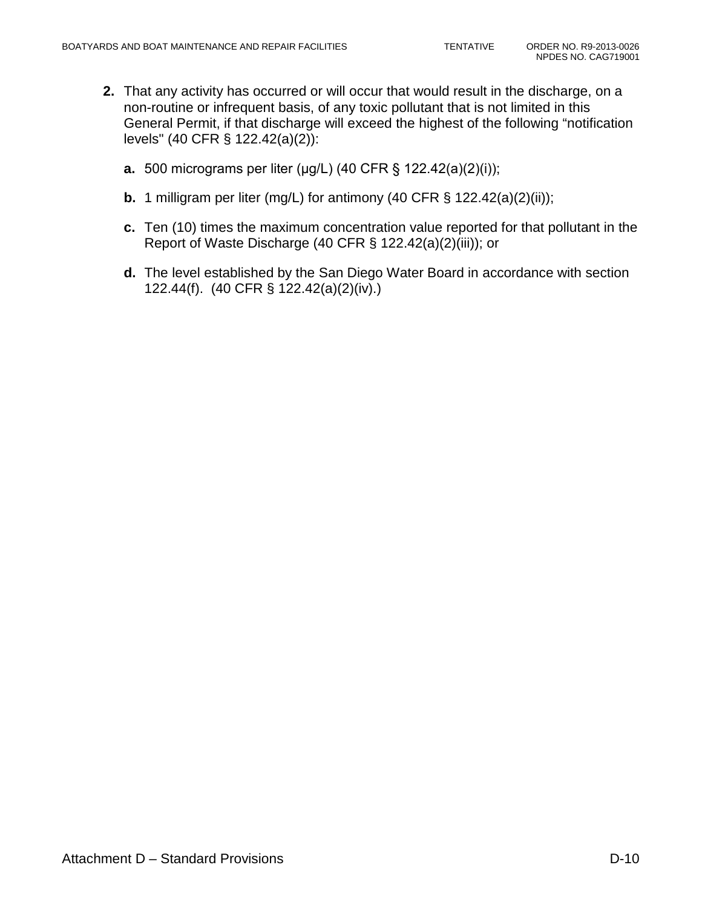- **2.** That any activity has occurred or will occur that would result in the discharge, on a non-routine or infrequent basis, of any toxic pollutant that is not limited in this General Permit, if that discharge will exceed the highest of the following "notification levels" (40 CFR § 122.42(a)(2)):
	- **a.** 500 micrograms per liter (μg/L) (40 CFR § 122.42(a)(2)(i));
	- **b.** 1 milligram per liter (mg/L) for antimony (40 CFR § 122.42(a)(2)(ii));
	- **c.** Ten (10) times the maximum concentration value reported for that pollutant in the Report of Waste Discharge (40 CFR § 122.42(a)(2)(iii)); or
	- **d.** The level established by the San Diego Water Board in accordance with section 122.44(f). (40 CFR § 122.42(a)(2)(iv).)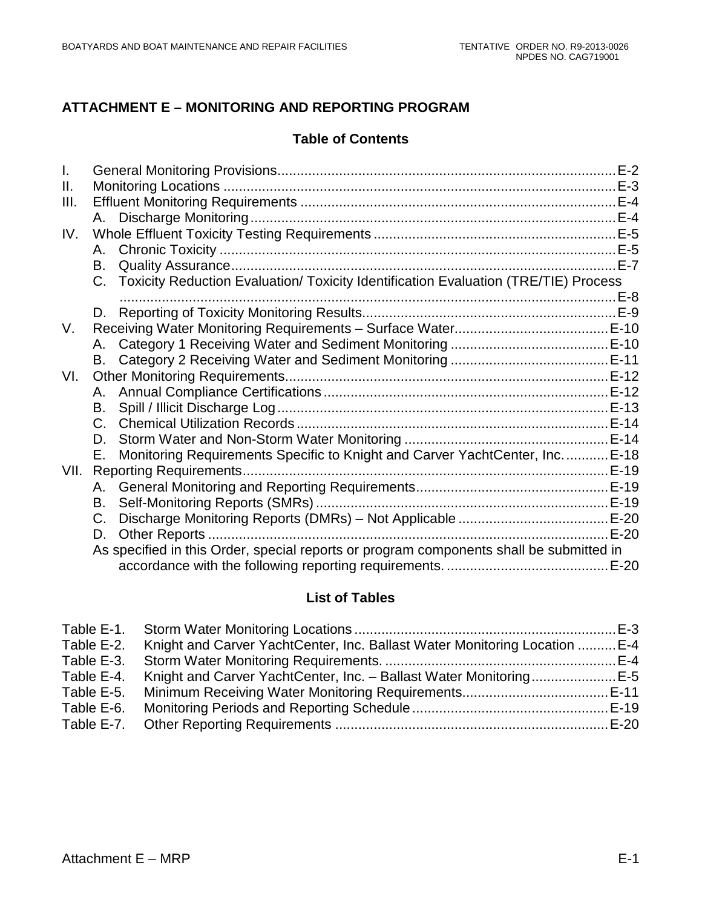# **ATTACHMENT E – MONITORING AND REPORTING PROGRAM**

#### **Table of Contents**

| Ш.   |    |                                                                                         |        |
|------|----|-----------------------------------------------------------------------------------------|--------|
| III. |    |                                                                                         |        |
|      |    |                                                                                         |        |
| IV.  |    |                                                                                         |        |
|      |    |                                                                                         |        |
|      |    |                                                                                         | $E-7$  |
|      |    | C. Toxicity Reduction Evaluation/ Toxicity Identification Evaluation (TRE/TIE) Process  |        |
|      |    |                                                                                         |        |
|      |    |                                                                                         |        |
| V.   |    |                                                                                         |        |
|      |    |                                                                                         |        |
|      |    |                                                                                         |        |
| VI.  |    |                                                                                         |        |
|      |    |                                                                                         |        |
|      |    |                                                                                         |        |
|      |    |                                                                                         |        |
|      |    |                                                                                         |        |
|      | Е. | Monitoring Requirements Specific to Knight and Carver YachtCenter, Inc.  E-18           |        |
| VII. |    |                                                                                         |        |
|      |    |                                                                                         |        |
|      | В. |                                                                                         |        |
|      | C. |                                                                                         |        |
|      | D. |                                                                                         | $E-20$ |
|      |    | As specified in this Order, special reports or program components shall be submitted in |        |
|      |    |                                                                                         |        |

# **List of Tables**

| Table E-2. | Knight and Carver YachtCenter, Inc. Ballast Water Monitoring Location  E-4 |  |
|------------|----------------------------------------------------------------------------|--|
| Table E-3. |                                                                            |  |
| Table E-4. | Knight and Carver YachtCenter, Inc. - Ballast Water MonitoringE-5          |  |
| Table E-5. |                                                                            |  |
| Table E-6. |                                                                            |  |
|            |                                                                            |  |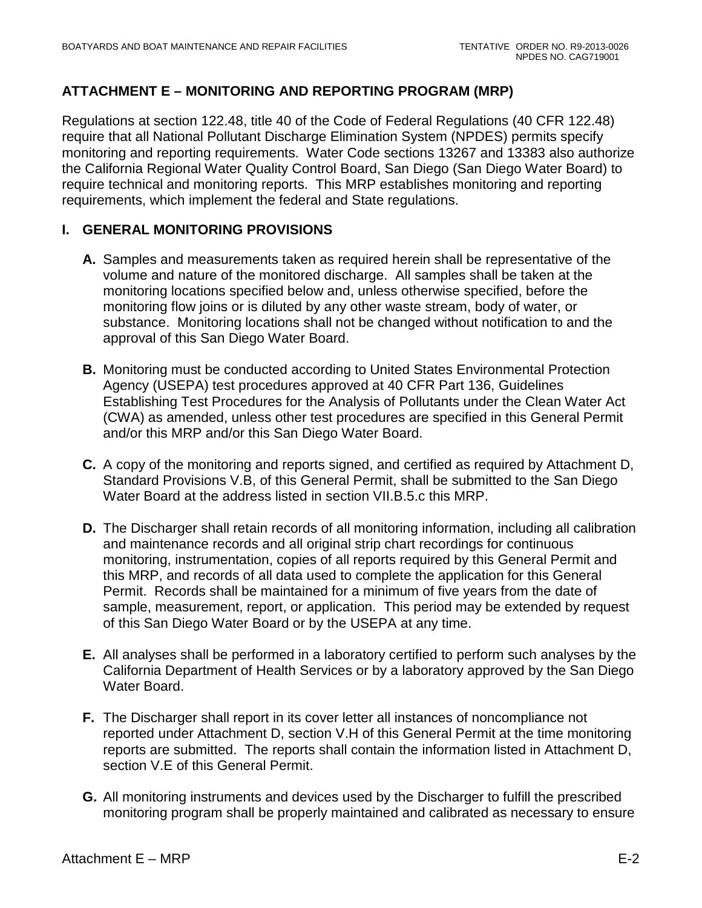### **ATTACHMENT E – MONITORING AND REPORTING PROGRAM (MRP)**

Regulations at section 122.48, title 40 of the Code of Federal Regulations (40 CFR 122.48) require that all National Pollutant Discharge Elimination System (NPDES) permits specify monitoring and reporting requirements. Water Code sections 13267 and 13383 also authorize the California Regional Water Quality Control Board, San Diego (San Diego Water Board) to require technical and monitoring reports. This MRP establishes monitoring and reporting requirements, which implement the federal and State regulations.

#### <span id="page-55-0"></span>**I. GENERAL MONITORING PROVISIONS**

- **A.** Samples and measurements taken as required herein shall be representative of the volume and nature of the monitored discharge. All samples shall be taken at the monitoring locations specified below and, unless otherwise specified, before the monitoring flow joins or is diluted by any other waste stream, body of water, or substance. Monitoring locations shall not be changed without notification to and the approval of this San Diego Water Board.
- **B.** Monitoring must be conducted according to United States Environmental Protection Agency (USEPA) test procedures approved at 40 CFR Part 136, Guidelines Establishing Test Procedures for the Analysis of Pollutants under the Clean Water Act (CWA) as amended, unless other test procedures are specified in this General Permit and/or this MRP and/or this San Diego Water Board.
- **C.** A copy of the monitoring and reports signed, and certified as required by Attachment D, Standard Provisions V.B, of this General Permit, shall be submitted to the San Diego Water Board at the address listed in section VII.B.5.c this MRP.
- **D.** The Discharger shall retain records of all monitoring information, including all calibration and maintenance records and all original strip chart recordings for continuous monitoring, instrumentation, copies of all reports required by this General Permit and this MRP, and records of all data used to complete the application for this General Permit. Records shall be maintained for a minimum of five years from the date of sample, measurement, report, or application. This period may be extended by request of this San Diego Water Board or by the USEPA at any time.
- **E.** All analyses shall be performed in a laboratory certified to perform such analyses by the California Department of Health Services or by a laboratory approved by the San Diego Water Board.
- **F.** The Discharger shall report in its cover letter all instances of noncompliance not reported under Attachment D, section V.H of this General Permit at the time monitoring reports are submitted. The reports shall contain the information listed in Attachment D, section V.E of this General Permit.
- **G.** All monitoring instruments and devices used by the Discharger to fulfill the prescribed monitoring program shall be properly maintained and calibrated as necessary to ensure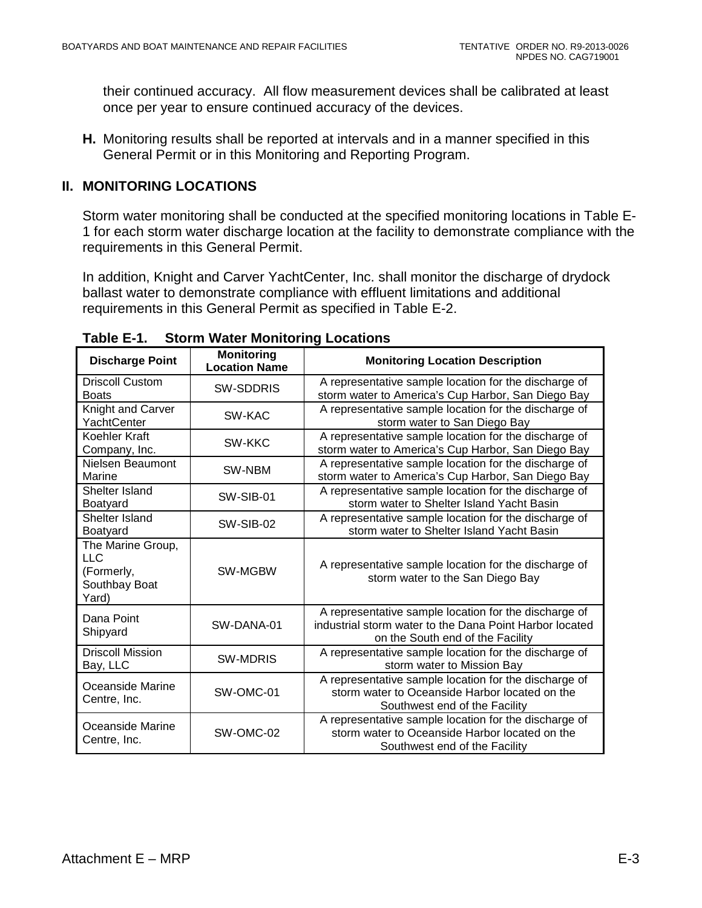their continued accuracy. All flow measurement devices shall be calibrated at least once per year to ensure continued accuracy of the devices.

**H.** Monitoring results shall be reported at intervals and in a manner specified in this General Permit or in this Monitoring and Reporting Program.

#### <span id="page-56-0"></span>**II. MONITORING LOCATIONS**

Storm water monitoring shall be conducted at the specified monitoring locations in Table E-1 for each storm water discharge location at the facility to demonstrate compliance with the requirements in this General Permit.

In addition, Knight and Carver YachtCenter, Inc. shall monitor the discharge of drydock ballast water to demonstrate compliance with effluent limitations and additional requirements in this General Permit as specified in Table E-2.

| <b>Discharge Point</b>                                            | <b>Monitoring</b><br><b>Location Name</b> | <b>Monitoring Location Description</b>                                                                                                               |  |  |
|-------------------------------------------------------------------|-------------------------------------------|------------------------------------------------------------------------------------------------------------------------------------------------------|--|--|
| <b>Driscoll Custom</b><br><b>Boats</b>                            | <b>SW-SDDRIS</b>                          | A representative sample location for the discharge of<br>storm water to America's Cup Harbor, San Diego Bay                                          |  |  |
| Knight and Carver<br>YachtCenter                                  | SW-KAC                                    | A representative sample location for the discharge of<br>storm water to San Diego Bay                                                                |  |  |
| Koehler Kraft<br>Company, Inc.                                    | SW-KKC                                    | A representative sample location for the discharge of<br>storm water to America's Cup Harbor, San Diego Bay                                          |  |  |
| Nielsen Beaumont<br>Marine                                        | SW-NBM                                    | A representative sample location for the discharge of<br>storm water to America's Cup Harbor, San Diego Bay                                          |  |  |
| Shelter Island<br>Boatyard                                        | SW-SIB-01                                 | A representative sample location for the discharge of<br>storm water to Shelter Island Yacht Basin                                                   |  |  |
| Shelter Island<br>Boatyard                                        | SW-SIB-02                                 | A representative sample location for the discharge of<br>storm water to Shelter Island Yacht Basin                                                   |  |  |
| The Marine Group,<br>LLC.<br>(Formerly,<br>Southbay Boat<br>Yard) | <b>SW-MGBW</b>                            | A representative sample location for the discharge of<br>storm water to the San Diego Bay                                                            |  |  |
| Dana Point<br>Shipyard                                            | SW-DANA-01                                | A representative sample location for the discharge of<br>industrial storm water to the Dana Point Harbor located<br>on the South end of the Facility |  |  |
| <b>Driscoll Mission</b><br>Bay, LLC                               | <b>SW-MDRIS</b>                           | A representative sample location for the discharge of<br>storm water to Mission Bay                                                                  |  |  |
| Oceanside Marine<br>Centre, Inc.                                  | SW-OMC-01                                 | A representative sample location for the discharge of<br>storm water to Oceanside Harbor located on the<br>Southwest end of the Facility             |  |  |
| Oceanside Marine<br>Centre, Inc.                                  | SW-OMC-02                                 | A representative sample location for the discharge of<br>storm water to Oceanside Harbor located on the<br>Southwest end of the Facility             |  |  |

<span id="page-56-1"></span>**Table E-1. Storm Water Monitoring Locations**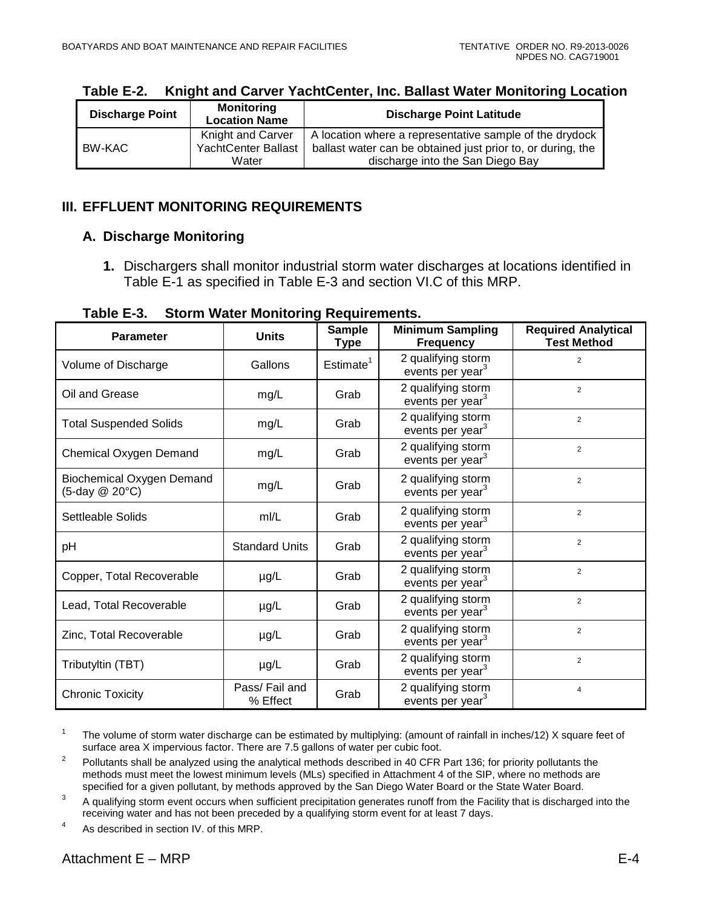| <b>Discharge Point</b> | <b>Monitoring</b><br><b>Location Name</b> | <b>Discharge Point Latitude</b>                             |
|------------------------|-------------------------------------------|-------------------------------------------------------------|
|                        | Knight and Carver                         | A location where a representative sample of the drydock     |
| BW-KAC                 | <b>YachtCenter Ballast</b>                | ballast water can be obtained just prior to, or during, the |
|                        | Water                                     | discharge into the San Diego Bay                            |

<span id="page-57-2"></span>**Table E-2. Knight and Carver YachtCenter, Inc. Ballast Water Monitoring Location**

### <span id="page-57-0"></span>**III. EFFLUENT MONITORING REQUIREMENTS**

### <span id="page-57-1"></span>**A. Discharge Monitoring**

**1.** Dischargers shall monitor industrial storm water discharges at locations identified in Table E-1 as specified in Table E-3 and section VI.C of this MRP.

**Table E-3. Storm Water Monitoring Requirements.**

<span id="page-57-3"></span>

| <b>Parameter</b>                            | <b>Units</b>              | <b>Sample</b><br><b>Type</b> | <b>Minimum Sampling</b><br><b>Frequency</b>        | <b>Required Analytical</b><br><b>Test Method</b> |
|---------------------------------------------|---------------------------|------------------------------|----------------------------------------------------|--------------------------------------------------|
| Volume of Discharge                         | Gallons                   | Estimate <sup>1</sup>        | 2 qualifying storm<br>events per year <sup>3</sup> | $\overline{2}$                                   |
| Oil and Grease                              | mg/L                      | Grab                         | 2 qualifying storm<br>events per year <sup>3</sup> | 2                                                |
| <b>Total Suspended Solids</b>               | mg/L                      | Grab                         | 2 qualifying storm<br>events per year <sup>3</sup> | $\overline{2}$                                   |
| Chemical Oxygen Demand                      | mg/L                      | Grab                         | 2 qualifying storm<br>events per year <sup>3</sup> | $\overline{2}$                                   |
| Biochemical Oxygen Demand<br>(5-day @ 20°C) | mg/L                      | Grab                         | 2 qualifying storm<br>events per year <sup>3</sup> | $\overline{2}$                                   |
| Settleable Solids                           | m/L                       | Grab                         | 2 qualifying storm<br>events per year <sup>3</sup> | $\overline{2}$                                   |
| pH                                          | <b>Standard Units</b>     | Grab                         | 2 qualifying storm<br>events per year <sup>3</sup> | $\overline{2}$                                   |
| Copper, Total Recoverable                   | $\mu$ g/L                 | Grab                         | 2 qualifying storm<br>events per year <sup>3</sup> | $\overline{2}$                                   |
| Lead, Total Recoverable                     | $\mu$ g/L                 | Grab                         | 2 qualifying storm<br>events per year <sup>3</sup> | $\overline{2}$                                   |
| Zinc, Total Recoverable                     | $\mu$ g/L                 | Grab                         | 2 qualifying storm<br>events per year <sup>3</sup> | $\overline{2}$                                   |
| Tributyltin (TBT)                           | µg/L                      | Grab                         | 2 qualifying storm<br>events per year <sup>3</sup> | $\overline{2}$                                   |
| <b>Chronic Toxicity</b>                     | Pass/Fail and<br>% Effect | Grab                         | 2 qualifying storm<br>events per year <sup>3</sup> | $\overline{4}$                                   |

<sup>&</sup>lt;sup>1</sup> The volume of storm water discharge can be estimated by multiplying: (amount of rainfall in inches/12) X square feet of surface area X impervious factor. There are 7.5 gallons of water per cubic foot.

<sup>4</sup> As described in section IV. of this MRP.

<sup>&</sup>lt;sup>2</sup> Pollutants shall be analyzed using the analytical methods described in 40 CFR Part 136; for priority pollutants the methods must meet the lowest minimum levels (MLs) specified in Attachment 4 of the SIP, where no methods are specified for a given pollutant, by methods approved by the San Diego Water Board or the State Water Board.

<sup>&</sup>lt;sup>3</sup> A qualifying storm event occurs when sufficient precipitation generates runoff from the Facility that is discharged into the receiving water and has not been preceded by a qualifying storm event for at least 7 days.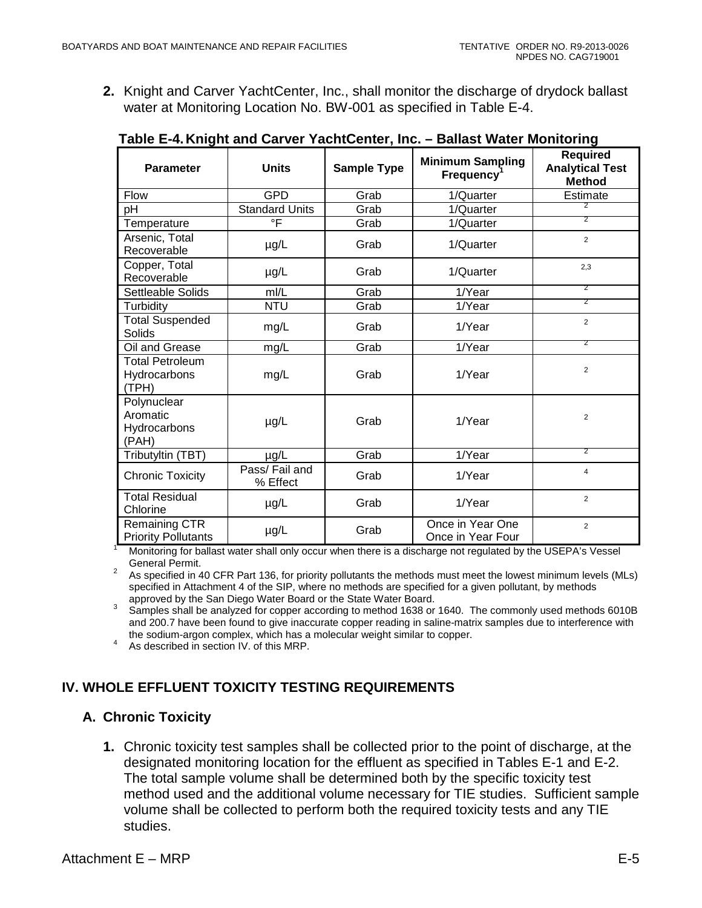**2.** Knight and Carver YachtCenter, Inc., shall monitor the discharge of drydock ballast water at Monitoring Location No. BW-001 as specified in Table E-4.

| <b>Parameter</b>                                 | <b>Units</b>              | <b>Sample Type</b> | <b>Minimum Sampling</b><br>$F$ requency <sup>1</sup> | <b>Required</b><br><b>Analytical Test</b><br><b>Method</b> |
|--------------------------------------------------|---------------------------|--------------------|------------------------------------------------------|------------------------------------------------------------|
| Flow                                             | <b>GPD</b>                | Grab               | 1/Quarter                                            | Estimate                                                   |
| pH                                               | <b>Standard Units</b>     | Grab               | 1/Quarter                                            |                                                            |
| Temperature                                      | $\circ$ F                 | Grab               | 1/Quarter                                            | 2                                                          |
| Arsenic, Total<br>Recoverable                    | $\mu$ g/L                 | Grab               | 1/Quarter                                            | $\overline{2}$                                             |
| Copper, Total<br>Recoverable                     | µg/L                      | Grab               | 1/Quarter                                            | 2,3                                                        |
| Settleable Solids                                | mI/L                      | Grab               | 1/Year                                               | $\overline{2}$                                             |
| Turbidity                                        | <b>NTU</b>                | Grab               | 1/Year                                               | $\overline{2}$                                             |
| <b>Total Suspended</b><br>Solids                 | mg/L                      | Grab               | 1/Year                                               | $\overline{2}$                                             |
| Oil and Grease                                   | mg/L                      | Grab               | 1/Year                                               | 2                                                          |
| <b>Total Petroleum</b><br>Hydrocarbons<br>(TPH)  | mg/L                      | Grab               | 1/Year                                               | $\overline{2}$                                             |
| Polynuclear<br>Aromatic<br>Hydrocarbons<br>(PAH) | µg/L                      | Grab               | 1/Year                                               | $\overline{2}$                                             |
| Tributyltin (TBT)                                | µg/L                      | Grab               | 1/Year                                               | 2                                                          |
| <b>Chronic Toxicity</b>                          | Pass/Fail and<br>% Effect | Grab               | 1/Year                                               | $\overline{4}$                                             |
| <b>Total Residual</b><br>Chlorine                | µg/L                      | Grab               | 1/Year                                               | $\overline{2}$                                             |
| Remaining CTR<br><b>Priority Pollutants</b>      | $\mu$ g/L                 | Grab               | Once in Year One<br>Once in Year Four                | $\overline{2}$                                             |

<span id="page-58-2"></span>**Table E-4.Knight and Carver YachtCenter, Inc. – Ballast Water Monitoring**

Monitoring for ballast water shall only occur when there is a discharge not regulated by the USEPA's Vessel<br>General Permit.

General Permit. <sup>2</sup> As specified in 40 CFR Part 136, for priority pollutants the methods must meet the lowest minimum levels (MLs) specified in Attachment 4 of the SIP, where no methods are specified for a given pollutant, by methods approved by the San Diego Water Board or the State Water Board.

approved by the San Diego Water Board or the State Water Board.<br><sup>3</sup> Samples shall be analyzed for copper according to method 1638 or 1640. The commonly used methods 6010B and 200.7 have been found to give inaccurate copper reading in saline-matrix samples due to interference with the sodium-argon complex, which has a molecular weight similar to copper. <sup>4</sup> As described in section IV. of this MRP.

# <span id="page-58-0"></span>**IV. WHOLE EFFLUENT TOXICITY TESTING REQUIREMENTS**

### <span id="page-58-1"></span>**A. Chronic Toxicity**

**1.** Chronic toxicity test samples shall be collected prior to the point of discharge, at the designated monitoring location for the effluent as specified in Tables E-1 and E-2. The total sample volume shall be determined both by the specific toxicity test method used and the additional volume necessary for TIE studies. Sufficient sample volume shall be collected to perform both the required toxicity tests and any TIE studies.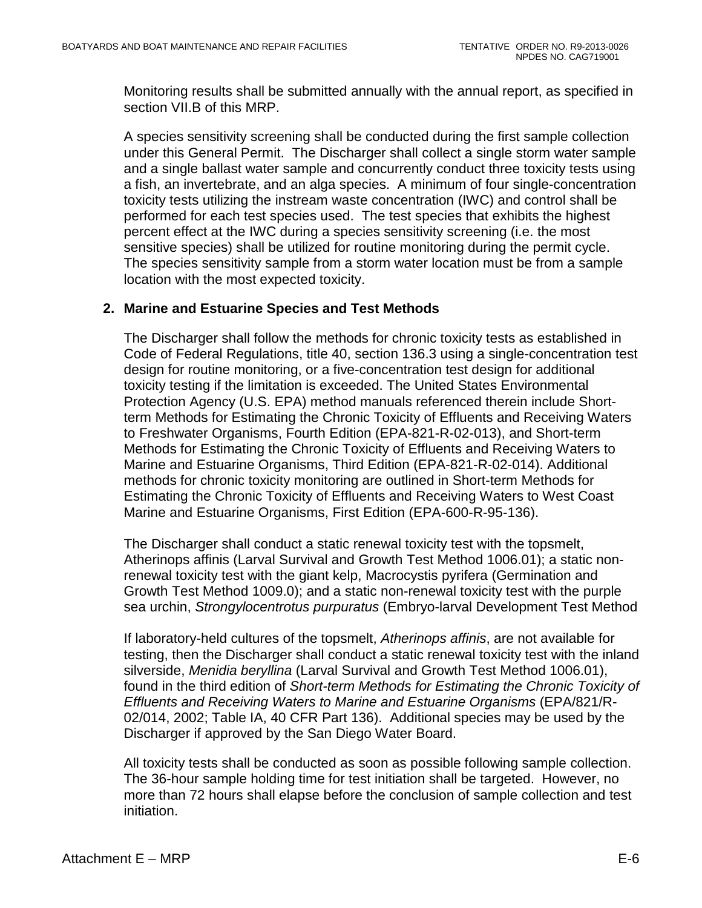Monitoring results shall be submitted annually with the annual report, as specified in section VII.B of this MRP.

A species sensitivity screening shall be conducted during the first sample collection under this General Permit. The Discharger shall collect a single storm water sample and a single ballast water sample and concurrently conduct three toxicity tests using a fish, an invertebrate, and an alga species. A minimum of four single-concentration toxicity tests utilizing the instream waste concentration (IWC) and control shall be performed for each test species used. The test species that exhibits the highest percent effect at the IWC during a species sensitivity screening (i.e. the most sensitive species) shall be utilized for routine monitoring during the permit cycle. The species sensitivity sample from a storm water location must be from a sample location with the most expected toxicity.

#### **2. Marine and Estuarine Species and Test Methods**

The Discharger shall follow the methods for chronic toxicity tests as established in Code of Federal Regulations, title 40, section 136.3 using a single-concentration test design for routine monitoring, or a five-concentration test design for additional toxicity testing if the limitation is exceeded. The United States Environmental Protection Agency (U.S. EPA) method manuals referenced therein include Shortterm Methods for Estimating the Chronic Toxicity of Effluents and Receiving Waters to Freshwater Organisms, Fourth Edition (EPA-821-R-02-013), and Short-term Methods for Estimating the Chronic Toxicity of Effluents and Receiving Waters to Marine and Estuarine Organisms, Third Edition (EPA-821-R-02-014). Additional methods for chronic toxicity monitoring are outlined in Short-term Methods for Estimating the Chronic Toxicity of Effluents and Receiving Waters to West Coast Marine and Estuarine Organisms, First Edition (EPA-600-R-95-136).

The Discharger shall conduct a static renewal toxicity test with the topsmelt, Atherinops affinis (Larval Survival and Growth Test Method 1006.01); a static nonrenewal toxicity test with the giant kelp, Macrocystis pyrifera (Germination and Growth Test Method 1009.0); and a static non-renewal toxicity test with the purple sea urchin, *Strongylocentrotus purpuratus* (Embryo-larval Development Test Method

If laboratory-held cultures of the topsmelt, *Atherinops affinis*, are not available for testing, then the Discharger shall conduct a static renewal toxicity test with the inland silverside, *Menidia beryllina* (Larval Survival and Growth Test Method 1006.01), found in the third edition of *Short-term Methods for Estimating the Chronic Toxicity of Effluents and Receiving Waters to Marine and Estuarine Organisms* (EPA/821/R-02/014, 2002; Table IA, 40 CFR Part 136). Additional species may be used by the Discharger if approved by the San Diego Water Board.

All toxicity tests shall be conducted as soon as possible following sample collection. The 36-hour sample holding time for test initiation shall be targeted. However, no more than 72 hours shall elapse before the conclusion of sample collection and test initiation.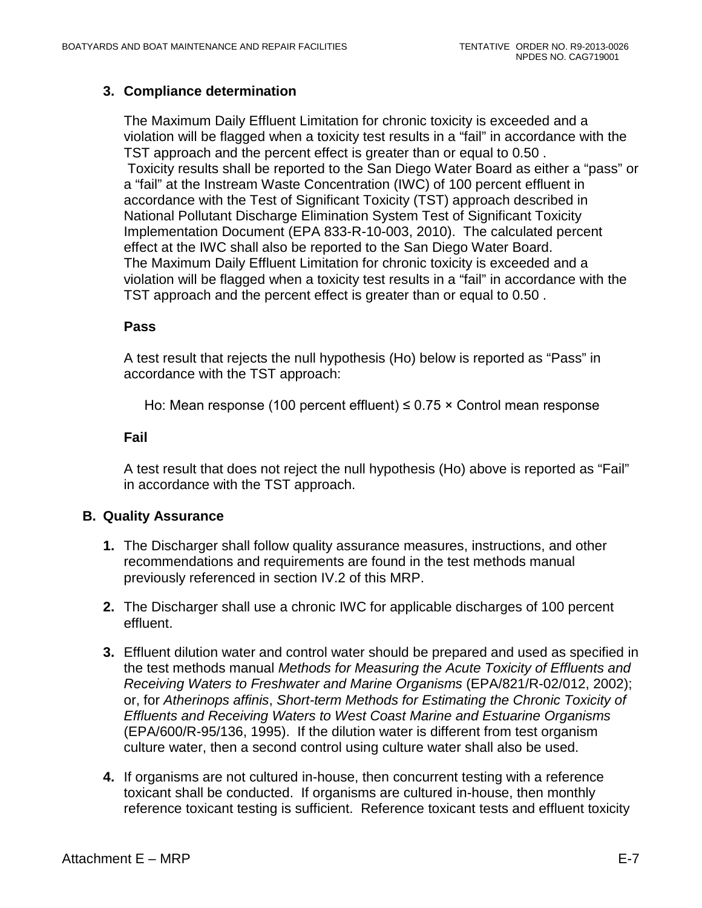### **3. Compliance determination**

The Maximum Daily Effluent Limitation for chronic toxicity is exceeded and a violation will be flagged when a toxicity test results in a "fail" in accordance with the TST approach and the percent effect is greater than or equal to 0.50 . Toxicity results shall be reported to the San Diego Water Board as either a "pass" or a "fail" at the Instream Waste Concentration (IWC) of 100 percent effluent in accordance with the Test of Significant Toxicity (TST) approach described in National Pollutant Discharge Elimination System Test of Significant Toxicity Implementation Document (EPA 833-R-10-003, 2010). The calculated percent effect at the IWC shall also be reported to the San Diego Water Board. The Maximum Daily Effluent Limitation for chronic toxicity is exceeded and a violation will be flagged when a toxicity test results in a "fail" in accordance with the TST approach and the percent effect is greater than or equal to 0.50 .

#### **Pass**

A test result that rejects the null hypothesis (Ho) below is reported as "Pass" in accordance with the TST approach:

Ho: Mean response (100 percent effluent)  $\leq$  0.75  $\times$  Control mean response

#### **Fail**

A test result that does not reject the null hypothesis (Ho) above is reported as "Fail" in accordance with the TST approach.

### <span id="page-60-0"></span>**B. Quality Assurance**

- **1.** The Discharger shall follow quality assurance measures, instructions, and other recommendations and requirements are found in the test methods manual previously referenced in section IV.2 of this MRP.
- **2.** The Discharger shall use a chronic IWC for applicable discharges of 100 percent effluent.
- **3.** Effluent dilution water and control water should be prepared and used as specified in the test methods manual *Methods for Measuring the Acute Toxicity of Effluents and Receiving Waters to Freshwater and Marine Organisms* (EPA/821/R-02/012, 2002); or, for *Atherinops affinis*, *Short-term Methods for Estimating the Chronic Toxicity of Effluents and Receiving Waters to West Coast Marine and Estuarine Organisms* (EPA/600/R-95/136, 1995). If the dilution water is different from test organism culture water, then a second control using culture water shall also be used.
- **4.** If organisms are not cultured in-house, then concurrent testing with a reference toxicant shall be conducted. If organisms are cultured in-house, then monthly reference toxicant testing is sufficient. Reference toxicant tests and effluent toxicity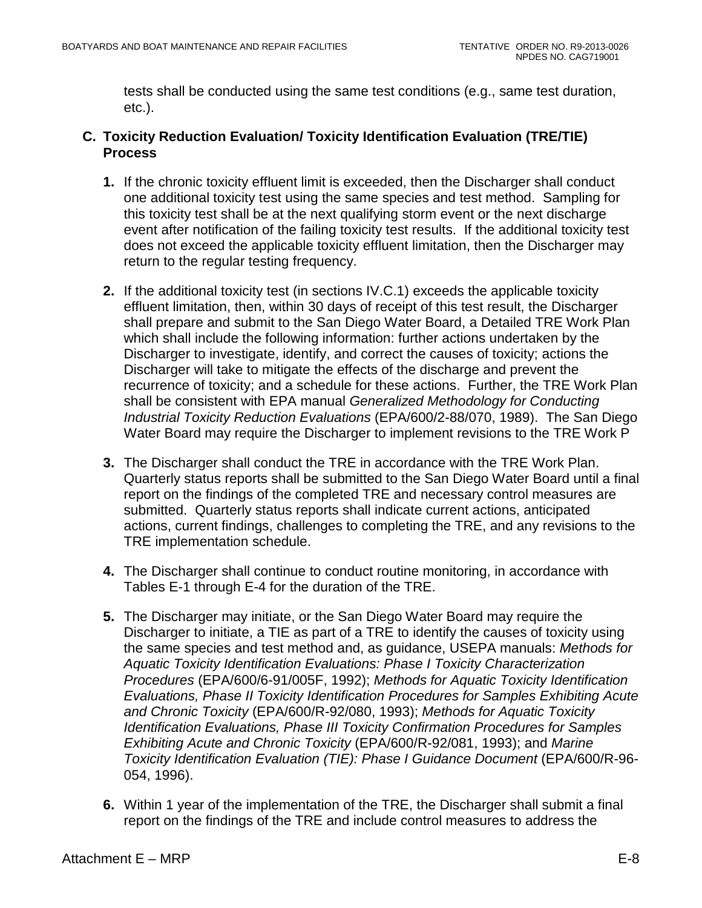tests shall be conducted using the same test conditions (e.g., same test duration, etc.).

### <span id="page-61-0"></span>**C. Toxicity Reduction Evaluation/ Toxicity Identification Evaluation (TRE/TIE) Process**

- **1.** If the chronic toxicity effluent limit is exceeded, then the Discharger shall conduct one additional toxicity test using the same species and test method. Sampling for this toxicity test shall be at the next qualifying storm event or the next discharge event after notification of the failing toxicity test results. If the additional toxicity test does not exceed the applicable toxicity effluent limitation, then the Discharger may return to the regular testing frequency.
- **2.** If the additional toxicity test (in sections IV.C.1) exceeds the applicable toxicity effluent limitation, then, within 30 days of receipt of this test result, the Discharger shall prepare and submit to the San Diego Water Board, a Detailed TRE Work Plan which shall include the following information: further actions undertaken by the Discharger to investigate, identify, and correct the causes of toxicity; actions the Discharger will take to mitigate the effects of the discharge and prevent the recurrence of toxicity; and a schedule for these actions. Further, the TRE Work Plan shall be consistent with EPA manual *Generalized Methodology for Conducting Industrial Toxicity Reduction Evaluations* (EPA/600/2-88/070, 1989). The San Diego Water Board may require the Discharger to implement revisions to the TRE Work P
- **3.** The Discharger shall conduct the TRE in accordance with the TRE Work Plan. Quarterly status reports shall be submitted to the San Diego Water Board until a final report on the findings of the completed TRE and necessary control measures are submitted. Quarterly status reports shall indicate current actions, anticipated actions, current findings, challenges to completing the TRE, and any revisions to the TRE implementation schedule.
- **4.** The Discharger shall continue to conduct routine monitoring, in accordance with Tables E-1 through E-4 for the duration of the TRE.
- **5.** The Discharger may initiate, or the San Diego Water Board may require the Discharger to initiate, a TIE as part of a TRE to identify the causes of toxicity using the same species and test method and, as guidance, USEPA manuals: *Methods for Aquatic Toxicity Identification Evaluations: Phase I Toxicity Characterization Procedures* (EPA/600/6-91/005F, 1992); *Methods for Aquatic Toxicity Identification Evaluations, Phase II Toxicity Identification Procedures for Samples Exhibiting Acute and Chronic Toxicity* (EPA/600/R-92/080, 1993); *Methods for Aquatic Toxicity Identification Evaluations, Phase III Toxicity Confirmation Procedures for Samples Exhibiting Acute and Chronic Toxicity* (EPA/600/R-92/081, 1993); and *Marine Toxicity Identification Evaluation (TIE): Phase I Guidance Document* (EPA/600/R-96- 054, 1996).
- **6.** Within 1 year of the implementation of the TRE, the Discharger shall submit a final report on the findings of the TRE and include control measures to address the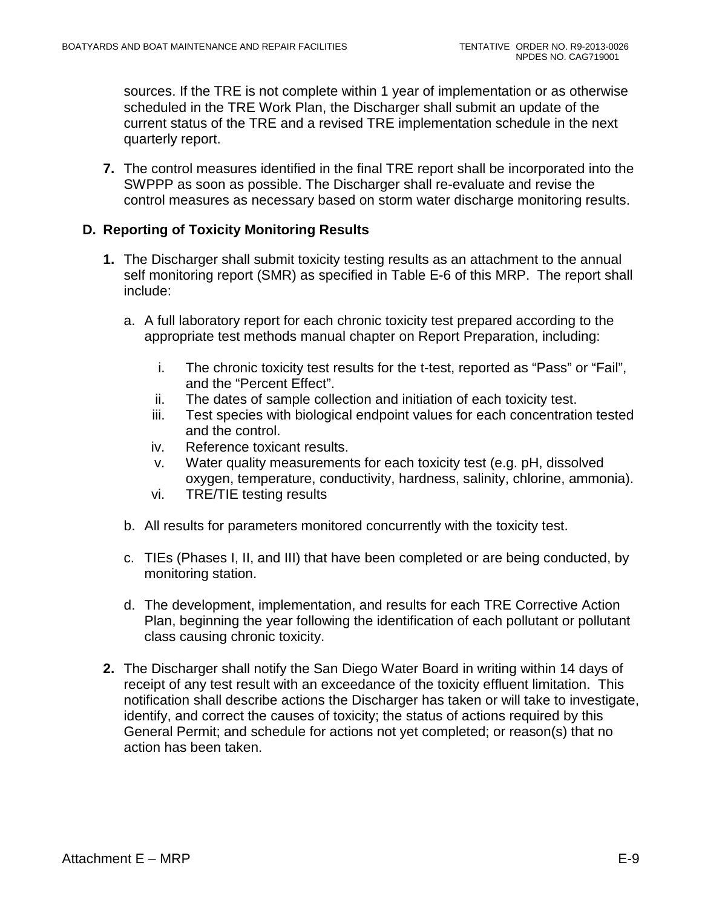sources. If the TRE is not complete within 1 year of implementation or as otherwise scheduled in the TRE Work Plan, the Discharger shall submit an update of the current status of the TRE and a revised TRE implementation schedule in the next quarterly report.

**7.** The control measures identified in the final TRE report shall be incorporated into the SWPPP as soon as possible. The Discharger shall re-evaluate and revise the control measures as necessary based on storm water discharge monitoring results.

#### <span id="page-62-0"></span>**D. Reporting of Toxicity Monitoring Results**

- **1.** The Discharger shall submit toxicity testing results as an attachment to the annual self monitoring report (SMR) as specified in Table E-6 of this MRP. The report shall include:
	- a. A full laboratory report for each chronic toxicity test prepared according to the appropriate test methods manual chapter on Report Preparation, including:
		- i. The chronic toxicity test results for the t-test, reported as "Pass" or "Fail", and the "Percent Effect".
		- ii. The dates of sample collection and initiation of each toxicity test.
		- iii. Test species with biological endpoint values for each concentration tested and the control.
		- iv. Reference toxicant results.
		- v. Water quality measurements for each toxicity test (e.g. pH, dissolved oxygen, temperature, conductivity, hardness, salinity, chlorine, ammonia).
		- vi. TRE/TIE testing results
	- b. All results for parameters monitored concurrently with the toxicity test.
	- c. TIEs (Phases I, II, and III) that have been completed or are being conducted, by monitoring station.
	- d. The development, implementation, and results for each TRE Corrective Action Plan, beginning the year following the identification of each pollutant or pollutant class causing chronic toxicity.
- **2.** The Discharger shall notify the San Diego Water Board in writing within 14 days of receipt of any test result with an exceedance of the toxicity effluent limitation. This notification shall describe actions the Discharger has taken or will take to investigate, identify, and correct the causes of toxicity; the status of actions required by this General Permit; and schedule for actions not yet completed; or reason(s) that no action has been taken.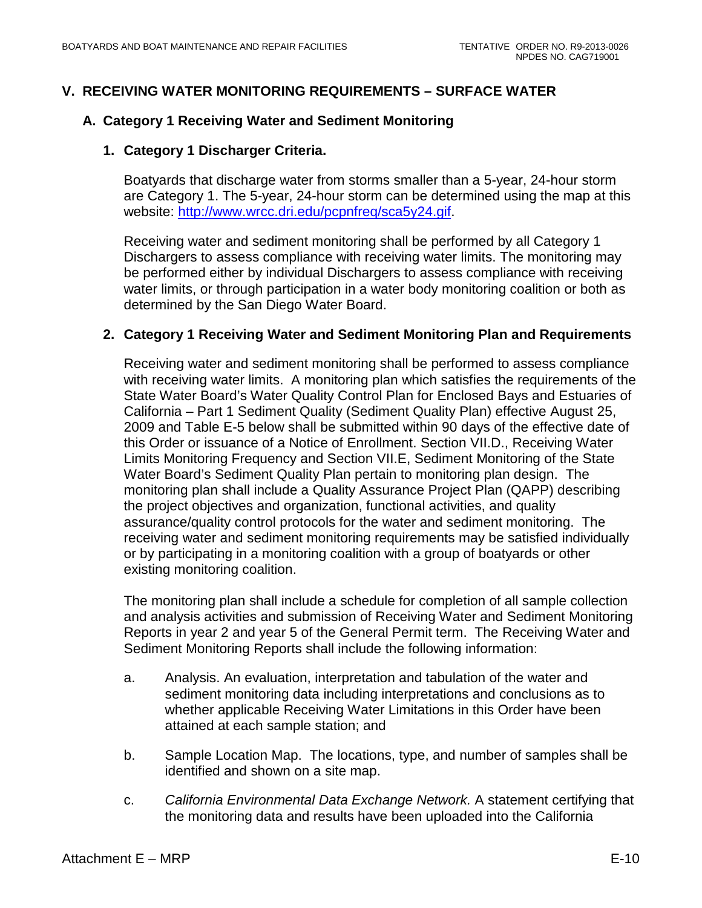### <span id="page-63-0"></span>**V. RECEIVING WATER MONITORING REQUIREMENTS – SURFACE WATER**

### <span id="page-63-1"></span>**A. Category 1 Receiving Water and Sediment Monitoring**

#### **1. Category 1 Discharger Criteria.**

Boatyards that discharge water from storms smaller than a 5-year, 24-hour storm are Category 1. The 5-year, 24-hour storm can be determined using the map at this website: [http://www.wrcc.dri.edu/pcpnfreq/sca5y24.gif.](http://www.wrcc.dri.edu/pcpnfreq/sca5y24.gif)

Receiving water and sediment monitoring shall be performed by all Category 1 Dischargers to assess compliance with receiving water limits. The monitoring may be performed either by individual Dischargers to assess compliance with receiving water limits, or through participation in a water body monitoring coalition or both as determined by the San Diego Water Board.

#### **2. Category 1 Receiving Water and Sediment Monitoring Plan and Requirements**

Receiving water and sediment monitoring shall be performed to assess compliance with receiving water limits. A monitoring plan which satisfies the requirements of the State Water Board's Water Quality Control Plan for Enclosed Bays and Estuaries of California – Part 1 Sediment Quality (Sediment Quality Plan) effective August 25, 2009 and Table E-5 below shall be submitted within 90 days of the effective date of this Order or issuance of a Notice of Enrollment. Section VII.D., Receiving Water Limits Monitoring Frequency and Section VII.E, Sediment Monitoring of the State Water Board's Sediment Quality Plan pertain to monitoring plan design. The monitoring plan shall include a Quality Assurance Project Plan (QAPP) describing the project objectives and organization, functional activities, and quality assurance/quality control protocols for the water and sediment monitoring. The receiving water and sediment monitoring requirements may be satisfied individually or by participating in a monitoring coalition with a group of boatyards or other existing monitoring coalition.

The monitoring plan shall include a schedule for completion of all sample collection and analysis activities and submission of Receiving Water and Sediment Monitoring Reports in year 2 and year 5 of the General Permit term. The Receiving Water and Sediment Monitoring Reports shall include the following information:

- a. Analysis. An evaluation, interpretation and tabulation of the water and sediment monitoring data including interpretations and conclusions as to whether applicable Receiving Water Limitations in this Order have been attained at each sample station; and
- b. Sample Location Map. The locations, type, and number of samples shall be identified and shown on a site map.
- c. *California Environmental Data Exchange Network.* A statement certifying that the monitoring data and results have been uploaded into the California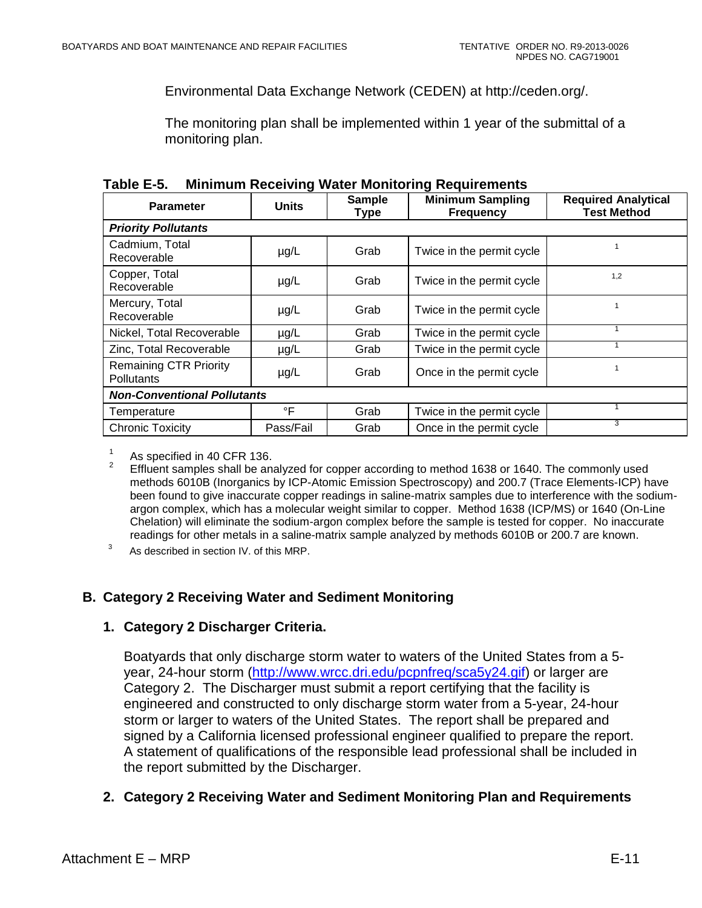Environmental Data Exchange Network (CEDEN) at http://ceden.org/.

The monitoring plan shall be implemented within 1 year of the submittal of a monitoring plan.

| LANIG L-J.<br><b>WILLIAM RECEIVING WALE: MONITORING REQUIRENTS</b> |              |                       |                                             |                                                  |  |  |
|--------------------------------------------------------------------|--------------|-----------------------|---------------------------------------------|--------------------------------------------------|--|--|
| <b>Parameter</b>                                                   | <b>Units</b> | <b>Sample</b><br>Type | <b>Minimum Sampling</b><br><b>Frequency</b> | <b>Required Analytical</b><br><b>Test Method</b> |  |  |
| <b>Priority Pollutants</b>                                         |              |                       |                                             |                                                  |  |  |
| Cadmium, Total<br>Recoverable                                      | $\mu$ g/L    | Grab                  | Twice in the permit cycle                   |                                                  |  |  |
| Copper, Total<br>Recoverable                                       | $\mu$ g/L    | Grab                  | Twice in the permit cycle                   | 1,2                                              |  |  |
| Mercury, Total<br>Recoverable                                      | $\mu$ g/L    | Grab                  | Twice in the permit cycle                   |                                                  |  |  |
| Nickel, Total Recoverable                                          | $\mu$ g/L    | Grab                  | Twice in the permit cycle                   | 1                                                |  |  |
| Zinc, Total Recoverable                                            | $\mu$ g/L    | Grab                  | Twice in the permit cycle                   |                                                  |  |  |
| <b>Remaining CTR Priority</b><br>Pollutants                        | $\mu$ g/L    | Grab                  | Once in the permit cycle                    |                                                  |  |  |
| <b>Non-Conventional Pollutants</b>                                 |              |                       |                                             |                                                  |  |  |
| Temperature                                                        | °F           | Grab                  | Twice in the permit cycle                   |                                                  |  |  |
| <b>Chronic Toxicity</b>                                            | Pass/Fail    | Grab                  | Once in the permit cycle                    | 3                                                |  |  |

<span id="page-64-1"></span>

| Table E-5. | <b>Minimum Receiving Water Monitoring Requirements</b> |  |  |
|------------|--------------------------------------------------------|--|--|
|------------|--------------------------------------------------------|--|--|

<sup>1</sup> As specified in 40 CFR 136.<br><sup>2</sup> Effluent samples shall be analyzed for copper according to method 1638 or 1640. The commonly used methods 6010B (Inorganics by ICP-Atomic Emission Spectroscopy) and 200.7 (Trace Elements-ICP) have been found to give inaccurate copper readings in saline-matrix samples due to interference with the sodiumargon complex, which has a molecular weight similar to copper. Method 1638 (ICP/MS) or 1640 (On-Line Chelation) will eliminate the sodium-argon complex before the sample is tested for copper. No inaccurate readings for other metals in a saline-matrix sample analyzed by methods 6010B or 200.7 are known.

3 As described in section IV. of this MRP.

### <span id="page-64-0"></span>**B. Category 2 Receiving Water and Sediment Monitoring**

#### **1. Category 2 Discharger Criteria.**

Boatyards that only discharge storm water to waters of the United States from a 5 year, 24-hour storm [\(http://www.wrcc.dri.edu/pcpnfreq/sca5y24.gif\)](http://www.wrcc.dri.edu/pcpnfreq/sca5y24.gif) or larger are Category 2. The Discharger must submit a report certifying that the facility is engineered and constructed to only discharge storm water from a 5-year, 24-hour storm or larger to waters of the United States. The report shall be prepared and signed by a California licensed professional engineer qualified to prepare the report. A statement of qualifications of the responsible lead professional shall be included in the report submitted by the Discharger.

**2. Category 2 Receiving Water and Sediment Monitoring Plan and Requirements**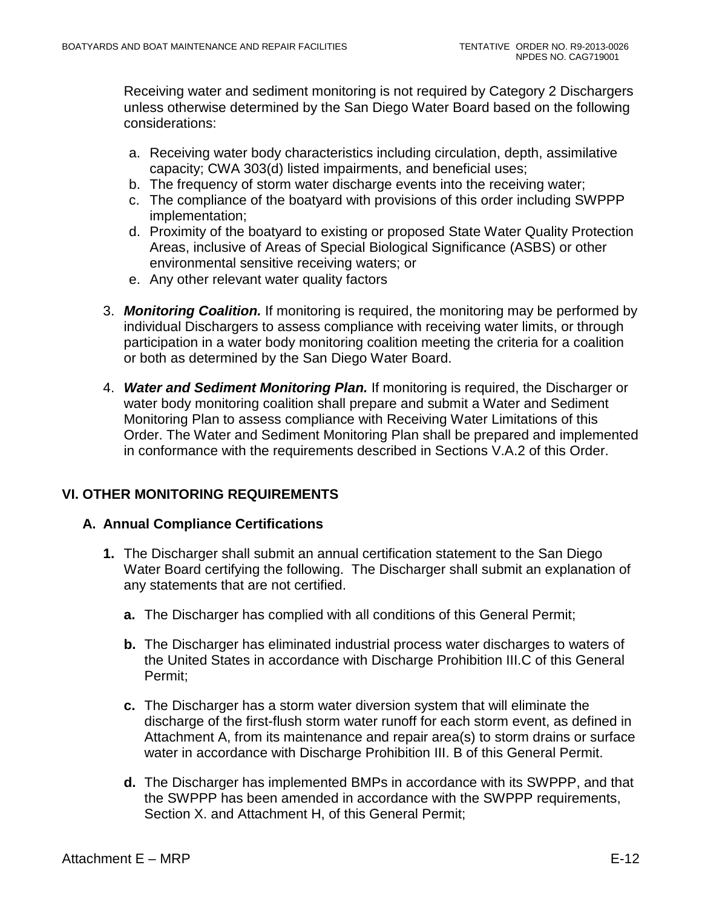Receiving water and sediment monitoring is not required by Category 2 Dischargers unless otherwise determined by the San Diego Water Board based on the following considerations:

- a. Receiving water body characteristics including circulation, depth, assimilative capacity; CWA 303(d) listed impairments, and beneficial uses;
- b. The frequency of storm water discharge events into the receiving water;
- c. The compliance of the boatyard with provisions of this order including SWPPP implementation;
- d. Proximity of the boatyard to existing or proposed State Water Quality Protection Areas, inclusive of Areas of Special Biological Significance (ASBS) or other environmental sensitive receiving waters; or
- e. Any other relevant water quality factors
- 3. *Monitoring Coalition.* If monitoring is required, the monitoring may be performed by individual Dischargers to assess compliance with receiving water limits, or through participation in a water body monitoring coalition meeting the criteria for a coalition or both as determined by the San Diego Water Board.
- 4. *Water and Sediment Monitoring Plan.* If monitoring is required, the Discharger or water body monitoring coalition shall prepare and submit a Water and Sediment Monitoring Plan to assess compliance with Receiving Water Limitations of this Order. The Water and Sediment Monitoring Plan shall be prepared and implemented in conformance with the requirements described in Sections V.A.2 of this Order.

# <span id="page-65-0"></span>**VI. OTHER MONITORING REQUIREMENTS**

### <span id="page-65-1"></span>**A. Annual Compliance Certifications**

- **1.** The Discharger shall submit an annual certification statement to the San Diego Water Board certifying the following. The Discharger shall submit an explanation of any statements that are not certified.
	- **a.** The Discharger has complied with all conditions of this General Permit;
	- **b.** The Discharger has eliminated industrial process water discharges to waters of the United States in accordance with Discharge Prohibition III.C of this General Permit;
	- **c.** The Discharger has a storm water diversion system that will eliminate the discharge of the first-flush storm water runoff for each storm event, as defined in Attachment A, from its maintenance and repair area(s) to storm drains or surface water in accordance with Discharge Prohibition III. B of this General Permit.
	- **d.** The Discharger has implemented BMPs in accordance with its SWPPP, and that the SWPPP has been amended in accordance with the SWPPP requirements, Section X. and Attachment H, of this General Permit;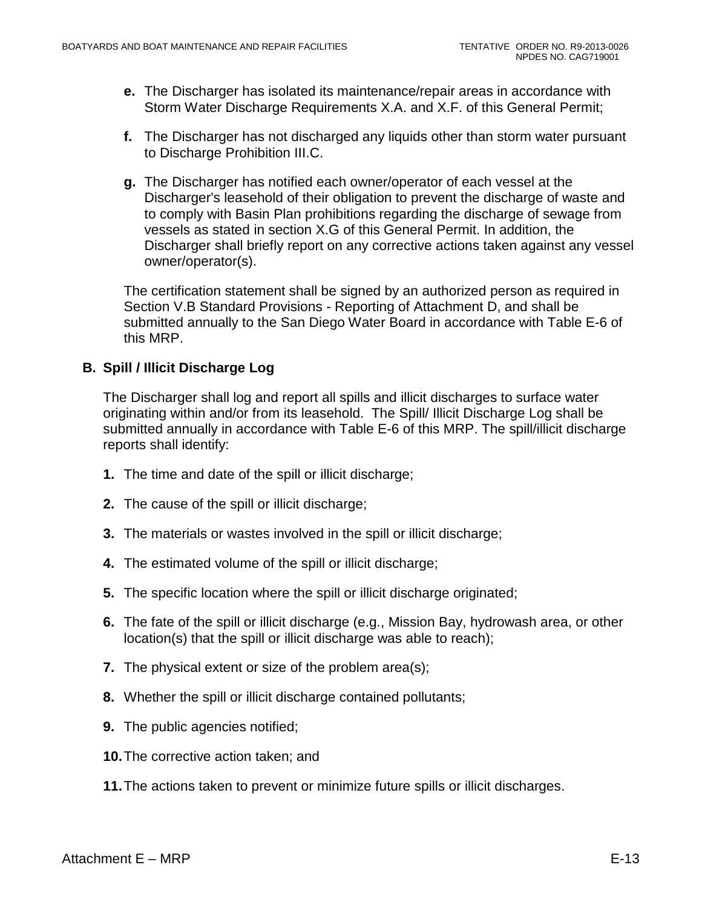- **e.** The Discharger has isolated its maintenance/repair areas in accordance with Storm Water Discharge Requirements X.A. and X.F. of this General Permit;
- **f.** The Discharger has not discharged any liquids other than storm water pursuant to Discharge Prohibition III.C.
- **g.** The Discharger has notified each owner/operator of each vessel at the Discharger's leasehold of their obligation to prevent the discharge of waste and to comply with Basin Plan prohibitions regarding the discharge of sewage from vessels as stated in section X.G of this General Permit. In addition, the Discharger shall briefly report on any corrective actions taken against any vessel owner/operator(s).

The certification statement shall be signed by an authorized person as required in Section V.B Standard Provisions - Reporting of Attachment D, and shall be submitted annually to the San Diego Water Board in accordance with Table E-6 of this MRP.

### <span id="page-66-0"></span>**B. Spill / Illicit Discharge Log**

The Discharger shall log and report all spills and illicit discharges to surface water originating within and/or from its leasehold. The Spill/ Illicit Discharge Log shall be submitted annually in accordance with Table E-6 of this MRP. The spill/illicit discharge reports shall identify:

- **1.** The time and date of the spill or illicit discharge;
- **2.** The cause of the spill or illicit discharge;
- **3.** The materials or wastes involved in the spill or illicit discharge;
- **4.** The estimated volume of the spill or illicit discharge;
- **5.** The specific location where the spill or illicit discharge originated;
- **6.** The fate of the spill or illicit discharge (e.g., Mission Bay, hydrowash area, or other location(s) that the spill or illicit discharge was able to reach);
- **7.** The physical extent or size of the problem area(s);
- **8.** Whether the spill or illicit discharge contained pollutants;
- **9.** The public agencies notified;
- **10.**The corrective action taken; and
- **11.**The actions taken to prevent or minimize future spills or illicit discharges.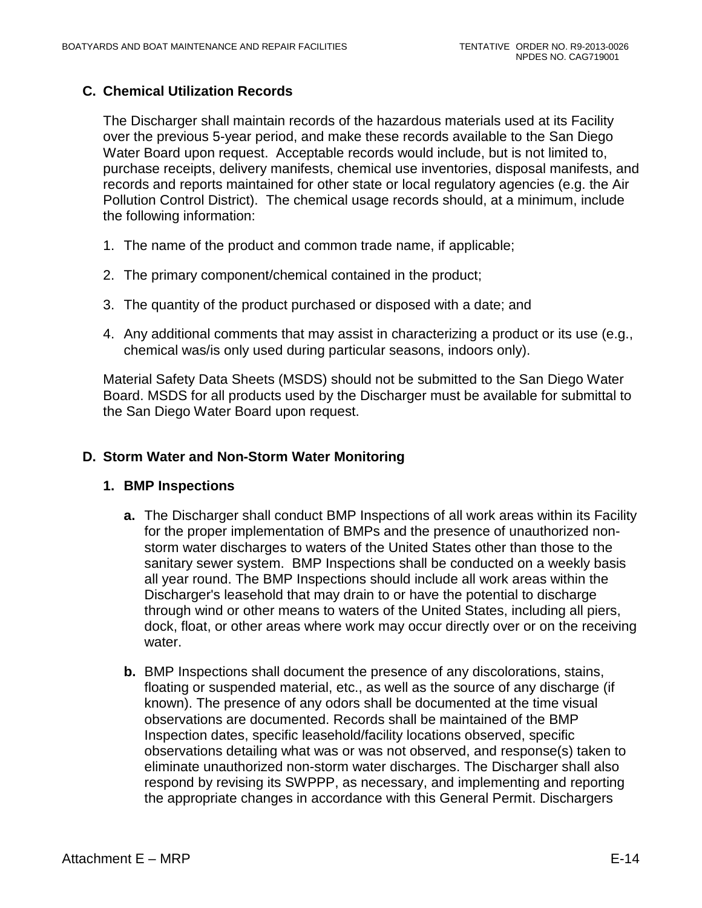### <span id="page-67-0"></span>**C. Chemical Utilization Records**

The Discharger shall maintain records of the hazardous materials used at its Facility over the previous 5-year period, and make these records available to the San Diego Water Board upon request. Acceptable records would include, but is not limited to, purchase receipts, delivery manifests, chemical use inventories, disposal manifests, and records and reports maintained for other state or local regulatory agencies (e.g. the Air Pollution Control District). The chemical usage records should, at a minimum, include the following information:

- 1. The name of the product and common trade name, if applicable;
- 2. The primary component/chemical contained in the product;
- 3. The quantity of the product purchased or disposed with a date; and
- 4. Any additional comments that may assist in characterizing a product or its use (e.g., chemical was/is only used during particular seasons, indoors only).

Material Safety Data Sheets (MSDS) should not be submitted to the San Diego Water Board. MSDS for all products used by the Discharger must be available for submittal to the San Diego Water Board upon request.

#### <span id="page-67-1"></span>**D. Storm Water and Non-Storm Water Monitoring**

#### **1. BMP Inspections**

- **a.** The Discharger shall conduct BMP Inspections of all work areas within its Facility for the proper implementation of BMPs and the presence of unauthorized nonstorm water discharges to waters of the United States other than those to the sanitary sewer system. BMP Inspections shall be conducted on a weekly basis all year round. The BMP Inspections should include all work areas within the Discharger's leasehold that may drain to or have the potential to discharge through wind or other means to waters of the United States, including all piers, dock, float, or other areas where work may occur directly over or on the receiving water.
- **b.** BMP Inspections shall document the presence of any discolorations, stains, floating or suspended material, etc., as well as the source of any discharge (if known). The presence of any odors shall be documented at the time visual observations are documented. Records shall be maintained of the BMP Inspection dates, specific leasehold/facility locations observed, specific observations detailing what was or was not observed, and response(s) taken to eliminate unauthorized non-storm water discharges. The Discharger shall also respond by revising its SWPPP, as necessary, and implementing and reporting the appropriate changes in accordance with this General Permit. Dischargers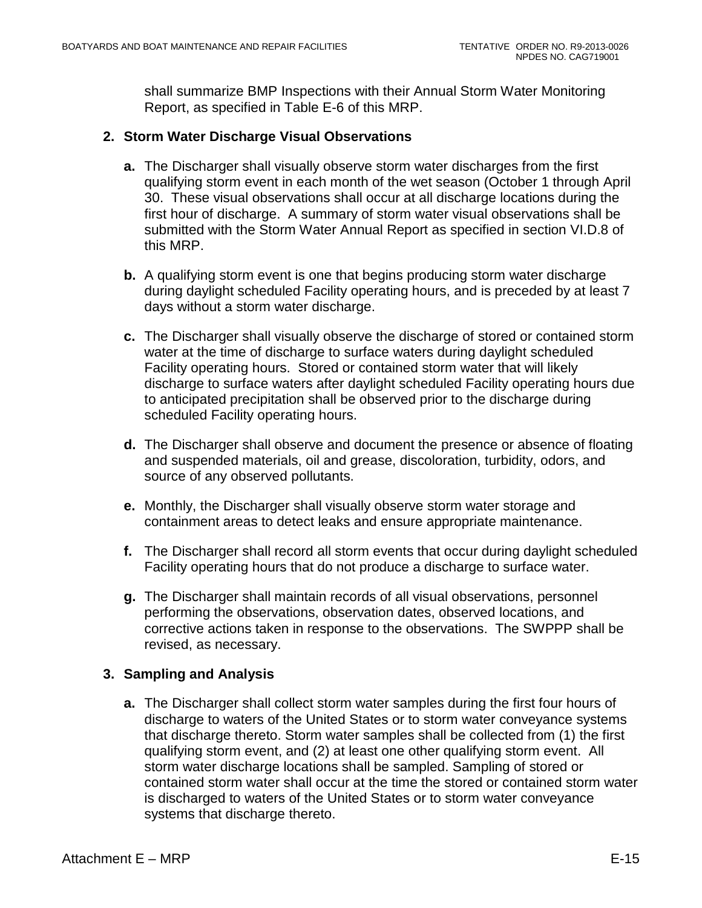shall summarize BMP Inspections with their Annual Storm Water Monitoring Report, as specified in Table E-6 of this MRP.

### **2. Storm Water Discharge Visual Observations**

- **a.** The Discharger shall visually observe storm water discharges from the first qualifying storm event in each month of the wet season (October 1 through April 30. These visual observations shall occur at all discharge locations during the first hour of discharge. A summary of storm water visual observations shall be submitted with the Storm Water Annual Report as specified in section VI.D.8 of this MRP.
- **b.** A qualifying storm event is one that begins producing storm water discharge during daylight scheduled Facility operating hours, and is preceded by at least 7 days without a storm water discharge.
- **c.** The Discharger shall visually observe the discharge of stored or contained storm water at the time of discharge to surface waters during daylight scheduled Facility operating hours. Stored or contained storm water that will likely discharge to surface waters after daylight scheduled Facility operating hours due to anticipated precipitation shall be observed prior to the discharge during scheduled Facility operating hours.
- **d.** The Discharger shall observe and document the presence or absence of floating and suspended materials, oil and grease, discoloration, turbidity, odors, and source of any observed pollutants.
- **e.** Monthly, the Discharger shall visually observe storm water storage and containment areas to detect leaks and ensure appropriate maintenance.
- **f.** The Discharger shall record all storm events that occur during daylight scheduled Facility operating hours that do not produce a discharge to surface water.
- **g.** The Discharger shall maintain records of all visual observations, personnel performing the observations, observation dates, observed locations, and corrective actions taken in response to the observations. The SWPPP shall be revised, as necessary.

# **3. Sampling and Analysis**

**a.** The Discharger shall collect storm water samples during the first four hours of discharge to waters of the United States or to storm water conveyance systems that discharge thereto. Storm water samples shall be collected from (1) the first qualifying storm event, and (2) at least one other qualifying storm event. All storm water discharge locations shall be sampled. Sampling of stored or contained storm water shall occur at the time the stored or contained storm water is discharged to waters of the United States or to storm water conveyance systems that discharge thereto.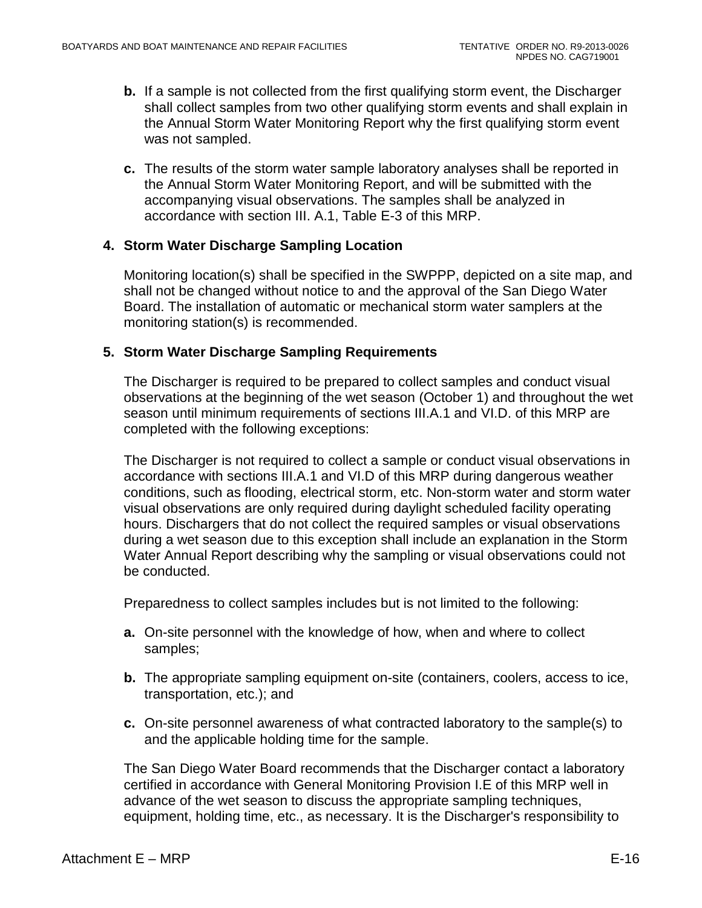- **b.** If a sample is not collected from the first qualifying storm event, the Discharger shall collect samples from two other qualifying storm events and shall explain in the Annual Storm Water Monitoring Report why the first qualifying storm event was not sampled.
- **c.** The results of the storm water sample laboratory analyses shall be reported in the Annual Storm Water Monitoring Report, and will be submitted with the accompanying visual observations. The samples shall be analyzed in accordance with section III. A.1, Table E-3 of this MRP.

#### **4. Storm Water Discharge Sampling Location**

Monitoring location(s) shall be specified in the SWPPP, depicted on a site map, and shall not be changed without notice to and the approval of the San Diego Water Board. The installation of automatic or mechanical storm water samplers at the monitoring station(s) is recommended.

#### **5. Storm Water Discharge Sampling Requirements**

The Discharger is required to be prepared to collect samples and conduct visual observations at the beginning of the wet season (October 1) and throughout the wet season until minimum requirements of sections III.A.1 and VI.D. of this MRP are completed with the following exceptions:

The Discharger is not required to collect a sample or conduct visual observations in accordance with sections III.A.1 and VI.D of this MRP during dangerous weather conditions, such as flooding, electrical storm, etc. Non-storm water and storm water visual observations are only required during daylight scheduled facility operating hours. Dischargers that do not collect the required samples or visual observations during a wet season due to this exception shall include an explanation in the Storm Water Annual Report describing why the sampling or visual observations could not be conducted.

Preparedness to collect samples includes but is not limited to the following:

- **a.** On-site personnel with the knowledge of how, when and where to collect samples;
- **b.** The appropriate sampling equipment on-site (containers, coolers, access to ice, transportation, etc.); and
- **c.** On-site personnel awareness of what contracted laboratory to the sample(s) to and the applicable holding time for the sample.

The San Diego Water Board recommends that the Discharger contact a laboratory certified in accordance with General Monitoring Provision I.E of this MRP well in advance of the wet season to discuss the appropriate sampling techniques, equipment, holding time, etc., as necessary. It is the Discharger's responsibility to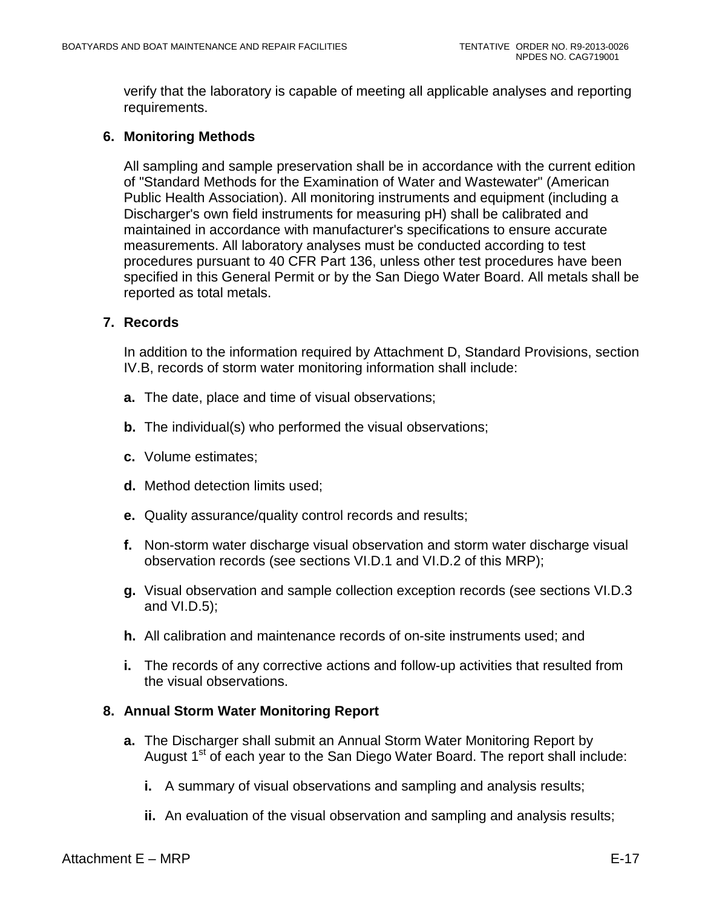verify that the laboratory is capable of meeting all applicable analyses and reporting requirements.

### **6. Monitoring Methods**

All sampling and sample preservation shall be in accordance with the current edition of "Standard Methods for the Examination of Water and Wastewater" (American Public Health Association). All monitoring instruments and equipment (including a Discharger's own field instruments for measuring pH) shall be calibrated and maintained in accordance with manufacturer's specifications to ensure accurate measurements. All laboratory analyses must be conducted according to test procedures pursuant to 40 CFR Part 136, unless other test procedures have been specified in this General Permit or by the San Diego Water Board. All metals shall be reported as total metals.

### **7. Records**

In addition to the information required by Attachment D, Standard Provisions, section IV.B, records of storm water monitoring information shall include:

- **a.** The date, place and time of visual observations;
- **b.** The individual(s) who performed the visual observations;
- **c.** Volume estimates;
- **d.** Method detection limits used;
- **e.** Quality assurance/quality control records and results;
- **f.** Non-storm water discharge visual observation and storm water discharge visual observation records (see sections VI.D.1 and VI.D.2 of this MRP);
- **g.** Visual observation and sample collection exception records (see sections VI.D.3 and VI.D.5);
- **h.** All calibration and maintenance records of on-site instruments used; and
- **i.** The records of any corrective actions and follow-up activities that resulted from the visual observations.

#### **8. Annual Storm Water Monitoring Report**

- **a.** The Discharger shall submit an Annual Storm Water Monitoring Report by August 1<sup>st</sup> of each year to the San Diego Water Board. The report shall include:
	- **i.** A summary of visual observations and sampling and analysis results;
	- **ii.** An evaluation of the visual observation and sampling and analysis results;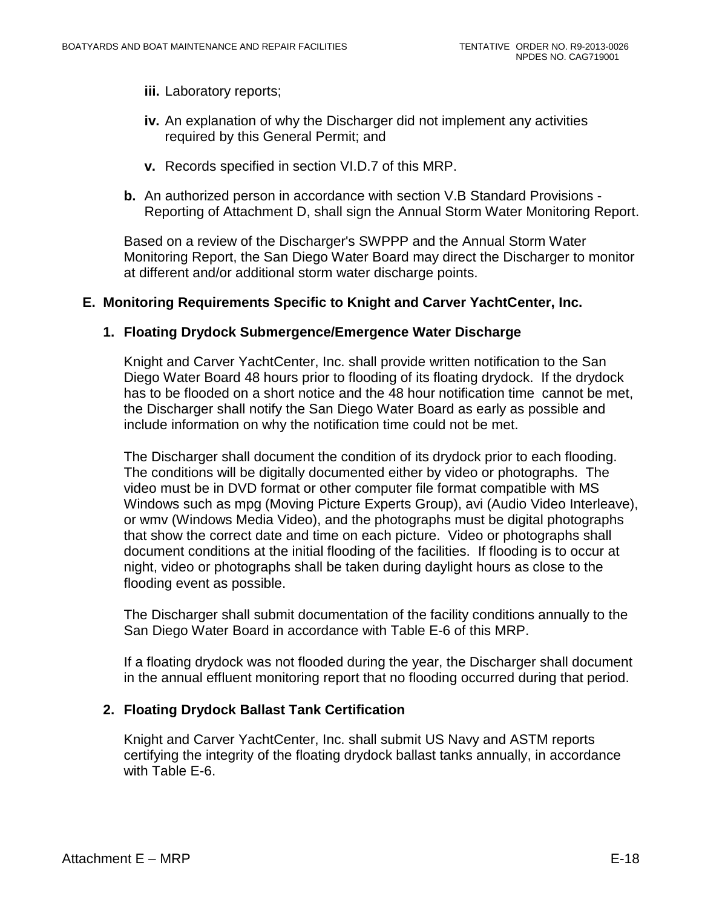- **iii.** Laboratory reports;
- **iv.** An explanation of why the Discharger did not implement any activities required by this General Permit; and
- **v.** Records specified in section VI.D.7 of this MRP.
- **b.** An authorized person in accordance with section V.B Standard Provisions Reporting of Attachment D, shall sign the Annual Storm Water Monitoring Report.

Based on a review of the Discharger's SWPPP and the Annual Storm Water Monitoring Report, the San Diego Water Board may direct the Discharger to monitor at different and/or additional storm water discharge points.

#### <span id="page-71-0"></span>**E. Monitoring Requirements Specific to Knight and Carver YachtCenter, Inc.**

#### **1. Floating Drydock Submergence/Emergence Water Discharge**

Knight and Carver YachtCenter, Inc. shall provide written notification to the San Diego Water Board 48 hours prior to flooding of its floating drydock. If the drydock has to be flooded on a short notice and the 48 hour notification time cannot be met, the Discharger shall notify the San Diego Water Board as early as possible and include information on why the notification time could not be met.

The Discharger shall document the condition of its drydock prior to each flooding. The conditions will be digitally documented either by video or photographs. The video must be in DVD format or other computer file format compatible with MS Windows such as mpg (Moving Picture Experts Group), avi (Audio Video Interleave), or wmv (Windows Media Video), and the photographs must be digital photographs that show the correct date and time on each picture. Video or photographs shall document conditions at the initial flooding of the facilities. If flooding is to occur at night, video or photographs shall be taken during daylight hours as close to the flooding event as possible.

The Discharger shall submit documentation of the facility conditions annually to the San Diego Water Board in accordance with Table E-6 of this MRP.

If a floating drydock was not flooded during the year, the Discharger shall document in the annual effluent monitoring report that no flooding occurred during that period.

#### **2. Floating Drydock Ballast Tank Certification**

Knight and Carver YachtCenter, Inc. shall submit US Navy and ASTM reports certifying the integrity of the floating drydock ballast tanks annually, in accordance with Table E-6.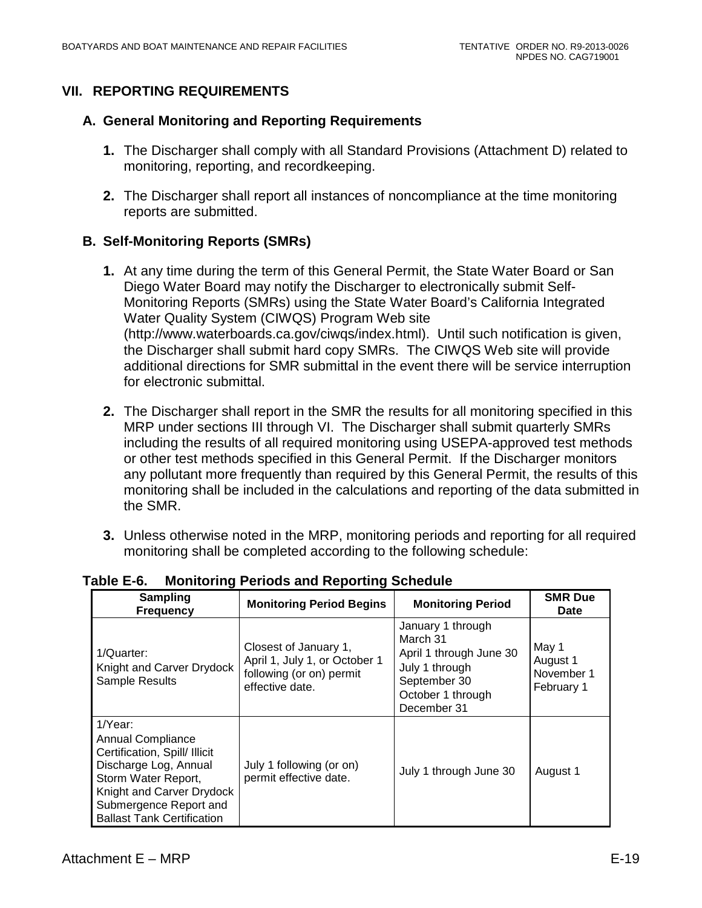# **VII. REPORTING REQUIREMENTS**

#### **A. General Monitoring and Reporting Requirements**

- **1.** The Discharger shall comply with all Standard Provisions (Attachment D) related to monitoring, reporting, and recordkeeping.
- **2.** The Discharger shall report all instances of noncompliance at the time monitoring reports are submitted.

# **B. Self-Monitoring Reports (SMRs)**

- **1.** At any time during the term of this General Permit, the State Water Board or San Diego Water Board may notify the Discharger to electronically submit Self-Monitoring Reports (SMRs) using the State Water Board's California Integrated Water Quality System (CIWQS) Program Web site (http://www.waterboards.ca.gov/ciwqs/index.html). Until such notification is given, the Discharger shall submit hard copy SMRs. The CIWQS Web site will provide additional directions for SMR submittal in the event there will be service interruption for electronic submittal.
- **2.** The Discharger shall report in the SMR the results for all monitoring specified in this MRP under sections III through VI. The Discharger shall submit quarterly SMRs including the results of all required monitoring using USEPA-approved test methods or other test methods specified in this General Permit. If the Discharger monitors any pollutant more frequently than required by this General Permit, the results of this monitoring shall be included in the calculations and reporting of the data submitted in the SMR.
- **3.** Unless otherwise noted in the MRP, monitoring periods and reporting for all required monitoring shall be completed according to the following schedule:

| <b>Sampling</b><br><b>Frequency</b>                                                                                                                                                                              | <b>Monitoring Period Begins</b>                                                                       |                                                                                                                                | <b>SMR Due</b><br><b>Date</b>                 |  |
|------------------------------------------------------------------------------------------------------------------------------------------------------------------------------------------------------------------|-------------------------------------------------------------------------------------------------------|--------------------------------------------------------------------------------------------------------------------------------|-----------------------------------------------|--|
| 1/Quarter:<br>Knight and Carver Drydock<br>Sample Results                                                                                                                                                        | Closest of January 1,<br>April 1, July 1, or October 1<br>following (or on) permit<br>effective date. | January 1 through<br>March 31<br>April 1 through June 30<br>July 1 through<br>September 30<br>October 1 through<br>December 31 | May 1<br>August 1<br>November 1<br>February 1 |  |
| 1/Year:<br><b>Annual Compliance</b><br>Certification, Spill/ Illicit<br>Discharge Log, Annual<br>Storm Water Report,<br>Knight and Carver Drydock<br>Submergence Report and<br><b>Ballast Tank Certification</b> | July 1 following (or on)<br>permit effective date.                                                    | July 1 through June 30                                                                                                         | August 1                                      |  |

**Table E-6. Monitoring Periods and Reporting Schedule**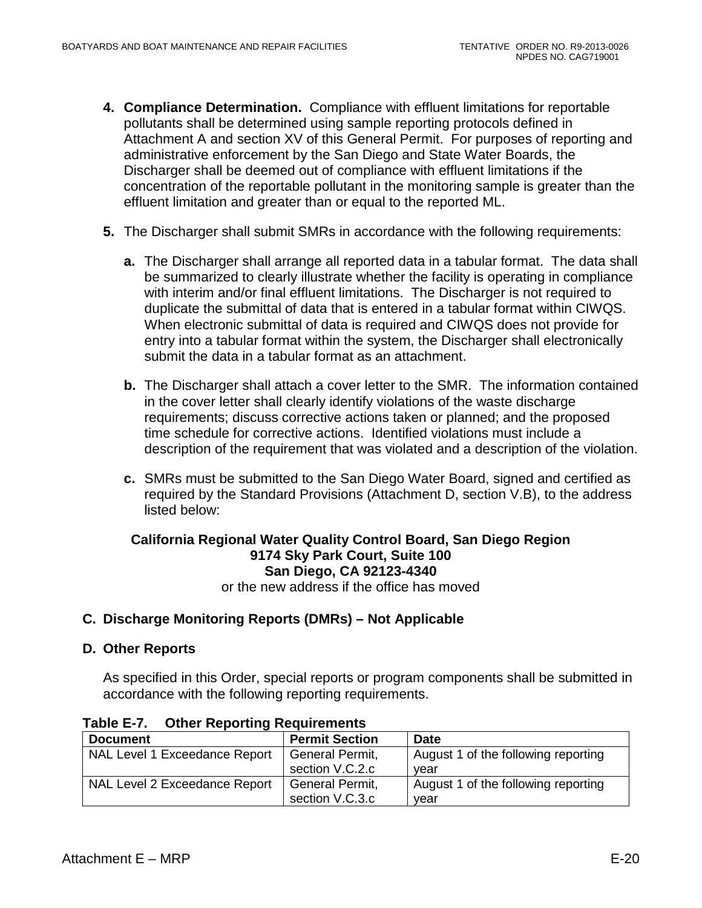- **4. Compliance Determination.** Compliance with effluent limitations for reportable pollutants shall be determined using sample reporting protocols defined in Attachment A and section XV of this General Permit. For purposes of reporting and administrative enforcement by the San Diego and State Water Boards, the Discharger shall be deemed out of compliance with effluent limitations if the concentration of the reportable pollutant in the monitoring sample is greater than the effluent limitation and greater than or equal to the reported ML.
- **5.** The Discharger shall submit SMRs in accordance with the following requirements:
	- **a.** The Discharger shall arrange all reported data in a tabular format. The data shall be summarized to clearly illustrate whether the facility is operating in compliance with interim and/or final effluent limitations. The Discharger is not required to duplicate the submittal of data that is entered in a tabular format within CIWQS. When electronic submittal of data is required and CIWQS does not provide for entry into a tabular format within the system, the Discharger shall electronically submit the data in a tabular format as an attachment.
	- **b.** The Discharger shall attach a cover letter to the SMR. The information contained in the cover letter shall clearly identify violations of the waste discharge requirements; discuss corrective actions taken or planned; and the proposed time schedule for corrective actions. Identified violations must include a description of the requirement that was violated and a description of the violation.
	- **c.** SMRs must be submitted to the San Diego Water Board, signed and certified as required by the Standard Provisions (Attachment D, section V.B), to the address listed below:

#### **California Regional Water Quality Control Board, San Diego Region 9174 Sky Park Court, Suite 100 San Diego, CA 92123-4340** or the new address if the office has moved

#### **C. Discharge Monitoring Reports (DMRs) – Not Applicable**

#### **D. Other Reports**

As specified in this Order, special reports or program components shall be submitted in accordance with the following reporting requirements.

| <b>Document</b>               | <b>Permit Section</b>              | <b>Date</b>                                 |
|-------------------------------|------------------------------------|---------------------------------------------|
| NAL Level 1 Exceedance Report | General Permit,<br>section V.C.2.c | August 1 of the following reporting<br>vear |
| NAL Level 2 Exceedance Report | General Permit,<br>section V.C.3.c | August 1 of the following reporting<br>vear |

**Table E-7. Other Reporting Requirements**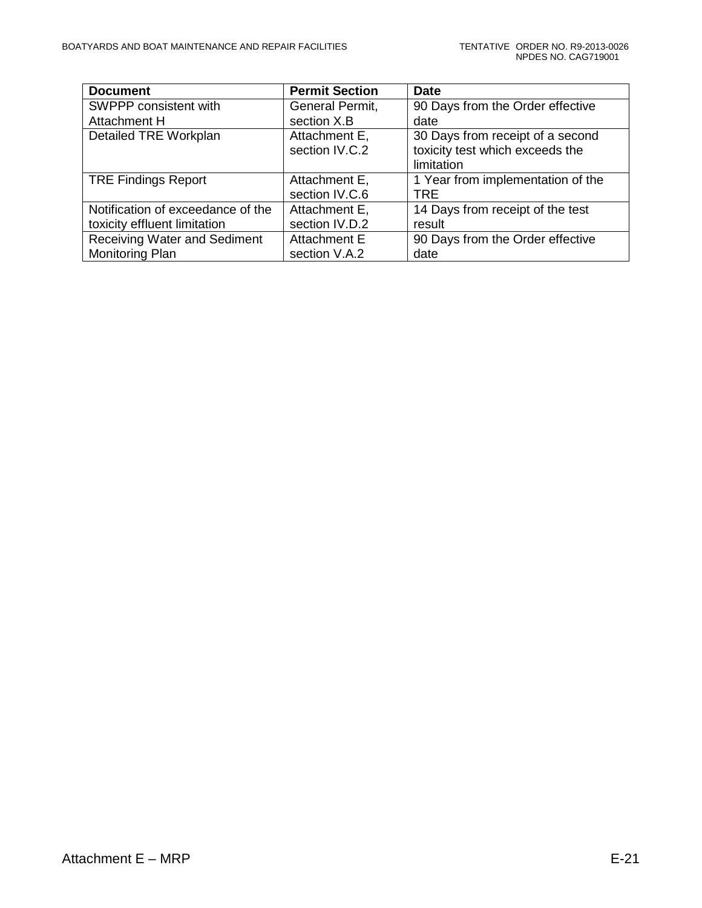| <b>Document</b>                     | <b>Permit Section</b> | <b>Date</b>                       |
|-------------------------------------|-----------------------|-----------------------------------|
| SWPPP consistent with               | General Permit,       | 90 Days from the Order effective  |
| Attachment H                        | section X.B           | date                              |
| Detailed TRE Workplan               | Attachment E,         | 30 Days from receipt of a second  |
|                                     | section IV.C.2        | toxicity test which exceeds the   |
|                                     |                       | limitation                        |
| <b>TRE Findings Report</b>          | Attachment E,         | 1 Year from implementation of the |
|                                     | section IV.C.6        | <b>TRE</b>                        |
| Notification of exceedance of the   | Attachment E,         | 14 Days from receipt of the test  |
| toxicity effluent limitation        | section IV.D.2        | result                            |
| <b>Receiving Water and Sediment</b> | Attachment E          | 90 Days from the Order effective  |
| Monitoring Plan                     | section V.A.2         | date                              |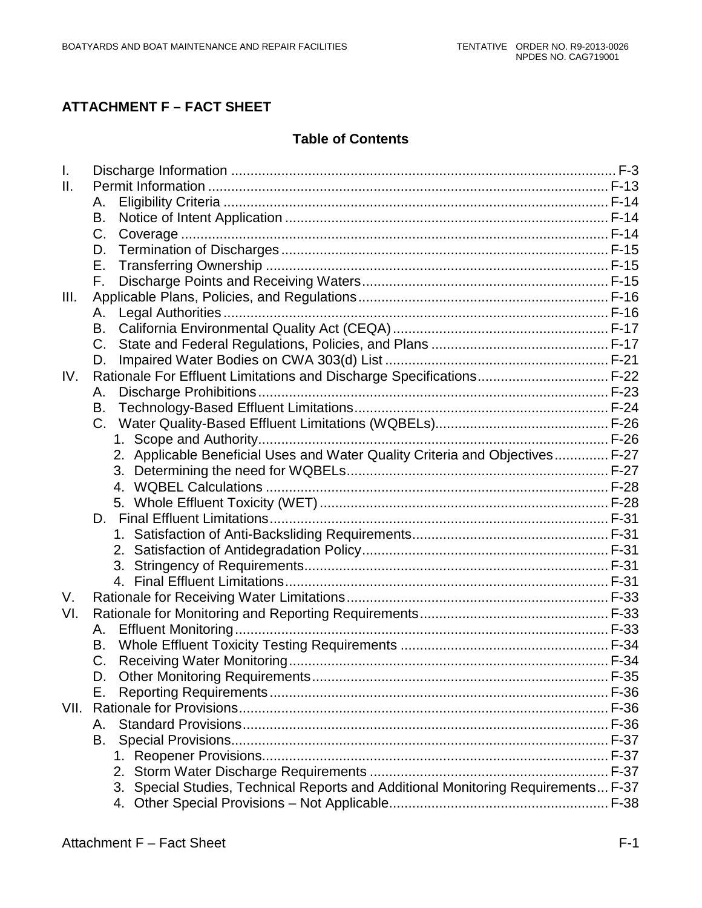# **ATTACHMENT F – FACT SHEET**

# **Table of Contents**

| $\mathbf{L}$    |                                                                                   |  |
|-----------------|-----------------------------------------------------------------------------------|--|
| $\mathbf{II}$ . |                                                                                   |  |
|                 | Α.                                                                                |  |
|                 | В.                                                                                |  |
|                 | C.                                                                                |  |
|                 | D.                                                                                |  |
|                 | Е.                                                                                |  |
|                 | $F_{\rm r}$                                                                       |  |
| III.            |                                                                                   |  |
|                 | А.                                                                                |  |
|                 | B.                                                                                |  |
|                 | $C_{1}$                                                                           |  |
|                 | D.                                                                                |  |
| IV.             | Rationale For Effluent Limitations and Discharge Specifications F-22              |  |
|                 | Α.                                                                                |  |
|                 | В.                                                                                |  |
|                 | C.                                                                                |  |
|                 |                                                                                   |  |
|                 | 2. Applicable Beneficial Uses and Water Quality Criteria and Objectives F-27      |  |
|                 |                                                                                   |  |
|                 |                                                                                   |  |
|                 |                                                                                   |  |
|                 |                                                                                   |  |
|                 |                                                                                   |  |
|                 |                                                                                   |  |
|                 |                                                                                   |  |
|                 |                                                                                   |  |
| V.              |                                                                                   |  |
| VI.             |                                                                                   |  |
|                 | А.                                                                                |  |
|                 | В.                                                                                |  |
|                 | C.                                                                                |  |
|                 |                                                                                   |  |
|                 | Е.                                                                                |  |
|                 |                                                                                   |  |
|                 | Α.                                                                                |  |
|                 | В.                                                                                |  |
|                 |                                                                                   |  |
|                 |                                                                                   |  |
|                 | 3. Special Studies, Technical Reports and Additional Monitoring Requirements F-37 |  |
|                 | 4.                                                                                |  |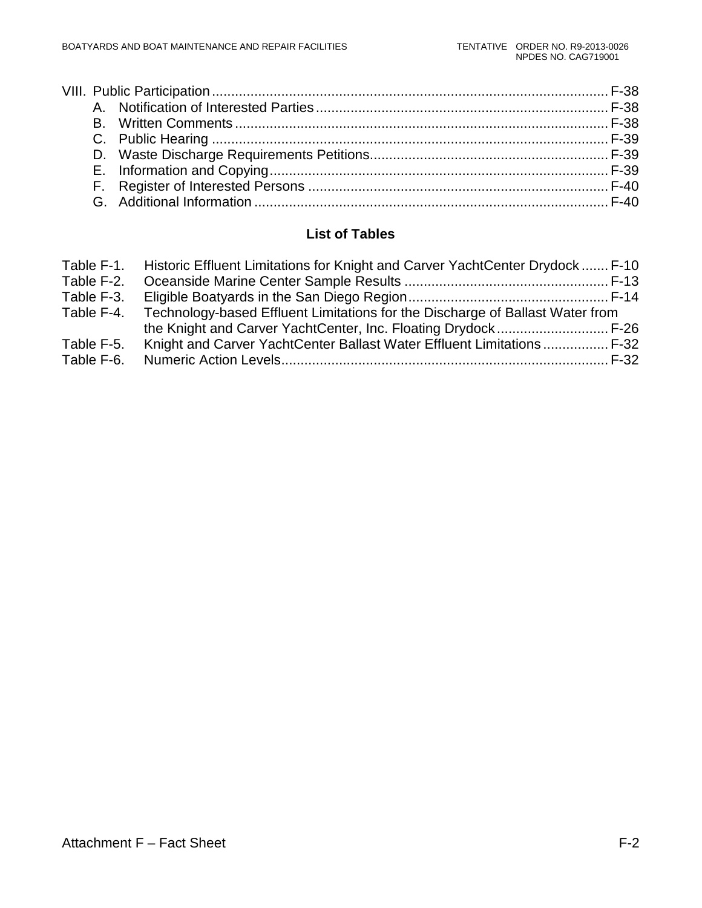# **List of Tables**

| Table F-1. | Historic Effluent Limitations for Knight and Carver YachtCenter Drydock F-10  |  |
|------------|-------------------------------------------------------------------------------|--|
| Table F-2. |                                                                               |  |
| Table F-3. |                                                                               |  |
| Table F-4. | Technology-based Effluent Limitations for the Discharge of Ballast Water from |  |
|            |                                                                               |  |
| Table F-5. | Knight and Carver YachtCenter Ballast Water Effluent Limitations  F-32        |  |
| Table F-6. |                                                                               |  |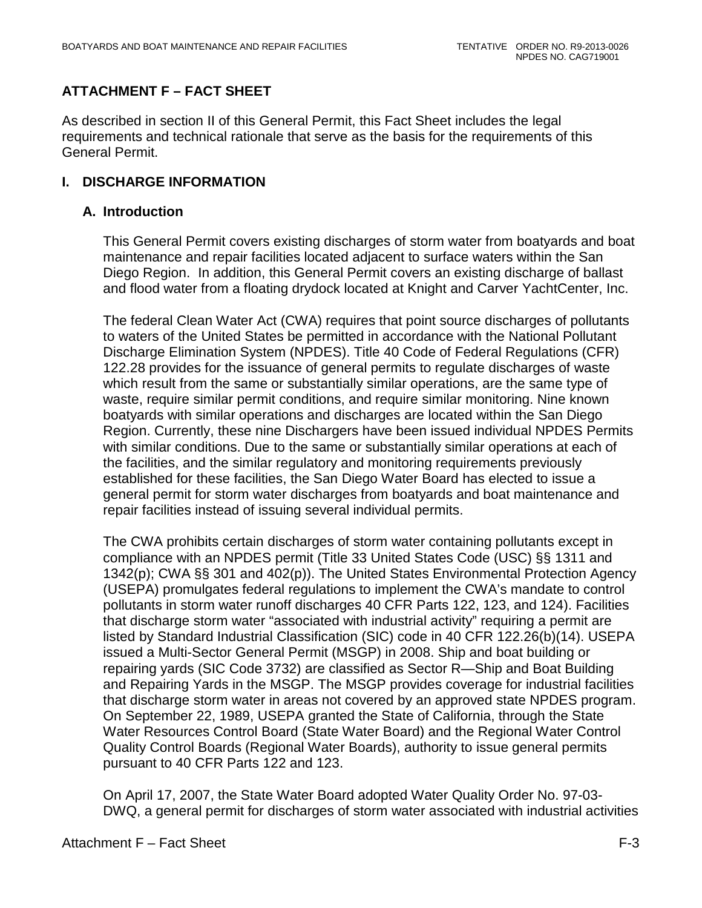# **ATTACHMENT F – FACT SHEET**

As described in section II of this General Permit, this Fact Sheet includes the legal requirements and technical rationale that serve as the basis for the requirements of this General Permit.

## <span id="page-77-0"></span>**I. DISCHARGE INFORMATION**

#### **A. Introduction**

This General Permit covers existing discharges of storm water from boatyards and boat maintenance and repair facilities located adjacent to surface waters within the San Diego Region. In addition, this General Permit covers an existing discharge of ballast and flood water from a floating drydock located at Knight and Carver YachtCenter, Inc.

The federal Clean Water Act (CWA) requires that point source discharges of pollutants to waters of the United States be permitted in accordance with the National Pollutant Discharge Elimination System (NPDES). Title 40 Code of Federal Regulations (CFR) 122.28 provides for the issuance of general permits to regulate discharges of waste which result from the same or substantially similar operations, are the same type of waste, require similar permit conditions, and require similar monitoring. Nine known boatyards with similar operations and discharges are located within the San Diego Region. Currently, these nine Dischargers have been issued individual NPDES Permits with similar conditions. Due to the same or substantially similar operations at each of the facilities, and the similar regulatory and monitoring requirements previously established for these facilities, the San Diego Water Board has elected to issue a general permit for storm water discharges from boatyards and boat maintenance and repair facilities instead of issuing several individual permits.

The CWA prohibits certain discharges of storm water containing pollutants except in compliance with an NPDES permit (Title 33 United States Code (USC) §§ 1311 and 1342(p); CWA §§ 301 and 402(p)). The United States Environmental Protection Agency (USEPA) promulgates federal regulations to implement the CWA's mandate to control pollutants in storm water runoff discharges 40 CFR Parts 122, 123, and 124). Facilities that discharge storm water "associated with industrial activity" requiring a permit are listed by Standard Industrial Classification (SIC) code in 40 CFR 122.26(b)(14). USEPA issued a Multi-Sector General Permit (MSGP) in 2008. Ship and boat building or repairing yards (SIC Code 3732) are classified as Sector R—Ship and Boat Building and Repairing Yards in the MSGP. The MSGP provides coverage for industrial facilities that discharge storm water in areas not covered by an approved state NPDES program. On September 22, 1989, USEPA granted the State of California, through the State Water Resources Control Board (State Water Board) and the Regional Water Control Quality Control Boards (Regional Water Boards), authority to issue general permits pursuant to 40 CFR Parts 122 and 123.

On April 17, 2007, the State Water Board adopted Water Quality Order No. 97-03- DWQ, a general permit for discharges of storm water associated with industrial activities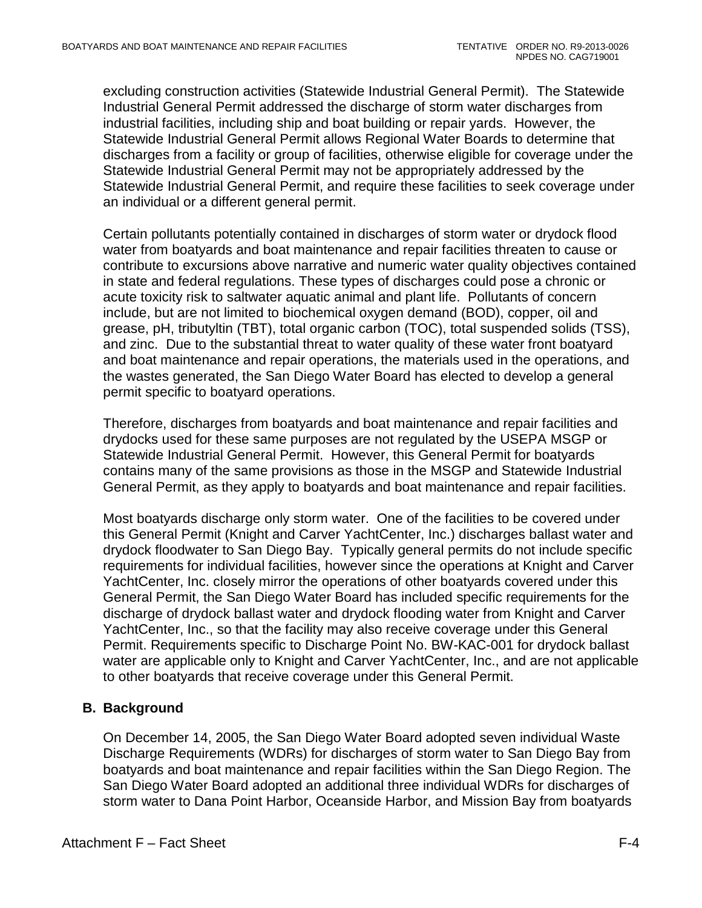excluding construction activities (Statewide Industrial General Permit). The Statewide Industrial General Permit addressed the discharge of storm water discharges from industrial facilities, including ship and boat building or repair yards. However, the Statewide Industrial General Permit allows Regional Water Boards to determine that discharges from a facility or group of facilities, otherwise eligible for coverage under the Statewide Industrial General Permit may not be appropriately addressed by the Statewide Industrial General Permit, and require these facilities to seek coverage under an individual or a different general permit.

Certain pollutants potentially contained in discharges of storm water or drydock flood water from boatyards and boat maintenance and repair facilities threaten to cause or contribute to excursions above narrative and numeric water quality objectives contained in state and federal regulations. These types of discharges could pose a chronic or acute toxicity risk to saltwater aquatic animal and plant life. Pollutants of concern include, but are not limited to biochemical oxygen demand (BOD), copper, oil and grease, pH, tributyltin (TBT), total organic carbon (TOC), total suspended solids (TSS), and zinc. Due to the substantial threat to water quality of these water front boatyard and boat maintenance and repair operations, the materials used in the operations, and the wastes generated, the San Diego Water Board has elected to develop a general permit specific to boatyard operations.

Therefore, discharges from boatyards and boat maintenance and repair facilities and drydocks used for these same purposes are not regulated by the USEPA MSGP or Statewide Industrial General Permit. However, this General Permit for boatyards contains many of the same provisions as those in the MSGP and Statewide Industrial General Permit, as they apply to boatyards and boat maintenance and repair facilities.

Most boatyards discharge only storm water. One of the facilities to be covered under this General Permit (Knight and Carver YachtCenter, Inc.) discharges ballast water and drydock floodwater to San Diego Bay. Typically general permits do not include specific requirements for individual facilities, however since the operations at Knight and Carver YachtCenter, Inc. closely mirror the operations of other boatyards covered under this General Permit, the San Diego Water Board has included specific requirements for the discharge of drydock ballast water and drydock flooding water from Knight and Carver YachtCenter, Inc., so that the facility may also receive coverage under this General Permit. Requirements specific to Discharge Point No. BW-KAC-001 for drydock ballast water are applicable only to Knight and Carver YachtCenter, Inc., and are not applicable to other boatyards that receive coverage under this General Permit.

# **B. Background**

On December 14, 2005, the San Diego Water Board adopted seven individual Waste Discharge Requirements (WDRs) for discharges of storm water to San Diego Bay from boatyards and boat maintenance and repair facilities within the San Diego Region. The San Diego Water Board adopted an additional three individual WDRs for discharges of storm water to Dana Point Harbor, Oceanside Harbor, and Mission Bay from boatyards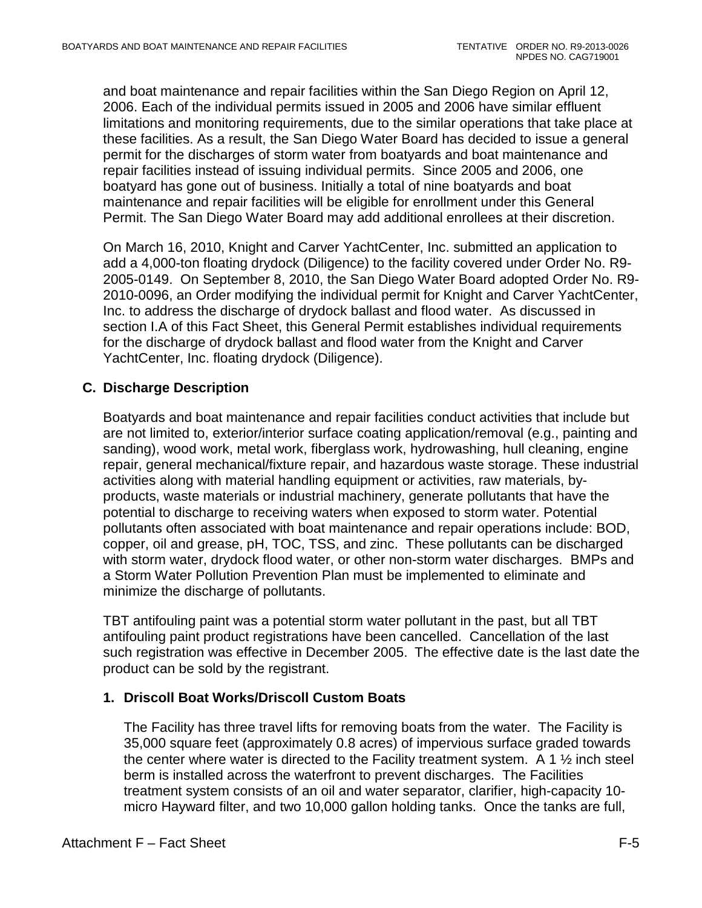and boat maintenance and repair facilities within the San Diego Region on April 12, 2006. Each of the individual permits issued in 2005 and 2006 have similar effluent limitations and monitoring requirements, due to the similar operations that take place at these facilities. As a result, the San Diego Water Board has decided to issue a general permit for the discharges of storm water from boatyards and boat maintenance and repair facilities instead of issuing individual permits. Since 2005 and 2006, one boatyard has gone out of business. Initially a total of nine boatyards and boat maintenance and repair facilities will be eligible for enrollment under this General Permit. The San Diego Water Board may add additional enrollees at their discretion.

On March 16, 2010, Knight and Carver YachtCenter, Inc. submitted an application to add a 4,000-ton floating drydock (Diligence) to the facility covered under Order No. R9- 2005-0149. On September 8, 2010, the San Diego Water Board adopted Order No. R9- 2010-0096, an Order modifying the individual permit for Knight and Carver YachtCenter, Inc. to address the discharge of drydock ballast and flood water. As discussed in section I.A of this Fact Sheet, this General Permit establishes individual requirements for the discharge of drydock ballast and flood water from the Knight and Carver YachtCenter, Inc. floating drydock (Diligence).

# **C. Discharge Description**

Boatyards and boat maintenance and repair facilities conduct activities that include but are not limited to, exterior/interior surface coating application/removal (e.g., painting and sanding), wood work, metal work, fiberglass work, hydrowashing, hull cleaning, engine repair, general mechanical/fixture repair, and hazardous waste storage. These industrial activities along with material handling equipment or activities, raw materials, byproducts, waste materials or industrial machinery, generate pollutants that have the potential to discharge to receiving waters when exposed to storm water. Potential pollutants often associated with boat maintenance and repair operations include: BOD, copper, oil and grease, pH, TOC, TSS, and zinc. These pollutants can be discharged with storm water, drydock flood water, or other non-storm water discharges. BMPs and a Storm Water Pollution Prevention Plan must be implemented to eliminate and minimize the discharge of pollutants.

TBT antifouling paint was a potential storm water pollutant in the past, but all TBT antifouling paint product registrations have been cancelled. Cancellation of the last such registration was effective in December 2005. The effective date is the last date the product can be sold by the registrant.

## **1. Driscoll Boat Works/Driscoll Custom Boats**

The Facility has three travel lifts for removing boats from the water. The Facility is 35,000 square feet (approximately 0.8 acres) of impervious surface graded towards the center where water is directed to the Facility treatment system. A 1  $\frac{1}{2}$  inch steel berm is installed across the waterfront to prevent discharges. The Facilities treatment system consists of an oil and water separator, clarifier, high-capacity 10 micro Hayward filter, and two 10,000 gallon holding tanks. Once the tanks are full,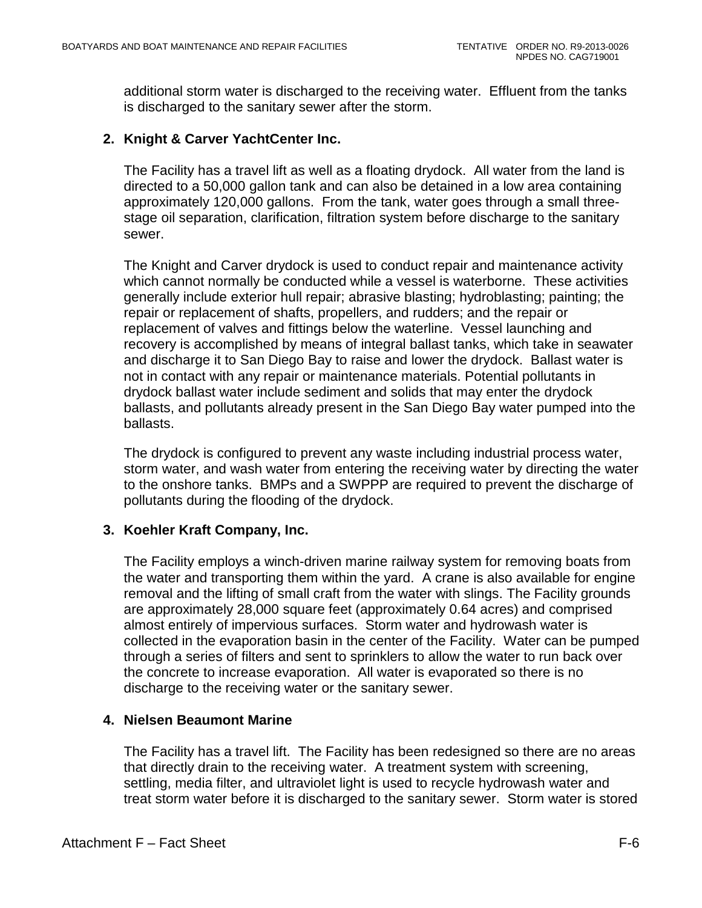additional storm water is discharged to the receiving water. Effluent from the tanks is discharged to the sanitary sewer after the storm.

## **2. Knight & Carver YachtCenter Inc.**

The Facility has a travel lift as well as a floating drydock. All water from the land is directed to a 50,000 gallon tank and can also be detained in a low area containing approximately 120,000 gallons. From the tank, water goes through a small threestage oil separation, clarification, filtration system before discharge to the sanitary sewer.

The Knight and Carver drydock is used to conduct repair and maintenance activity which cannot normally be conducted while a vessel is waterborne. These activities generally include exterior hull repair; abrasive blasting; hydroblasting; painting; the repair or replacement of shafts, propellers, and rudders; and the repair or replacement of valves and fittings below the waterline. Vessel launching and recovery is accomplished by means of integral ballast tanks, which take in seawater and discharge it to San Diego Bay to raise and lower the drydock. Ballast water is not in contact with any repair or maintenance materials. Potential pollutants in drydock ballast water include sediment and solids that may enter the drydock ballasts, and pollutants already present in the San Diego Bay water pumped into the ballasts.

The drydock is configured to prevent any waste including industrial process water, storm water, and wash water from entering the receiving water by directing the water to the onshore tanks. BMPs and a SWPPP are required to prevent the discharge of pollutants during the flooding of the drydock.

## **3. Koehler Kraft Company, Inc.**

The Facility employs a winch-driven marine railway system for removing boats from the water and transporting them within the yard. A crane is also available for engine removal and the lifting of small craft from the water with slings. The Facility grounds are approximately 28,000 square feet (approximately 0.64 acres) and comprised almost entirely of impervious surfaces. Storm water and hydrowash water is collected in the evaporation basin in the center of the Facility. Water can be pumped through a series of filters and sent to sprinklers to allow the water to run back over the concrete to increase evaporation. All water is evaporated so there is no discharge to the receiving water or the sanitary sewer.

## **4. Nielsen Beaumont Marine**

The Facility has a travel lift. The Facility has been redesigned so there are no areas that directly drain to the receiving water. A treatment system with screening, settling, media filter, and ultraviolet light is used to recycle hydrowash water and treat storm water before it is discharged to the sanitary sewer. Storm water is stored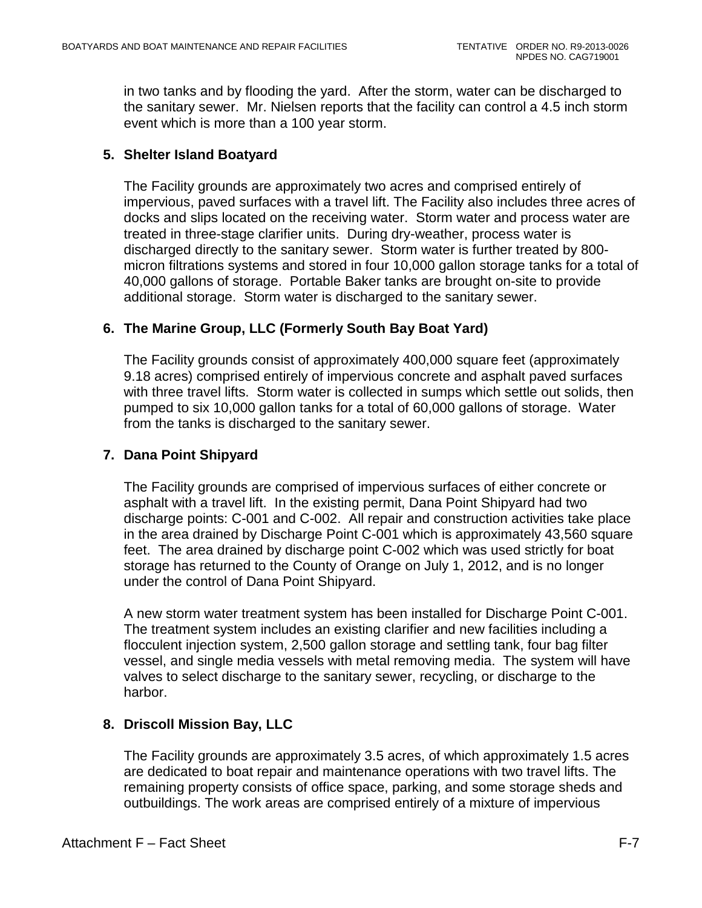in two tanks and by flooding the yard. After the storm, water can be discharged to the sanitary sewer. Mr. Nielsen reports that the facility can control a 4.5 inch storm event which is more than a 100 year storm.

# **5. Shelter Island Boatyard**

The Facility grounds are approximately two acres and comprised entirely of impervious, paved surfaces with a travel lift. The Facility also includes three acres of docks and slips located on the receiving water. Storm water and process water are treated in three-stage clarifier units. During dry-weather, process water is discharged directly to the sanitary sewer. Storm water is further treated by 800 micron filtrations systems and stored in four 10,000 gallon storage tanks for a total of 40,000 gallons of storage. Portable Baker tanks are brought on-site to provide additional storage. Storm water is discharged to the sanitary sewer.

## **6. The Marine Group, LLC (Formerly South Bay Boat Yard)**

The Facility grounds consist of approximately 400,000 square feet (approximately 9.18 acres) comprised entirely of impervious concrete and asphalt paved surfaces with three travel lifts. Storm water is collected in sumps which settle out solids, then pumped to six 10,000 gallon tanks for a total of 60,000 gallons of storage. Water from the tanks is discharged to the sanitary sewer.

## **7. Dana Point Shipyard**

The Facility grounds are comprised of impervious surfaces of either concrete or asphalt with a travel lift. In the existing permit, Dana Point Shipyard had two discharge points: C-001 and C-002. All repair and construction activities take place in the area drained by Discharge Point C-001 which is approximately 43,560 square feet. The area drained by discharge point C-002 which was used strictly for boat storage has returned to the County of Orange on July 1, 2012, and is no longer under the control of Dana Point Shipyard.

A new storm water treatment system has been installed for Discharge Point C-001. The treatment system includes an existing clarifier and new facilities including a flocculent injection system, 2,500 gallon storage and settling tank, four bag filter vessel, and single media vessels with metal removing media. The system will have valves to select discharge to the sanitary sewer, recycling, or discharge to the harbor.

## **8. Driscoll Mission Bay, LLC**

The Facility grounds are approximately 3.5 acres, of which approximately 1.5 acres are dedicated to boat repair and maintenance operations with two travel lifts. The remaining property consists of office space, parking, and some storage sheds and outbuildings. The work areas are comprised entirely of a mixture of impervious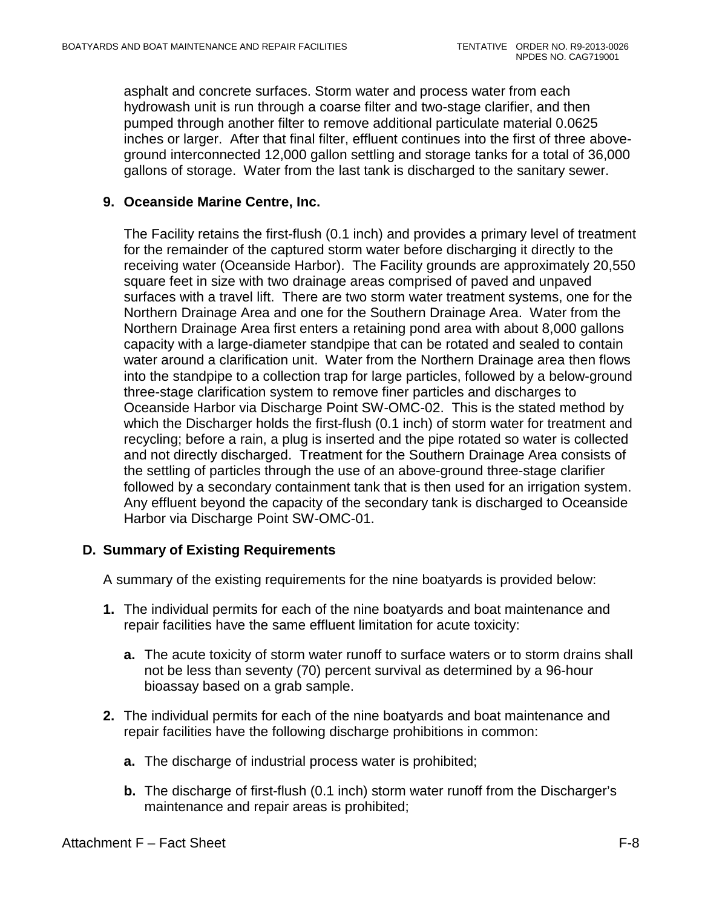asphalt and concrete surfaces. Storm water and process water from each hydrowash unit is run through a coarse filter and two-stage clarifier, and then pumped through another filter to remove additional particulate material 0.0625 inches or larger. After that final filter, effluent continues into the first of three aboveground interconnected 12,000 gallon settling and storage tanks for a total of 36,000 gallons of storage. Water from the last tank is discharged to the sanitary sewer.

## **9. Oceanside Marine Centre, Inc.**

The Facility retains the first-flush (0.1 inch) and provides a primary level of treatment for the remainder of the captured storm water before discharging it directly to the receiving water (Oceanside Harbor). The Facility grounds are approximately 20,550 square feet in size with two drainage areas comprised of paved and unpaved surfaces with a travel lift. There are two storm water treatment systems, one for the Northern Drainage Area and one for the Southern Drainage Area. Water from the Northern Drainage Area first enters a retaining pond area with about 8,000 gallons capacity with a large-diameter standpipe that can be rotated and sealed to contain water around a clarification unit. Water from the Northern Drainage area then flows into the standpipe to a collection trap for large particles, followed by a below-ground three-stage clarification system to remove finer particles and discharges to Oceanside Harbor via Discharge Point SW-OMC-02. This is the stated method by which the Discharger holds the first-flush (0.1 inch) of storm water for treatment and recycling; before a rain, a plug is inserted and the pipe rotated so water is collected and not directly discharged. Treatment for the Southern Drainage Area consists of the settling of particles through the use of an above-ground three-stage clarifier followed by a secondary containment tank that is then used for an irrigation system. Any effluent beyond the capacity of the secondary tank is discharged to Oceanside Harbor via Discharge Point SW-OMC-01.

## **D. Summary of Existing Requirements**

A summary of the existing requirements for the nine boatyards is provided below:

- **1.** The individual permits for each of the nine boatyards and boat maintenance and repair facilities have the same effluent limitation for acute toxicity:
	- **a.** The acute toxicity of storm water runoff to surface waters or to storm drains shall not be less than seventy (70) percent survival as determined by a 96-hour bioassay based on a grab sample.
- **2.** The individual permits for each of the nine boatyards and boat maintenance and repair facilities have the following discharge prohibitions in common:
	- **a.** The discharge of industrial process water is prohibited;
	- **b.** The discharge of first-flush (0.1 inch) storm water runoff from the Discharger's maintenance and repair areas is prohibited;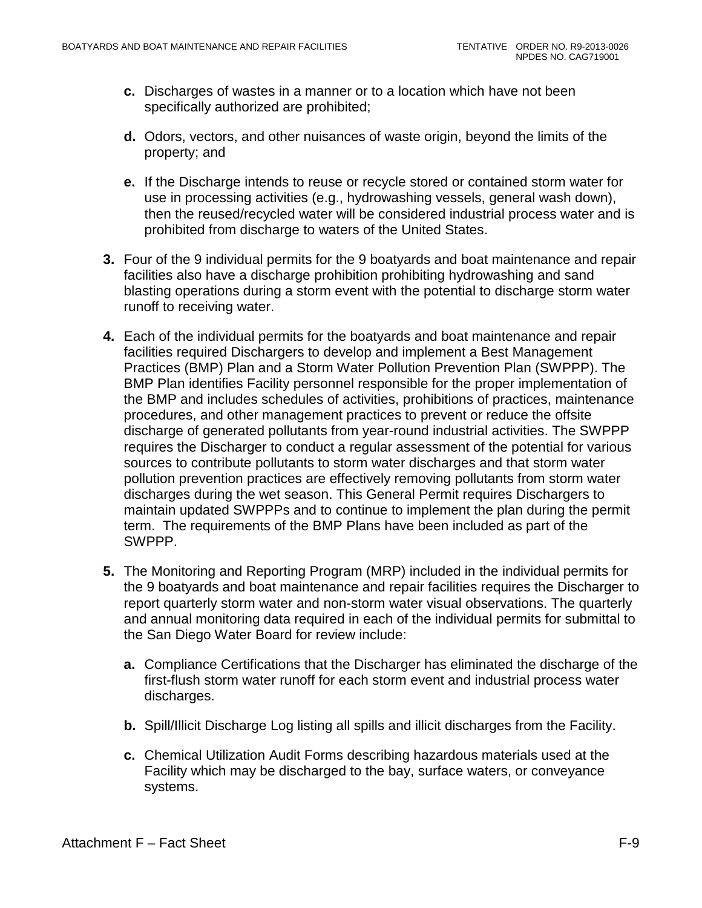- **c.** Discharges of wastes in a manner or to a location which have not been specifically authorized are prohibited;
- **d.** Odors, vectors, and other nuisances of waste origin, beyond the limits of the property; and
- **e.** If the Discharge intends to reuse or recycle stored or contained storm water for use in processing activities (e.g., hydrowashing vessels, general wash down), then the reused/recycled water will be considered industrial process water and is prohibited from discharge to waters of the United States.
- **3.** Four of the 9 individual permits for the 9 boatyards and boat maintenance and repair facilities also have a discharge prohibition prohibiting hydrowashing and sand blasting operations during a storm event with the potential to discharge storm water runoff to receiving water.
- **4.** Each of the individual permits for the boatyards and boat maintenance and repair facilities required Dischargers to develop and implement a Best Management Practices (BMP) Plan and a Storm Water Pollution Prevention Plan (SWPPP). The BMP Plan identifies Facility personnel responsible for the proper implementation of the BMP and includes schedules of activities, prohibitions of practices, maintenance procedures, and other management practices to prevent or reduce the offsite discharge of generated pollutants from year-round industrial activities. The SWPPP requires the Discharger to conduct a regular assessment of the potential for various sources to contribute pollutants to storm water discharges and that storm water pollution prevention practices are effectively removing pollutants from storm water discharges during the wet season. This General Permit requires Dischargers to maintain updated SWPPPs and to continue to implement the plan during the permit term. The requirements of the BMP Plans have been included as part of the SWPPP.
- **5.** The Monitoring and Reporting Program (MRP) included in the individual permits for the 9 boatyards and boat maintenance and repair facilities requires the Discharger to report quarterly storm water and non-storm water visual observations. The quarterly and annual monitoring data required in each of the individual permits for submittal to the San Diego Water Board for review include:
	- **a.** Compliance Certifications that the Discharger has eliminated the discharge of the first-flush storm water runoff for each storm event and industrial process water discharges.
	- **b.** Spill/Illicit Discharge Log listing all spills and illicit discharges from the Facility.
	- **c.** Chemical Utilization Audit Forms describing hazardous materials used at the Facility which may be discharged to the bay, surface waters, or conveyance systems.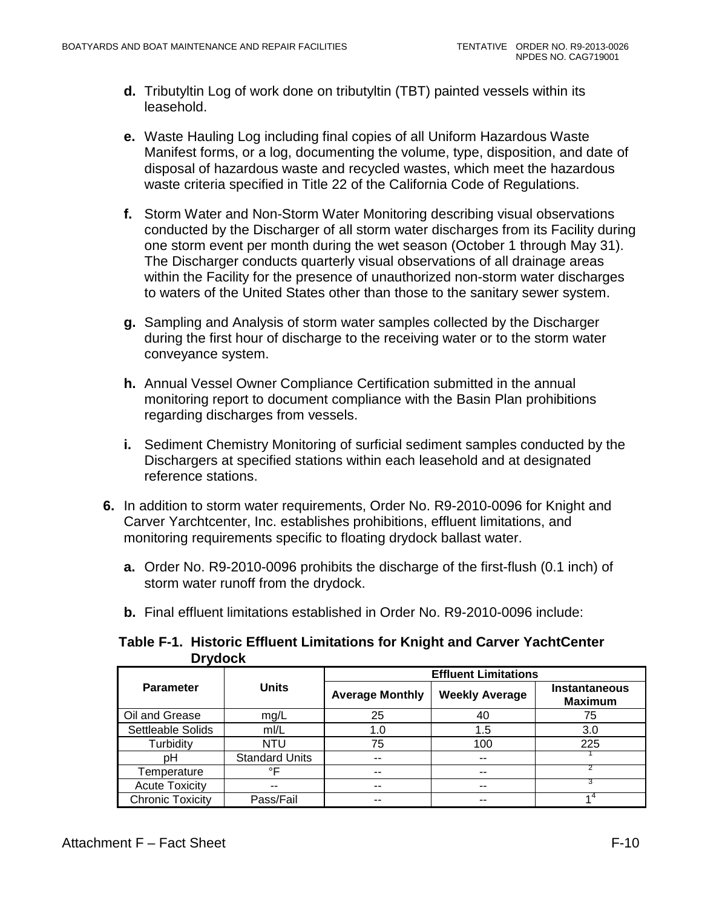- **d.** Tributyltin Log of work done on tributyltin (TBT) painted vessels within its leasehold.
- **e.** Waste Hauling Log including final copies of all Uniform Hazardous Waste Manifest forms, or a log, documenting the volume, type, disposition, and date of disposal of hazardous waste and recycled wastes, which meet the hazardous waste criteria specified in Title 22 of the California Code of Regulations.
- **f.** Storm Water and Non-Storm Water Monitoring describing visual observations conducted by the Discharger of all storm water discharges from its Facility during one storm event per month during the wet season (October 1 through May 31). The Discharger conducts quarterly visual observations of all drainage areas within the Facility for the presence of unauthorized non-storm water discharges to waters of the United States other than those to the sanitary sewer system.
- **g.** Sampling and Analysis of storm water samples collected by the Discharger during the first hour of discharge to the receiving water or to the storm water conveyance system.
- **h.** Annual Vessel Owner Compliance Certification submitted in the annual monitoring report to document compliance with the Basin Plan prohibitions regarding discharges from vessels.
- **i.** Sediment Chemistry Monitoring of surficial sediment samples conducted by the Dischargers at specified stations within each leasehold and at designated reference stations.
- **6.** In addition to storm water requirements, Order No. R9-2010-0096 for Knight and Carver Yarchtcenter, Inc. establishes prohibitions, effluent limitations, and monitoring requirements specific to floating drydock ballast water.
	- **a.** Order No. R9-2010-0096 prohibits the discharge of the first-flush (0.1 inch) of storm water runoff from the drydock.
	- **b.** Final effluent limitations established in Order No. R9-2010-0096 include:

<span id="page-84-0"></span>

| Table F-1. Historic Effluent Limitations for Knight and Carver YachtCenter |
|----------------------------------------------------------------------------|
| <b>Drydock</b>                                                             |

|                         |                       | <b>Effluent Limitations</b> |                       |                                        |  |  |  |
|-------------------------|-----------------------|-----------------------------|-----------------------|----------------------------------------|--|--|--|
| <b>Parameter</b>        | <b>Units</b>          | <b>Average Monthly</b>      | <b>Weekly Average</b> | <b>Instantaneous</b><br><b>Maximum</b> |  |  |  |
| Oil and Grease          | mg/L                  | 25                          | 40                    | 75                                     |  |  |  |
| Settleable Solids       | mI/L                  | 1.0                         | 1.5                   | 3.0                                    |  |  |  |
| Turbidity               | NTU                   | 75                          | 100                   | 225                                    |  |  |  |
| pН                      | <b>Standard Units</b> | $-$                         | $- -$                 |                                        |  |  |  |
| Temperature             | ∘⊏                    | --                          | $- -$                 |                                        |  |  |  |
| <b>Acute Toxicity</b>   | --                    | --                          | --                    |                                        |  |  |  |
| <b>Chronic Toxicity</b> | Pass/Fail             |                             |                       |                                        |  |  |  |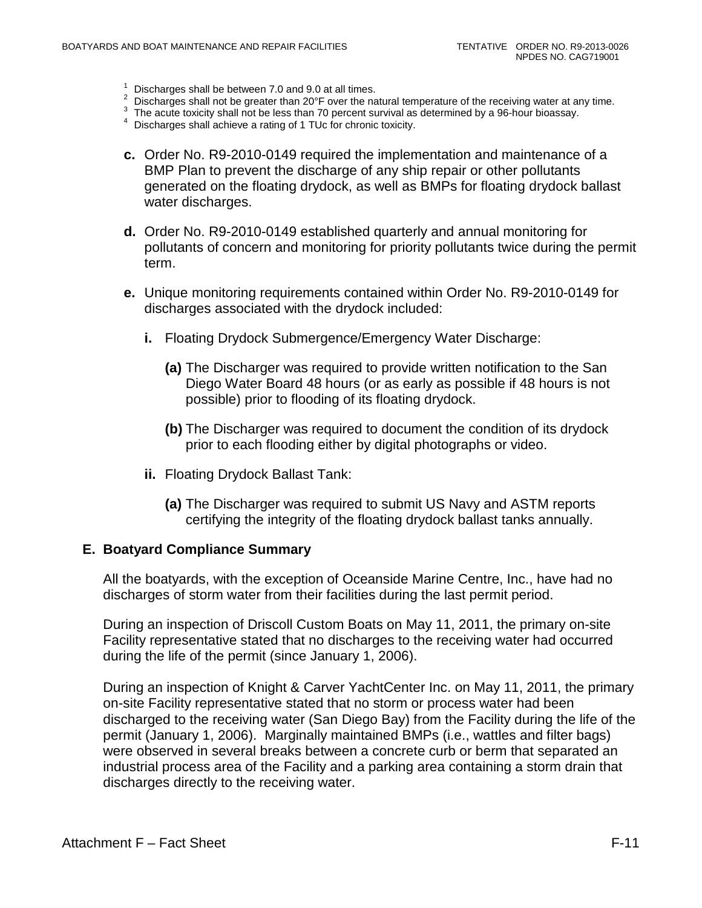- 
- <sup>1</sup> Discharges shall be between 7.0 and 9.0 at all times.<br>
<sup>2</sup> Discharges shall not be greater than 20°F over the natural temperature of the receiving water at any time.<br>
<sup>3</sup> The acute toxicity shall not be less than 70 p
- 
- 
- **c.** Order No. R9-2010-0149 required the implementation and maintenance of a BMP Plan to prevent the discharge of any ship repair or other pollutants generated on the floating drydock, as well as BMPs for floating drydock ballast water discharges.
- **d.** Order No. R9-2010-0149 established quarterly and annual monitoring for pollutants of concern and monitoring for priority pollutants twice during the permit term.
- **e.** Unique monitoring requirements contained within Order No. R9-2010-0149 for discharges associated with the drydock included:
	- **i.** Floating Drydock Submergence/Emergency Water Discharge:
		- **(a)** The Discharger was required to provide written notification to the San Diego Water Board 48 hours (or as early as possible if 48 hours is not possible) prior to flooding of its floating drydock.
		- **(b)** The Discharger was required to document the condition of its drydock prior to each flooding either by digital photographs or video.
	- **ii.** Floating Drydock Ballast Tank:
		- **(a)** The Discharger was required to submit US Navy and ASTM reports certifying the integrity of the floating drydock ballast tanks annually.

#### **E. Boatyard Compliance Summary**

All the boatyards, with the exception of Oceanside Marine Centre, Inc., have had no discharges of storm water from their facilities during the last permit period.

During an inspection of Driscoll Custom Boats on May 11, 2011, the primary on-site Facility representative stated that no discharges to the receiving water had occurred during the life of the permit (since January 1, 2006).

During an inspection of Knight & Carver YachtCenter Inc. on May 11, 2011, the primary on-site Facility representative stated that no storm or process water had been discharged to the receiving water (San Diego Bay) from the Facility during the life of the permit (January 1, 2006). Marginally maintained BMPs (i.e., wattles and filter bags) were observed in several breaks between a concrete curb or berm that separated an industrial process area of the Facility and a parking area containing a storm drain that discharges directly to the receiving water.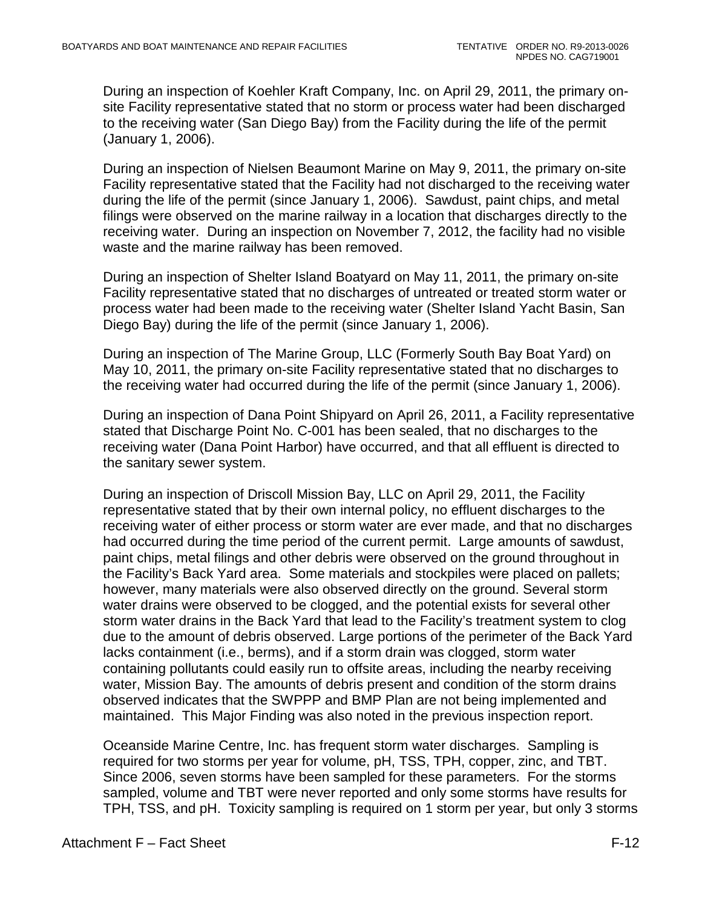During an inspection of Koehler Kraft Company, Inc. on April 29, 2011, the primary onsite Facility representative stated that no storm or process water had been discharged to the receiving water (San Diego Bay) from the Facility during the life of the permit (January 1, 2006).

During an inspection of Nielsen Beaumont Marine on May 9, 2011, the primary on-site Facility representative stated that the Facility had not discharged to the receiving water during the life of the permit (since January 1, 2006). Sawdust, paint chips, and metal filings were observed on the marine railway in a location that discharges directly to the receiving water. During an inspection on November 7, 2012, the facility had no visible waste and the marine railway has been removed.

During an inspection of Shelter Island Boatyard on May 11, 2011, the primary on-site Facility representative stated that no discharges of untreated or treated storm water or process water had been made to the receiving water (Shelter Island Yacht Basin, San Diego Bay) during the life of the permit (since January 1, 2006).

During an inspection of The Marine Group, LLC (Formerly South Bay Boat Yard) on May 10, 2011, the primary on-site Facility representative stated that no discharges to the receiving water had occurred during the life of the permit (since January 1, 2006).

During an inspection of Dana Point Shipyard on April 26, 2011, a Facility representative stated that Discharge Point No. C-001 has been sealed, that no discharges to the receiving water (Dana Point Harbor) have occurred, and that all effluent is directed to the sanitary sewer system.

During an inspection of Driscoll Mission Bay, LLC on April 29, 2011, the Facility representative stated that by their own internal policy, no effluent discharges to the receiving water of either process or storm water are ever made, and that no discharges had occurred during the time period of the current permit. Large amounts of sawdust, paint chips, metal filings and other debris were observed on the ground throughout in the Facility's Back Yard area. Some materials and stockpiles were placed on pallets; however, many materials were also observed directly on the ground. Several storm water drains were observed to be clogged, and the potential exists for several other storm water drains in the Back Yard that lead to the Facility's treatment system to clog due to the amount of debris observed. Large portions of the perimeter of the Back Yard lacks containment (i.e., berms), and if a storm drain was clogged, storm water containing pollutants could easily run to offsite areas, including the nearby receiving water, Mission Bay. The amounts of debris present and condition of the storm drains observed indicates that the SWPPP and BMP Plan are not being implemented and maintained. This Major Finding was also noted in the previous inspection report.

Oceanside Marine Centre, Inc. has frequent storm water discharges. Sampling is required for two storms per year for volume, pH, TSS, TPH, copper, zinc, and TBT. Since 2006, seven storms have been sampled for these parameters. For the storms sampled, volume and TBT were never reported and only some storms have results for TPH, TSS, and pH. Toxicity sampling is required on 1 storm per year, but only 3 storms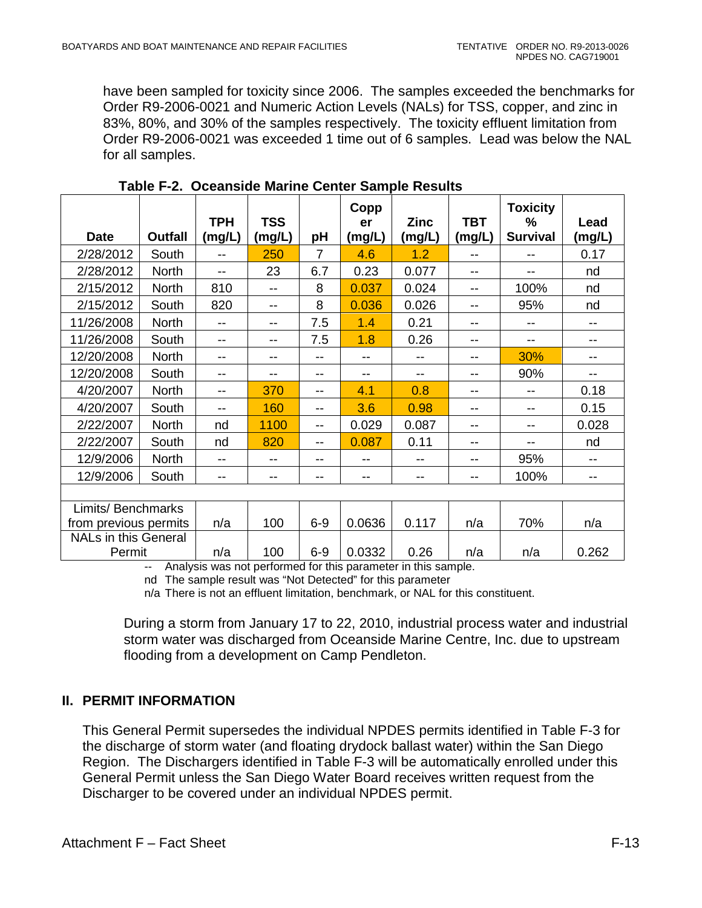have been sampled for toxicity since 2006. The samples exceeded the benchmarks for Order R9-2006-0021 and Numeric Action Levels (NALs) for TSS, copper, and zinc in 83%, 80%, and 30% of the samples respectively. The toxicity effluent limitation from Order R9-2006-0021 was exceeded 1 time out of 6 samples. Lead was below the NAL for all samples.

<span id="page-87-1"></span>

|                             |              | <b>TPH</b> | <b>TSS</b> |                | Copp<br>er | <b>Zinc</b> | <b>TBT</b> | <b>Toxicity</b><br>% | Lead   |
|-----------------------------|--------------|------------|------------|----------------|------------|-------------|------------|----------------------|--------|
| <b>Date</b>                 | Outfall      | (mg/L)     | (mg/L)     | рH             | (mg/L)     | (mg/L)      | (mg/L)     | <b>Survival</b>      | (mg/L) |
| 2/28/2012                   | South        | --         | 250        | $\overline{7}$ | 4.6        | 1.2         |            | --                   | 0.17   |
| 2/28/2012                   | <b>North</b> | --         | 23         | 6.7            | 0.23       | 0.077       |            | --                   | nd     |
| 2/15/2012                   | <b>North</b> | 810        | --         | 8              | 0.037      | 0.024       | $- -$      | 100%                 | nd     |
| 2/15/2012                   | South        | 820        |            | 8              | 0.036      | 0.026       |            | 95%                  | nd     |
| 11/26/2008                  | <b>North</b> | --         | --         | 7.5            | 1.4        | 0.21        |            | --                   | --     |
| 11/26/2008                  | South        | --         | --         | 7.5            | 1.8        | 0.26        | $-$        | --                   | --     |
| 12/20/2008                  | <b>North</b> | --         | --         | --             | --         |             | --         | 30%                  | --     |
| 12/20/2008                  | South        | --         | --         | --             | $- -$      | --          | --         | 90%                  | --     |
| 4/20/2007                   | <b>North</b> | --         | 370        | --             | 4.1        | 0.8         |            |                      | 0.18   |
| 4/20/2007                   | South        | $-$        | 160        | --             | 3.6        | 0.98        | --         | --                   | 0.15   |
| 2/22/2007                   | <b>North</b> | nd         | 1100       | --             | 0.029      | 0.087       | --         | --                   | 0.028  |
| 2/22/2007                   | South        | nd         | 820        | --             | 0.087      | 0.11        | --         | --                   | nd     |
| 12/9/2006                   | <b>North</b> | --         |            | --             | --         |             |            | 95%                  |        |
| 12/9/2006                   | South        | --         | --         | --             | --         | --          | --         | 100%                 | --     |
|                             |              |            |            |                |            |             |            |                      |        |
| Limits/ Benchmarks          |              |            |            |                |            |             |            |                      |        |
| from previous permits       |              | n/a        | 100        | $6-9$          | 0.0636     | 0.117       | n/a        | 70%                  | n/a    |
| <b>NALs in this General</b> |              |            |            |                |            |             |            |                      |        |
| Permit                      |              | n/a        | 100        | $6 - 9$        | 0.0332     | 0.26        | n/a        | n/a                  | 0.262  |

| Table F-2. Oceanside Marine Center Sample Results |  |  |  |  |  |
|---------------------------------------------------|--|--|--|--|--|
|---------------------------------------------------|--|--|--|--|--|

-- Analysis was not performed for this parameter in this sample. nd The sample result was "Not Detected" for this parameter

n/a There is not an effluent limitation, benchmark, or NAL for this constituent.

During a storm from January 17 to 22, 2010, industrial process water and industrial storm water was discharged from Oceanside Marine Centre, Inc. due to upstream flooding from a development on Camp Pendleton.

## <span id="page-87-0"></span>**II. PERMIT INFORMATION**

This General Permit supersedes the individual NPDES permits identified in Table F-3 for the discharge of storm water (and floating drydock ballast water) within the San Diego Region. The Dischargers identified in Table F-3 will be automatically enrolled under this General Permit unless the San Diego Water Board receives written request from the Discharger to be covered under an individual NPDES permit.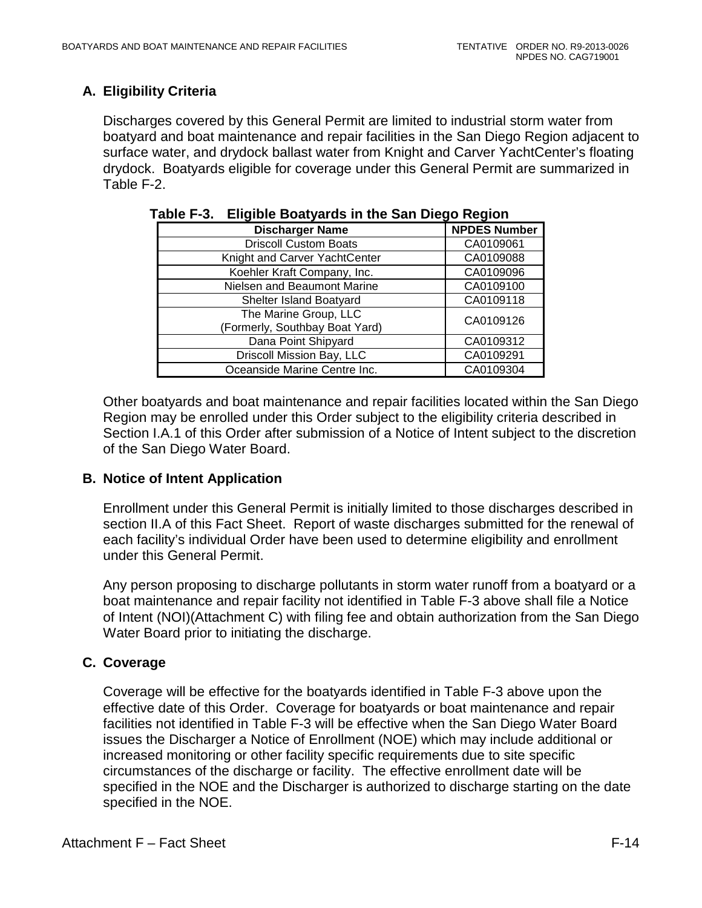# <span id="page-88-0"></span>**A. Eligibility Criteria**

Discharges covered by this General Permit are limited to industrial storm water from boatyard and boat maintenance and repair facilities in the San Diego Region adjacent to surface water, and drydock ballast water from Knight and Carver YachtCenter's floating drydock. Boatyards eligible for coverage under this General Permit are summarized in Table F-2.

| <b>Discharger Name</b>         | <b>NPDES Number</b> |
|--------------------------------|---------------------|
| <b>Driscoll Custom Boats</b>   | CA0109061           |
| Knight and Carver YachtCenter  | CA0109088           |
| Koehler Kraft Company, Inc.    | CA0109096           |
| Nielsen and Beaumont Marine    | CA0109100           |
| Shelter Island Boatyard        | CA0109118           |
| The Marine Group, LLC          | CA0109126           |
| (Formerly, Southbay Boat Yard) |                     |
| Dana Point Shipyard            | CA0109312           |
| Driscoll Mission Bay, LLC      | CA0109291           |
| Oceanside Marine Centre Inc.   | CA0109304           |

<span id="page-88-3"></span>

|  | Table F-3. Eligible Boatyards in the San Diego Region |
|--|-------------------------------------------------------|
|--|-------------------------------------------------------|

Other boatyards and boat maintenance and repair facilities located within the San Diego Region may be enrolled under this Order subject to the eligibility criteria described in Section I.A.1 of this Order after submission of a Notice of Intent subject to the discretion of the San Diego Water Board.

## <span id="page-88-1"></span>**B. Notice of Intent Application**

Enrollment under this General Permit is initially limited to those discharges described in section II.A of this Fact Sheet. Report of waste discharges submitted for the renewal of each facility's individual Order have been used to determine eligibility and enrollment under this General Permit.

Any person proposing to discharge pollutants in storm water runoff from a boatyard or a boat maintenance and repair facility not identified in Table F-3 above shall file a Notice of Intent (NOI)(Attachment C) with filing fee and obtain authorization from the San Diego Water Board prior to initiating the discharge.

# <span id="page-88-2"></span>**C. Coverage**

Coverage will be effective for the boatyards identified in Table F-3 above upon the effective date of this Order. Coverage for boatyards or boat maintenance and repair facilities not identified in Table F-3 will be effective when the San Diego Water Board issues the Discharger a Notice of Enrollment (NOE) which may include additional or increased monitoring or other facility specific requirements due to site specific circumstances of the discharge or facility. The effective enrollment date will be specified in the NOE and the Discharger is authorized to discharge starting on the date specified in the NOE.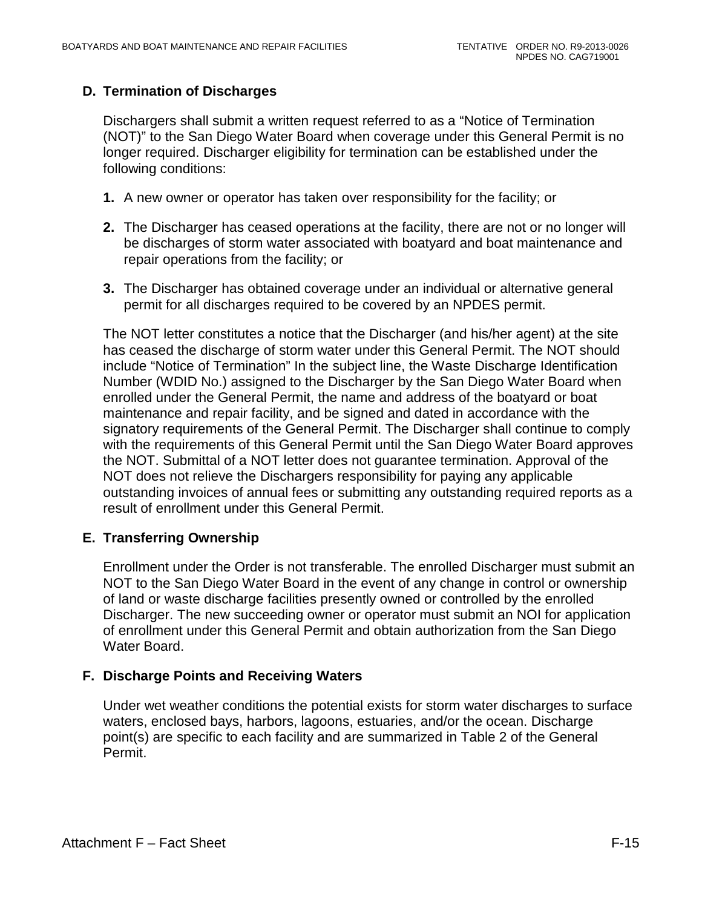# <span id="page-89-0"></span>**D. Termination of Discharges**

Dischargers shall submit a written request referred to as a "Notice of Termination (NOT)" to the San Diego Water Board when coverage under this General Permit is no longer required. Discharger eligibility for termination can be established under the following conditions:

- **1.** A new owner or operator has taken over responsibility for the facility; or
- **2.** The Discharger has ceased operations at the facility, there are not or no longer will be discharges of storm water associated with boatyard and boat maintenance and repair operations from the facility; or
- **3.** The Discharger has obtained coverage under an individual or alternative general permit for all discharges required to be covered by an NPDES permit.

The NOT letter constitutes a notice that the Discharger (and his/her agent) at the site has ceased the discharge of storm water under this General Permit. The NOT should include "Notice of Termination" In the subject line, the Waste Discharge Identification Number (WDID No.) assigned to the Discharger by the San Diego Water Board when enrolled under the General Permit, the name and address of the boatyard or boat maintenance and repair facility, and be signed and dated in accordance with the signatory requirements of the General Permit. The Discharger shall continue to comply with the requirements of this General Permit until the San Diego Water Board approves the NOT. Submittal of a NOT letter does not guarantee termination. Approval of the NOT does not relieve the Dischargers responsibility for paying any applicable outstanding invoices of annual fees or submitting any outstanding required reports as a result of enrollment under this General Permit.

## <span id="page-89-1"></span>**E. Transferring Ownership**

Enrollment under the Order is not transferable. The enrolled Discharger must submit an NOT to the San Diego Water Board in the event of any change in control or ownership of land or waste discharge facilities presently owned or controlled by the enrolled Discharger. The new succeeding owner or operator must submit an NOI for application of enrollment under this General Permit and obtain authorization from the San Diego Water Board.

## <span id="page-89-2"></span>**F. Discharge Points and Receiving Waters**

Under wet weather conditions the potential exists for storm water discharges to surface waters, enclosed bays, harbors, lagoons, estuaries, and/or the ocean. Discharge point(s) are specific to each facility and are summarized in Table 2 of the General Permit.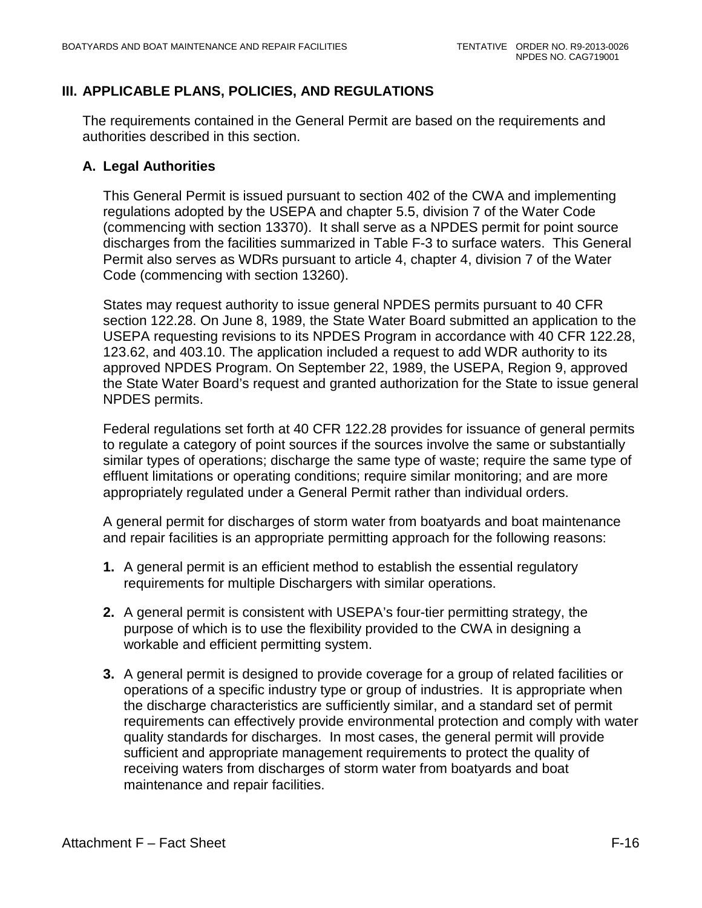# <span id="page-90-0"></span>**III. APPLICABLE PLANS, POLICIES, AND REGULATIONS**

The requirements contained in the General Permit are based on the requirements and authorities described in this section.

## <span id="page-90-1"></span>**A. Legal Authorities**

This General Permit is issued pursuant to section 402 of the CWA and implementing regulations adopted by the USEPA and chapter 5.5, division 7 of the Water Code (commencing with section 13370). It shall serve as a NPDES permit for point source discharges from the facilities summarized in Table F-3 to surface waters. This General Permit also serves as WDRs pursuant to article 4, chapter 4, division 7 of the Water Code (commencing with section 13260).

States may request authority to issue general NPDES permits pursuant to 40 CFR section 122.28. On June 8, 1989, the State Water Board submitted an application to the USEPA requesting revisions to its NPDES Program in accordance with 40 CFR 122.28, 123.62, and 403.10. The application included a request to add WDR authority to its approved NPDES Program. On September 22, 1989, the USEPA, Region 9, approved the State Water Board's request and granted authorization for the State to issue general NPDES permits.

Federal regulations set forth at 40 CFR 122.28 provides for issuance of general permits to regulate a category of point sources if the sources involve the same or substantially similar types of operations; discharge the same type of waste; require the same type of effluent limitations or operating conditions; require similar monitoring; and are more appropriately regulated under a General Permit rather than individual orders.

A general permit for discharges of storm water from boatyards and boat maintenance and repair facilities is an appropriate permitting approach for the following reasons:

- **1.** A general permit is an efficient method to establish the essential regulatory requirements for multiple Dischargers with similar operations.
- **2.** A general permit is consistent with USEPA's four-tier permitting strategy, the purpose of which is to use the flexibility provided to the CWA in designing a workable and efficient permitting system.
- **3.** A general permit is designed to provide coverage for a group of related facilities or operations of a specific industry type or group of industries. It is appropriate when the discharge characteristics are sufficiently similar, and a standard set of permit requirements can effectively provide environmental protection and comply with water quality standards for discharges. In most cases, the general permit will provide sufficient and appropriate management requirements to protect the quality of receiving waters from discharges of storm water from boatyards and boat maintenance and repair facilities.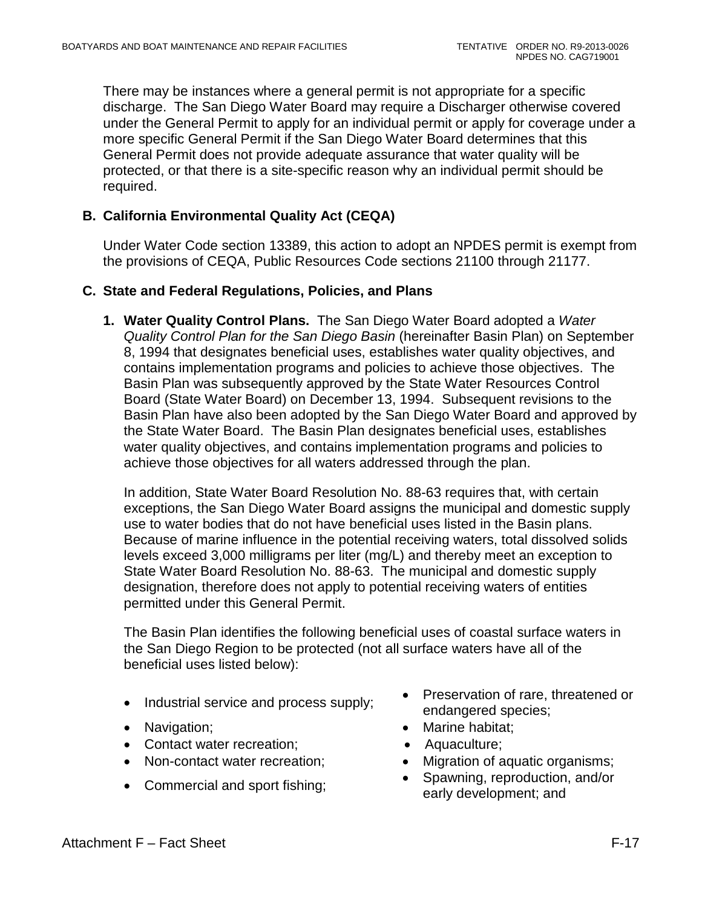There may be instances where a general permit is not appropriate for a specific discharge. The San Diego Water Board may require a Discharger otherwise covered under the General Permit to apply for an individual permit or apply for coverage under a more specific General Permit if the San Diego Water Board determines that this General Permit does not provide adequate assurance that water quality will be protected, or that there is a site-specific reason why an individual permit should be required.

## <span id="page-91-0"></span>**B. California Environmental Quality Act (CEQA)**

Under Water Code section 13389, this action to adopt an NPDES permit is exempt from the provisions of CEQA, Public Resources Code sections 21100 through 21177.

#### <span id="page-91-1"></span>**C. State and Federal Regulations, Policies, and Plans**

**1. Water Quality Control Plans.** The San Diego Water Board adopted a *Water Quality Control Plan for the San Diego Basin* (hereinafter Basin Plan) on September 8, 1994 that designates beneficial uses, establishes water quality objectives, and contains implementation programs and policies to achieve those objectives. The Basin Plan was subsequently approved by the State Water Resources Control Board (State Water Board) on December 13, 1994. Subsequent revisions to the Basin Plan have also been adopted by the San Diego Water Board and approved by the State Water Board. The Basin Plan designates beneficial uses, establishes water quality objectives, and contains implementation programs and policies to achieve those objectives for all waters addressed through the plan.

In addition, State Water Board Resolution No. 88-63 requires that, with certain exceptions, the San Diego Water Board assigns the municipal and domestic supply use to water bodies that do not have beneficial uses listed in the Basin plans. Because of marine influence in the potential receiving waters, total dissolved solids levels exceed 3,000 milligrams per liter (mg/L) and thereby meet an exception to State Water Board Resolution No. 88-63. The municipal and domestic supply designation, therefore does not apply to potential receiving waters of entities permitted under this General Permit.

The Basin Plan identifies the following beneficial uses of coastal surface waters in the San Diego Region to be protected (not all surface waters have all of the beneficial uses listed below):

- 
- 
- Contact water recreation; Aquaculture;
- 
- 
- Industrial service and process supply:<br>• Industrial service and process supply: endangered species;
- Navigation; **•** Marine habitat;
	-
- Non-contact water recreation; Migration of aquatic organisms;
- Commercial and sport fishing; Spawning, reproduction, and/or early development; and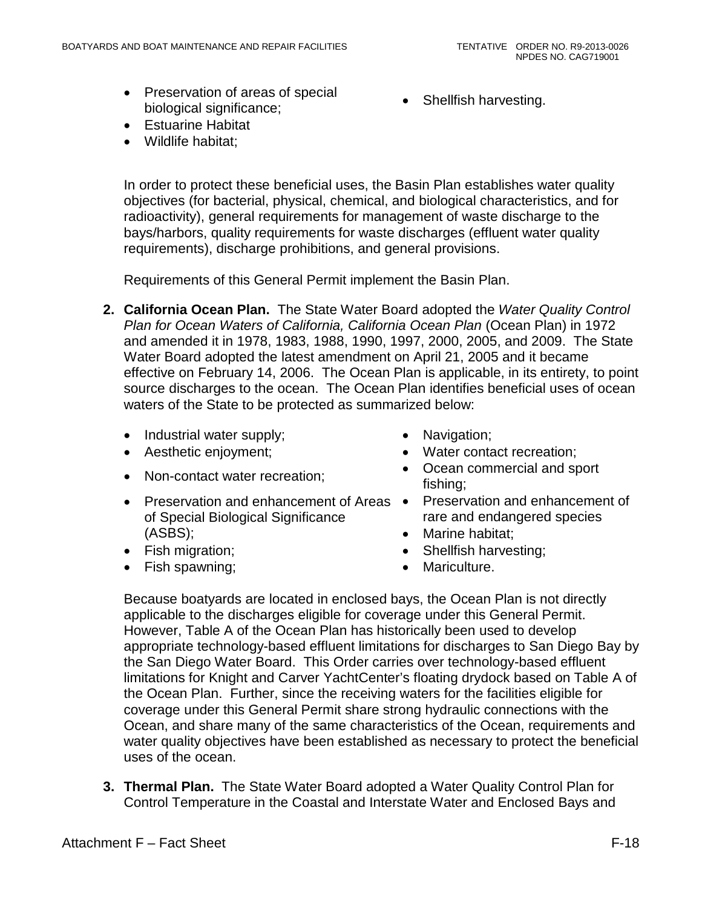- Preservation of areas of special **biological significance;** • Shellfish harvesting.
- Estuarine Habitat
- Wildlife habitat:

In order to protect these beneficial uses, the Basin Plan establishes water quality objectives (for bacterial, physical, chemical, and biological characteristics, and for radioactivity), general requirements for management of waste discharge to the bays/harbors, quality requirements for waste discharges (effluent water quality requirements), discharge prohibitions, and general provisions.

Requirements of this General Permit implement the Basin Plan.

- **2. California Ocean Plan.** The State Water Board adopted the *Water Quality Control Plan for Ocean Waters of California, California Ocean Plan (Ocean Plan) in 1972* and amended it in 1978, 1983, 1988, 1990, 1997, 2000, 2005, and 2009. The State Water Board adopted the latest amendment on April 21, 2005 and it became effective on February 14, 2006. The Ocean Plan is applicable, in its entirety, to point source discharges to the ocean. The Ocean Plan identifies beneficial uses of ocean waters of the State to be protected as summarized below:
	- Industrial water supply; Navigation;
	-
	-
	- Preservation and enhancement of Areas Preservation and enhancement of of Special Biological Significance (ASBS);
	-
	- Fish spawning; example a matrix of the Mariculture.
- 
- Aesthetic enjoyment; **•** Water contact recreation;
- Non-contact water recreation; Ocean commercial and sport fishing;
	- rare and endangered species
	- Marine habitat;
- Fish migration;  **Shellfish harvesting**;
	-

Because boatyards are located in enclosed bays, the Ocean Plan is not directly applicable to the discharges eligible for coverage under this General Permit. However, Table A of the Ocean Plan has historically been used to develop appropriate technology-based effluent limitations for discharges to San Diego Bay by the San Diego Water Board. This Order carries over technology-based effluent limitations for Knight and Carver YachtCenter's floating drydock based on Table A of the Ocean Plan. Further, since the receiving waters for the facilities eligible for coverage under this General Permit share strong hydraulic connections with the Ocean, and share many of the same characteristics of the Ocean, requirements and water quality objectives have been established as necessary to protect the beneficial uses of the ocean.

**3. Thermal Plan.** The State Water Board adopted a Water Quality Control Plan for Control Temperature in the Coastal and Interstate Water and Enclosed Bays and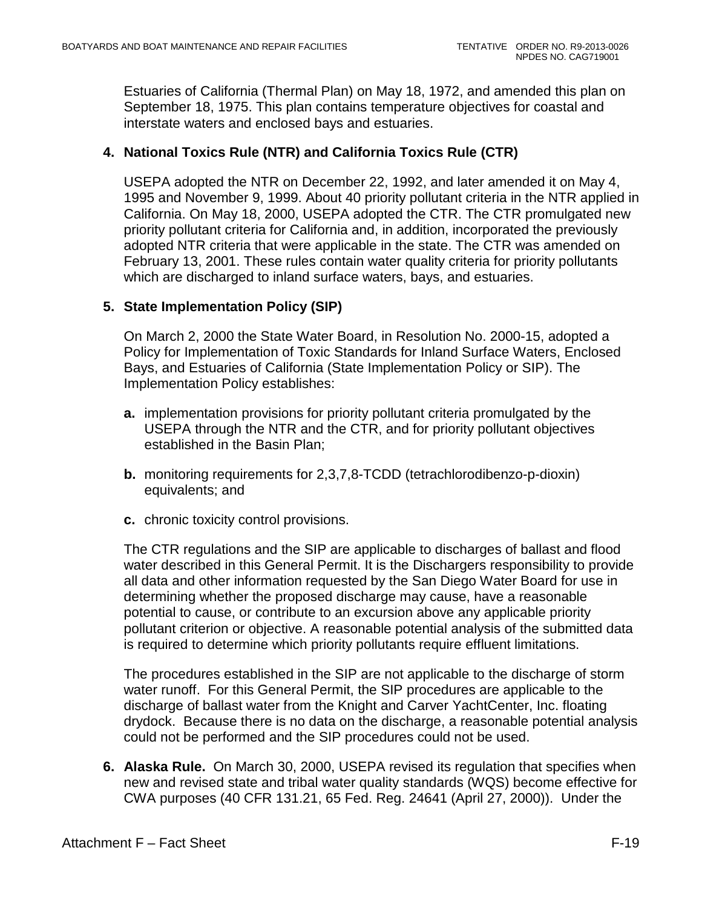Estuaries of California (Thermal Plan) on May 18, 1972, and amended this plan on September 18, 1975. This plan contains temperature objectives for coastal and interstate waters and enclosed bays and estuaries.

## **4. National Toxics Rule (NTR) and California Toxics Rule (CTR)**

USEPA adopted the NTR on December 22, 1992, and later amended it on May 4, 1995 and November 9, 1999. About 40 priority pollutant criteria in the NTR applied in California. On May 18, 2000, USEPA adopted the CTR. The CTR promulgated new priority pollutant criteria for California and, in addition, incorporated the previously adopted NTR criteria that were applicable in the state. The CTR was amended on February 13, 2001. These rules contain water quality criteria for priority pollutants which are discharged to inland surface waters, bays, and estuaries.

#### **5. State Implementation Policy (SIP)**

On March 2, 2000 the State Water Board, in Resolution No. 2000-15, adopted a Policy for Implementation of Toxic Standards for Inland Surface Waters, Enclosed Bays, and Estuaries of California (State Implementation Policy or SIP). The Implementation Policy establishes:

- **a.** implementation provisions for priority pollutant criteria promulgated by the USEPA through the NTR and the CTR, and for priority pollutant objectives established in the Basin Plan;
- **b.** monitoring requirements for 2,3,7,8-TCDD (tetrachlorodibenzo-p-dioxin) equivalents; and
- **c.** chronic toxicity control provisions.

The CTR regulations and the SIP are applicable to discharges of ballast and flood water described in this General Permit. It is the Dischargers responsibility to provide all data and other information requested by the San Diego Water Board for use in determining whether the proposed discharge may cause, have a reasonable potential to cause, or contribute to an excursion above any applicable priority pollutant criterion or objective. A reasonable potential analysis of the submitted data is required to determine which priority pollutants require effluent limitations.

The procedures established in the SIP are not applicable to the discharge of storm water runoff. For this General Permit, the SIP procedures are applicable to the discharge of ballast water from the Knight and Carver YachtCenter, Inc. floating drydock. Because there is no data on the discharge, a reasonable potential analysis could not be performed and the SIP procedures could not be used.

**6. Alaska Rule.** On March 30, 2000, USEPA revised its regulation that specifies when new and revised state and tribal water quality standards (WQS) become effective for CWA purposes (40 CFR 131.21, 65 Fed. Reg. 24641 (April 27, 2000)). Under the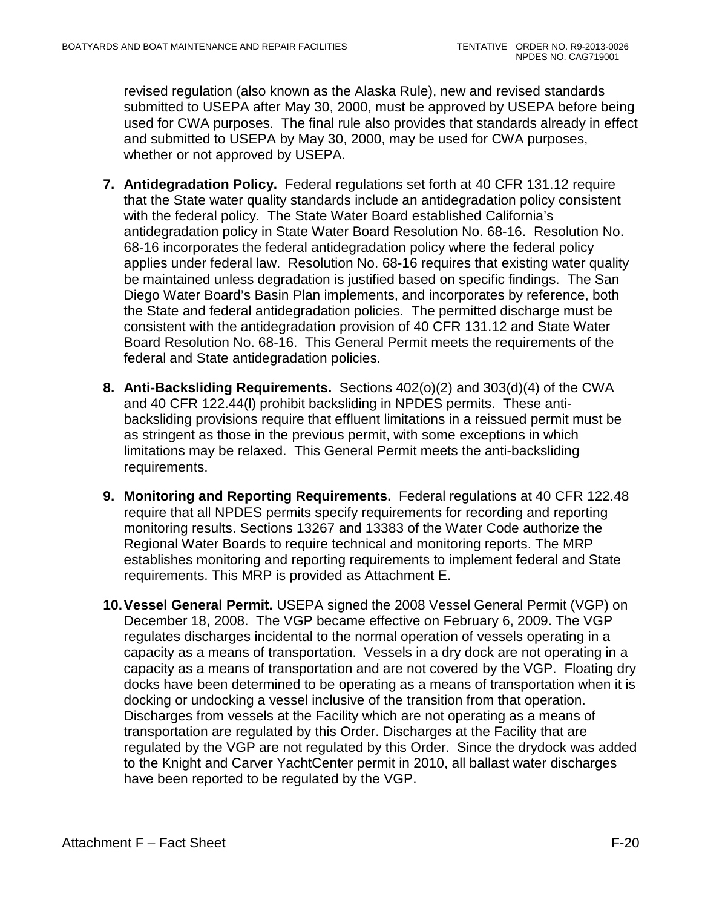revised regulation (also known as the Alaska Rule), new and revised standards submitted to USEPA after May 30, 2000, must be approved by USEPA before being used for CWA purposes. The final rule also provides that standards already in effect and submitted to USEPA by May 30, 2000, may be used for CWA purposes, whether or not approved by USEPA.

- **7. Antidegradation Policy.** Federal regulations set forth at 40 CFR 131.12 require that the State water quality standards include an antidegradation policy consistent with the federal policy. The State Water Board established California's antidegradation policy in State Water Board Resolution No. 68-16. Resolution No. 68-16 incorporates the federal antidegradation policy where the federal policy applies under federal law. Resolution No. 68-16 requires that existing water quality be maintained unless degradation is justified based on specific findings. The San Diego Water Board's Basin Plan implements, and incorporates by reference, both the State and federal antidegradation policies. The permitted discharge must be consistent with the antidegradation provision of 40 CFR 131.12 and State Water Board Resolution No. 68-16. This General Permit meets the requirements of the federal and State antidegradation policies.
- **8. Anti-Backsliding Requirements.** Sections 402(o)(2) and 303(d)(4) of the CWA and 40 CFR 122.44(l) prohibit backsliding in NPDES permits. These antibacksliding provisions require that effluent limitations in a reissued permit must be as stringent as those in the previous permit, with some exceptions in which limitations may be relaxed. This General Permit meets the anti-backsliding requirements.
- **9. Monitoring and Reporting Requirements.** Federal regulations at 40 CFR 122.48 require that all NPDES permits specify requirements for recording and reporting monitoring results. Sections 13267 and 13383 of the Water Code authorize the Regional Water Boards to require technical and monitoring reports. The MRP establishes monitoring and reporting requirements to implement federal and State requirements. This MRP is provided as Attachment E.
- **10.Vessel General Permit.** USEPA signed the 2008 Vessel General Permit (VGP) on December 18, 2008. The VGP became effective on February 6, 2009. The VGP regulates discharges incidental to the normal operation of vessels operating in a capacity as a means of transportation. Vessels in a dry dock are not operating in a capacity as a means of transportation and are not covered by the VGP. Floating dry docks have been determined to be operating as a means of transportation when it is docking or undocking a vessel inclusive of the transition from that operation. Discharges from vessels at the Facility which are not operating as a means of transportation are regulated by this Order. Discharges at the Facility that are regulated by the VGP are not regulated by this Order. Since the drydock was added to the Knight and Carver YachtCenter permit in 2010, all ballast water discharges have been reported to be regulated by the VGP.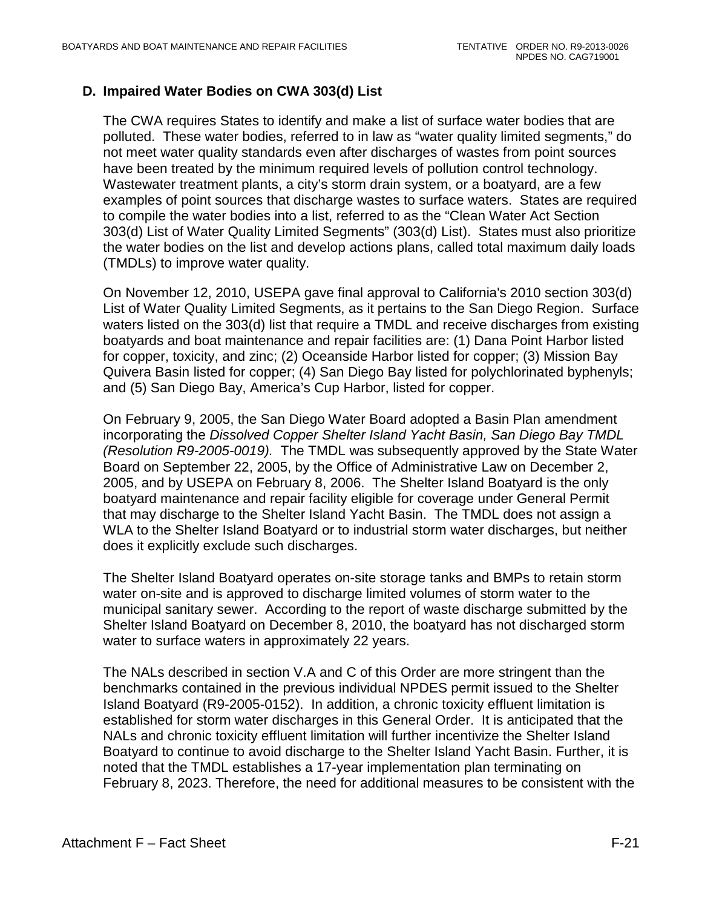## <span id="page-95-0"></span>**D. Impaired Water Bodies on CWA 303(d) List**

The CWA requires States to identify and make a list of surface water bodies that are polluted. These water bodies, referred to in law as "water quality limited segments," do not meet water quality standards even after discharges of wastes from point sources have been treated by the minimum required levels of pollution control technology. Wastewater treatment plants, a city's storm drain system, or a boatyard, are a few examples of point sources that discharge wastes to surface waters. States are required to compile the water bodies into a list, referred to as the "Clean Water Act Section 303(d) List of Water Quality Limited Segments" (303(d) List). States must also prioritize the water bodies on the list and develop actions plans, called total maximum daily loads (TMDLs) to improve water quality.

On November 12, 2010, USEPA gave final approval to California's 2010 section 303(d) List of Water Quality Limited Segments, as it pertains to the San Diego Region. Surface waters listed on the 303(d) list that require a TMDL and receive discharges from existing boatyards and boat maintenance and repair facilities are: (1) Dana Point Harbor listed for copper, toxicity, and zinc; (2) Oceanside Harbor listed for copper; (3) Mission Bay Quivera Basin listed for copper; (4) San Diego Bay listed for polychlorinated byphenyls; and (5) San Diego Bay, America's Cup Harbor, listed for copper.

On February 9, 2005, the San Diego Water Board adopted a Basin Plan amendment incorporating the *Dissolved Copper Shelter Island Yacht Basin, San Diego Bay TMDL (Resolution R9-2005-0019).* The TMDL was subsequently approved by the State Water Board on September 22, 2005, by the Office of Administrative Law on December 2, 2005, and by USEPA on February 8, 2006. The Shelter Island Boatyard is the only boatyard maintenance and repair facility eligible for coverage under General Permit that may discharge to the Shelter Island Yacht Basin. The TMDL does not assign a WLA to the Shelter Island Boatyard or to industrial storm water discharges, but neither does it explicitly exclude such discharges.

The Shelter Island Boatyard operates on-site storage tanks and BMPs to retain storm water on-site and is approved to discharge limited volumes of storm water to the municipal sanitary sewer. According to the report of waste discharge submitted by the Shelter Island Boatyard on December 8, 2010, the boatyard has not discharged storm water to surface waters in approximately 22 years.

The NALs described in section V.A and C of this Order are more stringent than the benchmarks contained in the previous individual NPDES permit issued to the Shelter Island Boatyard (R9-2005-0152). In addition, a chronic toxicity effluent limitation is established for storm water discharges in this General Order. It is anticipated that the NALs and chronic toxicity effluent limitation will further incentivize the Shelter Island Boatyard to continue to avoid discharge to the Shelter Island Yacht Basin. Further, it is noted that the TMDL establishes a 17-year implementation plan terminating on February 8, 2023. Therefore, the need for additional measures to be consistent with the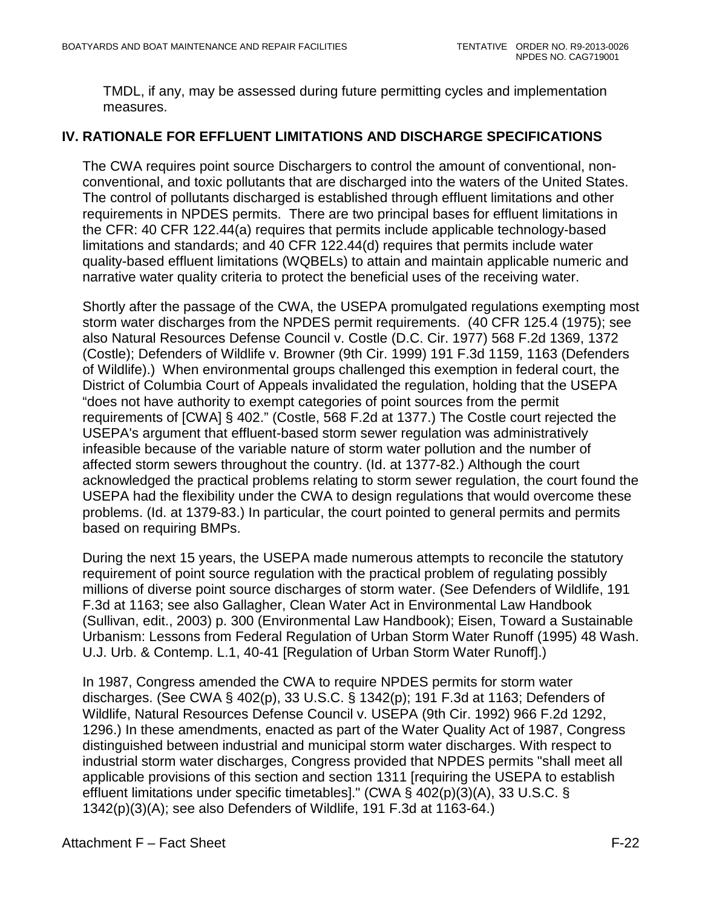TMDL, if any, may be assessed during future permitting cycles and implementation measures.

# <span id="page-96-0"></span>**IV. RATIONALE FOR EFFLUENT LIMITATIONS AND DISCHARGE SPECIFICATIONS**

The CWA requires point source Dischargers to control the amount of conventional, nonconventional, and toxic pollutants that are discharged into the waters of the United States. The control of pollutants discharged is established through effluent limitations and other requirements in NPDES permits. There are two principal bases for effluent limitations in the CFR: 40 CFR 122.44(a) requires that permits include applicable technology-based limitations and standards; and 40 CFR 122.44(d) requires that permits include water quality-based effluent limitations (WQBELs) to attain and maintain applicable numeric and narrative water quality criteria to protect the beneficial uses of the receiving water.

Shortly after the passage of the CWA, the USEPA promulgated regulations exempting most storm water discharges from the NPDES permit requirements. (40 CFR 125.4 (1975); see also Natural Resources Defense Council v. Costle (D.C. Cir. 1977) 568 F.2d 1369, 1372 (Costle); Defenders of Wildlife v. Browner (9th Cir. 1999) 191 F.3d 1159, 1163 (Defenders of Wildlife).) When environmental groups challenged this exemption in federal court, the District of Columbia Court of Appeals invalidated the regulation, holding that the USEPA "does not have authority to exempt categories of point sources from the permit requirements of [CWA] § 402." (Costle, 568 F.2d at 1377.) The Costle court rejected the USEPA's argument that effluent-based storm sewer regulation was administratively infeasible because of the variable nature of storm water pollution and the number of affected storm sewers throughout the country. (Id. at 1377-82.) Although the court acknowledged the practical problems relating to storm sewer regulation, the court found the USEPA had the flexibility under the CWA to design regulations that would overcome these problems. (Id. at 1379-83.) In particular, the court pointed to general permits and permits based on requiring BMPs.

During the next 15 years, the USEPA made numerous attempts to reconcile the statutory requirement of point source regulation with the practical problem of regulating possibly millions of diverse point source discharges of storm water. (See Defenders of Wildlife, 191 F.3d at 1163; see also Gallagher, Clean Water Act in Environmental Law Handbook (Sullivan, edit., 2003) p. 300 (Environmental Law Handbook); Eisen, Toward a Sustainable Urbanism: Lessons from Federal Regulation of Urban Storm Water Runoff (1995) 48 Wash. U.J. Urb. & Contemp. L.1, 40-41 [Regulation of Urban Storm Water Runoff].)

In 1987, Congress amended the CWA to require NPDES permits for storm water discharges. (See CWA § 402(p), 33 U.S.C. § 1342(p); 191 F.3d at 1163; Defenders of Wildlife, Natural Resources Defense Council v. USEPA (9th Cir. 1992) 966 F.2d 1292, 1296.) In these amendments, enacted as part of the Water Quality Act of 1987, Congress distinguished between industrial and municipal storm water discharges. With respect to industrial storm water discharges, Congress provided that NPDES permits "shall meet all applicable provisions of this section and section 1311 [requiring the USEPA to establish effluent limitations under specific timetables]." (CWA § 402(p)(3)(A), 33 U.S.C. § 1342(p)(3)(A); see also Defenders of Wildlife, 191 F.3d at 1163-64.)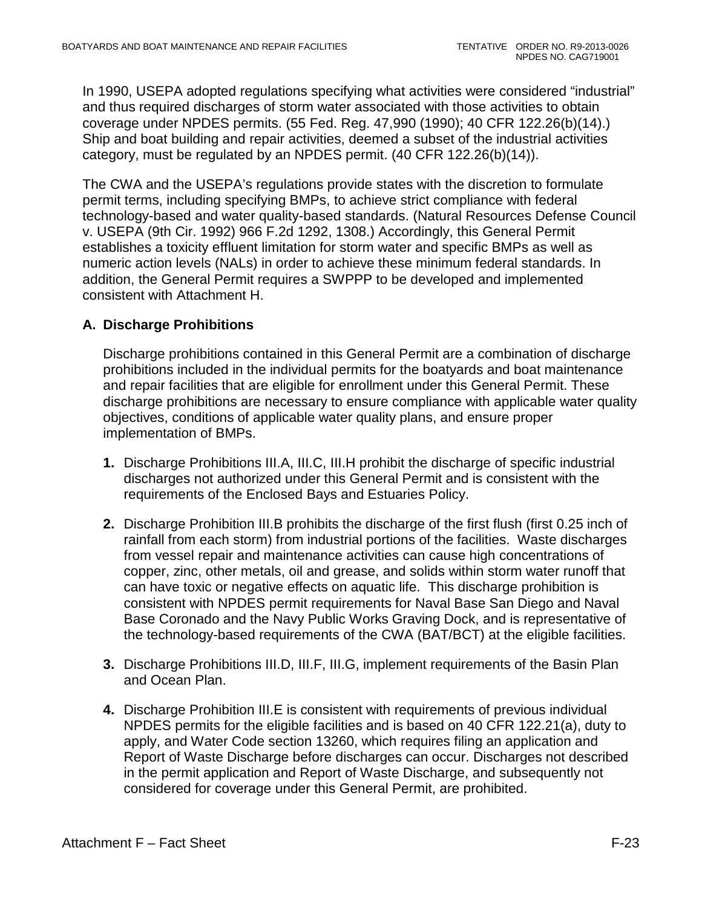In 1990, USEPA adopted regulations specifying what activities were considered "industrial" and thus required discharges of storm water associated with those activities to obtain coverage under NPDES permits. (55 Fed. Reg. 47,990 (1990); 40 CFR 122.26(b)(14).) Ship and boat building and repair activities, deemed a subset of the industrial activities category, must be regulated by an NPDES permit. (40 CFR 122.26(b)(14)).

The CWA and the USEPA's regulations provide states with the discretion to formulate permit terms, including specifying BMPs, to achieve strict compliance with federal technology-based and water quality-based standards. (Natural Resources Defense Council v. USEPA (9th Cir. 1992) 966 F.2d 1292, 1308.) Accordingly, this General Permit establishes a toxicity effluent limitation for storm water and specific BMPs as well as numeric action levels (NALs) in order to achieve these minimum federal standards. In addition, the General Permit requires a SWPPP to be developed and implemented consistent with Attachment H.

# <span id="page-97-0"></span>**A. Discharge Prohibitions**

Discharge prohibitions contained in this General Permit are a combination of discharge prohibitions included in the individual permits for the boatyards and boat maintenance and repair facilities that are eligible for enrollment under this General Permit. These discharge prohibitions are necessary to ensure compliance with applicable water quality objectives, conditions of applicable water quality plans, and ensure proper implementation of BMPs.

- **1.** Discharge Prohibitions III.A, III.C, III.H prohibit the discharge of specific industrial discharges not authorized under this General Permit and is consistent with the requirements of the Enclosed Bays and Estuaries Policy.
- **2.** Discharge Prohibition III.B prohibits the discharge of the first flush (first 0.25 inch of rainfall from each storm) from industrial portions of the facilities. Waste discharges from vessel repair and maintenance activities can cause high concentrations of copper, zinc, other metals, oil and grease, and solids within storm water runoff that can have toxic or negative effects on aquatic life. This discharge prohibition is consistent with NPDES permit requirements for Naval Base San Diego and Naval Base Coronado and the Navy Public Works Graving Dock, and is representative of the technology-based requirements of the CWA (BAT/BCT) at the eligible facilities.
- **3.** Discharge Prohibitions III.D, III.F, III.G, implement requirements of the Basin Plan and Ocean Plan.
- **4.** Discharge Prohibition III.E is consistent with requirements of previous individual NPDES permits for the eligible facilities and is based on 40 CFR 122.21(a), duty to apply, and Water Code section 13260, which requires filing an application and Report of Waste Discharge before discharges can occur. Discharges not described in the permit application and Report of Waste Discharge, and subsequently not considered for coverage under this General Permit, are prohibited.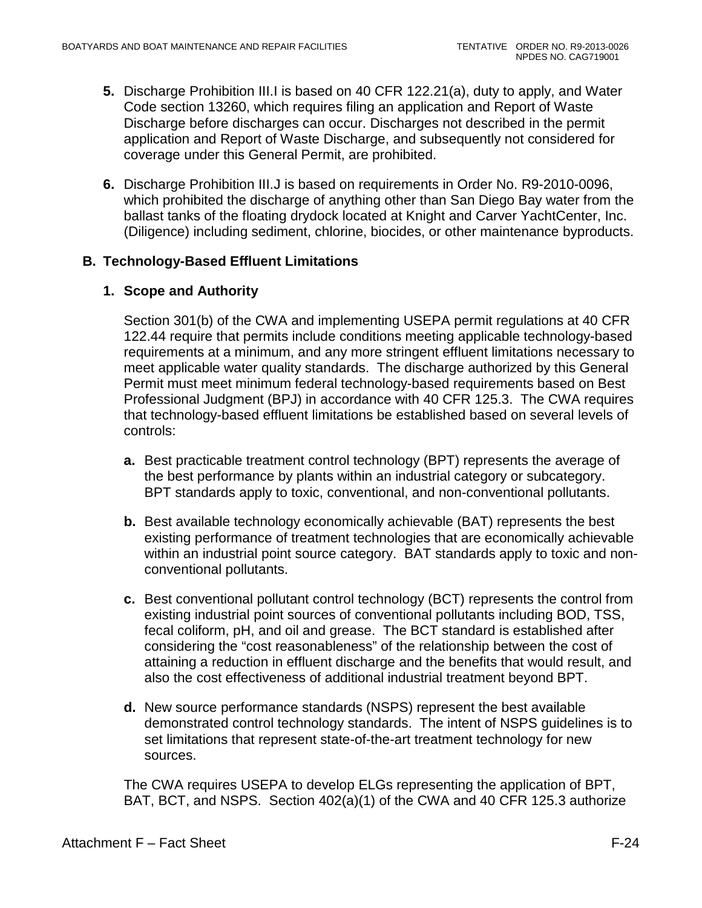- **5.** Discharge Prohibition III.I is based on 40 CFR 122.21(a), duty to apply, and Water Code section 13260, which requires filing an application and Report of Waste Discharge before discharges can occur. Discharges not described in the permit application and Report of Waste Discharge, and subsequently not considered for coverage under this General Permit, are prohibited.
- **6.** Discharge Prohibition III.J is based on requirements in Order No. R9-2010-0096, which prohibited the discharge of anything other than San Diego Bay water from the ballast tanks of the floating drydock located at Knight and Carver YachtCenter, Inc. (Diligence) including sediment, chlorine, biocides, or other maintenance byproducts.

# <span id="page-98-0"></span>**B. Technology-Based Effluent Limitations**

## **1. Scope and Authority**

Section 301(b) of the CWA and implementing USEPA permit regulations at 40 CFR 122.44 require that permits include conditions meeting applicable technology-based requirements at a minimum, and any more stringent effluent limitations necessary to meet applicable water quality standards. The discharge authorized by this General Permit must meet minimum federal technology-based requirements based on Best Professional Judgment (BPJ) in accordance with 40 CFR 125.3. The CWA requires that technology-based effluent limitations be established based on several levels of controls:

- **a.** Best practicable treatment control technology (BPT) represents the average of the best performance by plants within an industrial category or subcategory. BPT standards apply to toxic, conventional, and non-conventional pollutants.
- **b.** Best available technology economically achievable (BAT) represents the best existing performance of treatment technologies that are economically achievable within an industrial point source category. BAT standards apply to toxic and nonconventional pollutants.
- **c.** Best conventional pollutant control technology (BCT) represents the control from existing industrial point sources of conventional pollutants including BOD, TSS, fecal coliform, pH, and oil and grease. The BCT standard is established after considering the "cost reasonableness" of the relationship between the cost of attaining a reduction in effluent discharge and the benefits that would result, and also the cost effectiveness of additional industrial treatment beyond BPT.
- **d.** New source performance standards (NSPS) represent the best available demonstrated control technology standards. The intent of NSPS guidelines is to set limitations that represent state-of-the-art treatment technology for new sources.

The CWA requires USEPA to develop ELGs representing the application of BPT, BAT, BCT, and NSPS. Section 402(a)(1) of the CWA and 40 CFR 125.3 authorize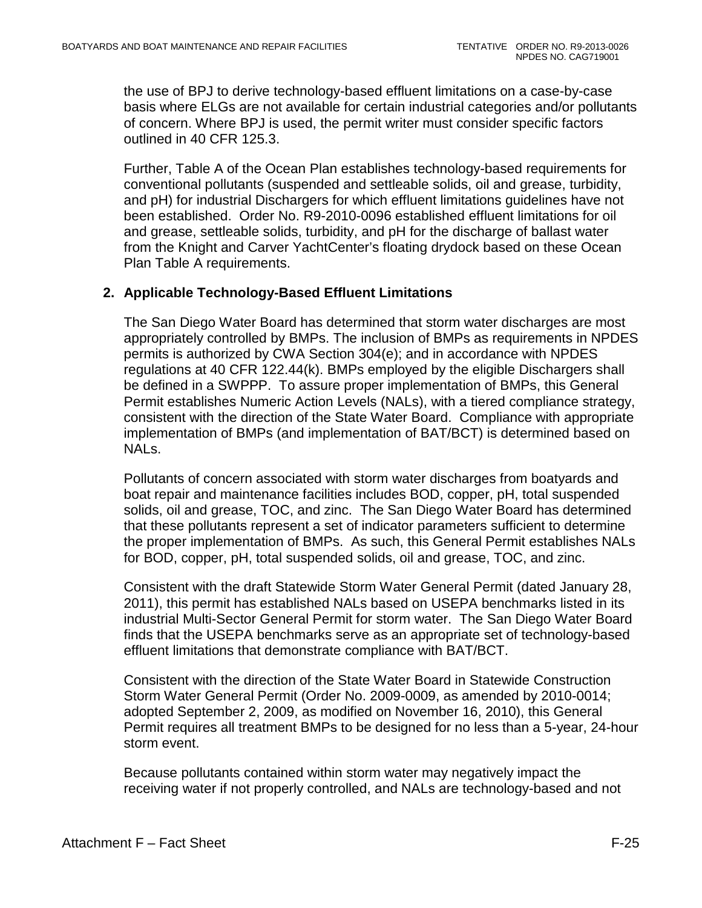the use of BPJ to derive technology-based effluent limitations on a case-by-case basis where ELGs are not available for certain industrial categories and/or pollutants of concern. Where BPJ is used, the permit writer must consider specific factors outlined in 40 CFR 125.3.

Further, Table A of the Ocean Plan establishes technology-based requirements for conventional pollutants (suspended and settleable solids, oil and grease, turbidity, and pH) for industrial Dischargers for which effluent limitations guidelines have not been established. Order No. R9-2010-0096 established effluent limitations for oil and grease, settleable solids, turbidity, and pH for the discharge of ballast water from the Knight and Carver YachtCenter's floating drydock based on these Ocean Plan Table A requirements.

#### **2. Applicable Technology-Based Effluent Limitations**

The San Diego Water Board has determined that storm water discharges are most appropriately controlled by BMPs. The inclusion of BMPs as requirements in NPDES permits is authorized by CWA Section 304(e); and in accordance with NPDES regulations at 40 CFR 122.44(k). BMPs employed by the eligible Dischargers shall be defined in a SWPPP. To assure proper implementation of BMPs, this General Permit establishes Numeric Action Levels (NALs), with a tiered compliance strategy, consistent with the direction of the State Water Board. Compliance with appropriate implementation of BMPs (and implementation of BAT/BCT) is determined based on NALs.

Pollutants of concern associated with storm water discharges from boatyards and boat repair and maintenance facilities includes BOD, copper, pH, total suspended solids, oil and grease, TOC, and zinc. The San Diego Water Board has determined that these pollutants represent a set of indicator parameters sufficient to determine the proper implementation of BMPs. As such, this General Permit establishes NALs for BOD, copper, pH, total suspended solids, oil and grease, TOC, and zinc.

Consistent with the draft Statewide Storm Water General Permit (dated January 28, 2011), this permit has established NALs based on USEPA benchmarks listed in its industrial Multi-Sector General Permit for storm water. The San Diego Water Board finds that the USEPA benchmarks serve as an appropriate set of technology-based effluent limitations that demonstrate compliance with BAT/BCT.

Consistent with the direction of the State Water Board in Statewide Construction Storm Water General Permit (Order No. 2009-0009, as amended by 2010-0014; adopted September 2, 2009, as modified on November 16, 2010), this General Permit requires all treatment BMPs to be designed for no less than a 5-year, 24-hour storm event.

Because pollutants contained within storm water may negatively impact the receiving water if not properly controlled, and NALs are technology-based and not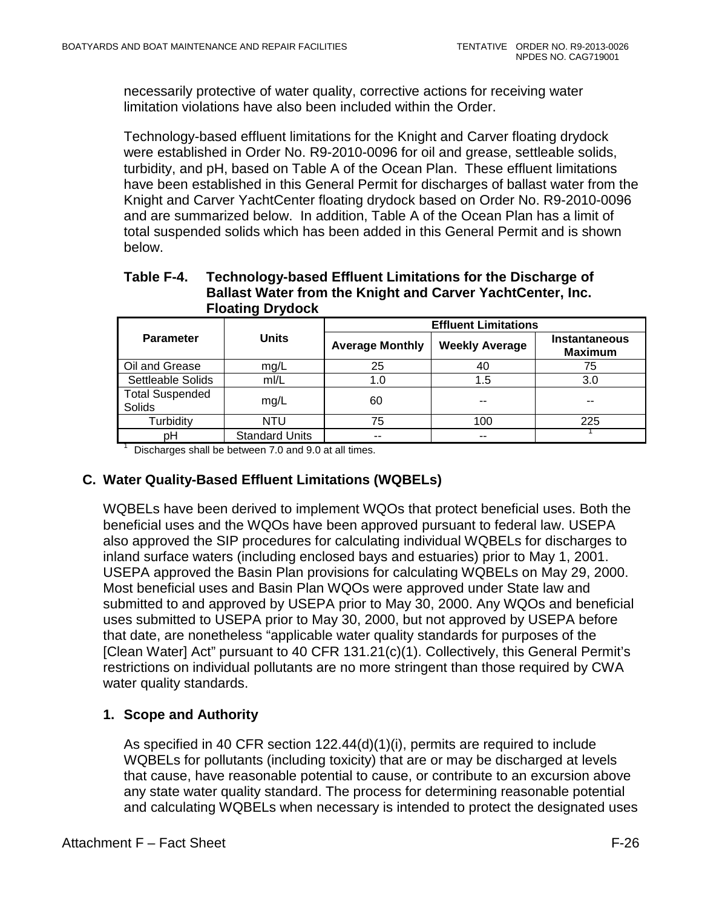necessarily protective of water quality, corrective actions for receiving water limitation violations have also been included within the Order.

Technology-based effluent limitations for the Knight and Carver floating drydock were established in Order No. R9-2010-0096 for oil and grease, settleable solids, turbidity, and pH, based on Table A of the Ocean Plan. These effluent limitations have been established in this General Permit for discharges of ballast water from the Knight and Carver YachtCenter floating drydock based on Order No. R9-2010-0096 and are summarized below. In addition, Table A of the Ocean Plan has a limit of total suspended solids which has been added in this General Permit and is shown below.

#### <span id="page-100-2"></span>**Table F-4. Technology-based Effluent Limitations for the Discharge of Ballast Water from the Knight and Carver YachtCenter, Inc. Floating Drydock**

|                                  | <b>Units</b>          | <b>Effluent Limitations</b> |                       |                                        |  |
|----------------------------------|-----------------------|-----------------------------|-----------------------|----------------------------------------|--|
| <b>Parameter</b>                 |                       | <b>Average Monthly</b>      | <b>Weekly Average</b> | <b>Instantaneous</b><br><b>Maximum</b> |  |
| Oil and Grease                   | mg/L                  | 25                          | 40                    | 75                                     |  |
| Settleable Solids                | mI/L                  | 1.0                         | 1.5                   | 3.0                                    |  |
| <b>Total Suspended</b><br>Solids | mg/L                  | 60                          |                       | --                                     |  |
| Turbidity                        | <b>NTU</b>            | 75                          | 100                   | 225                                    |  |
| pН                               | <b>Standard Units</b> | --                          |                       |                                        |  |

 $1$  Discharges shall be between 7.0 and 9.0 at all times.

## <span id="page-100-0"></span>**C. Water Quality-Based Effluent Limitations (WQBELs)**

WQBELs have been derived to implement WQOs that protect beneficial uses. Both the beneficial uses and the WQOs have been approved pursuant to federal law. USEPA also approved the SIP procedures for calculating individual WQBELs for discharges to inland surface waters (including enclosed bays and estuaries) prior to May 1, 2001. USEPA approved the Basin Plan provisions for calculating WQBELs on May 29, 2000. Most beneficial uses and Basin Plan WQOs were approved under State law and submitted to and approved by USEPA prior to May 30, 2000. Any WQOs and beneficial uses submitted to USEPA prior to May 30, 2000, but not approved by USEPA before that date, are nonetheless "applicable water quality standards for purposes of the [Clean Water] Act" pursuant to 40 CFR 131.21(c)(1). Collectively, this General Permit's restrictions on individual pollutants are no more stringent than those required by CWA water quality standards.

## <span id="page-100-1"></span>**1. Scope and Authority**

As specified in 40 CFR section 122.44(d)(1)(i), permits are required to include WQBELs for pollutants (including toxicity) that are or may be discharged at levels that cause, have reasonable potential to cause, or contribute to an excursion above any state water quality standard. The process for determining reasonable potential and calculating WQBELs when necessary is intended to protect the designated uses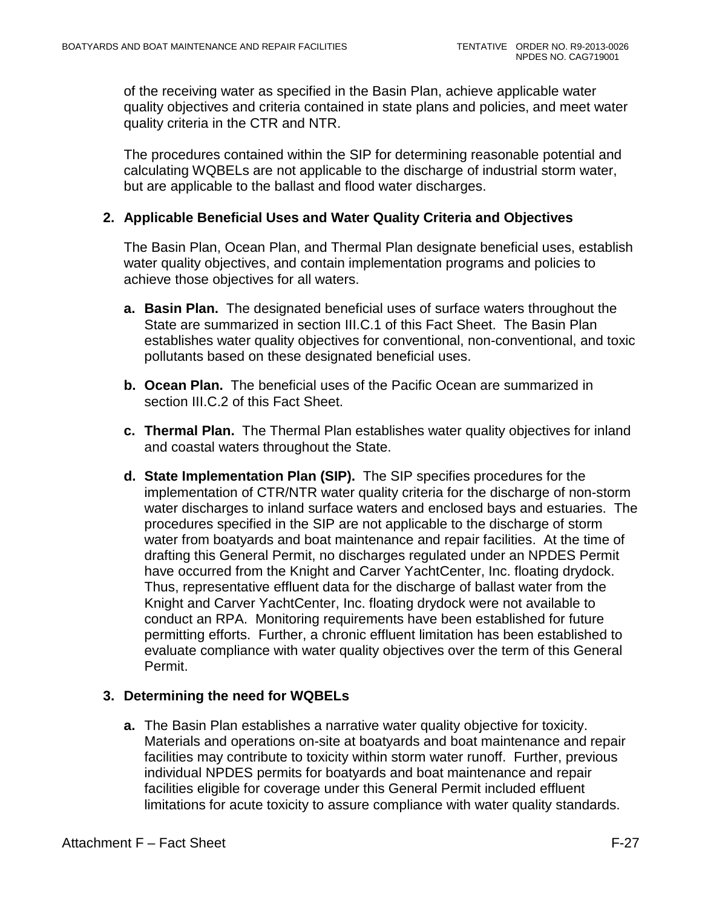of the receiving water as specified in the Basin Plan, achieve applicable water quality objectives and criteria contained in state plans and policies, and meet water quality criteria in the CTR and NTR.

The procedures contained within the SIP for determining reasonable potential and calculating WQBELs are not applicable to the discharge of industrial storm water, but are applicable to the ballast and flood water discharges.

#### <span id="page-101-0"></span>**2. Applicable Beneficial Uses and Water Quality Criteria and Objectives**

The Basin Plan, Ocean Plan, and Thermal Plan designate beneficial uses, establish water quality objectives, and contain implementation programs and policies to achieve those objectives for all waters.

- **a. Basin Plan.** The designated beneficial uses of surface waters throughout the State are summarized in section III.C.1 of this Fact Sheet. The Basin Plan establishes water quality objectives for conventional, non-conventional, and toxic pollutants based on these designated beneficial uses.
- **b. Ocean Plan.** The beneficial uses of the Pacific Ocean are summarized in section III.C.2 of this Fact Sheet.
- **c. Thermal Plan.** The Thermal Plan establishes water quality objectives for inland and coastal waters throughout the State.
- **d. State Implementation Plan (SIP).** The SIP specifies procedures for the implementation of CTR/NTR water quality criteria for the discharge of non-storm water discharges to inland surface waters and enclosed bays and estuaries. The procedures specified in the SIP are not applicable to the discharge of storm water from boatyards and boat maintenance and repair facilities. At the time of drafting this General Permit, no discharges regulated under an NPDES Permit have occurred from the Knight and Carver YachtCenter, Inc. floating drydock. Thus, representative effluent data for the discharge of ballast water from the Knight and Carver YachtCenter, Inc. floating drydock were not available to conduct an RPA. Monitoring requirements have been established for future permitting efforts. Further, a chronic effluent limitation has been established to evaluate compliance with water quality objectives over the term of this General Permit.

#### <span id="page-101-1"></span>**3. Determining the need for WQBELs**

**a.** The Basin Plan establishes a narrative water quality objective for toxicity. Materials and operations on-site at boatyards and boat maintenance and repair facilities may contribute to toxicity within storm water runoff. Further, previous individual NPDES permits for boatyards and boat maintenance and repair facilities eligible for coverage under this General Permit included effluent limitations for acute toxicity to assure compliance with water quality standards.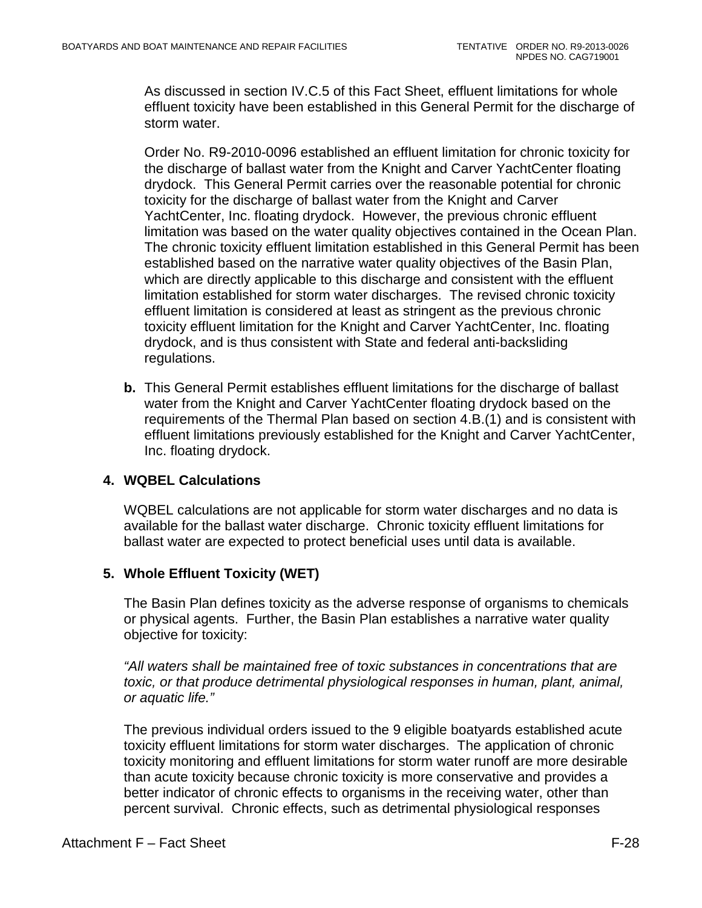As discussed in section IV.C.5 of this Fact Sheet, effluent limitations for whole effluent toxicity have been established in this General Permit for the discharge of storm water.

Order No. R9-2010-0096 established an effluent limitation for chronic toxicity for the discharge of ballast water from the Knight and Carver YachtCenter floating drydock. This General Permit carries over the reasonable potential for chronic toxicity for the discharge of ballast water from the Knight and Carver YachtCenter, Inc. floating drydock. However, the previous chronic effluent limitation was based on the water quality objectives contained in the Ocean Plan. The chronic toxicity effluent limitation established in this General Permit has been established based on the narrative water quality objectives of the Basin Plan, which are directly applicable to this discharge and consistent with the effluent limitation established for storm water discharges. The revised chronic toxicity effluent limitation is considered at least as stringent as the previous chronic toxicity effluent limitation for the Knight and Carver YachtCenter, Inc. floating drydock, and is thus consistent with State and federal anti-backsliding regulations.

**b.** This General Permit establishes effluent limitations for the discharge of ballast water from the Knight and Carver YachtCenter floating drydock based on the requirements of the Thermal Plan based on section 4.B.(1) and is consistent with effluent limitations previously established for the Knight and Carver YachtCenter, Inc. floating drydock.

# <span id="page-102-0"></span>**4. WQBEL Calculations**

WQBEL calculations are not applicable for storm water discharges and no data is available for the ballast water discharge. Chronic toxicity effluent limitations for ballast water are expected to protect beneficial uses until data is available.

## <span id="page-102-1"></span>**5. Whole Effluent Toxicity (WET)**

The Basin Plan defines toxicity as the adverse response of organisms to chemicals or physical agents. Further, the Basin Plan establishes a narrative water quality objective for toxicity:

*"All waters shall be maintained free of toxic substances in concentrations that are toxic, or that produce detrimental physiological responses in human, plant, animal, or aquatic life."* 

The previous individual orders issued to the 9 eligible boatyards established acute toxicity effluent limitations for storm water discharges. The application of chronic toxicity monitoring and effluent limitations for storm water runoff are more desirable than acute toxicity because chronic toxicity is more conservative and provides a better indicator of chronic effects to organisms in the receiving water, other than percent survival. Chronic effects, such as detrimental physiological responses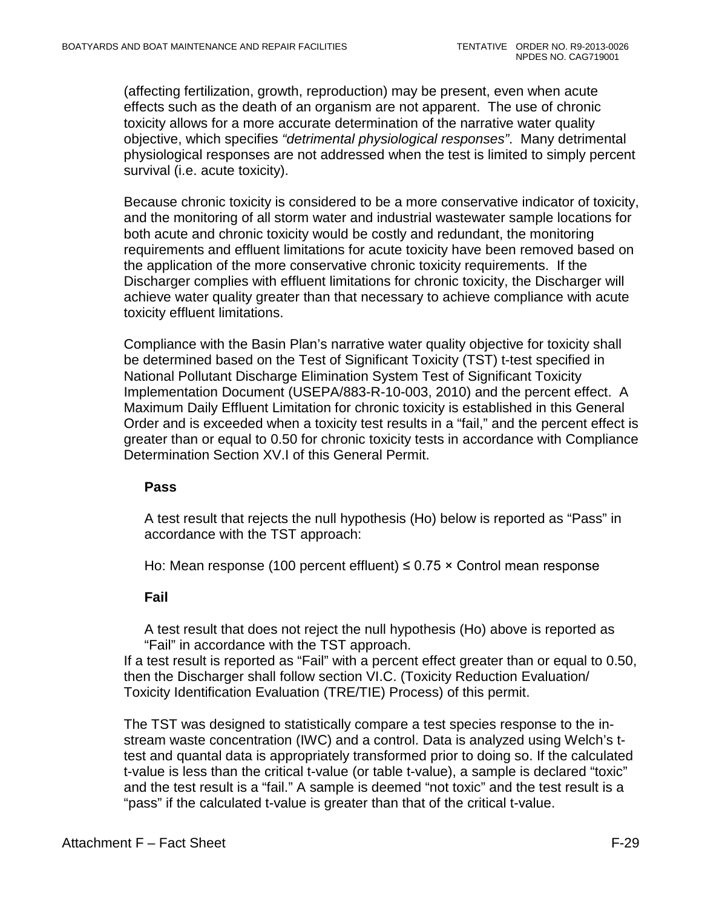(affecting fertilization, growth, reproduction) may be present, even when acute effects such as the death of an organism are not apparent. The use of chronic toxicity allows for a more accurate determination of the narrative water quality objective, which specifies *"detrimental physiological responses"*. Many detrimental physiological responses are not addressed when the test is limited to simply percent survival (i.e. acute toxicity).

Because chronic toxicity is considered to be a more conservative indicator of toxicity, and the monitoring of all storm water and industrial wastewater sample locations for both acute and chronic toxicity would be costly and redundant, the monitoring requirements and effluent limitations for acute toxicity have been removed based on the application of the more conservative chronic toxicity requirements. If the Discharger complies with effluent limitations for chronic toxicity, the Discharger will achieve water quality greater than that necessary to achieve compliance with acute toxicity effluent limitations.

Compliance with the Basin Plan's narrative water quality objective for toxicity shall be determined based on the Test of Significant Toxicity (TST) t-test specified in National Pollutant Discharge Elimination System Test of Significant Toxicity Implementation Document (USEPA/883-R-10-003, 2010) and the percent effect. A Maximum Daily Effluent Limitation for chronic toxicity is established in this General Order and is exceeded when a toxicity test results in a "fail," and the percent effect is greater than or equal to 0.50 for chronic toxicity tests in accordance with Compliance Determination Section XV.I of this General Permit.

#### **Pass**

A test result that rejects the null hypothesis (Ho) below is reported as "Pass" in accordance with the TST approach:

Ho: Mean response (100 percent effluent)  $\leq$  0.75  $\times$  Control mean response

#### **Fail**

A test result that does not reject the null hypothesis (Ho) above is reported as "Fail" in accordance with the TST approach.

If a test result is reported as "Fail" with a percent effect greater than or equal to 0.50, then the Discharger shall follow section VI.C. (Toxicity Reduction Evaluation/ Toxicity Identification Evaluation (TRE/TIE) Process) of this permit.

The TST was designed to statistically compare a test species response to the instream waste concentration (IWC) and a control. Data is analyzed using Welch's ttest and quantal data is appropriately transformed prior to doing so. If the calculated t-value is less than the critical t-value (or table t-value), a sample is declared "toxic" and the test result is a "fail." A sample is deemed "not toxic" and the test result is a "pass" if the calculated t-value is greater than that of the critical t-value.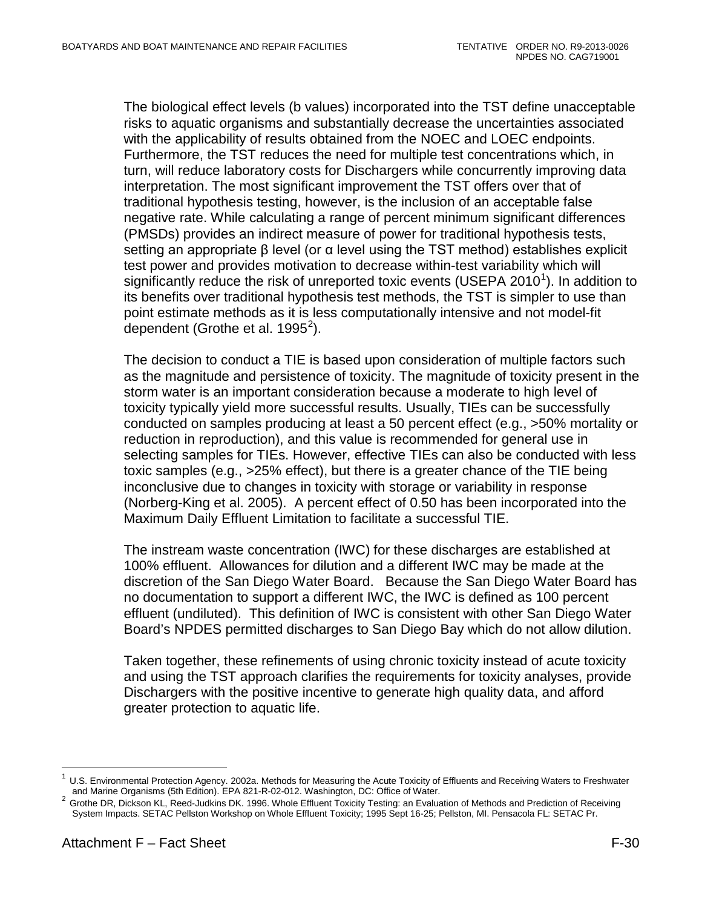The biological effect levels (b values) incorporated into the TST define unacceptable risks to aquatic organisms and substantially decrease the uncertainties associated with the applicability of results obtained from the NOEC and LOEC endpoints. Furthermore, the TST reduces the need for multiple test concentrations which, in turn, will reduce laboratory costs for Dischargers while concurrently improving data interpretation. The most significant improvement the TST offers over that of traditional hypothesis testing, however, is the inclusion of an acceptable false negative rate. While calculating a range of percent minimum significant differences (PMSDs) provides an indirect measure of power for traditional hypothesis tests, setting an appropriate β level (or α level using the TST method) establishes explicit test power and provides motivation to decrease within-test variability which will significantly reduce the risk of unreported toxic events (USEPA 20[1](#page-104-0)0<sup>1</sup>). In addition to its benefits over traditional hypothesis test methods, the TST is simpler to use than point estimate methods as it is less computationally intensive and not model-fit dependent (Grothe et al. 1995 $^2$  $^2$ ).

The decision to conduct a TIE is based upon consideration of multiple factors such as the magnitude and persistence of toxicity. The magnitude of toxicity present in the storm water is an important consideration because a moderate to high level of toxicity typically yield more successful results. Usually, TIEs can be successfully conducted on samples producing at least a 50 percent effect (e.g., >50% mortality or reduction in reproduction), and this value is recommended for general use in selecting samples for TIEs. However, effective TIEs can also be conducted with less toxic samples (e.g., >25% effect), but there is a greater chance of the TIE being inconclusive due to changes in toxicity with storage or variability in response (Norberg-King et al. 2005). A percent effect of 0.50 has been incorporated into the Maximum Daily Effluent Limitation to facilitate a successful TIE.

The instream waste concentration (IWC) for these discharges are established at 100% effluent. Allowances for dilution and a different IWC may be made at the discretion of the San Diego Water Board. Because the San Diego Water Board has no documentation to support a different IWC, the IWC is defined as 100 percent effluent (undiluted). This definition of IWC is consistent with other San Diego Water Board's NPDES permitted discharges to San Diego Bay which do not allow dilution.

Taken together, these refinements of using chronic toxicity instead of acute toxicity and using the TST approach clarifies the requirements for toxicity analyses, provide Dischargers with the positive incentive to generate high quality data, and afford greater protection to aquatic life.

<span id="page-104-0"></span>U.S. Environmental Protection Agency. 2002a. Methods for Measuring the Acute Toxicity of Effluents and Receiving Waters to Freshwater and Marine Organisms (5th Edition). EPA 821-R-02-012. Washington, DC: Office of Water.

<span id="page-104-1"></span>and Marine Organisms (5th Edition). EPA 821-R-02-012. Washington, DC: Office of Water. <sup>2</sup> Grothe DR, Dickson KL, Reed-Judkins DK. 1996. Whole Effluent Toxicity Testing: an Evaluation of Methods and Prediction of Receiving System Impacts. SETAC Pellston Workshop on Whole Effluent Toxicity; 1995 Sept 16-25; Pellston, MI. Pensacola FL: SETAC Pr.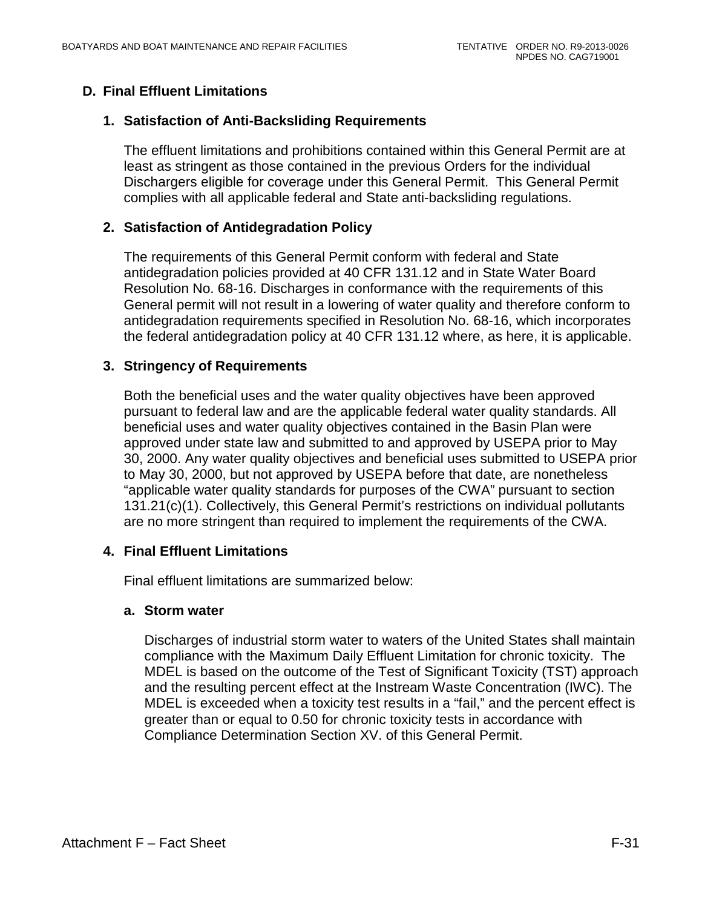# <span id="page-105-1"></span><span id="page-105-0"></span>**D. Final Effluent Limitations**

#### **1. Satisfaction of Anti-Backsliding Requirements**

The effluent limitations and prohibitions contained within this General Permit are at least as stringent as those contained in the previous Orders for the individual Dischargers eligible for coverage under this General Permit. This General Permit complies with all applicable federal and State anti-backsliding regulations.

#### <span id="page-105-2"></span>**2. Satisfaction of Antidegradation Policy**

The requirements of this General Permit conform with federal and State antidegradation policies provided at 40 CFR 131.12 and in State Water Board Resolution No. 68-16. Discharges in conformance with the requirements of this General permit will not result in a lowering of water quality and therefore conform to antidegradation requirements specified in Resolution No. 68-16, which incorporates the federal antidegradation policy at 40 CFR 131.12 where, as here, it is applicable.

#### <span id="page-105-3"></span>**3. Stringency of Requirements**

Both the beneficial uses and the water quality objectives have been approved pursuant to federal law and are the applicable federal water quality standards. All beneficial uses and water quality objectives contained in the Basin Plan were approved under state law and submitted to and approved by USEPA prior to May 30, 2000. Any water quality objectives and beneficial uses submitted to USEPA prior to May 30, 2000, but not approved by USEPA before that date, are nonetheless "applicable water quality standards for purposes of the CWA" pursuant to section 131.21(c)(1). Collectively, this General Permit's restrictions on individual pollutants are no more stringent than required to implement the requirements of the CWA.

## <span id="page-105-4"></span>**4. Final Effluent Limitations**

Final effluent limitations are summarized below:

#### **a. Storm water**

Discharges of industrial storm water to waters of the United States shall maintain compliance with the Maximum Daily Effluent Limitation for chronic toxicity. The MDEL is based on the outcome of the Test of Significant Toxicity (TST) approach and the resulting percent effect at the Instream Waste Concentration (IWC). The MDEL is exceeded when a toxicity test results in a "fail," and the percent effect is greater than or equal to 0.50 for chronic toxicity tests in accordance with Compliance Determination Section XV. of this General Permit.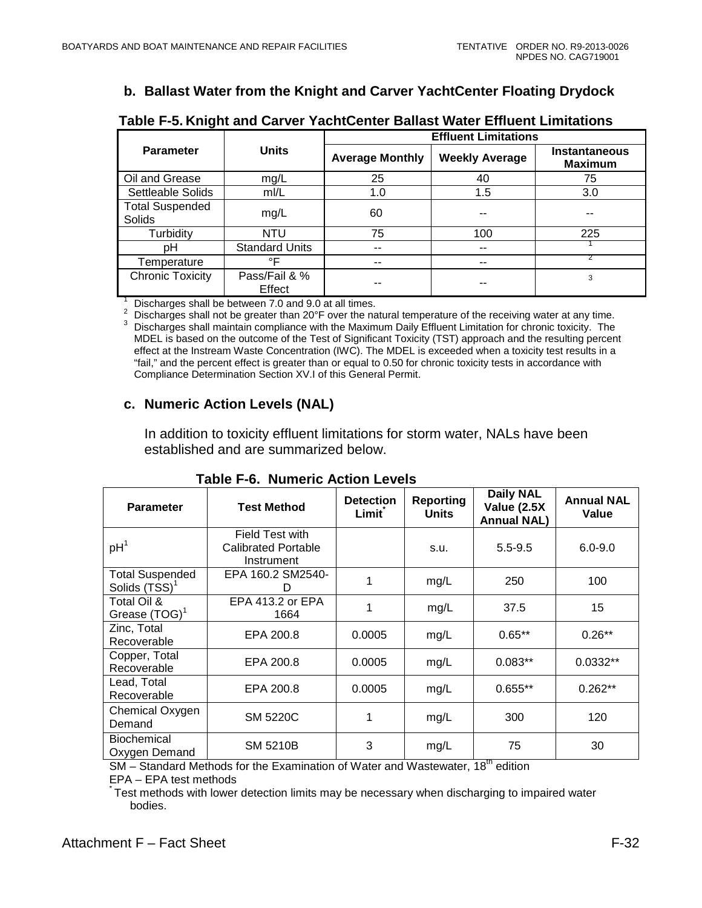# **b. Ballast Water from the Knight and Carver YachtCenter Floating Drydock**

<span id="page-106-0"></span>

|                                  | <b>Units</b>            | <b>Effluent Limitations</b> |                       |                                        |  |
|----------------------------------|-------------------------|-----------------------------|-----------------------|----------------------------------------|--|
| <b>Parameter</b>                 |                         | <b>Average Monthly</b>      | <b>Weekly Average</b> | <b>Instantaneous</b><br><b>Maximum</b> |  |
| Oil and Grease                   | mg/L                    | 25                          | 40                    | 75                                     |  |
| Settleable Solids                | m/L                     | 1.0                         | 1.5                   | 3.0                                    |  |
| <b>Total Suspended</b><br>Solids | mg/L                    | 60                          | --                    | --                                     |  |
| Turbidity                        | <b>NTU</b>              | 75                          | 100                   | 225                                    |  |
| рH                               | <b>Standard Units</b>   | --                          | --                    |                                        |  |
| Temperature                      | °F                      | --                          | --                    |                                        |  |
| <b>Chronic Toxicity</b>          | Pass/Fail & %<br>Effect |                             |                       | 3                                      |  |

#### **Table F-5. Knight and Carver YachtCenter Ballast Water Effluent Limitations**

<sup>1</sup> Discharges shall be between 7.0 and 9.0 at all times.<br>
<sup>2</sup> Discharges shall not be greater than 20°F over the natural temperature of the receiving water at any time.<br>
<sup>3</sup> Discharges shall maintain compliance with the MDEL is based on the outcome of the Test of Significant Toxicity (TST) approach and the resulting percent effect at the Instream Waste Concentration (IWC). The MDEL is exceeded when a toxicity test results in a "fail," and the percent effect is greater than or equal to 0.50 for chronic toxicity tests in accordance with Compliance Determination Section XV.I of this General Permit.

#### **c. Numeric Action Levels (NAL)**

In addition to toxicity effluent limitations for storm water, NALs have been established and are summarized below.

<span id="page-106-1"></span>

| <b>Parameter</b>                                    | <b>Test Method</b>                                   | <b>Detection</b><br>Limit | <b>Reporting</b><br><b>Units</b> | <b>Daily NAL</b><br>Value (2.5X<br><b>Annual NAL)</b> | <b>Annual NAL</b><br>Value |
|-----------------------------------------------------|------------------------------------------------------|---------------------------|----------------------------------|-------------------------------------------------------|----------------------------|
| pH <sup>1</sup>                                     | Field Test with<br>Calibrated Portable<br>Instrument |                           | s.u.                             | $5.5 - 9.5$                                           | $6.0 - 9.0$                |
| <b>Total Suspended</b><br>Solids (TSS) <sup>1</sup> | EPA 160.2 SM2540-<br>D                               | 1                         | mg/L                             | 250                                                   | 100                        |
| Total Oil &<br>Grease $(TOG)^T$                     | EPA 413.2 or EPA<br>1664                             | 1                         | mg/L                             | 37.5                                                  | 15                         |
| Zinc, Total<br>Recoverable                          | EPA 200.8                                            | 0.0005                    | mg/L                             | $0.65**$                                              | $0.26**$                   |
| Copper, Total<br>Recoverable                        | EPA 200.8                                            | 0.0005                    | mg/L                             | $0.083**$                                             | 0.0332**                   |
| Lead, Total<br>Recoverable                          | EPA 200.8                                            | 0.0005                    | mg/L                             | $0.655**$                                             | $0.262**$                  |
| Chemical Oxygen<br>Demand                           | <b>SM 5220C</b>                                      | 1                         | mg/L                             | 300                                                   | 120                        |
| <b>Biochemical</b><br>Oxygen Demand                 | <b>SM 5210B</b>                                      | 3                         | mg/L                             | 75                                                    | 30                         |

#### **Table F-6. Numeric Action Levels**

SM – Standard Methods for the Examination of Water and Wastewater, 18<sup>th</sup> edition

 $EPA - EPA$  test methods

Test methods with lower detection limits may be necessary when discharging to impaired water bodies.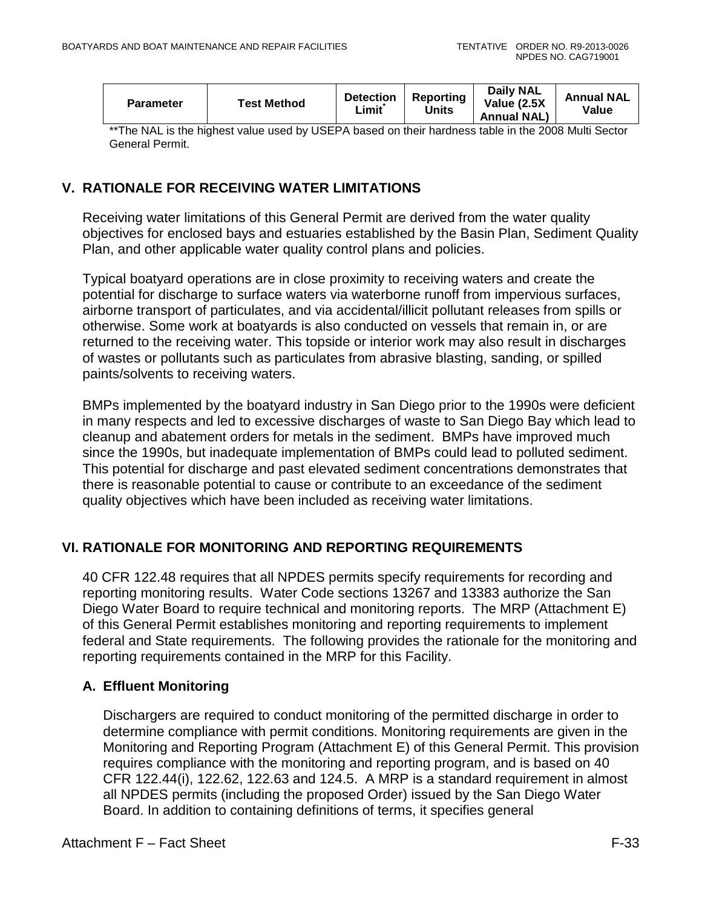| <b>Parameter</b> | <b>Test Method</b> | <b>Detection</b><br>_imit | Reporting<br>Units | <b>Daily NAL</b><br>Value (2.5X)<br><b>Annual NAL)</b> | <b>Annual NAL</b><br>Value |
|------------------|--------------------|---------------------------|--------------------|--------------------------------------------------------|----------------------------|
|------------------|--------------------|---------------------------|--------------------|--------------------------------------------------------|----------------------------|

\*\*The NAL is the highest value used by USEPA based on their hardness table in the 2008 Multi Sector General Permit.

## <span id="page-107-0"></span>**V. RATIONALE FOR RECEIVING WATER LIMITATIONS**

Receiving water limitations of this General Permit are derived from the water quality objectives for enclosed bays and estuaries established by the Basin Plan, Sediment Quality Plan, and other applicable water quality control plans and policies.

Typical boatyard operations are in close proximity to receiving waters and create the potential for discharge to surface waters via waterborne runoff from impervious surfaces, airborne transport of particulates, and via accidental/illicit pollutant releases from spills or otherwise. Some work at boatyards is also conducted on vessels that remain in, or are returned to the receiving water. This topside or interior work may also result in discharges of wastes or pollutants such as particulates from abrasive blasting, sanding, or spilled paints/solvents to receiving waters.

BMPs implemented by the boatyard industry in San Diego prior to the 1990s were deficient in many respects and led to excessive discharges of waste to San Diego Bay which lead to cleanup and abatement orders for metals in the sediment. BMPs have improved much since the 1990s, but inadequate implementation of BMPs could lead to polluted sediment. This potential for discharge and past elevated sediment concentrations demonstrates that there is reasonable potential to cause or contribute to an exceedance of the sediment quality objectives which have been included as receiving water limitations.

## <span id="page-107-1"></span>**VI. RATIONALE FOR MONITORING AND REPORTING REQUIREMENTS**

40 CFR 122.48 requires that all NPDES permits specify requirements for recording and reporting monitoring results. Water Code sections 13267 and 13383 authorize the San Diego Water Board to require technical and monitoring reports. The MRP (Attachment E) of this General Permit establishes monitoring and reporting requirements to implement federal and State requirements. The following provides the rationale for the monitoring and reporting requirements contained in the MRP for this Facility.

## <span id="page-107-2"></span>**A. Effluent Monitoring**

Dischargers are required to conduct monitoring of the permitted discharge in order to determine compliance with permit conditions. Monitoring requirements are given in the Monitoring and Reporting Program (Attachment E) of this General Permit. This provision requires compliance with the monitoring and reporting program, and is based on 40 CFR 122.44(i), 122.62, 122.63 and 124.5. A MRP is a standard requirement in almost all NPDES permits (including the proposed Order) issued by the San Diego Water Board. In addition to containing definitions of terms, it specifies general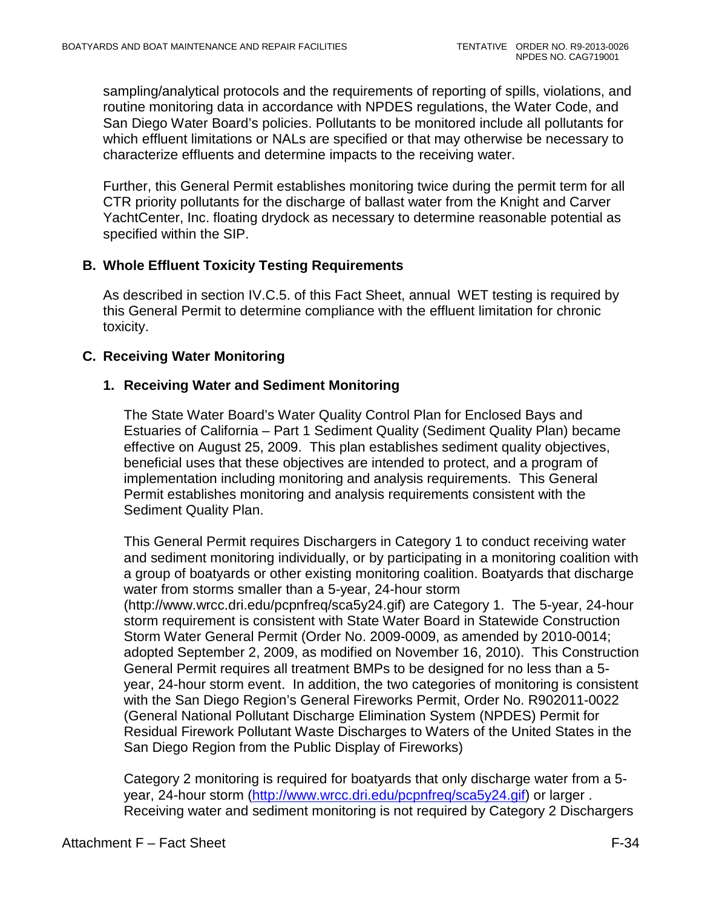sampling/analytical protocols and the requirements of reporting of spills, violations, and routine monitoring data in accordance with NPDES regulations, the Water Code, and San Diego Water Board's policies. Pollutants to be monitored include all pollutants for which effluent limitations or NALs are specified or that may otherwise be necessary to characterize effluents and determine impacts to the receiving water.

Further, this General Permit establishes monitoring twice during the permit term for all CTR priority pollutants for the discharge of ballast water from the Knight and Carver YachtCenter, Inc. floating drydock as necessary to determine reasonable potential as specified within the SIP.

# **B. Whole Effluent Toxicity Testing Requirements**

As described in section IV.C.5. of this Fact Sheet, annual WET testing is required by this General Permit to determine compliance with the effluent limitation for chronic toxicity.

## **C. Receiving Water Monitoring**

## **1. Receiving Water and Sediment Monitoring**

The State Water Board's Water Quality Control Plan for Enclosed Bays and Estuaries of California – Part 1 Sediment Quality (Sediment Quality Plan) became effective on August 25, 2009. This plan establishes sediment quality objectives, beneficial uses that these objectives are intended to protect, and a program of implementation including monitoring and analysis requirements. This General Permit establishes monitoring and analysis requirements consistent with the Sediment Quality Plan.

This General Permit requires Dischargers in Category 1 to conduct receiving water and sediment monitoring individually, or by participating in a monitoring coalition with a group of boatyards or other existing monitoring coalition. Boatyards that discharge water from storms smaller than a 5-year, 24-hour storm (http://www.wrcc.dri.edu/pcpnfreq/sca5y24.gif) are Category 1. The 5-year, 24-hour storm requirement is consistent with State Water Board in Statewide Construction Storm Water General Permit (Order No. 2009-0009, as amended by 2010-0014; adopted September 2, 2009, as modified on November 16, 2010). This Construction General Permit requires all treatment BMPs to be designed for no less than a 5 year, 24-hour storm event. In addition, the two categories of monitoring is consistent with the San Diego Region's General Fireworks Permit, Order No. R902011-0022 (General National Pollutant Discharge Elimination System (NPDES) Permit for Residual Firework Pollutant Waste Discharges to Waters of the United States in the San Diego Region from the Public Display of Fireworks)

Category 2 monitoring is required for boatyards that only discharge water from a 5- year, 24-hour storm [\(http://www.wrcc.dri.edu/pcpnfreq/sca5y24.gif\)](http://www.wrcc.dri.edu/pcpnfreq/sca5y24.gif) or larger. Receiving water and sediment monitoring is not required by Category 2 Dischargers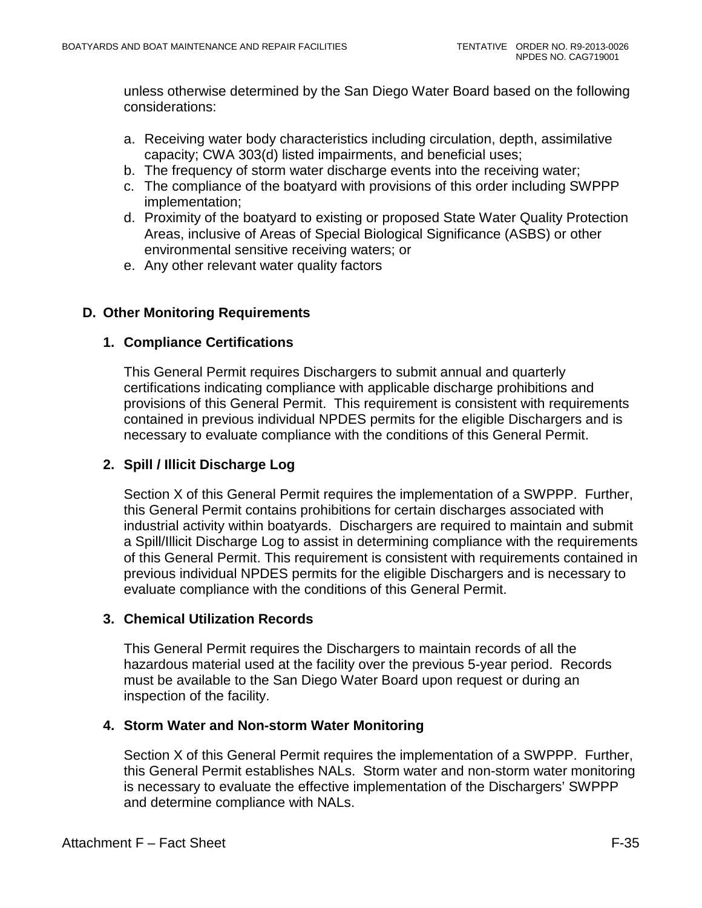unless otherwise determined by the San Diego Water Board based on the following considerations:

- a. Receiving water body characteristics including circulation, depth, assimilative capacity; CWA 303(d) listed impairments, and beneficial uses;
- b. The frequency of storm water discharge events into the receiving water;
- c. The compliance of the boatyard with provisions of this order including SWPPP implementation;
- d. Proximity of the boatyard to existing or proposed State Water Quality Protection Areas, inclusive of Areas of Special Biological Significance (ASBS) or other environmental sensitive receiving waters; or
- e. Any other relevant water quality factors

# **D. Other Monitoring Requirements**

## **1. Compliance Certifications**

This General Permit requires Dischargers to submit annual and quarterly certifications indicating compliance with applicable discharge prohibitions and provisions of this General Permit. This requirement is consistent with requirements contained in previous individual NPDES permits for the eligible Dischargers and is necessary to evaluate compliance with the conditions of this General Permit.

## **2. Spill / Illicit Discharge Log**

Section X of this General Permit requires the implementation of a SWPPP. Further, this General Permit contains prohibitions for certain discharges associated with industrial activity within boatyards. Dischargers are required to maintain and submit a Spill/Illicit Discharge Log to assist in determining compliance with the requirements of this General Permit. This requirement is consistent with requirements contained in previous individual NPDES permits for the eligible Dischargers and is necessary to evaluate compliance with the conditions of this General Permit.

## **3. Chemical Utilization Records**

This General Permit requires the Dischargers to maintain records of all the hazardous material used at the facility over the previous 5-year period. Records must be available to the San Diego Water Board upon request or during an inspection of the facility.

## **4. Storm Water and Non-storm Water Monitoring**

Section X of this General Permit requires the implementation of a SWPPP. Further, this General Permit establishes NALs. Storm water and non-storm water monitoring is necessary to evaluate the effective implementation of the Dischargers' SWPPP and determine compliance with NALs.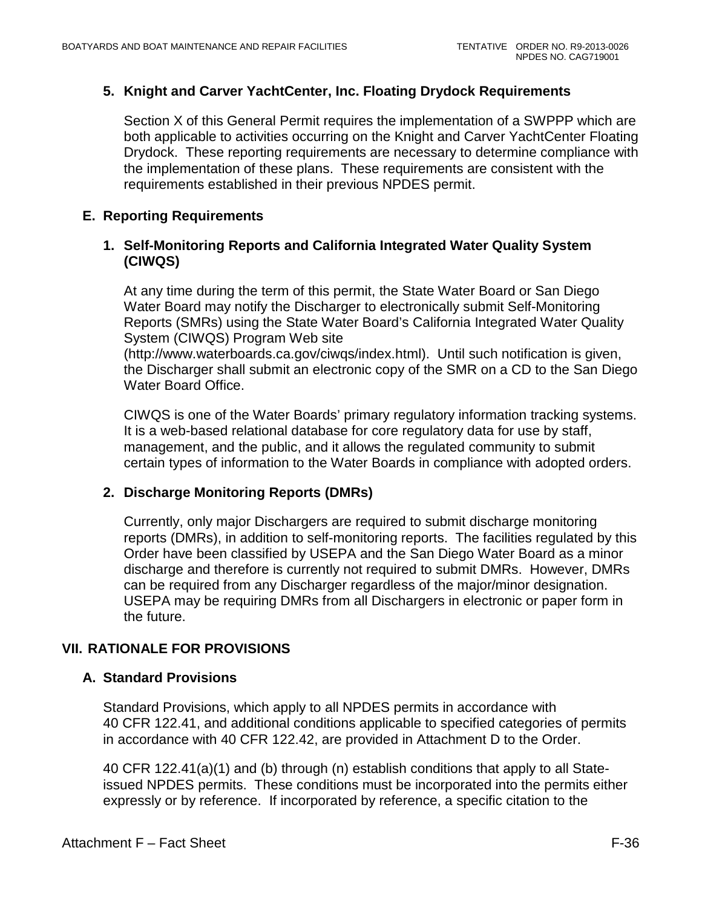# **5. Knight and Carver YachtCenter, Inc. Floating Drydock Requirements**

Section X of this General Permit requires the implementation of a SWPPP which are both applicable to activities occurring on the Knight and Carver YachtCenter Floating Drydock. These reporting requirements are necessary to determine compliance with the implementation of these plans. These requirements are consistent with the requirements established in their previous NPDES permit.

## **E. Reporting Requirements**

## **1. Self-Monitoring Reports and California Integrated Water Quality System (CIWQS)**

At any time during the term of this permit, the State Water Board or San Diego Water Board may notify the Discharger to electronically submit Self-Monitoring Reports (SMRs) using the State Water Board's California Integrated Water Quality System (CIWQS) Program Web site

(http://www.waterboards.ca.gov/ciwqs/index.html). Until such notification is given, the Discharger shall submit an electronic copy of the SMR on a CD to the San Diego Water Board Office.

CIWQS is one of the Water Boards' primary regulatory information tracking systems. It is a web-based relational database for core regulatory data for use by staff, management, and the public, and it allows the regulated community to submit certain types of information to the Water Boards in compliance with adopted orders.

## **2. Discharge Monitoring Reports (DMRs)**

Currently, only major Dischargers are required to submit discharge monitoring reports (DMRs), in addition to self-monitoring reports. The facilities regulated by this Order have been classified by USEPA and the San Diego Water Board as a minor discharge and therefore is currently not required to submit DMRs. However, DMRs can be required from any Discharger regardless of the major/minor designation. USEPA may be requiring DMRs from all Dischargers in electronic or paper form in the future.

# **VII. RATIONALE FOR PROVISIONS**

## **A. Standard Provisions**

Standard Provisions, which apply to all NPDES permits in accordance with 40 CFR 122.41, and additional conditions applicable to specified categories of permits in accordance with 40 CFR 122.42, are provided in Attachment D to the Order.

40 CFR 122.41(a)(1) and (b) through (n) establish conditions that apply to all Stateissued NPDES permits. These conditions must be incorporated into the permits either expressly or by reference. If incorporated by reference, a specific citation to the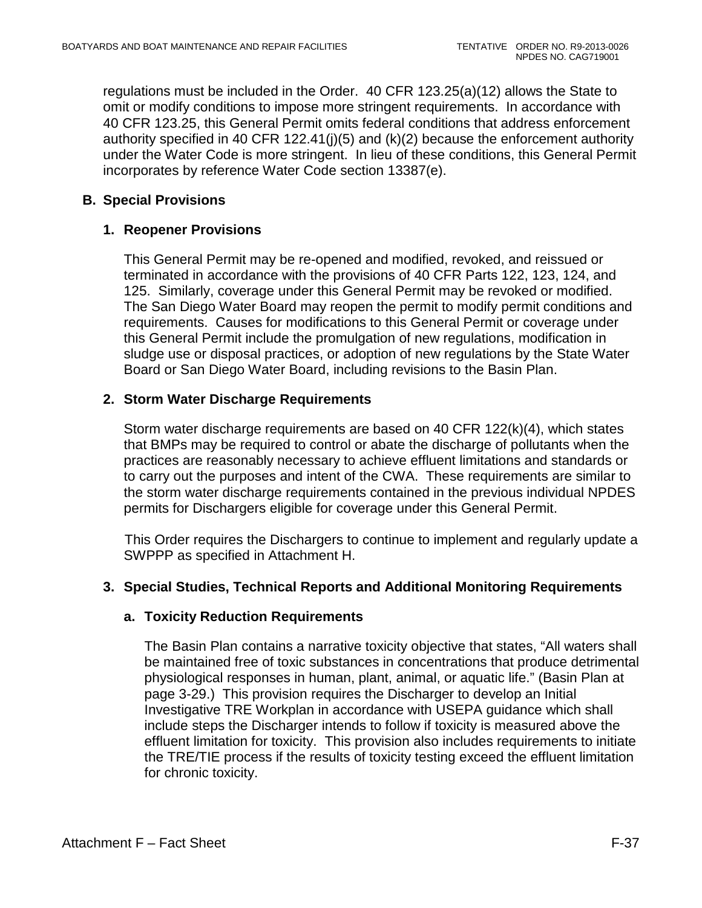regulations must be included in the Order. 40 CFR 123.25(a)(12) allows the State to omit or modify conditions to impose more stringent requirements. In accordance with 40 CFR 123.25, this General Permit omits federal conditions that address enforcement authority specified in 40 CFR 122.41(j)(5) and (k)(2) because the enforcement authority under the Water Code is more stringent. In lieu of these conditions, this General Permit incorporates by reference Water Code section 13387(e).

# **B. Special Provisions**

# **1. Reopener Provisions**

This General Permit may be re-opened and modified, revoked, and reissued or terminated in accordance with the provisions of 40 CFR Parts 122, 123, 124, and 125. Similarly, coverage under this General Permit may be revoked or modified. The San Diego Water Board may reopen the permit to modify permit conditions and requirements. Causes for modifications to this General Permit or coverage under this General Permit include the promulgation of new regulations, modification in sludge use or disposal practices, or adoption of new regulations by the State Water Board or San Diego Water Board, including revisions to the Basin Plan.

# **2. Storm Water Discharge Requirements**

Storm water discharge requirements are based on 40 CFR 122(k)(4), which states that BMPs may be required to control or abate the discharge of pollutants when the practices are reasonably necessary to achieve effluent limitations and standards or to carry out the purposes and intent of the CWA. These requirements are similar to the storm water discharge requirements contained in the previous individual NPDES permits for Dischargers eligible for coverage under this General Permit.

This Order requires the Dischargers to continue to implement and regularly update a SWPPP as specified in Attachment H.

# **3. Special Studies, Technical Reports and Additional Monitoring Requirements**

# **a. Toxicity Reduction Requirements**

The Basin Plan contains a narrative toxicity objective that states, "All waters shall be maintained free of toxic substances in concentrations that produce detrimental physiological responses in human, plant, animal, or aquatic life." (Basin Plan at page 3-29.) This provision requires the Discharger to develop an Initial Investigative TRE Workplan in accordance with USEPA guidance which shall include steps the Discharger intends to follow if toxicity is measured above the effluent limitation for toxicity. This provision also includes requirements to initiate the TRE/TIE process if the results of toxicity testing exceed the effluent limitation for chronic toxicity.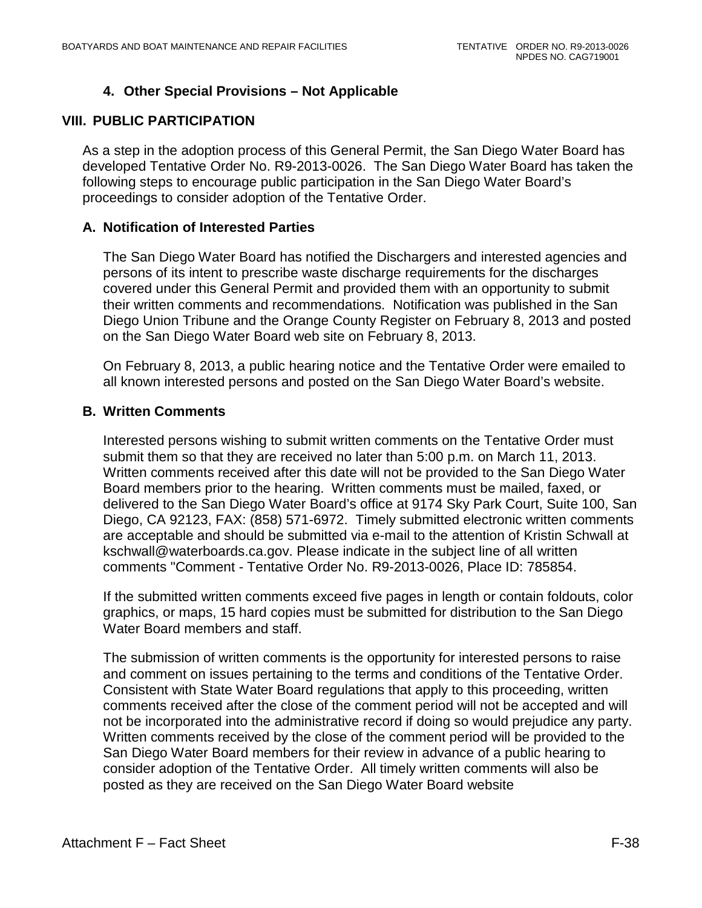# **4. Other Special Provisions – Not Applicable**

## **VIII. PUBLIC PARTICIPATION**

As a step in the adoption process of this General Permit, the San Diego Water Board has developed Tentative Order No. R9-2013-0026. The San Diego Water Board has taken the following steps to encourage public participation in the San Diego Water Board's proceedings to consider adoption of the Tentative Order.

#### **A. Notification of Interested Parties**

The San Diego Water Board has notified the Dischargers and interested agencies and persons of its intent to prescribe waste discharge requirements for the discharges covered under this General Permit and provided them with an opportunity to submit their written comments and recommendations. Notification was published in the San Diego Union Tribune and the Orange County Register on February 8, 2013 and posted on the San Diego Water Board web site on February 8, 2013.

On February 8, 2013, a public hearing notice and the Tentative Order were emailed to all known interested persons and posted on the San Diego Water Board's website.

#### **B. Written Comments**

Interested persons wishing to submit written comments on the Tentative Order must submit them so that they are received no later than 5:00 p.m. on March 11, 2013. Written comments received after this date will not be provided to the San Diego Water Board members prior to the hearing. Written comments must be mailed, faxed, or delivered to the San Diego Water Board's office at 9174 Sky Park Court, Suite 100, San Diego, CA 92123, FAX: (858) 571-6972. Timely submitted electronic written comments are acceptable and should be submitted via e-mail to the attention of Kristin Schwall at kschwall@waterboards.ca.gov. Please indicate in the subject line of all written comments "Comment - Tentative Order No. R9-2013-0026, Place ID: 785854.

If the submitted written comments exceed five pages in length or contain foldouts, color graphics, or maps, 15 hard copies must be submitted for distribution to the San Diego Water Board members and staff.

The submission of written comments is the opportunity for interested persons to raise and comment on issues pertaining to the terms and conditions of the Tentative Order. Consistent with State Water Board regulations that apply to this proceeding, written comments received after the close of the comment period will not be accepted and will not be incorporated into the administrative record if doing so would prejudice any party. Written comments received by the close of the comment period will be provided to the San Diego Water Board members for their review in advance of a public hearing to consider adoption of the Tentative Order. All timely written comments will also be posted as they are received on the San Diego Water Board website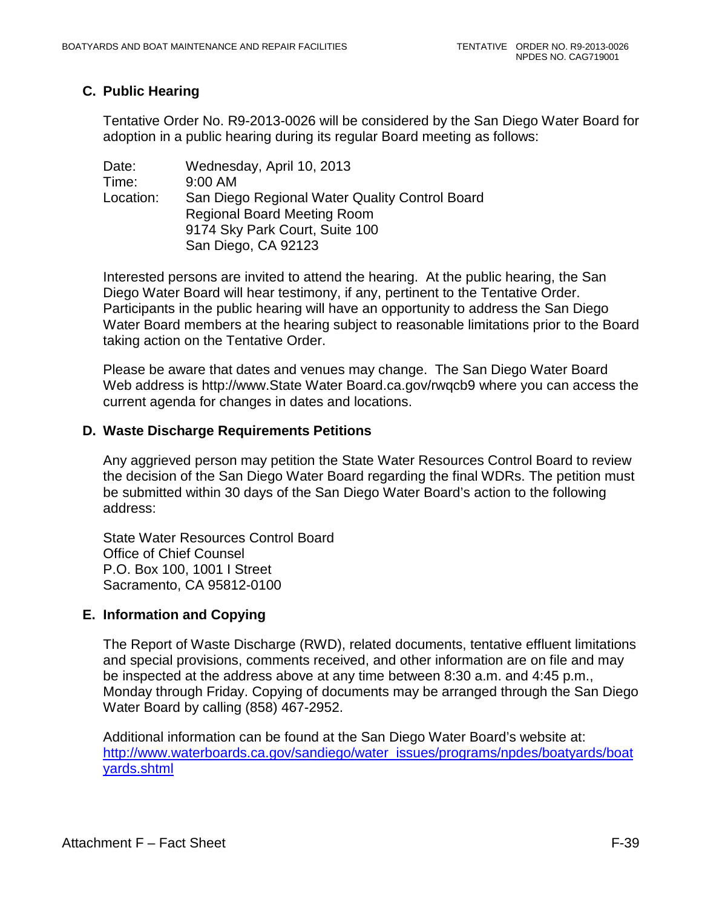# **C. Public Hearing**

Tentative Order No. R9-2013-0026 will be considered by the San Diego Water Board for adoption in a public hearing during its regular Board meeting as follows:

Date: Wednesday, April 10, 2013 Time: 9:00 AM Location: San Diego Regional Water Quality Control Board Regional Board Meeting Room 9174 Sky Park Court, Suite 100 San Diego, CA 92123

Interested persons are invited to attend the hearing. At the public hearing, the San Diego Water Board will hear testimony, if any, pertinent to the Tentative Order. Participants in the public hearing will have an opportunity to address the San Diego Water Board members at the hearing subject to reasonable limitations prior to the Board taking action on the Tentative Order.

Please be aware that dates and venues may change. The San Diego Water Board Web address is [http://www.State Water Board.ca.gov/rwqcb9](http://www.swrcb.ca.gov/rwqcb9) where you can access the current agenda for changes in dates and locations.

## **D. Waste Discharge Requirements Petitions**

Any aggrieved person may petition the State Water Resources Control Board to review the decision of the San Diego Water Board regarding the final WDRs. The petition must be submitted within 30 days of the San Diego Water Board's action to the following address:

State Water Resources Control Board Office of Chief Counsel P.O. Box 100, 1001 I Street Sacramento, CA 95812-0100

# **E. Information and Copying**

The Report of Waste Discharge (RWD), related documents, tentative effluent limitations and special provisions, comments received, and other information are on file and may be inspected at the address above at any time between 8:30 a.m. and 4:45 p.m., Monday through Friday. Copying of documents may be arranged through the San Diego Water Board by calling (858) 467-2952.

Additional information can be found at the San Diego Water Board's website at: [http://www.waterboards.ca.gov/sandiego/water\\_issues/programs/npdes/boatyards/boat](http://www.waterboards.ca.gov/sandiego/water_issues/programs/npdes/boatyards/boatyards.shtml) [yards.shtml](http://www.waterboards.ca.gov/sandiego/water_issues/programs/npdes/boatyards/boatyards.shtml)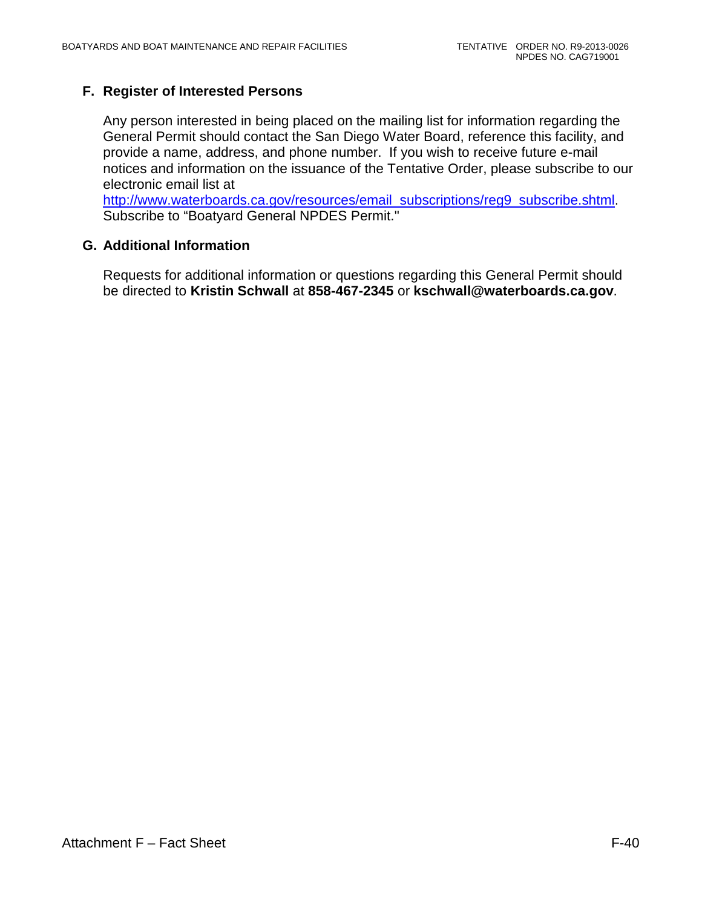# **F. Register of Interested Persons**

Any person interested in being placed on the mailing list for information regarding the General Permit should contact the San Diego Water Board, reference this facility, and provide a name, address, and phone number. If you wish to receive future e-mail notices and information on the issuance of the Tentative Order, please subscribe to our electronic email list at

[http://www.waterboards.ca.gov/resources/email\\_subscriptions/reg9\\_subscribe.shtml.](http://www.waterboards.ca.gov/resources/email_subscriptions/reg9_subscribe.shtml) Subscribe to "Boatyard General NPDES Permit."

## **G. Additional Information**

Requests for additional information or questions regarding this General Permit should be directed to **Kristin Schwall** at **858-467-2345** or **kschwall@waterboards.ca.gov**.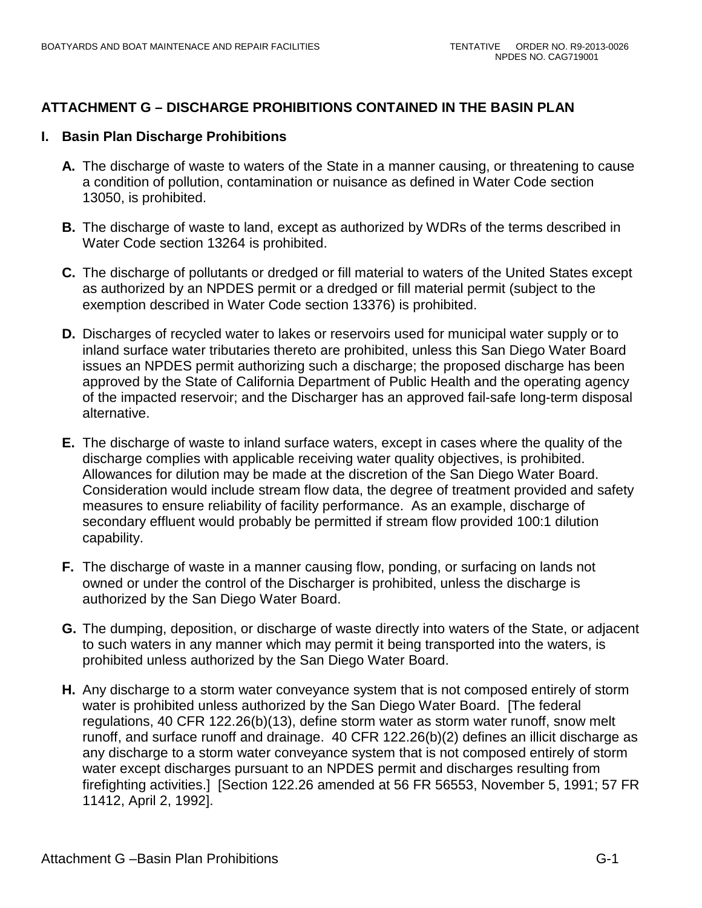# **ATTACHMENT G – DISCHARGE PROHIBITIONS CONTAINED IN THE BASIN PLAN**

# **I. Basin Plan Discharge Prohibitions**

- **A.** The discharge of waste to waters of the State in a manner causing, or threatening to cause a condition of pollution, contamination or nuisance as defined in Water Code section 13050, is prohibited.
- **B.** The discharge of waste to land, except as authorized by WDRs of the terms described in Water Code section 13264 is prohibited.
- **C.** The discharge of pollutants or dredged or fill material to waters of the United States except as authorized by an NPDES permit or a dredged or fill material permit (subject to the exemption described in Water Code section 13376) is prohibited.
- **D.** Discharges of recycled water to lakes or reservoirs used for municipal water supply or to inland surface water tributaries thereto are prohibited, unless this San Diego Water Board issues an NPDES permit authorizing such a discharge; the proposed discharge has been approved by the State of California Department of Public Health and the operating agency of the impacted reservoir; and the Discharger has an approved fail-safe long-term disposal alternative.
- **E.** The discharge of waste to inland surface waters, except in cases where the quality of the discharge complies with applicable receiving water quality objectives, is prohibited. Allowances for dilution may be made at the discretion of the San Diego Water Board. Consideration would include stream flow data, the degree of treatment provided and safety measures to ensure reliability of facility performance. As an example, discharge of secondary effluent would probably be permitted if stream flow provided 100:1 dilution capability.
- **F.** The discharge of waste in a manner causing flow, ponding, or surfacing on lands not owned or under the control of the Discharger is prohibited, unless the discharge is authorized by the San Diego Water Board.
- **G.** The dumping, deposition, or discharge of waste directly into waters of the State, or adjacent to such waters in any manner which may permit it being transported into the waters, is prohibited unless authorized by the San Diego Water Board.
- **H.** Any discharge to a storm water conveyance system that is not composed entirely of storm water is prohibited unless authorized by the San Diego Water Board. [The federal regulations, 40 CFR 122.26(b)(13), define storm water as storm water runoff, snow melt runoff, and surface runoff and drainage. 40 CFR 122.26(b)(2) defines an illicit discharge as any discharge to a storm water conveyance system that is not composed entirely of storm water except discharges pursuant to an NPDES permit and discharges resulting from firefighting activities.] [Section 122.26 amended at 56 FR 56553, November 5, 1991; 57 FR 11412, April 2, 1992].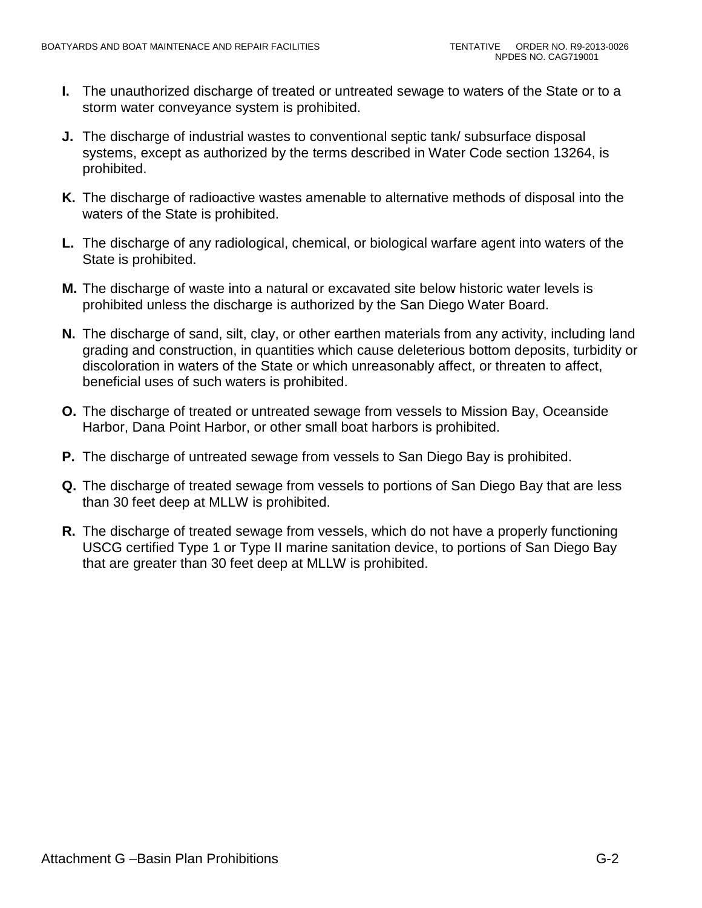- **I.** The unauthorized discharge of treated or untreated sewage to waters of the State or to a storm water conveyance system is prohibited.
- **J.** The discharge of industrial wastes to conventional septic tank/ subsurface disposal systems, except as authorized by the terms described in Water Code section 13264, is prohibited.
- **K.** The discharge of radioactive wastes amenable to alternative methods of disposal into the waters of the State is prohibited.
- **L.** The discharge of any radiological, chemical, or biological warfare agent into waters of the State is prohibited.
- **M.** The discharge of waste into a natural or excavated site below historic water levels is prohibited unless the discharge is authorized by the San Diego Water Board.
- **N.** The discharge of sand, silt, clay, or other earthen materials from any activity, including land grading and construction, in quantities which cause deleterious bottom deposits, turbidity or discoloration in waters of the State or which unreasonably affect, or threaten to affect, beneficial uses of such waters is prohibited.
- **O.** The discharge of treated or untreated sewage from vessels to Mission Bay, Oceanside Harbor, Dana Point Harbor, or other small boat harbors is prohibited.
- **P.** The discharge of untreated sewage from vessels to San Diego Bay is prohibited.
- **Q.** The discharge of treated sewage from vessels to portions of San Diego Bay that are less than 30 feet deep at MLLW is prohibited.
- **R.** The discharge of treated sewage from vessels, which do not have a properly functioning USCG certified Type 1 or Type II marine sanitation device, to portions of San Diego Bay that are greater than 30 feet deep at MLLW is prohibited.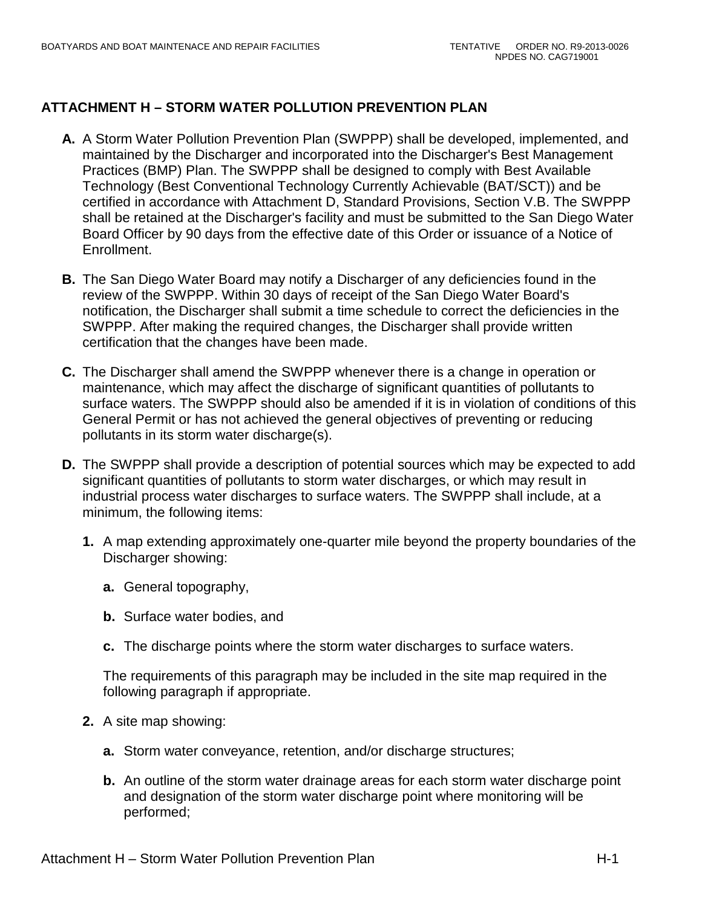# **ATTACHMENT H – STORM WATER POLLUTION PREVENTION PLAN**

- **A.** A Storm Water Pollution Prevention Plan (SWPPP) shall be developed, implemented, and maintained by the Discharger and incorporated into the Discharger's Best Management Practices (BMP) Plan. The SWPPP shall be designed to comply with Best Available Technology (Best Conventional Technology Currently Achievable (BAT/SCT)) and be certified in accordance with Attachment D, Standard Provisions, Section V.B. The SWPPP shall be retained at the Discharger's facility and must be submitted to the San Diego Water Board Officer by 90 days from the effective date of this Order or issuance of a Notice of Enrollment.
- **B.** The San Diego Water Board may notify a Discharger of any deficiencies found in the review of the SWPPP. Within 30 days of receipt of the San Diego Water Board's notification, the Discharger shall submit a time schedule to correct the deficiencies in the SWPPP. After making the required changes, the Discharger shall provide written certification that the changes have been made.
- **C.** The Discharger shall amend the SWPPP whenever there is a change in operation or maintenance, which may affect the discharge of significant quantities of pollutants to surface waters. The SWPPP should also be amended if it is in violation of conditions of this General Permit or has not achieved the general objectives of preventing or reducing pollutants in its storm water discharge(s).
- **D.** The SWPPP shall provide a description of potential sources which may be expected to add significant quantities of pollutants to storm water discharges, or which may result in industrial process water discharges to surface waters. The SWPPP shall include, at a minimum, the following items:
	- **1.** A map extending approximately one-quarter mile beyond the property boundaries of the Discharger showing:
		- **a.** General topography,
		- **b.** Surface water bodies, and
		- **c.** The discharge points where the storm water discharges to surface waters.

The requirements of this paragraph may be included in the site map required in the following paragraph if appropriate.

- **2.** A site map showing:
	- **a.** Storm water conveyance, retention, and/or discharge structures;
	- **b.** An outline of the storm water drainage areas for each storm water discharge point and designation of the storm water discharge point where monitoring will be performed;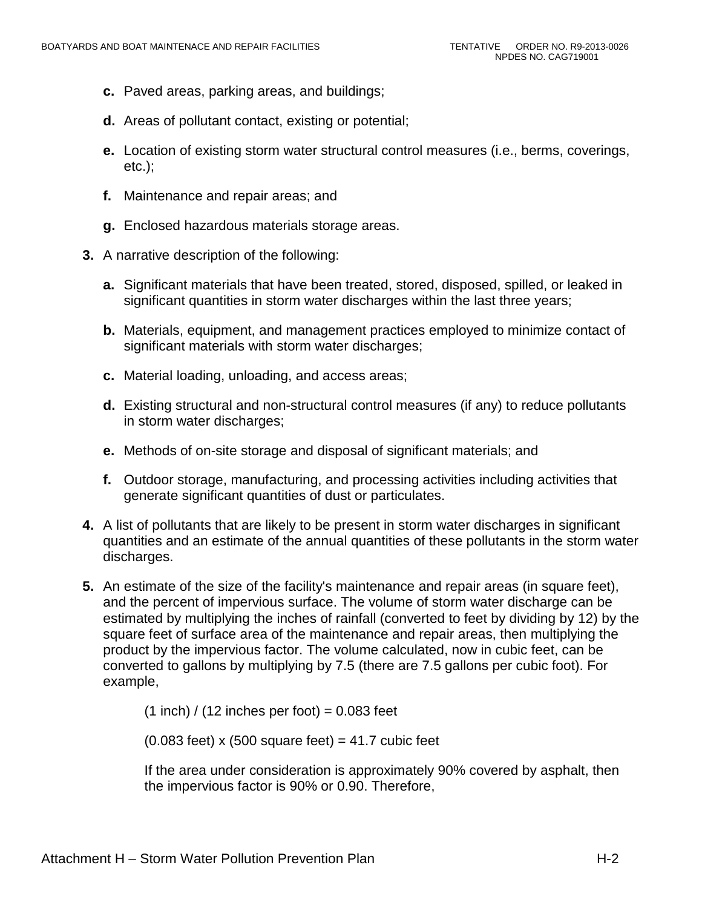- **c.** Paved areas, parking areas, and buildings;
- **d.** Areas of pollutant contact, existing or potential;
- **e.** Location of existing storm water structural control measures (i.e., berms, coverings, etc.);
- **f.** Maintenance and repair areas; and
- **g.** Enclosed hazardous materials storage areas.
- **3.** A narrative description of the following:
	- **a.** Significant materials that have been treated, stored, disposed, spilled, or leaked in significant quantities in storm water discharges within the last three years;
	- **b.** Materials, equipment, and management practices employed to minimize contact of significant materials with storm water discharges;
	- **c.** Material loading, unloading, and access areas;
	- **d.** Existing structural and non-structural control measures (if any) to reduce pollutants in storm water discharges;
	- **e.** Methods of on-site storage and disposal of significant materials; and
	- **f.** Outdoor storage, manufacturing, and processing activities including activities that generate significant quantities of dust or particulates.
- **4.** A list of pollutants that are likely to be present in storm water discharges in significant quantities and an estimate of the annual quantities of these pollutants in the storm water discharges.
- **5.** An estimate of the size of the facility's maintenance and repair areas (in square feet), and the percent of impervious surface. The volume of storm water discharge can be estimated by multiplying the inches of rainfall (converted to feet by dividing by 12) by the square feet of surface area of the maintenance and repair areas, then multiplying the product by the impervious factor. The volume calculated, now in cubic feet, can be converted to gallons by multiplying by 7.5 (there are 7.5 gallons per cubic foot). For example,

 $(1$  inch) / (12 inches per foot) = 0.083 feet

 $(0.083$  feet) x  $(500 \text{ square feet}) = 41.7$  cubic feet

If the area under consideration is approximately 90% covered by asphalt, then the impervious factor is 90% or 0.90. Therefore,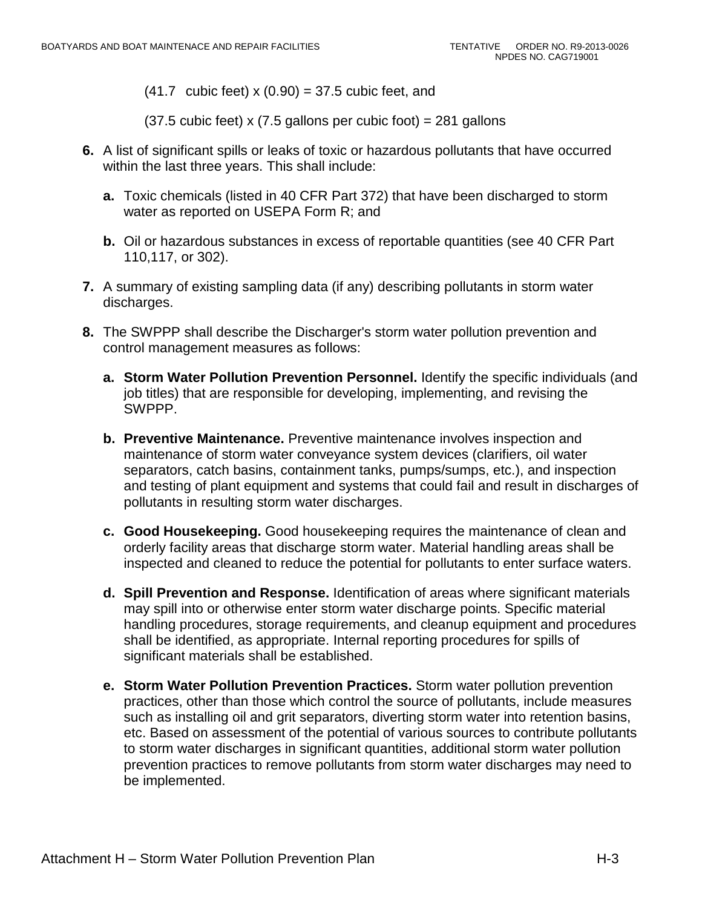$(41.7 \text{ cubic feet}) \times (0.90) = 37.5 \text{ cubic feet},$  and

 $(37.5 \text{ cubic feet}) \times (7.5 \text{ gallons per cubic foot}) = 281 \text{ gallons}$ 

- **6.** A list of significant spills or leaks of toxic or hazardous pollutants that have occurred within the last three years. This shall include:
	- **a.** Toxic chemicals (listed in 40 CFR Part 372) that have been discharged to storm water as reported on USEPA Form R; and
	- **b.** Oil or hazardous substances in excess of reportable quantities (see 40 CFR Part 110,117, or 302).
- **7.** A summary of existing sampling data (if any) describing pollutants in storm water discharges.
- **8.** The SWPPP shall describe the Discharger's storm water pollution prevention and control management measures as follows:
	- **a. Storm Water Pollution Prevention Personnel.** Identify the specific individuals (and job titles) that are responsible for developing, implementing, and revising the SWPPP.
	- **b. Preventive Maintenance.** Preventive maintenance involves inspection and maintenance of storm water conveyance system devices (clarifiers, oil water separators, catch basins, containment tanks, pumps/sumps, etc.), and inspection and testing of plant equipment and systems that could fail and result in discharges of pollutants in resulting storm water discharges.
	- **c. Good Housekeeping.** Good housekeeping requires the maintenance of clean and orderly facility areas that discharge storm water. Material handling areas shall be inspected and cleaned to reduce the potential for pollutants to enter surface waters.
	- **d. Spill Prevention and Response.** Identification of areas where significant materials may spill into or otherwise enter storm water discharge points. Specific material handling procedures, storage requirements, and cleanup equipment and procedures shall be identified, as appropriate. Internal reporting procedures for spills of significant materials shall be established.
	- **e. Storm Water Pollution Prevention Practices.** Storm water pollution prevention practices, other than those which control the source of pollutants, include measures such as installing oil and grit separators, diverting storm water into retention basins, etc. Based on assessment of the potential of various sources to contribute pollutants to storm water discharges in significant quantities, additional storm water pollution prevention practices to remove pollutants from storm water discharges may need to be implemented.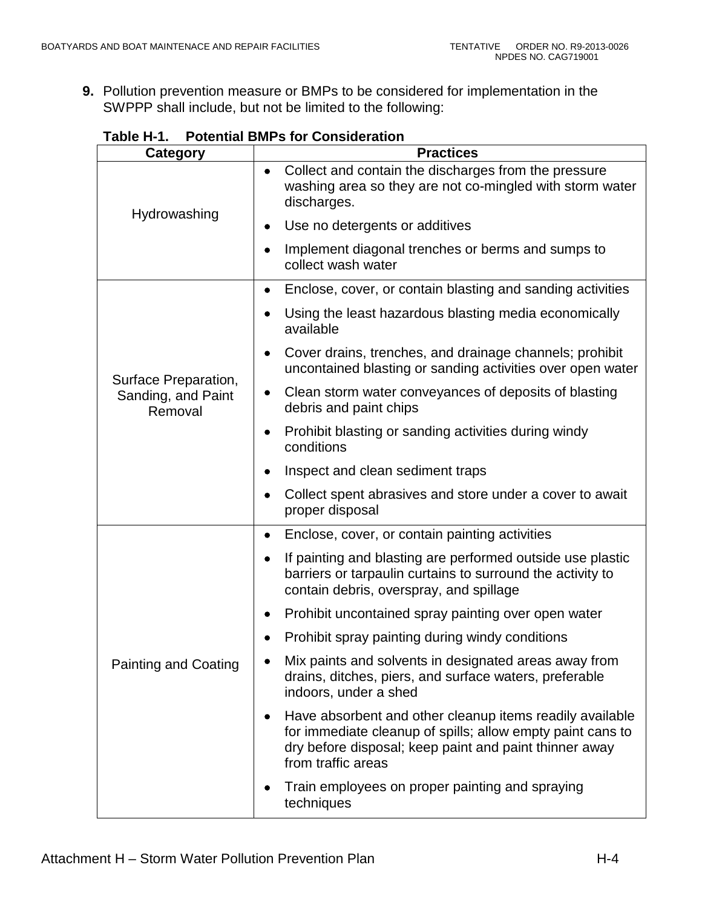**9.** Pollution prevention measure or BMPs to be considered for implementation in the SWPPP shall include, but not be limited to the following:

| <b>Category</b>                                       | <b>Practices</b>                                                                                                                                                                                            |
|-------------------------------------------------------|-------------------------------------------------------------------------------------------------------------------------------------------------------------------------------------------------------------|
| Hydrowashing                                          | Collect and contain the discharges from the pressure<br>$\bullet$<br>washing area so they are not co-mingled with storm water<br>discharges.                                                                |
|                                                       | Use no detergents or additives<br>٠                                                                                                                                                                         |
|                                                       | Implement diagonal trenches or berms and sumps to<br>collect wash water                                                                                                                                     |
| Surface Preparation,<br>Sanding, and Paint<br>Removal | Enclose, cover, or contain blasting and sanding activities<br>٠                                                                                                                                             |
|                                                       | Using the least hazardous blasting media economically<br>٠<br>available                                                                                                                                     |
|                                                       | Cover drains, trenches, and drainage channels; prohibit<br>٠<br>uncontained blasting or sanding activities over open water                                                                                  |
|                                                       | Clean storm water conveyances of deposits of blasting<br>٠<br>debris and paint chips                                                                                                                        |
|                                                       | Prohibit blasting or sanding activities during windy<br>٠<br>conditions                                                                                                                                     |
|                                                       | Inspect and clean sediment traps<br>٠                                                                                                                                                                       |
|                                                       | Collect spent abrasives and store under a cover to await<br>proper disposal                                                                                                                                 |
|                                                       | Enclose, cover, or contain painting activities<br>$\bullet$                                                                                                                                                 |
|                                                       | If painting and blasting are performed outside use plastic<br>barriers or tarpaulin curtains to surround the activity to<br>contain debris, overspray, and spillage                                         |
|                                                       | Prohibit uncontained spray painting over open water                                                                                                                                                         |
|                                                       | Prohibit spray painting during windy conditions                                                                                                                                                             |
| <b>Painting and Coating</b>                           | Mix paints and solvents in designated areas away from<br>drains, ditches, piers, and surface waters, preferable<br>indoors, under a shed                                                                    |
|                                                       | Have absorbent and other cleanup items readily available<br>٠<br>for immediate cleanup of spills; allow empty paint cans to<br>dry before disposal; keep paint and paint thinner away<br>from traffic areas |
|                                                       | Train employees on proper painting and spraying<br>techniques                                                                                                                                               |

**Table H-1. Potential BMPs for Consideration**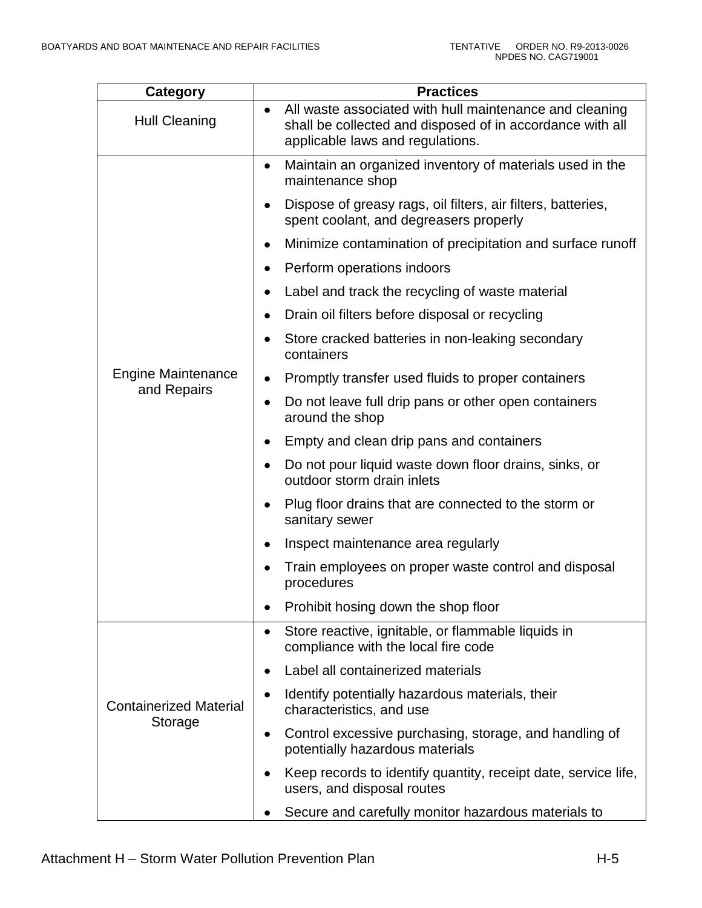| Category                                 | <b>Practices</b>                                                                                                                                         |
|------------------------------------------|----------------------------------------------------------------------------------------------------------------------------------------------------------|
| <b>Hull Cleaning</b>                     | All waste associated with hull maintenance and cleaning<br>shall be collected and disposed of in accordance with all<br>applicable laws and regulations. |
| <b>Engine Maintenance</b><br>and Repairs | Maintain an organized inventory of materials used in the<br>٠<br>maintenance shop                                                                        |
|                                          | Dispose of greasy rags, oil filters, air filters, batteries,<br>spent coolant, and degreasers properly                                                   |
|                                          | Minimize contamination of precipitation and surface runoff<br>٠                                                                                          |
|                                          | Perform operations indoors                                                                                                                               |
|                                          | Label and track the recycling of waste material                                                                                                          |
|                                          | Drain oil filters before disposal or recycling                                                                                                           |
|                                          | Store cracked batteries in non-leaking secondary<br>٠<br>containers                                                                                      |
|                                          | Promptly transfer used fluids to proper containers                                                                                                       |
|                                          | Do not leave full drip pans or other open containers<br>٠<br>around the shop                                                                             |
|                                          | Empty and clean drip pans and containers                                                                                                                 |
|                                          | Do not pour liquid waste down floor drains, sinks, or<br>outdoor storm drain inlets                                                                      |
|                                          | Plug floor drains that are connected to the storm or<br>sanitary sewer                                                                                   |
|                                          | Inspect maintenance area regularly                                                                                                                       |
|                                          | Train employees on proper waste control and disposal<br>procedures                                                                                       |
|                                          | Prohibit hosing down the shop floor                                                                                                                      |
|                                          | Store reactive, ignitable, or flammable liquids in<br>٠<br>compliance with the local fire code                                                           |
|                                          | Label all containerized materials                                                                                                                        |
| <b>Containerized Material</b><br>Storage | Identify potentially hazardous materials, their<br>characteristics, and use                                                                              |
|                                          | Control excessive purchasing, storage, and handling of<br>potentially hazardous materials                                                                |
|                                          | Keep records to identify quantity, receipt date, service life,<br>users, and disposal routes                                                             |
|                                          | Secure and carefully monitor hazardous materials to                                                                                                      |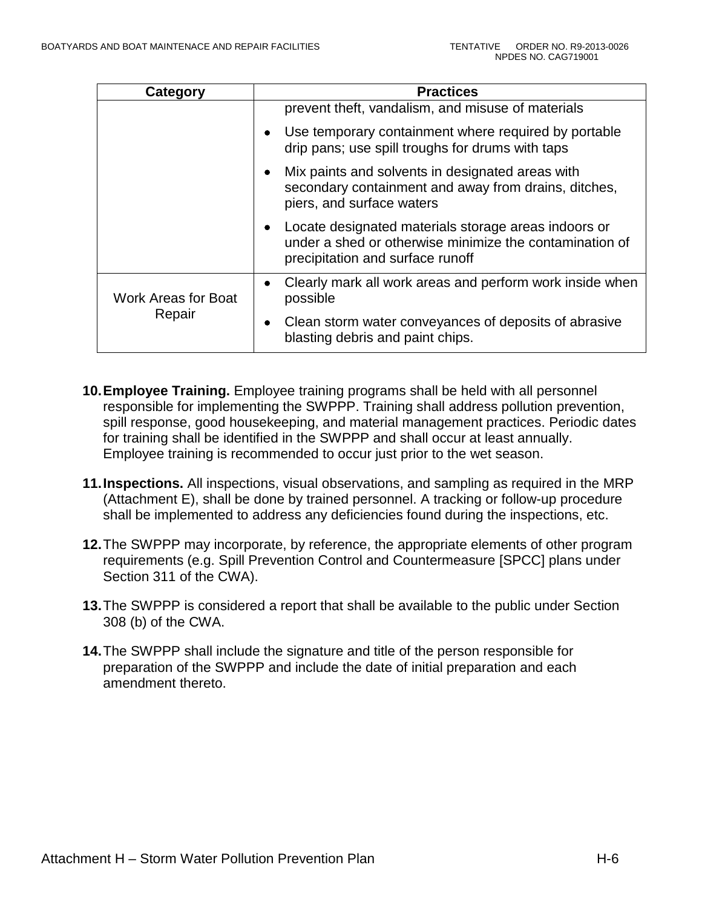| Category                             | <b>Practices</b>                                                                                                                                                 |
|--------------------------------------|------------------------------------------------------------------------------------------------------------------------------------------------------------------|
|                                      | prevent theft, vandalism, and misuse of materials                                                                                                                |
|                                      | Use temporary containment where required by portable<br>drip pans; use spill troughs for drums with taps                                                         |
|                                      | Mix paints and solvents in designated areas with<br>secondary containment and away from drains, ditches,<br>piers, and surface waters                            |
|                                      | Locate designated materials storage areas indoors or<br>$\bullet$<br>under a shed or otherwise minimize the contamination of<br>precipitation and surface runoff |
| <b>Work Areas for Boat</b><br>Repair | Clearly mark all work areas and perform work inside when<br>$\bullet$<br>possible                                                                                |
|                                      | Clean storm water conveyances of deposits of abrasive<br>٠<br>blasting debris and paint chips.                                                                   |

- **10.Employee Training.** Employee training programs shall be held with all personnel responsible for implementing the SWPPP. Training shall address pollution prevention, spill response, good housekeeping, and material management practices. Periodic dates for training shall be identified in the SWPPP and shall occur at least annually. Employee training is recommended to occur just prior to the wet season.
- **11.Inspections.** All inspections, visual observations, and sampling as required in the MRP (Attachment E), shall be done by trained personnel. A tracking or follow-up procedure shall be implemented to address any deficiencies found during the inspections, etc.
- **12.**The SWPPP may incorporate, by reference, the appropriate elements of other program requirements (e.g. Spill Prevention Control and Countermeasure [SPCC] plans under Section 311 of the CWA).
- **13.**The SWPPP is considered a report that shall be available to the public under Section 308 (b) of the CWA.
- **14.**The SWPPP shall include the signature and title of the person responsible for preparation of the SWPPP and include the date of initial preparation and each amendment thereto.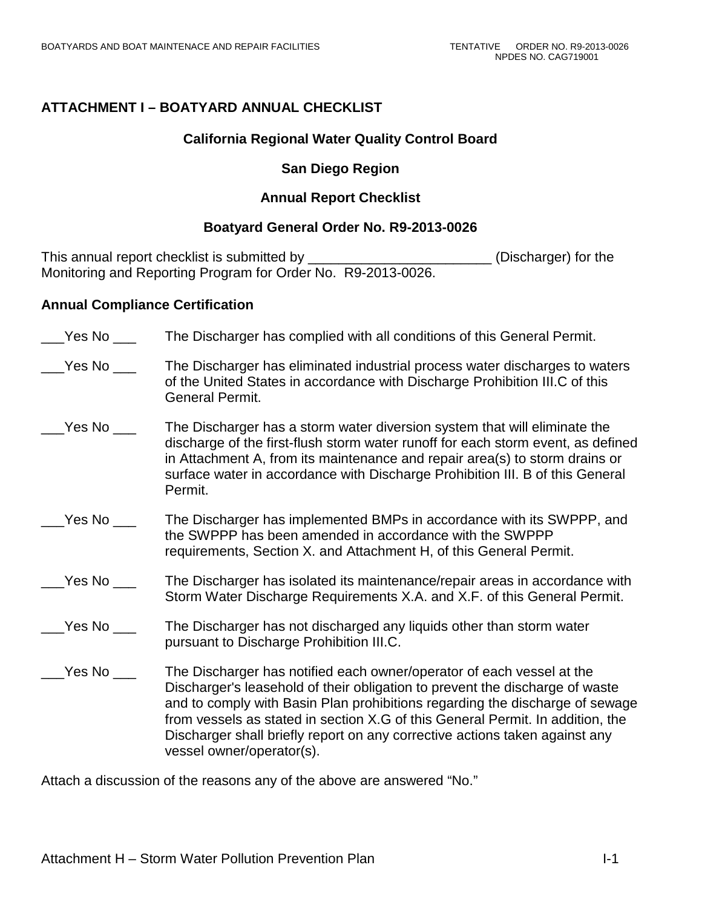# **ATTACHMENT I – BOATYARD ANNUAL CHECKLIST**

## **California Regional Water Quality Control Board**

# **San Diego Region**

# **Annual Report Checklist**

# **Boatyard General Order No. R9-2013-0026**

This annual report checklist is submitted by \_\_\_\_\_\_\_\_\_\_\_\_\_\_\_\_\_\_\_\_\_\_\_\_\_\_\_\_(Discharger) for the Monitoring and Reporting Program for Order No. R9-2013-0026.

## **Annual Compliance Certification**

- \_\_\_Yes No \_\_\_ The Discharger has complied with all conditions of this General Permit.
- Yes No The Discharger has eliminated industrial process water discharges to waters of the United States in accordance with Discharge Prohibition III.C of this General Permit.
- \_\_\_Yes No \_\_\_ The Discharger has a storm water diversion system that will eliminate the discharge of the first-flush storm water runoff for each storm event, as defined in Attachment A, from its maintenance and repair area(s) to storm drains or surface water in accordance with Discharge Prohibition III. B of this General Permit.
- Yes No The Discharger has implemented BMPs in accordance with its SWPPP, and the SWPPP has been amended in accordance with the SWPPP requirements, Section X. and Attachment H, of this General Permit.

## Yes No The Discharger has isolated its maintenance/repair areas in accordance with Storm Water Discharge Requirements X.A. and X.F. of this General Permit.

- Yes No The Discharger has not discharged any liquids other than storm water pursuant to Discharge Prohibition III.C.
- Yes No The Discharger has notified each owner/operator of each vessel at the Discharger's leasehold of their obligation to prevent the discharge of waste and to comply with Basin Plan prohibitions regarding the discharge of sewage from vessels as stated in section X.G of this General Permit. In addition, the Discharger shall briefly report on any corrective actions taken against any vessel owner/operator(s).

Attach a discussion of the reasons any of the above are answered "No."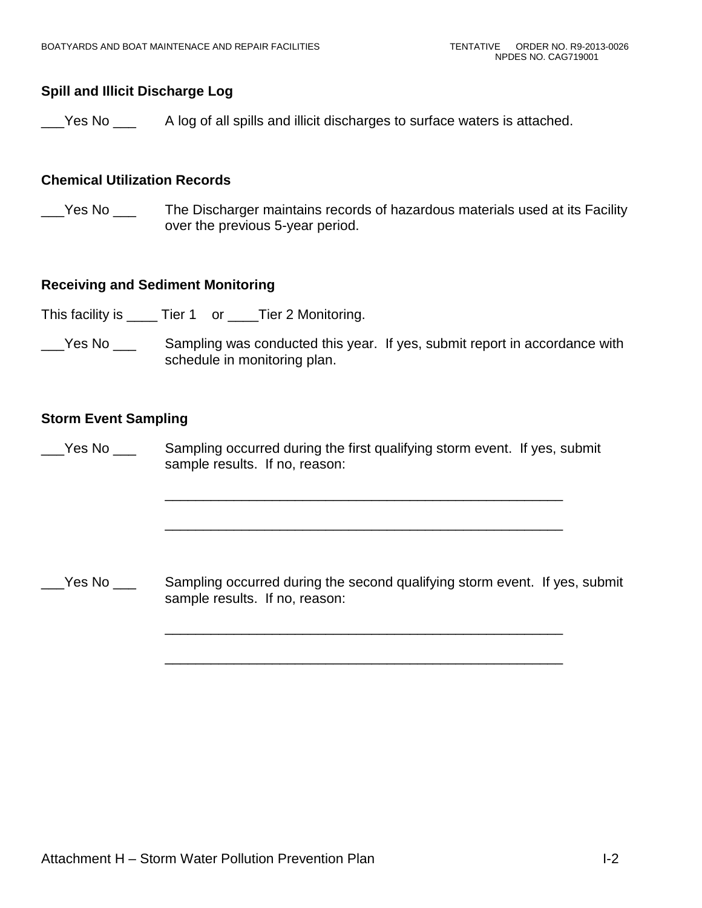# **Spill and Illicit Discharge Log**

Yes No A log of all spills and illicit discharges to surface waters is attached.

## **Chemical Utilization Records**

Yes No The Discharger maintains records of hazardous materials used at its Facility over the previous 5-year period.

## **Receiving and Sediment Monitoring**

This facility is \_\_\_\_\_ Tier 1 or \_\_\_\_Tier 2 Monitoring.

\_\_\_Yes No \_\_\_ Sampling was conducted this year. If yes, submit report in accordance with schedule in monitoring plan.

#### **Storm Event Sampling**

Yes No Sampling occurred during the first qualifying storm event. If yes, submit sample results. If no, reason:

\_\_\_\_\_\_\_\_\_\_\_\_\_\_\_\_\_\_\_\_\_\_\_\_\_\_\_\_\_\_\_\_\_\_\_\_\_\_\_\_\_\_\_\_\_\_\_\_\_\_\_\_

\_\_\_\_\_\_\_\_\_\_\_\_\_\_\_\_\_\_\_\_\_\_\_\_\_\_\_\_\_\_\_\_\_\_\_\_\_\_\_\_\_\_\_\_\_\_\_\_\_\_\_\_

\_\_\_\_\_\_\_\_\_\_\_\_\_\_\_\_\_\_\_\_\_\_\_\_\_\_\_\_\_\_\_\_\_\_\_\_\_\_\_\_\_\_\_\_\_\_\_\_\_\_\_\_

\_\_\_\_\_\_\_\_\_\_\_\_\_\_\_\_\_\_\_\_\_\_\_\_\_\_\_\_\_\_\_\_\_\_\_\_\_\_\_\_\_\_\_\_\_\_\_\_\_\_\_\_

Yes No \_\_\_ Sampling occurred during the second qualifying storm event. If yes, submit sample results. If no, reason: